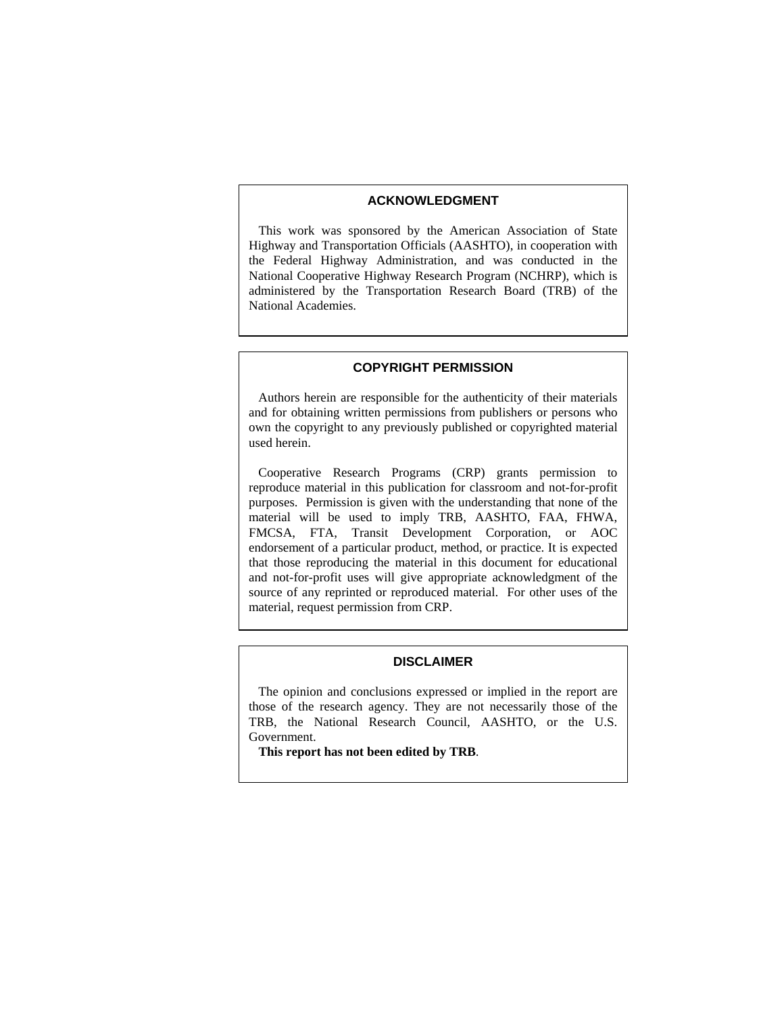#### **ACKNOWLEDGMENT**

 This work was sponsored by the American Association of State Highway and Transportation Officials (AASHTO), in cooperation with the Federal Highway Administration, and was conducted in the National Cooperative Highway Research Program (NCHRP), which is administered by the Transportation Research Board (TRB) of the National Academies.

#### **COPYRIGHT PERMISSION**

 Authors herein are responsible for the authenticity of their materials and for obtaining written permissions from publishers or persons who own the copyright to any previously published or copyrighted material used herein.

 Cooperative Research Programs (CRP) grants permission to reproduce material in this publication for classroom and not-for-profit purposes. Permission is given with the understanding that none of the material will be used to imply TRB, AASHTO, FAA, FHWA, FMCSA, FTA, Transit Development Corporation, or AOC endorsement of a particular product, method, or practice. It is expected that those reproducing the material in this document for educational and not-for-profit uses will give appropriate acknowledgment of the source of any reprinted or reproduced material. For other uses of the material, request permission from CRP.

#### **DISCLAIMER**

 The opinion and conclusions expressed or implied in the report are those of the research agency. They are not necessarily those of the TRB, the National Research Council, AASHTO, or the U.S. Government.

**This report has not been edited by TRB**.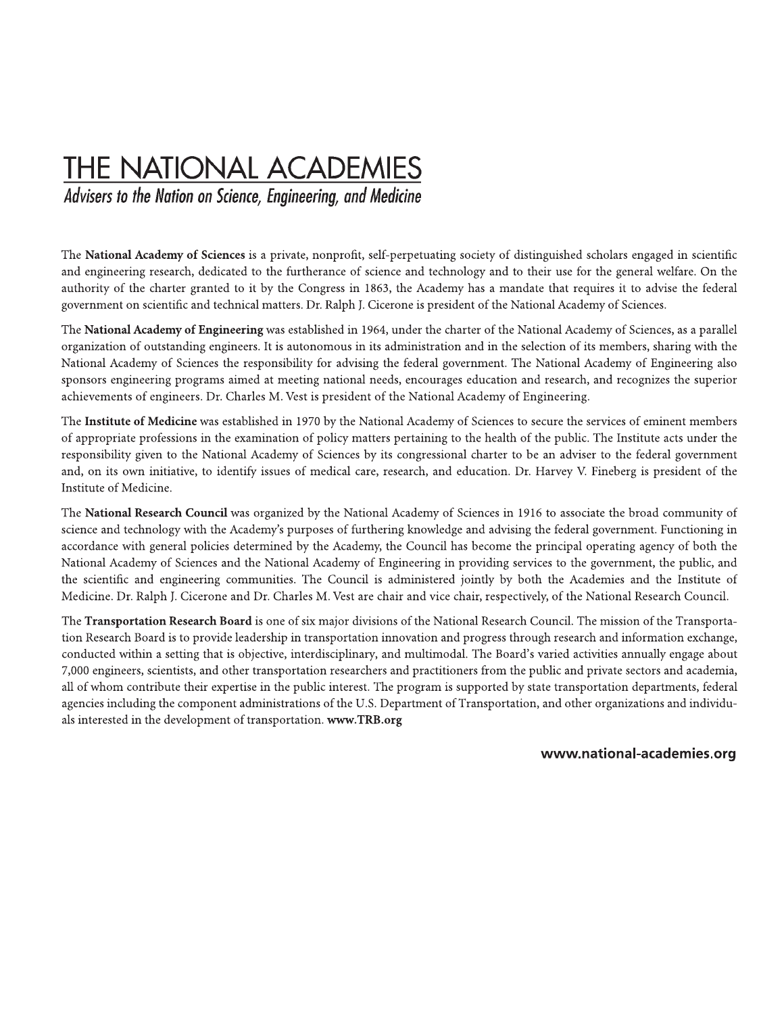# **THE NATIONAL ACADEMIES**

Advisers to the Nation on Science, Engineering, and Medicine

The National Academy of Sciences is a private, nonprofit, self-perpetuating society of distinguished scholars engaged in scientific and engineering research, dedicated to the furtherance of science and technology and to their use for the general welfare. On the authority of the charter granted to it by the Congress in 1863, the Academy has a mandate that requires it to advise the federal government on scientific and technical matters. Dr. Ralph J. Cicerone is president of the National Academy of Sciences.

The National Academy of Engineering was established in 1964, under the charter of the National Academy of Sciences, as a parallel organization of outstanding engineers. It is autonomous in its administration and in the selection of its members, sharing with the National Academy of Sciences the responsibility for advising the federal government. The National Academy of Engineering also sponsors engineering programs aimed at meeting national needs, encourages education and research, and recognizes the superior achievements of engineers. Dr. Charles M. Vest is president of the National Academy of Engineering.

The Institute of Medicine was established in 1970 by the National Academy of Sciences to secure the services of eminent members of appropriate professions in the examination of policy matters pertaining to the health of the public. The Institute acts under the responsibility given to the National Academy of Sciences by its congressional charter to be an adviser to the federal government and, on its own initiative, to identify issues of medical care, research, and education. Dr. Harvey V. Fineberg is president of the Institute of Medicine.

The National Research Council was organized by the National Academy of Sciences in 1916 to associate the broad community of science and technology with the Academy's purposes of furthering knowledge and advising the federal government. Functioning in accordance with general policies determined by the Academy, the Council has become the principal operating agency of both the National Academy of Sciences and the National Academy of Engineering in providing services to the government, the public, and the scientific and engineering communities. The Council is administered jointly by both the Academies and the Institute of Medicine. Dr. Ralph J. Cicerone and Dr. Charles M. Vest are chair and vice chair, respectively, of the National Research Council.

The Transportation Research Board is one of six major divisions of the National Research Council. The mission of the Transportation Research Board is to provide leadership in transportation innovation and progress through research and information exchange, conducted within a setting that is objective, interdisciplinary, and multimodal. The Board's varied activities annually engage about 7,000 engineers, scientists, and other transportation researchers and practitioners from the public and private sectors and academia, all of whom contribute their expertise in the public interest. The program is supported by state transportation departments, federal agencies including the component administrations of the U.S. Department of Transportation, and other organizations and individuals interested in the development of transportation. www.TRB.org

#### www.national-academies.org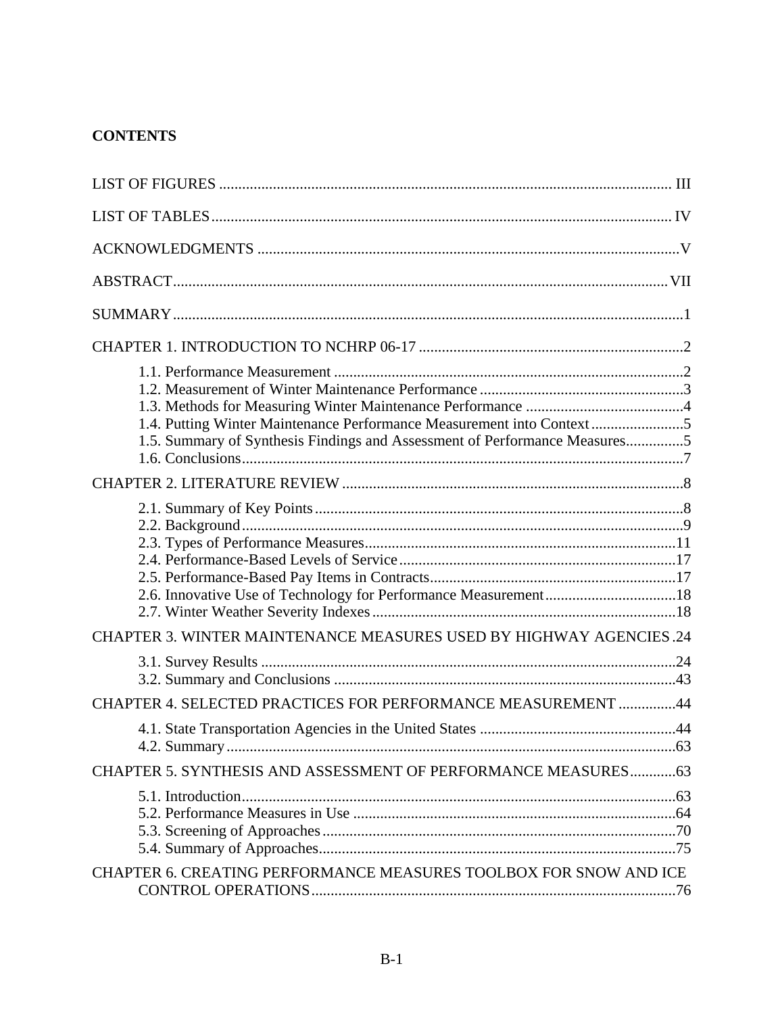# **CONTENTS**

| 1.4. Putting Winter Maintenance Performance Measurement into Context5<br>1.5. Summary of Synthesis Findings and Assessment of Performance Measures5 |  |
|-----------------------------------------------------------------------------------------------------------------------------------------------------|--|
|                                                                                                                                                     |  |
|                                                                                                                                                     |  |
| CHAPTER 3. WINTER MAINTENANCE MEASURES USED BY HIGHWAY AGENCIES .24                                                                                 |  |
|                                                                                                                                                     |  |
| CHAPTER 4. SELECTED PRACTICES FOR PERFORMANCE MEASUREMENT 44                                                                                        |  |
|                                                                                                                                                     |  |
| CHAPTER 5. SYNTHESIS AND ASSESSMENT OF PERFORMANCE MEASURES 63                                                                                      |  |
|                                                                                                                                                     |  |
| CHAPTER 6. CREATING PERFORMANCE MEASURES TOOLBOX FOR SNOW AND ICE                                                                                   |  |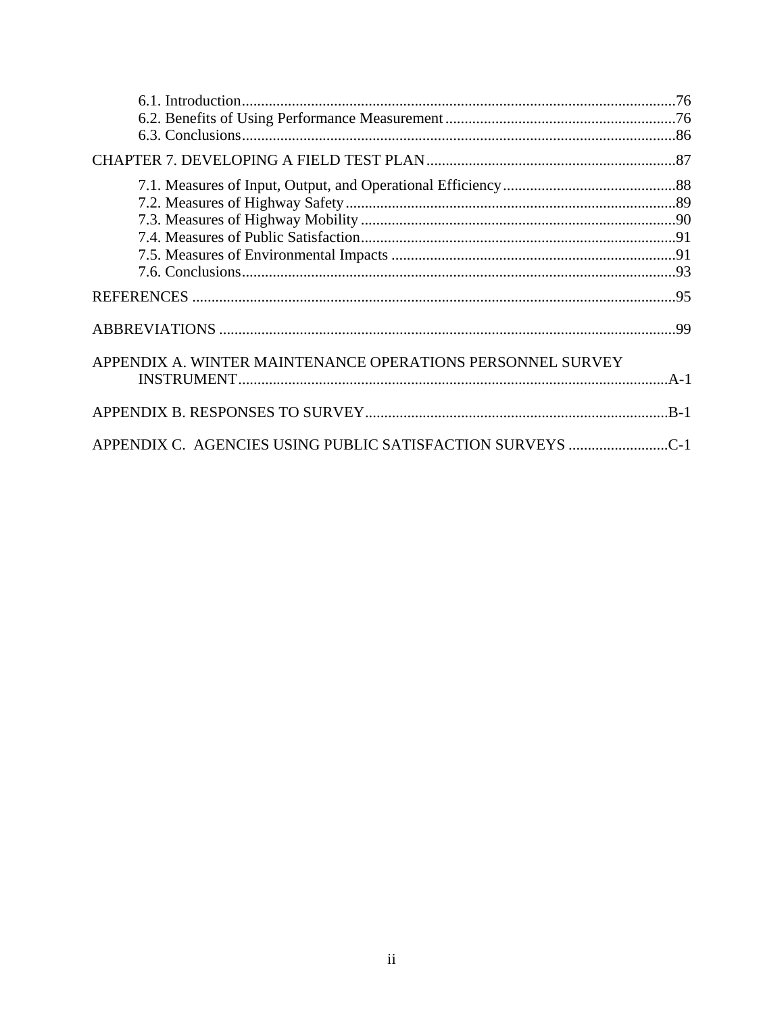| APPENDIX A. WINTER MAINTENANCE OPERATIONS PERSONNEL SURVEY |  |
|------------------------------------------------------------|--|
|                                                            |  |
| APPENDIX C. AGENCIES USING PUBLIC SATISFACTION SURVEYS C-1 |  |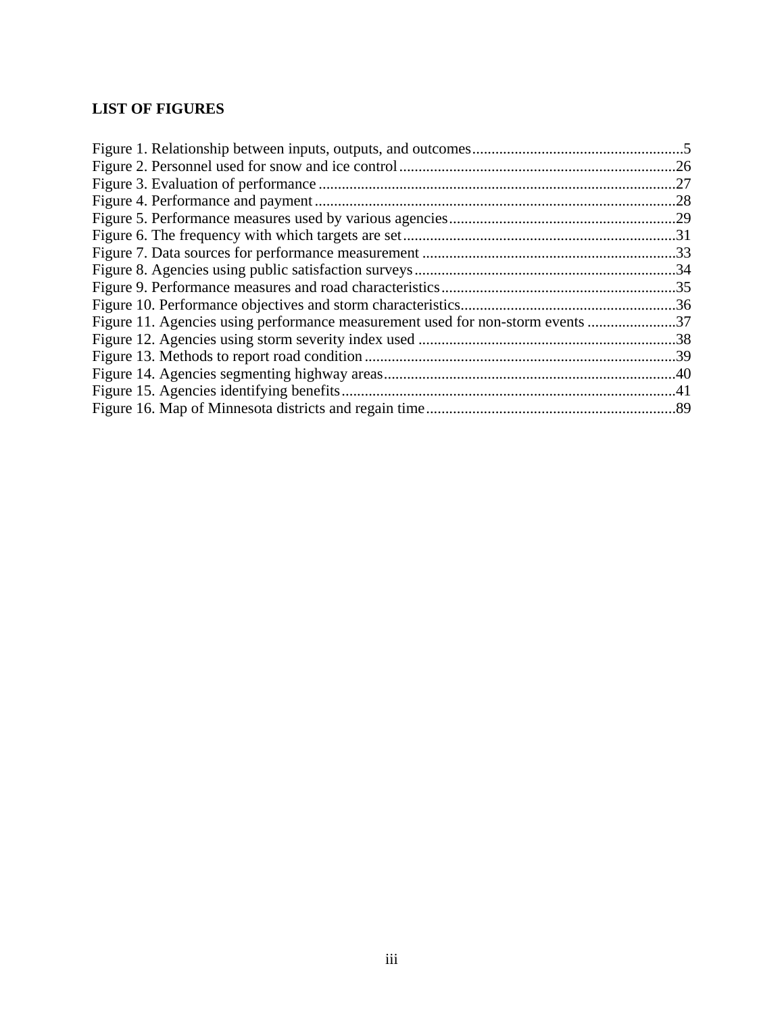# <span id="page-4-1"></span><span id="page-4-0"></span>**LIST OF FIGURES**

| Figure 11. Agencies using performance measurement used for non-storm events 37 |  |
|--------------------------------------------------------------------------------|--|
|                                                                                |  |
|                                                                                |  |
|                                                                                |  |
|                                                                                |  |
|                                                                                |  |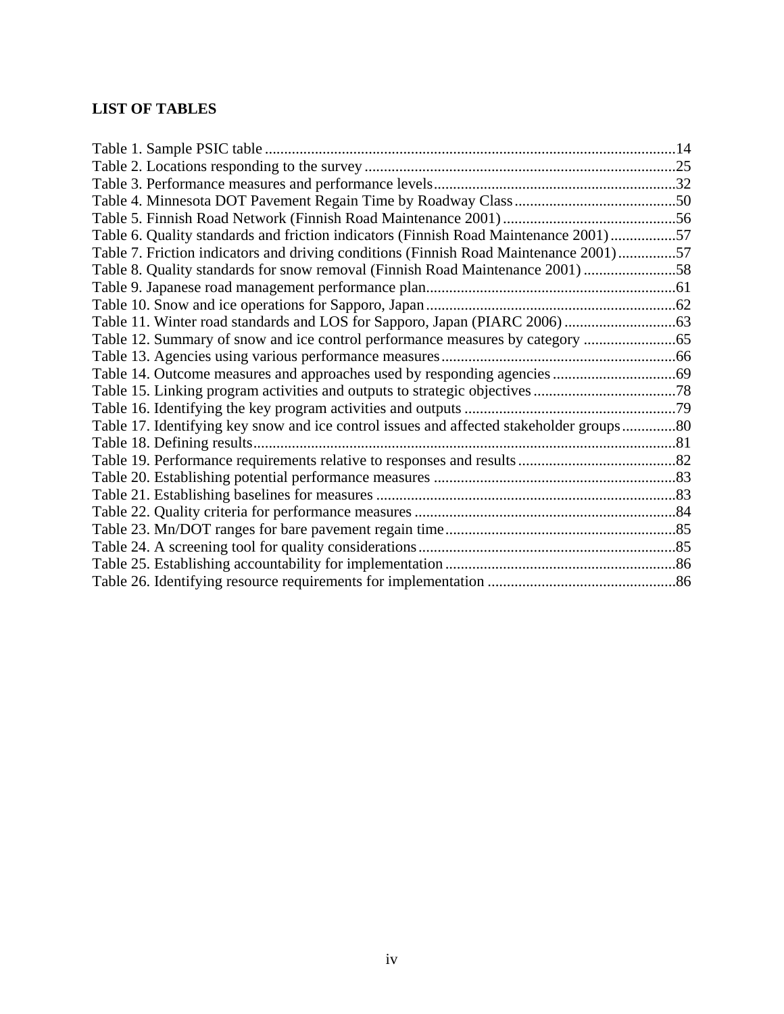# <span id="page-5-1"></span><span id="page-5-0"></span>**LIST OF TABLES**

| Table 6. Quality standards and friction indicators (Finnish Road Maintenance 2001)57    |  |
|-----------------------------------------------------------------------------------------|--|
| Table 7. Friction indicators and driving conditions (Finnish Road Maintenance 2001)57   |  |
| Table 8. Quality standards for snow removal (Finnish Road Maintenance 2001) 58          |  |
|                                                                                         |  |
|                                                                                         |  |
|                                                                                         |  |
| Table 12. Summary of snow and ice control performance measures by category              |  |
|                                                                                         |  |
|                                                                                         |  |
|                                                                                         |  |
|                                                                                         |  |
| Table 17. Identifying key snow and ice control issues and affected stakeholder groups80 |  |
| Table 18. Defining results                                                              |  |
|                                                                                         |  |
|                                                                                         |  |
|                                                                                         |  |
|                                                                                         |  |
|                                                                                         |  |
|                                                                                         |  |
|                                                                                         |  |
|                                                                                         |  |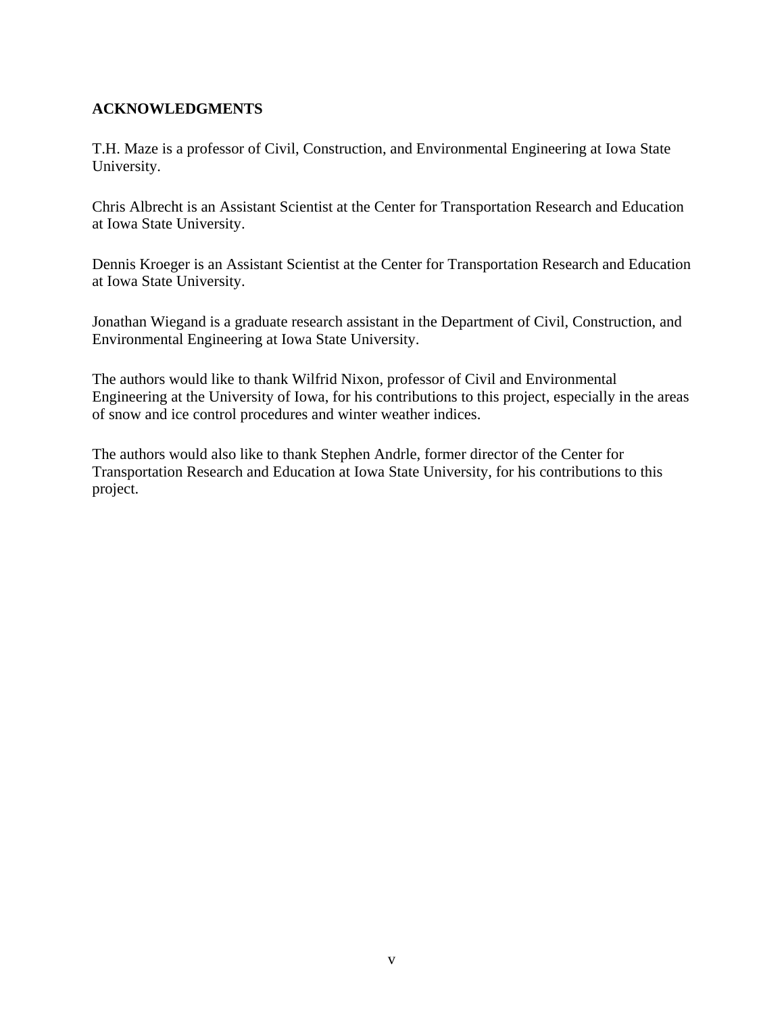## <span id="page-6-1"></span><span id="page-6-0"></span>**ACKNOWLEDGMENTS**

T.H. Maze is a professor of Civil, Construction, and Environmental Engineering at Iowa State University.

Chris Albrecht is an Assistant Scientist at the Center for Transportation Research and Education at Iowa State University.

Dennis Kroeger is an Assistant Scientist at the Center for Transportation Research and Education at Iowa State University.

Jonathan Wiegand is a graduate research assistant in the Department of Civil, Construction, and Environmental Engineering at Iowa State University.

The authors would like to thank Wilfrid Nixon, professor of Civil and Environmental Engineering at the University of Iowa, for his contributions to this project, especially in the areas of snow and ice control procedures and winter weather indices.

The authors would also like to thank Stephen Andrle, former director of the Center for Transportation Research and Education at Iowa State University, for his contributions to this project.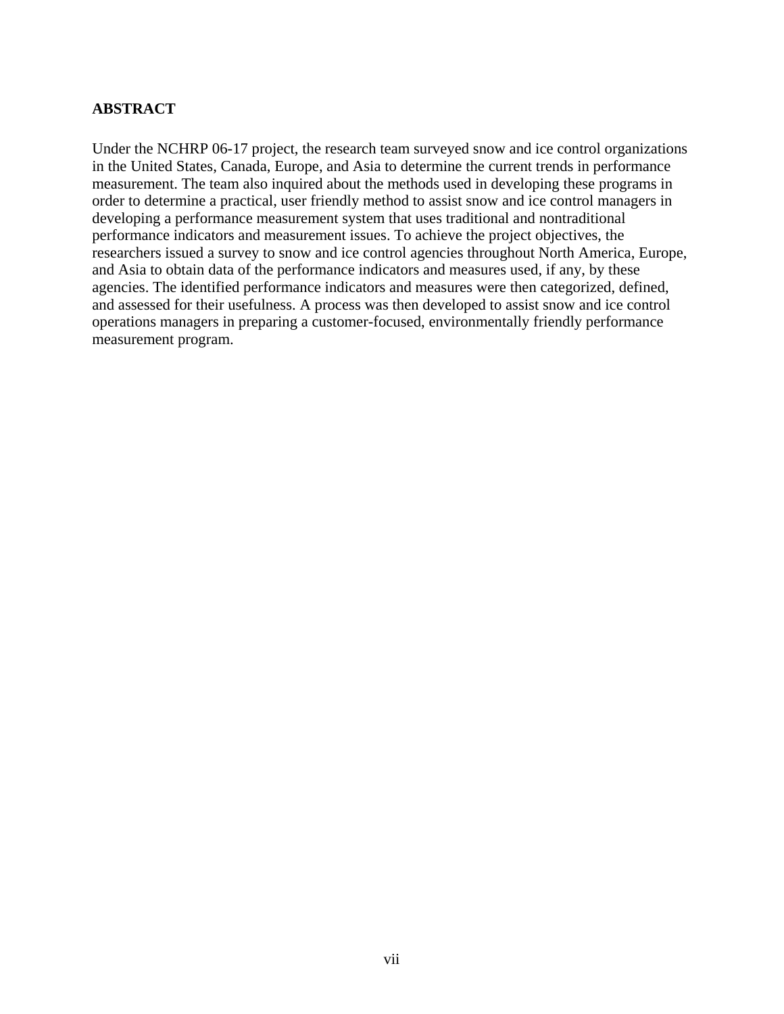## <span id="page-7-1"></span><span id="page-7-0"></span>**ABSTRACT**

Under the NCHRP 06-17 project, the research team surveyed snow and ice control organizations in the United States, Canada, Europe, and Asia to determine the current trends in performance measurement. The team also inquired about the methods used in developing these programs in order to determine a practical, user friendly method to assist snow and ice control managers in developing a performance measurement system that uses traditional and nontraditional performance indicators and measurement issues. To achieve the project objectives, the researchers issued a survey to snow and ice control agencies throughout North America, Europe, and Asia to obtain data of the performance indicators and measures used, if any, by these agencies. The identified performance indicators and measures were then categorized, defined, and assessed for their usefulness. A process was then developed to assist snow and ice control operations managers in preparing a customer-focused, environmentally friendly performance measurement program.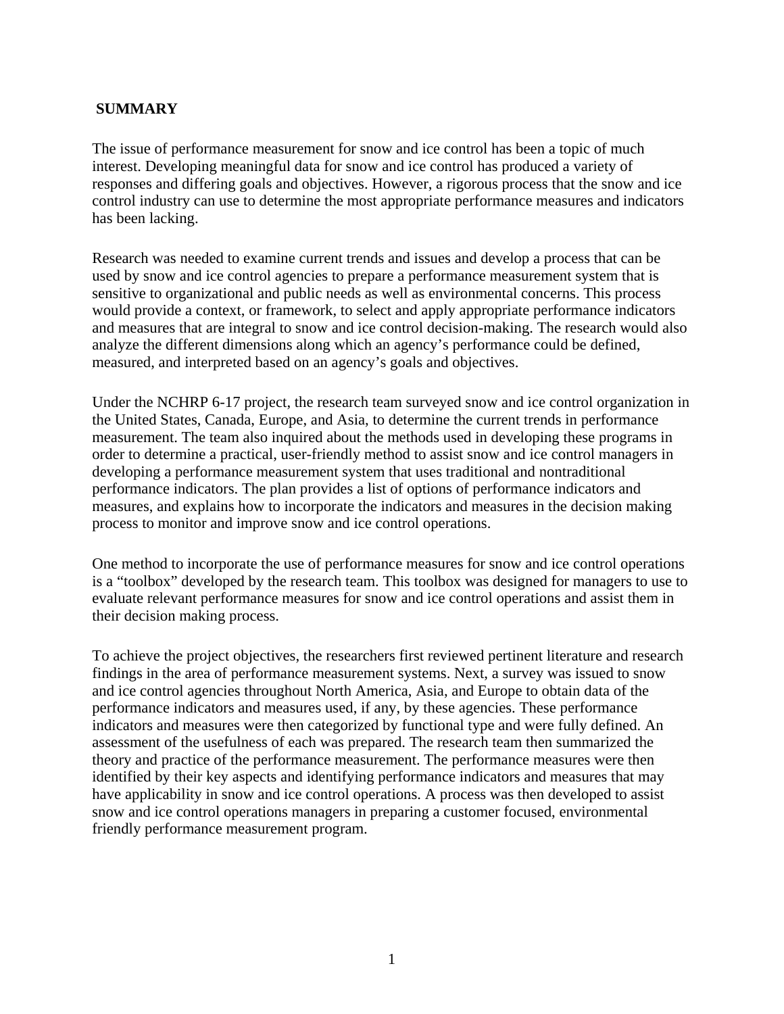## <span id="page-8-1"></span><span id="page-8-0"></span>**SUMMARY**

The issue of performance measurement for snow and ice control has been a topic of much interest. Developing meaningful data for snow and ice control has produced a variety of responses and differing goals and objectives. However, a rigorous process that the snow and ice control industry can use to determine the most appropriate performance measures and indicators has been lacking.

Research was needed to examine current trends and issues and develop a process that can be used by snow and ice control agencies to prepare a performance measurement system that is sensitive to organizational and public needs as well as environmental concerns. This process would provide a context, or framework, to select and apply appropriate performance indicators and measures that are integral to snow and ice control decision-making. The research would also analyze the different dimensions along which an agency's performance could be defined, measured, and interpreted based on an agency's goals and objectives.

Under the NCHRP 6-17 project, the research team surveyed snow and ice control organization in the United States, Canada, Europe, and Asia, to determine the current trends in performance measurement. The team also inquired about the methods used in developing these programs in order to determine a practical, user-friendly method to assist snow and ice control managers in developing a performance measurement system that uses traditional and nontraditional performance indicators. The plan provides a list of options of performance indicators and measures, and explains how to incorporate the indicators and measures in the decision making process to monitor and improve snow and ice control operations.

One method to incorporate the use of performance measures for snow and ice control operations is a "toolbox" developed by the research team. This toolbox was designed for managers to use to evaluate relevant performance measures for snow and ice control operations and assist them in their decision making process.

To achieve the project objectives, the researchers first reviewed pertinent literature and research findings in the area of performance measurement systems. Next, a survey was issued to snow and ice control agencies throughout North America, Asia, and Europe to obtain data of the performance indicators and measures used, if any, by these agencies. These performance indicators and measures were then categorized by functional type and were fully defined. An assessment of the usefulness of each was prepared. The research team then summarized the theory and practice of the performance measurement. The performance measures were then identified by their key aspects and identifying performance indicators and measures that may have applicability in snow and ice control operations. A process was then developed to assist snow and ice control operations managers in preparing a customer focused, environmental friendly performance measurement program.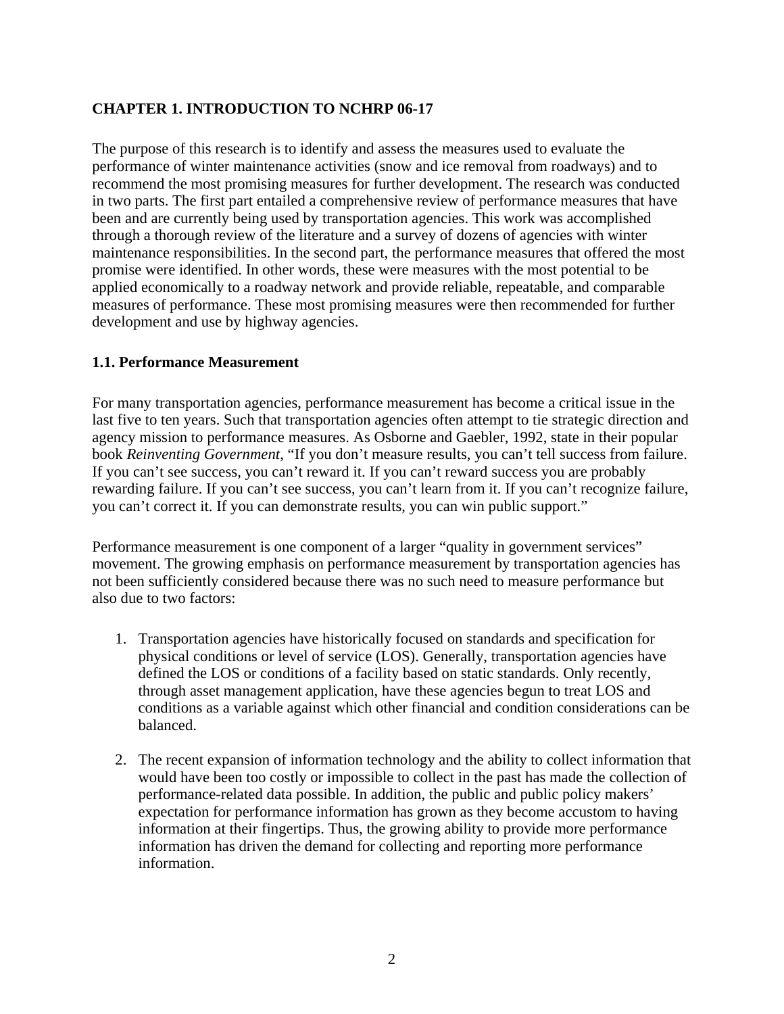## <span id="page-9-1"></span><span id="page-9-0"></span>**CHAPTER 1. INTRODUCTION TO NCHRP 06-17**

The purpose of this research is to identify and assess the measures used to evaluate the performance of winter maintenance activities (snow and ice removal from roadways) and to recommend the most promising measures for further development. The research was conducted in two parts. The first part entailed a comprehensive review of performance measures that have been and are currently being used by transportation agencies. This work was accomplished through a thorough review of the literature and a survey of dozens of agencies with winter maintenance responsibilities. In the second part, the performance measures that offered the most promise were identified. In other words, these were measures with the most potential to be applied economically to a roadway network and provide reliable, repeatable, and comparable measures of performance. These most promising measures were then recommended for further development and use by highway agencies.

#### <span id="page-9-2"></span>**1.1. Performance Measurement**

For many transportation agencies, performance measurement has become a critical issue in the last five to ten years. Such that transportation agencies often attempt to tie strategic direction and agency mission to performance measures. As Osborne and Gaebler, 1992, state in their popular book *Reinventing Government*, "If you don't measure results, you can't tell success from failure. If you can't see success, you can't reward it. If you can't reward success you are probably rewarding failure. If you can't see success, you can't learn from it. If you can't recognize failure, you can't correct it. If you can demonstrate results, you can win public support."

Performance measurement is one component of a larger "quality in government services" movement. The growing emphasis on performance measurement by transportation agencies has not been sufficiently considered because there was no such need to measure performance but also due to two factors:

- 1. Transportation agencies have historically focused on standards and specification for physical conditions or level of service (LOS). Generally, transportation agencies have defined the LOS or conditions of a facility based on static standards. Only recently, through asset management application, have these agencies begun to treat LOS and conditions as a variable against which other financial and condition considerations can be balanced.
- 2. The recent expansion of information technology and the ability to collect information that would have been too costly or impossible to collect in the past has made the collection of performance-related data possible. In addition, the public and public policy makers' expectation for performance information has grown as they become accustom to having information at their fingertips. Thus, the growing ability to provide more performance information has driven the demand for collecting and reporting more performance information.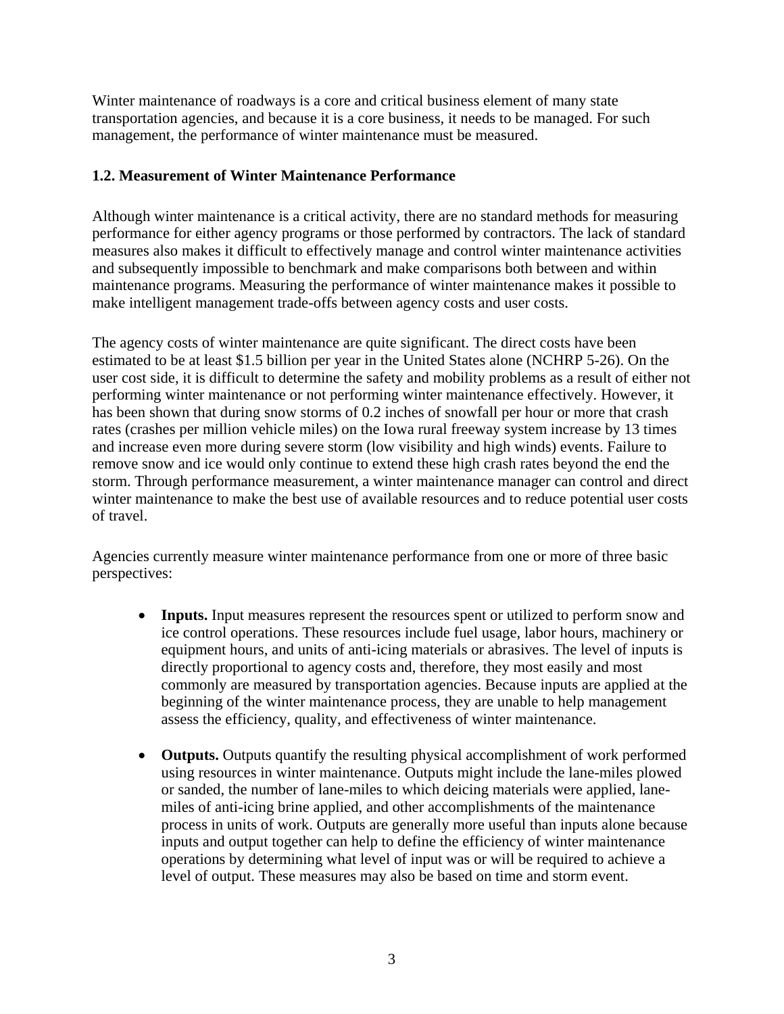<span id="page-10-0"></span>Winter maintenance of roadways is a core and critical business element of many state transportation agencies, and because it is a core business, it needs to be managed. For such management, the performance of winter maintenance must be measured.

## <span id="page-10-1"></span>**1.2. Measurement of Winter Maintenance Performance**

Although winter maintenance is a critical activity, there are no standard methods for measuring performance for either agency programs or those performed by contractors. The lack of standard measures also makes it difficult to effectively manage and control winter maintenance activities and subsequently impossible to benchmark and make comparisons both between and within maintenance programs. Measuring the performance of winter maintenance makes it possible to make intelligent management trade-offs between agency costs and user costs.

The agency costs of winter maintenance are quite significant. The direct costs have been estimated to be at least \$1.5 billion per year in the United States alone (NCHRP 5-26). On the user cost side, it is difficult to determine the safety and mobility problems as a result of either not performing winter maintenance or not performing winter maintenance effectively. However, it has been shown that during snow storms of 0.2 inches of snowfall per hour or more that crash rates (crashes per million vehicle miles) on the Iowa rural freeway system increase by 13 times and increase even more during severe storm (low visibility and high winds) events. Failure to remove snow and ice would only continue to extend these high crash rates beyond the end the storm. Through performance measurement, a winter maintenance manager can control and direct winter maintenance to make the best use of available resources and to reduce potential user costs of travel.

Agencies currently measure winter maintenance performance from one or more of three basic perspectives:

- **Inputs.** Input measures represent the resources spent or utilized to perform snow and ice control operations. These resources include fuel usage, labor hours, machinery or equipment hours, and units of anti-icing materials or abrasives. The level of inputs is directly proportional to agency costs and, therefore, they most easily and most commonly are measured by transportation agencies. Because inputs are applied at the beginning of the winter maintenance process, they are unable to help management assess the efficiency, quality, and effectiveness of winter maintenance.
- **Outputs.** Outputs quantify the resulting physical accomplishment of work performed using resources in winter maintenance. Outputs might include the lane-miles plowed or sanded, the number of lane-miles to which deicing materials were applied, lanemiles of anti-icing brine applied, and other accomplishments of the maintenance process in units of work. Outputs are generally more useful than inputs alone because inputs and output together can help to define the efficiency of winter maintenance operations by determining what level of input was or will be required to achieve a level of output. These measures may also be based on time and storm event.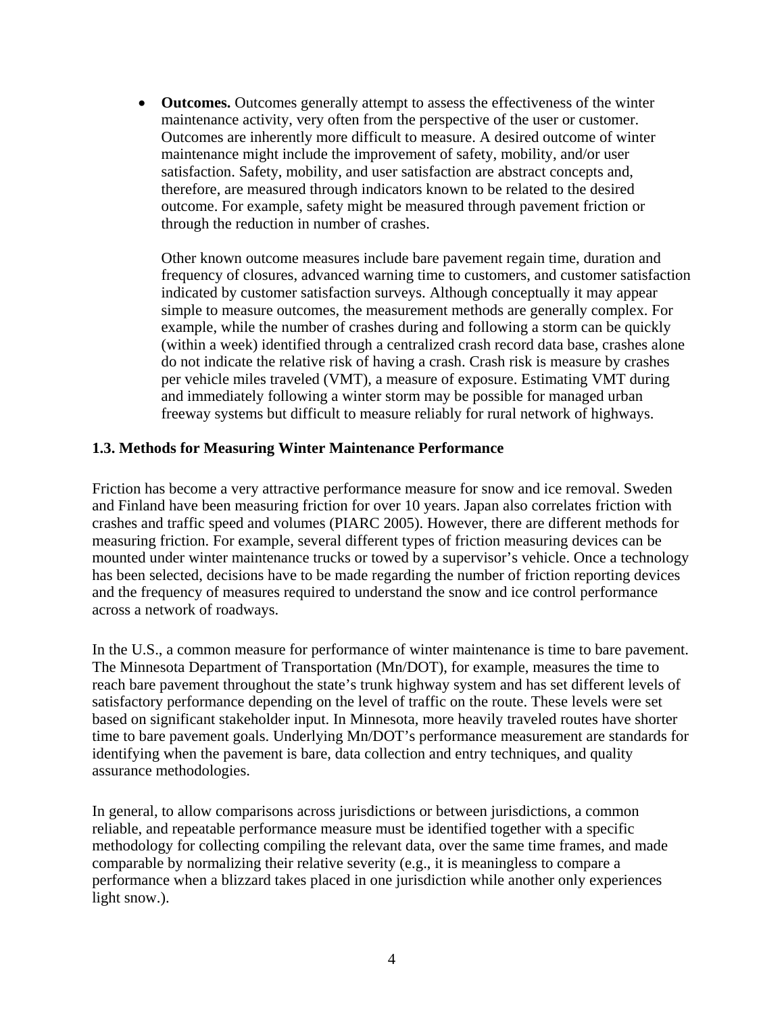<span id="page-11-0"></span>• **Outcomes.** Outcomes generally attempt to assess the effectiveness of the winter maintenance activity, very often from the perspective of the user or customer. Outcomes are inherently more difficult to measure. A desired outcome of winter maintenance might include the improvement of safety, mobility, and/or user satisfaction. Safety, mobility, and user satisfaction are abstract concepts and, therefore, are measured through indicators known to be related to the desired outcome. For example, safety might be measured through pavement friction or through the reduction in number of crashes.

Other known outcome measures include bare pavement regain time, duration and frequency of closures, advanced warning time to customers, and customer satisfaction indicated by customer satisfaction surveys. Although conceptually it may appear simple to measure outcomes, the measurement methods are generally complex. For example, while the number of crashes during and following a storm can be quickly (within a week) identified through a centralized crash record data base, crashes alone do not indicate the relative risk of having a crash. Crash risk is measure by crashes per vehicle miles traveled (VMT), a measure of exposure. Estimating VMT during and immediately following a winter storm may be possible for managed urban freeway systems but difficult to measure reliably for rural network of highways.

#### <span id="page-11-1"></span>**1.3. Methods for Measuring Winter Maintenance Performance**

Friction has become a very attractive performance measure for snow and ice removal. Sweden and Finland have been measuring friction for over 10 years. Japan also correlates friction with crashes and traffic speed and volumes (PIARC 2005). However, there are different methods for measuring friction. For example, several different types of friction measuring devices can be mounted under winter maintenance trucks or towed by a supervisor's vehicle. Once a technology has been selected, decisions have to be made regarding the number of friction reporting devices and the frequency of measures required to understand the snow and ice control performance across a network of roadways.

In the U.S., a common measure for performance of winter maintenance is time to bare pavement. The Minnesota Department of Transportation (Mn/DOT), for example, measures the time to reach bare pavement throughout the state's trunk highway system and has set different levels of satisfactory performance depending on the level of traffic on the route. These levels were set based on significant stakeholder input. In Minnesota, more heavily traveled routes have shorter time to bare pavement goals. Underlying Mn/DOT's performance measurement are standards for identifying when the pavement is bare, data collection and entry techniques, and quality assurance methodologies.

In general, to allow comparisons across jurisdictions or between jurisdictions, a common reliable, and repeatable performance measure must be identified together with a specific methodology for collecting compiling the relevant data, over the same time frames, and made comparable by normalizing their relative severity (e.g., it is meaningless to compare a performance when a blizzard takes placed in one jurisdiction while another only experiences light snow.).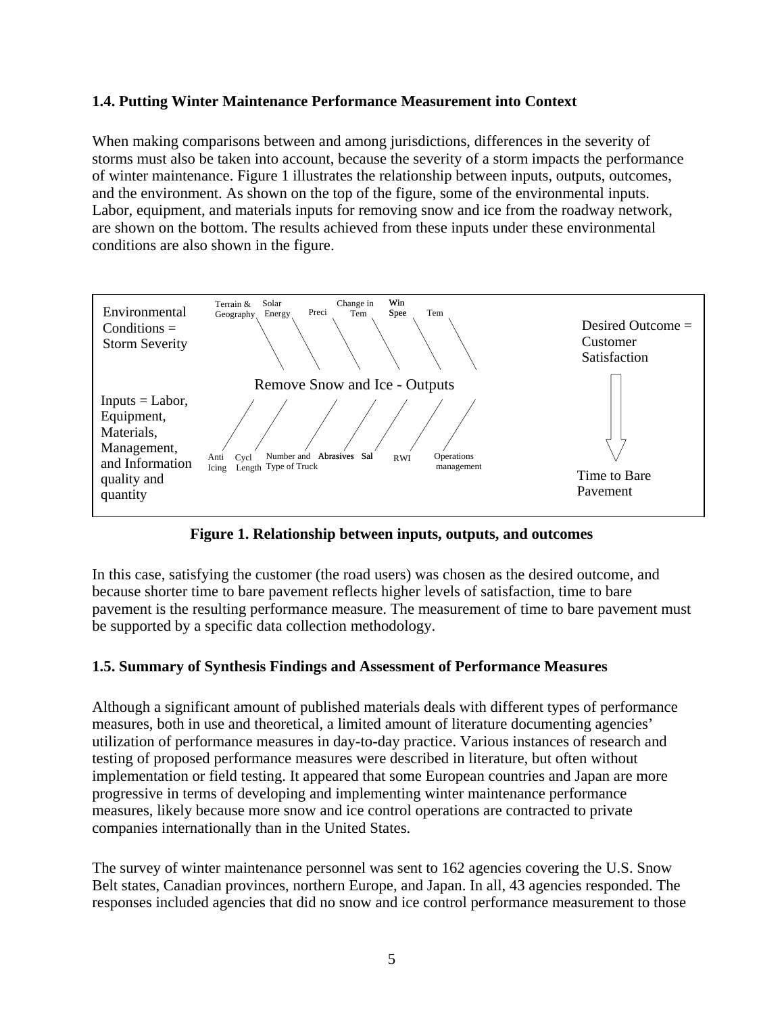## <span id="page-12-1"></span><span id="page-12-0"></span>**1.4. Putting Winter Maintenance Performance Measurement into Context**

When making comparisons between and among jurisdictions, differences in the severity of storms must also be taken into account, because the severity of a storm impacts the performance of winter maintenance. Figure 1 illustrates the relationship between inputs, outputs, outcomes, and the environment. As shown on the top of the figure, some of the environmental inputs. Labor, equipment, and materials inputs for removing snow and ice from the roadway network, are shown on the bottom. The results achieved from these inputs under these environmental conditions are also shown in the figure.



**Figure 1. Relationship between inputs, outputs, and outcomes** 

<span id="page-12-3"></span>In this case, satisfying the customer (the road users) was chosen as the desired outcome, and because shorter time to bare pavement reflects higher levels of satisfaction, time to bare pavement is the resulting performance measure. The measurement of time to bare pavement must be supported by a specific data collection methodology.

#### <span id="page-12-2"></span>**1.5. Summary of Synthesis Findings and Assessment of Performance Measures**

Although a significant amount of published materials deals with different types of performance measures, both in use and theoretical, a limited amount of literature documenting agencies' utilization of performance measures in day-to-day practice. Various instances of research and testing of proposed performance measures were described in literature, but often without implementation or field testing. It appeared that some European countries and Japan are more progressive in terms of developing and implementing winter maintenance performance measures, likely because more snow and ice control operations are contracted to private companies internationally than in the United States.

The survey of winter maintenance personnel was sent to 162 agencies covering the U.S. Snow Belt states, Canadian provinces, northern Europe, and Japan. In all, 43 agencies responded. The responses included agencies that did no snow and ice control performance measurement to those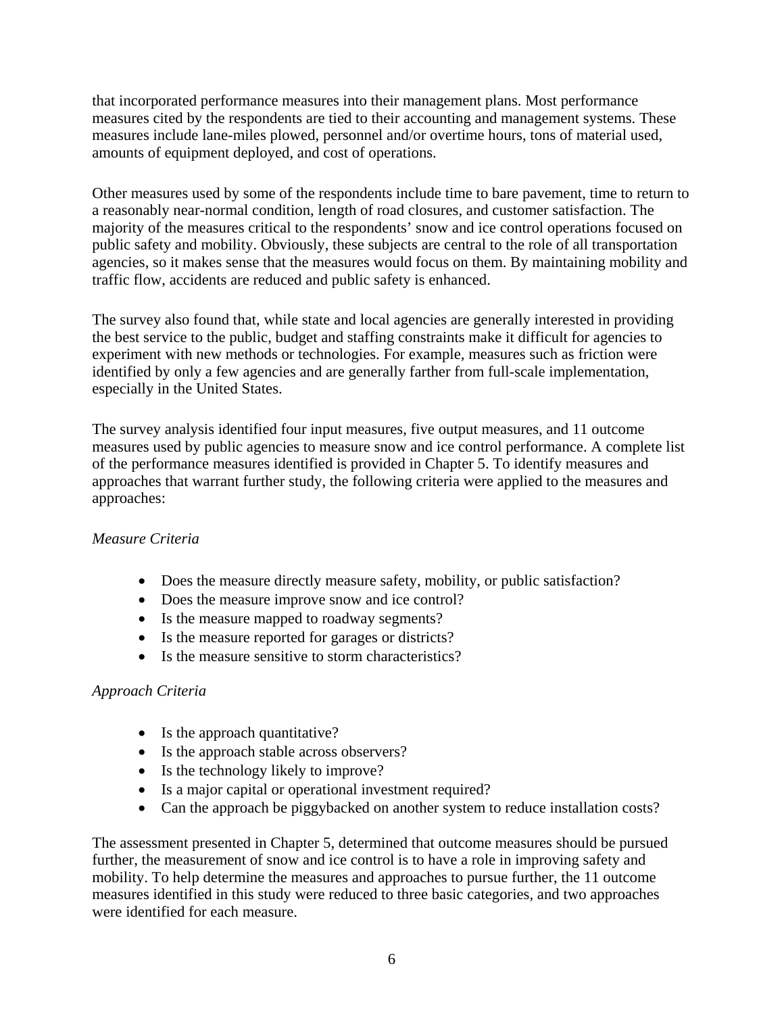that incorporated performance measures into their management plans. Most performance measures cited by the respondents are tied to their accounting and management systems. These measures include lane-miles plowed, personnel and/or overtime hours, tons of material used, amounts of equipment deployed, and cost of operations.

Other measures used by some of the respondents include time to bare pavement, time to return to a reasonably near-normal condition, length of road closures, and customer satisfaction. The majority of the measures critical to the respondents' snow and ice control operations focused on public safety and mobility. Obviously, these subjects are central to the role of all transportation agencies, so it makes sense that the measures would focus on them. By maintaining mobility and traffic flow, accidents are reduced and public safety is enhanced.

The survey also found that, while state and local agencies are generally interested in providing the best service to the public, budget and staffing constraints make it difficult for agencies to experiment with new methods or technologies. For example, measures such as friction were identified by only a few agencies and are generally farther from full-scale implementation, especially in the United States.

The survey analysis identified four input measures, five output measures, and 11 outcome measures used by public agencies to measure snow and ice control performance. A complete list of the performance measures identified is provided in Chapter 5. To identify measures and approaches that warrant further study, the following criteria were applied to the measures and approaches:

## *Measure Criteria*

- Does the measure directly measure safety, mobility, or public satisfaction?
- Does the measure improve snow and ice control?
- Is the measure mapped to roadway segments?
- Is the measure reported for garages or districts?
- Is the measure sensitive to storm characteristics?

#### *Approach Criteria*

- Is the approach quantitative?
- Is the approach stable across observers?
- Is the technology likely to improve?
- Is a major capital or operational investment required?
- Can the approach be piggybacked on another system to reduce installation costs?

The assessment presented in Chapter 5, determined that outcome measures should be pursued further, the measurement of snow and ice control is to have a role in improving safety and mobility. To help determine the measures and approaches to pursue further, the 11 outcome measures identified in this study were reduced to three basic categories, and two approaches were identified for each measure.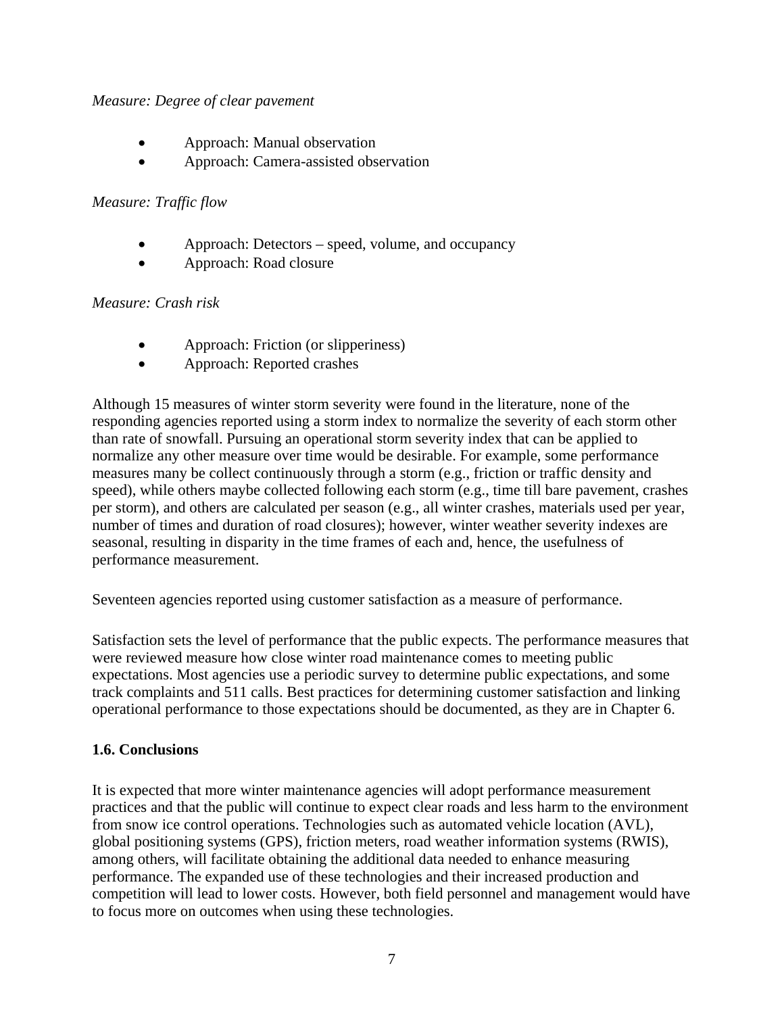#### <span id="page-14-0"></span>*Measure: Degree of clear pavement*

- Approach: Manual observation
- Approach: Camera-assisted observation

## *Measure: Traffic flow*

- Approach: Detectors speed, volume, and occupancy
- Approach: Road closure

## *Measure: Crash risk*

- Approach: Friction (or slipperiness)
- Approach: Reported crashes

Although 15 measures of winter storm severity were found in the literature, none of the responding agencies reported using a storm index to normalize the severity of each storm other than rate of snowfall. Pursuing an operational storm severity index that can be applied to normalize any other measure over time would be desirable. For example, some performance measures many be collect continuously through a storm (e.g., friction or traffic density and speed), while others maybe collected following each storm (e.g., time till bare pavement, crashes per storm), and others are calculated per season (e.g., all winter crashes, materials used per year, number of times and duration of road closures); however, winter weather severity indexes are seasonal, resulting in disparity in the time frames of each and, hence, the usefulness of performance measurement.

Seventeen agencies reported using customer satisfaction as a measure of performance.

Satisfaction sets the level of performance that the public expects. The performance measures that were reviewed measure how close winter road maintenance comes to meeting public expectations. Most agencies use a periodic survey to determine public expectations, and some track complaints and 511 calls. Best practices for determining customer satisfaction and linking operational performance to those expectations should be documented, as they are in Chapter 6.

## <span id="page-14-1"></span>**1.6. Conclusions**

It is expected that more winter maintenance agencies will adopt performance measurement practices and that the public will continue to expect clear roads and less harm to the environment from snow ice control operations. Technologies such as automated vehicle location (AVL), global positioning systems (GPS), friction meters, road weather information systems (RWIS), among others, will facilitate obtaining the additional data needed to enhance measuring performance. The expanded use of these technologies and their increased production and competition will lead to lower costs. However, both field personnel and management would have to focus more on outcomes when using these technologies.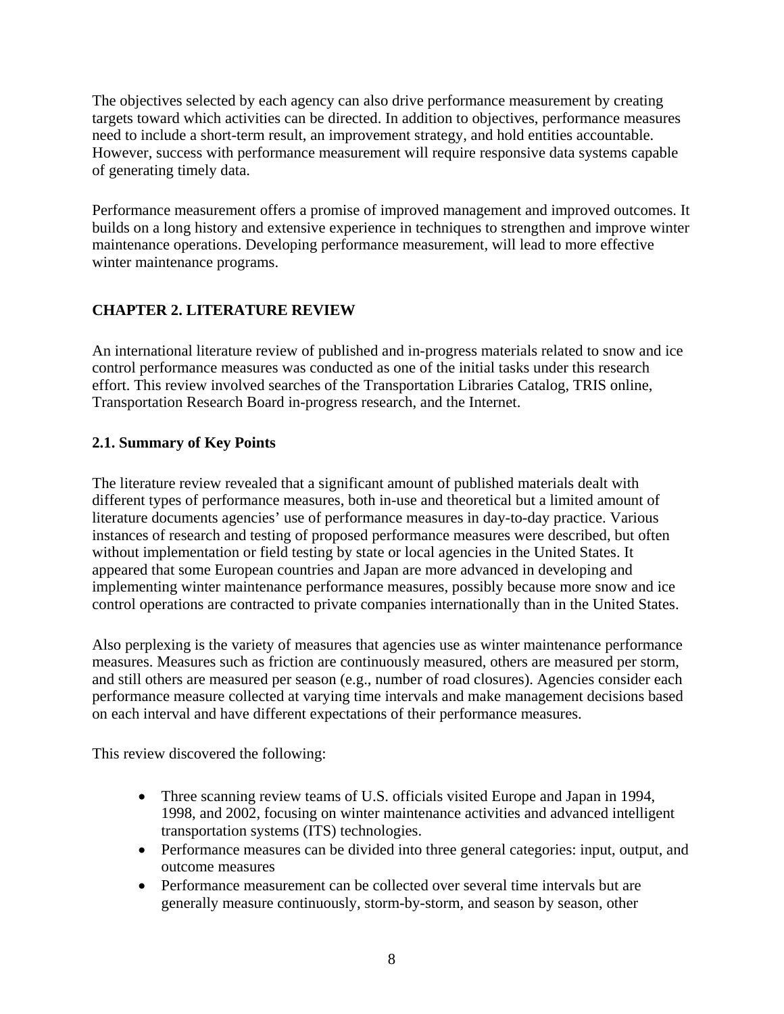<span id="page-15-0"></span>The objectives selected by each agency can also drive performance measurement by creating targets toward which activities can be directed. In addition to objectives, performance measures need to include a short-term result, an improvement strategy, and hold entities accountable. However, success with performance measurement will require responsive data systems capable of generating timely data.

Performance measurement offers a promise of improved management and improved outcomes. It builds on a long history and extensive experience in techniques to strengthen and improve winter maintenance operations. Developing performance measurement, will lead to more effective winter maintenance programs.

# <span id="page-15-1"></span>**CHAPTER 2. LITERATURE REVIEW**

An international literature review of published and in-progress materials related to snow and ice control performance measures was conducted as one of the initial tasks under this research effort. This review involved searches of the Transportation Libraries Catalog, TRIS online, Transportation Research Board in-progress research, and the Internet.

## <span id="page-15-2"></span>**2.1. Summary of Key Points**

The literature review revealed that a significant amount of published materials dealt with different types of performance measures, both in-use and theoretical but a limited amount of literature documents agencies' use of performance measures in day-to-day practice. Various instances of research and testing of proposed performance measures were described, but often without implementation or field testing by state or local agencies in the United States. It appeared that some European countries and Japan are more advanced in developing and implementing winter maintenance performance measures, possibly because more snow and ice control operations are contracted to private companies internationally than in the United States.

Also perplexing is the variety of measures that agencies use as winter maintenance performance measures. Measures such as friction are continuously measured, others are measured per storm, and still others are measured per season (e.g., number of road closures). Agencies consider each performance measure collected at varying time intervals and make management decisions based on each interval and have different expectations of their performance measures.

This review discovered the following:

- Three scanning review teams of U.S. officials visited Europe and Japan in 1994, 1998, and 2002, focusing on winter maintenance activities and advanced intelligent transportation systems (ITS) technologies.
- Performance measures can be divided into three general categories: input, output, and outcome measures
- Performance measurement can be collected over several time intervals but are generally measure continuously, storm-by-storm, and season by season, other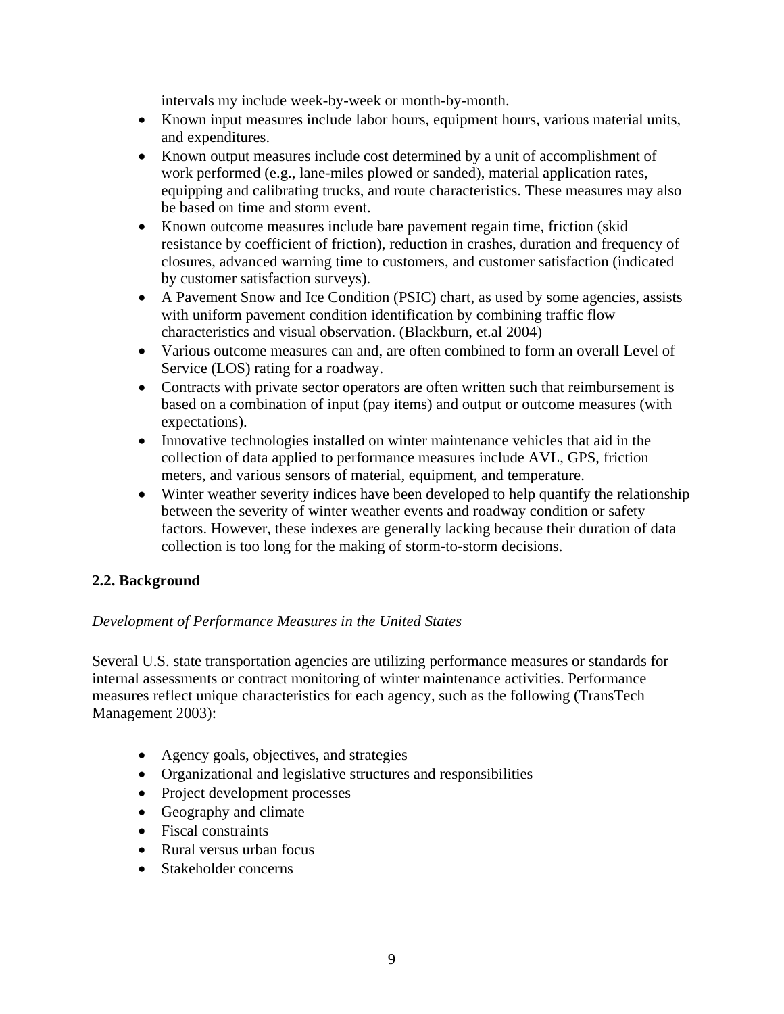intervals my include week-by-week or month-by-month.

- <span id="page-16-0"></span>• Known input measures include labor hours, equipment hours, various material units, and expenditures.
- Known output measures include cost determined by a unit of accomplishment of work performed (e.g., lane-miles plowed or sanded), material application rates, equipping and calibrating trucks, and route characteristics. These measures may also be based on time and storm event.
- Known outcome measures include bare pavement regain time, friction (skid resistance by coefficient of friction), reduction in crashes, duration and frequency of closures, advanced warning time to customers, and customer satisfaction (indicated by customer satisfaction surveys).
- A Pavement Snow and Ice Condition (PSIC) chart, as used by some agencies, assists with uniform pavement condition identification by combining traffic flow characteristics and visual observation. (Blackburn, et.al 2004)
- Various outcome measures can and, are often combined to form an overall Level of Service (LOS) rating for a roadway.
- Contracts with private sector operators are often written such that reimbursement is based on a combination of input (pay items) and output or outcome measures (with expectations).
- Innovative technologies installed on winter maintenance vehicles that aid in the collection of data applied to performance measures include AVL, GPS, friction meters, and various sensors of material, equipment, and temperature.
- Winter weather severity indices have been developed to help quantify the relationship between the severity of winter weather events and roadway condition or safety factors. However, these indexes are generally lacking because their duration of data collection is too long for the making of storm-to-storm decisions.

## <span id="page-16-1"></span>**2.2. Background**

## *Development of Performance Measures in the United States*

Several U.S. state transportation agencies are utilizing performance measures or standards for internal assessments or contract monitoring of winter maintenance activities. Performance measures reflect unique characteristics for each agency, such as the following (TransTech Management 2003):

- Agency goals, objectives, and strategies
- Organizational and legislative structures and responsibilities
- Project development processes
- Geography and climate
- Fiscal constraints
- Rural versus urban focus
- Stakeholder concerns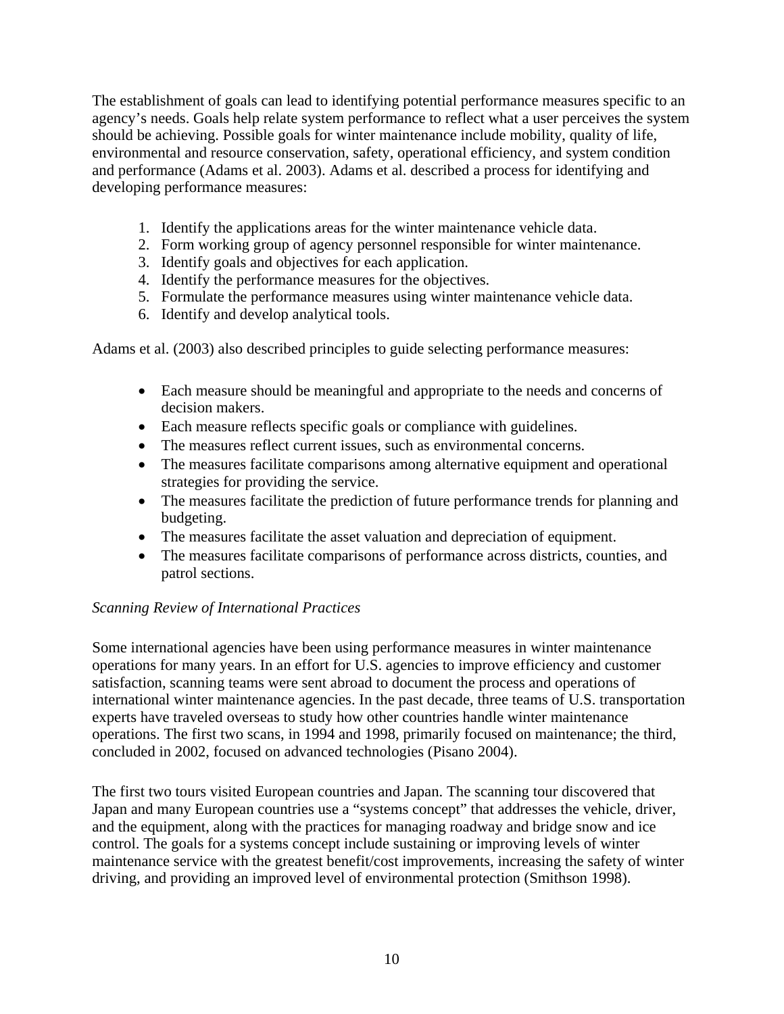The establishment of goals can lead to identifying potential performance measures specific to an agency's needs. Goals help relate system performance to reflect what a user perceives the system should be achieving. Possible goals for winter maintenance include mobility, quality of life, environmental and resource conservation, safety, operational efficiency, and system condition and performance (Adams et al. 2003). Adams et al. described a process for identifying and developing performance measures:

- 1. Identify the applications areas for the winter maintenance vehicle data.
- 2. Form working group of agency personnel responsible for winter maintenance.
- 3. Identify goals and objectives for each application.
- 4. Identify the performance measures for the objectives.
- 5. Formulate the performance measures using winter maintenance vehicle data.
- 6. Identify and develop analytical tools.

Adams et al. (2003) also described principles to guide selecting performance measures:

- Each measure should be meaningful and appropriate to the needs and concerns of decision makers.
- Each measure reflects specific goals or compliance with guidelines.
- The measures reflect current issues, such as environmental concerns.
- The measures facilitate comparisons among alternative equipment and operational strategies for providing the service.
- The measures facilitate the prediction of future performance trends for planning and budgeting.
- The measures facilitate the asset valuation and depreciation of equipment.
- The measures facilitate comparisons of performance across districts, counties, and patrol sections.

## *Scanning Review of International Practices*

Some international agencies have been using performance measures in winter maintenance operations for many years. In an effort for U.S. agencies to improve efficiency and customer satisfaction, scanning teams were sent abroad to document the process and operations of international winter maintenance agencies. In the past decade, three teams of U.S. transportation experts have traveled overseas to study how other countries handle winter maintenance operations. The first two scans, in 1994 and 1998, primarily focused on maintenance; the third, concluded in 2002, focused on advanced technologies (Pisano 2004).

The first two tours visited European countries and Japan. The scanning tour discovered that Japan and many European countries use a "systems concept" that addresses the vehicle, driver, and the equipment, along with the practices for managing roadway and bridge snow and ice control. The goals for a systems concept include sustaining or improving levels of winter maintenance service with the greatest benefit/cost improvements, increasing the safety of winter driving, and providing an improved level of environmental protection (Smithson 1998).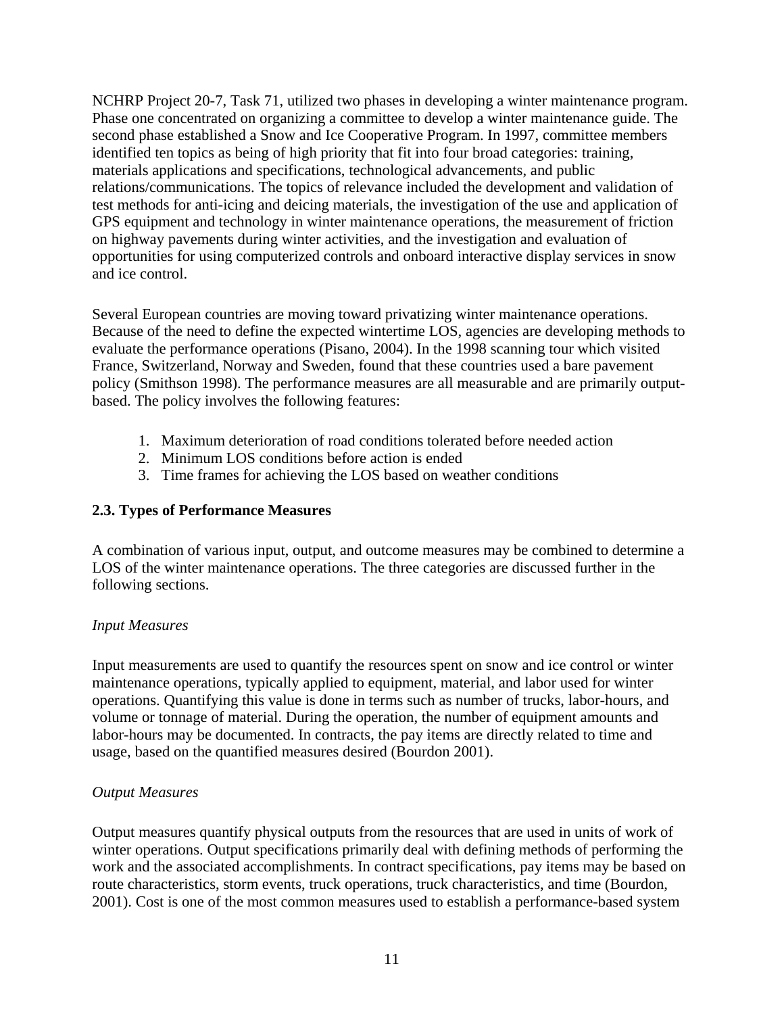<span id="page-18-0"></span>NCHRP Project 20-7, Task 71, utilized two phases in developing a winter maintenance program. Phase one concentrated on organizing a committee to develop a winter maintenance guide. The second phase established a Snow and Ice Cooperative Program. In 1997, committee members identified ten topics as being of high priority that fit into four broad categories: training, materials applications and specifications, technological advancements, and public relations/communications. The topics of relevance included the development and validation of test methods for anti-icing and deicing materials, the investigation of the use and application of GPS equipment and technology in winter maintenance operations, the measurement of friction on highway pavements during winter activities, and the investigation and evaluation of opportunities for using computerized controls and onboard interactive display services in snow and ice control.

Several European countries are moving toward privatizing winter maintenance operations. Because of the need to define the expected wintertime LOS, agencies are developing methods to evaluate the performance operations (Pisano, 2004). In the 1998 scanning tour which visited France, Switzerland, Norway and Sweden, found that these countries used a bare pavement policy (Smithson 1998). The performance measures are all measurable and are primarily outputbased. The policy involves the following features:

- 1. Maximum deterioration of road conditions tolerated before needed action
- 2. Minimum LOS conditions before action is ended
- 3. Time frames for achieving the LOS based on weather conditions

#### <span id="page-18-1"></span>**2.3. Types of Performance Measures**

A combination of various input, output, and outcome measures may be combined to determine a LOS of the winter maintenance operations. The three categories are discussed further in the following sections.

#### *Input Measures*

Input measurements are used to quantify the resources spent on snow and ice control or winter maintenance operations, typically applied to equipment, material, and labor used for winter operations. Quantifying this value is done in terms such as number of trucks, labor-hours, and volume or tonnage of material. During the operation, the number of equipment amounts and labor-hours may be documented. In contracts, the pay items are directly related to time and usage, based on the quantified measures desired (Bourdon 2001).

#### *Output Measures*

Output measures quantify physical outputs from the resources that are used in units of work of winter operations. Output specifications primarily deal with defining methods of performing the work and the associated accomplishments. In contract specifications, pay items may be based on route characteristics, storm events, truck operations, truck characteristics, and time (Bourdon, 2001). Cost is one of the most common measures used to establish a performance-based system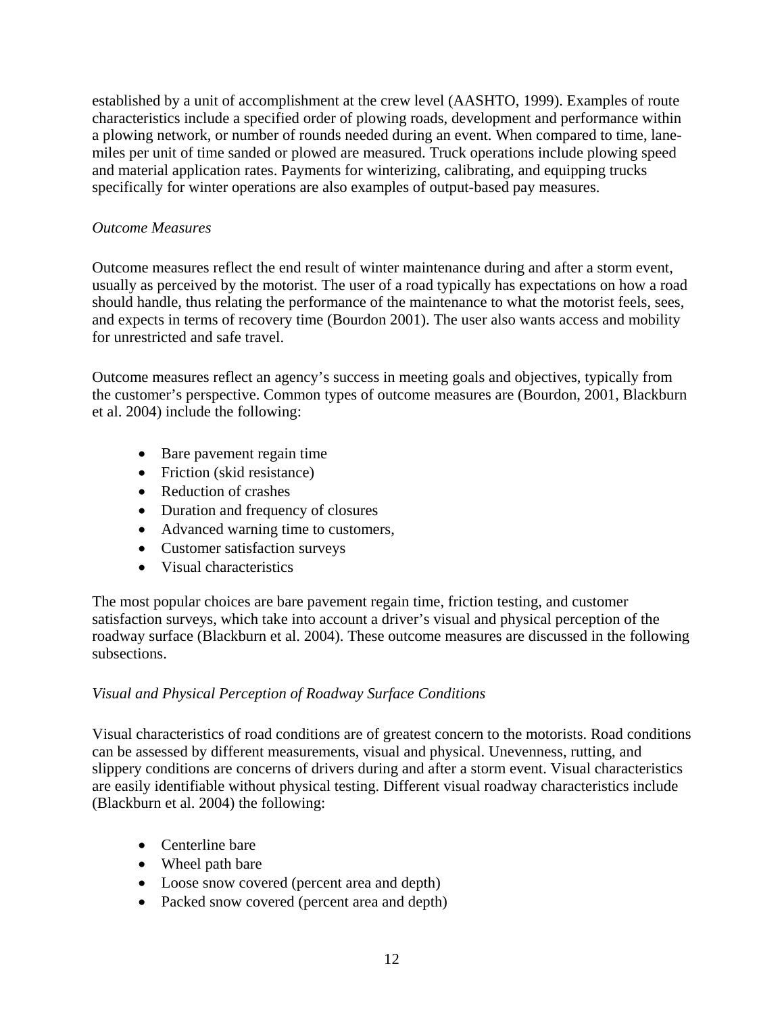established by a unit of accomplishment at the crew level (AASHTO, 1999). Examples of route characteristics include a specified order of plowing roads, development and performance within a plowing network, or number of rounds needed during an event. When compared to time, lanemiles per unit of time sanded or plowed are measured. Truck operations include plowing speed and material application rates. Payments for winterizing, calibrating, and equipping trucks specifically for winter operations are also examples of output-based pay measures.

#### *Outcome Measures*

Outcome measures reflect the end result of winter maintenance during and after a storm event, usually as perceived by the motorist. The user of a road typically has expectations on how a road should handle, thus relating the performance of the maintenance to what the motorist feels, sees, and expects in terms of recovery time (Bourdon 2001). The user also wants access and mobility for unrestricted and safe travel.

Outcome measures reflect an agency's success in meeting goals and objectives, typically from the customer's perspective. Common types of outcome measures are (Bourdon, 2001, Blackburn et al. 2004) include the following:

- Bare pavement regain time
- Friction (skid resistance)
- Reduction of crashes
- Duration and frequency of closures
- Advanced warning time to customers,
- Customer satisfaction surveys
- Visual characteristics

The most popular choices are bare pavement regain time, friction testing, and customer satisfaction surveys, which take into account a driver's visual and physical perception of the roadway surface (Blackburn et al. 2004). These outcome measures are discussed in the following subsections.

#### *Visual and Physical Perception of Roadway Surface Conditions*

Visual characteristics of road conditions are of greatest concern to the motorists. Road conditions can be assessed by different measurements, visual and physical. Unevenness, rutting, and slippery conditions are concerns of drivers during and after a storm event. Visual characteristics are easily identifiable without physical testing. Different visual roadway characteristics include (Blackburn et al. 2004) the following:

- Centerline bare
- Wheel path bare
- Loose snow covered (percent area and depth)
- Packed snow covered (percent area and depth)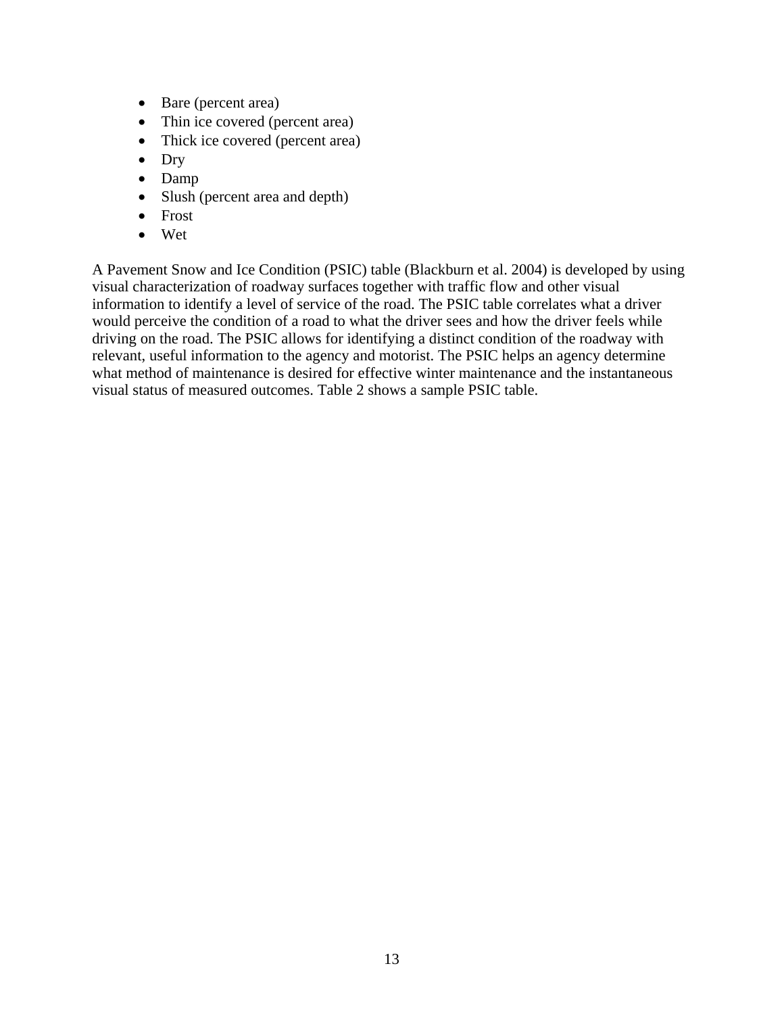- Bare (percent area)
- Thin ice covered (percent area)
- Thick ice covered (percent area)
- Dry
- Damp
- Slush (percent area and depth)
- Frost
- Wet

A Pavement Snow and Ice Condition (PSIC) table (Blackburn et al. 2004) is developed by using visual characterization of roadway surfaces together with traffic flow and other visual information to identify a level of service of the road. The PSIC table correlates what a driver would perceive the condition of a road to what the driver sees and how the driver feels while driving on the road. The PSIC allows for identifying a distinct condition of the roadway with relevant, useful information to the agency and motorist. The PSIC helps an agency determine what method of maintenance is desired for effective winter maintenance and the instantaneous visual status of measured outcomes. Table 2 shows a sample PSIC table.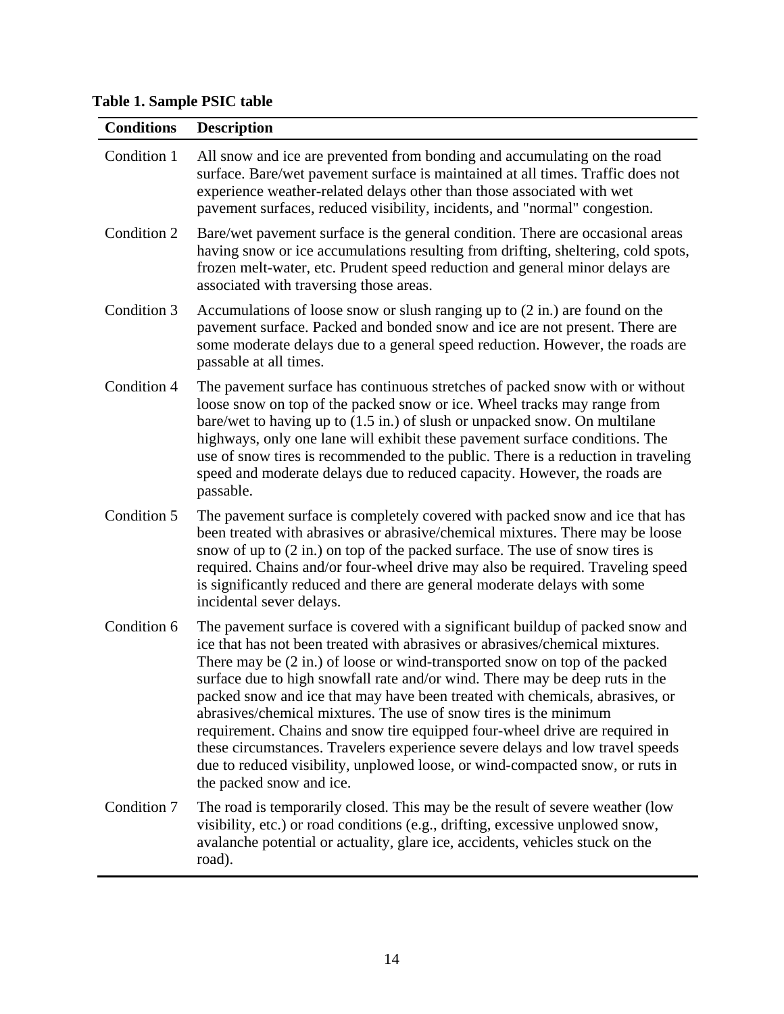<span id="page-21-0"></span>**Table 1. Sample PSIC table** 

<span id="page-21-1"></span>

| <b>Conditions</b> | <b>Description</b>                                                                                                                                                                                                                                                                                                                                                                                                                                                                                                                                                                                                                                                                                                                                                       |
|-------------------|--------------------------------------------------------------------------------------------------------------------------------------------------------------------------------------------------------------------------------------------------------------------------------------------------------------------------------------------------------------------------------------------------------------------------------------------------------------------------------------------------------------------------------------------------------------------------------------------------------------------------------------------------------------------------------------------------------------------------------------------------------------------------|
| Condition 1       | All snow and ice are prevented from bonding and accumulating on the road<br>surface. Bare/wet pavement surface is maintained at all times. Traffic does not<br>experience weather-related delays other than those associated with wet<br>pavement surfaces, reduced visibility, incidents, and "normal" congestion.                                                                                                                                                                                                                                                                                                                                                                                                                                                      |
| Condition 2       | Bare/wet pavement surface is the general condition. There are occasional areas<br>having snow or ice accumulations resulting from drifting, sheltering, cold spots,<br>frozen melt-water, etc. Prudent speed reduction and general minor delays are<br>associated with traversing those areas.                                                                                                                                                                                                                                                                                                                                                                                                                                                                           |
| Condition 3       | Accumulations of loose snow or slush ranging up to $(2 \text{ in.})$ are found on the<br>pavement surface. Packed and bonded snow and ice are not present. There are<br>some moderate delays due to a general speed reduction. However, the roads are<br>passable at all times.                                                                                                                                                                                                                                                                                                                                                                                                                                                                                          |
| Condition 4       | The pavement surface has continuous stretches of packed snow with or without<br>loose snow on top of the packed snow or ice. Wheel tracks may range from<br>bare/wet to having up to $(1.5 \text{ in.})$ of slush or unpacked snow. On multilane<br>highways, only one lane will exhibit these pavement surface conditions. The<br>use of snow tires is recommended to the public. There is a reduction in traveling<br>speed and moderate delays due to reduced capacity. However, the roads are<br>passable.                                                                                                                                                                                                                                                           |
| Condition 5       | The pavement surface is completely covered with packed snow and ice that has<br>been treated with abrasives or abrasive/chemical mixtures. There may be loose<br>snow of up to $(2 \text{ in.})$ on top of the packed surface. The use of snow tires is<br>required. Chains and/or four-wheel drive may also be required. Traveling speed<br>is significantly reduced and there are general moderate delays with some<br>incidental sever delays.                                                                                                                                                                                                                                                                                                                        |
| Condition 6       | The pavement surface is covered with a significant buildup of packed snow and<br>ice that has not been treated with abrasives or abrasives/chemical mixtures.<br>There may be $(2 \text{ in.})$ of loose or wind-transported snow on top of the packed<br>surface due to high snowfall rate and/or wind. There may be deep ruts in the<br>packed snow and ice that may have been treated with chemicals, abrasives, or<br>abrasives/chemical mixtures. The use of snow tires is the minimum<br>requirement. Chains and snow tire equipped four-wheel drive are required in<br>these circumstances. Travelers experience severe delays and low travel speeds<br>due to reduced visibility, unplowed loose, or wind-compacted snow, or ruts in<br>the packed snow and ice. |
| Condition 7       | The road is temporarily closed. This may be the result of severe weather (low<br>visibility, etc.) or road conditions (e.g., drifting, excessive unplowed snow,<br>avalanche potential or actuality, glare ice, accidents, vehicles stuck on the<br>road).                                                                                                                                                                                                                                                                                                                                                                                                                                                                                                               |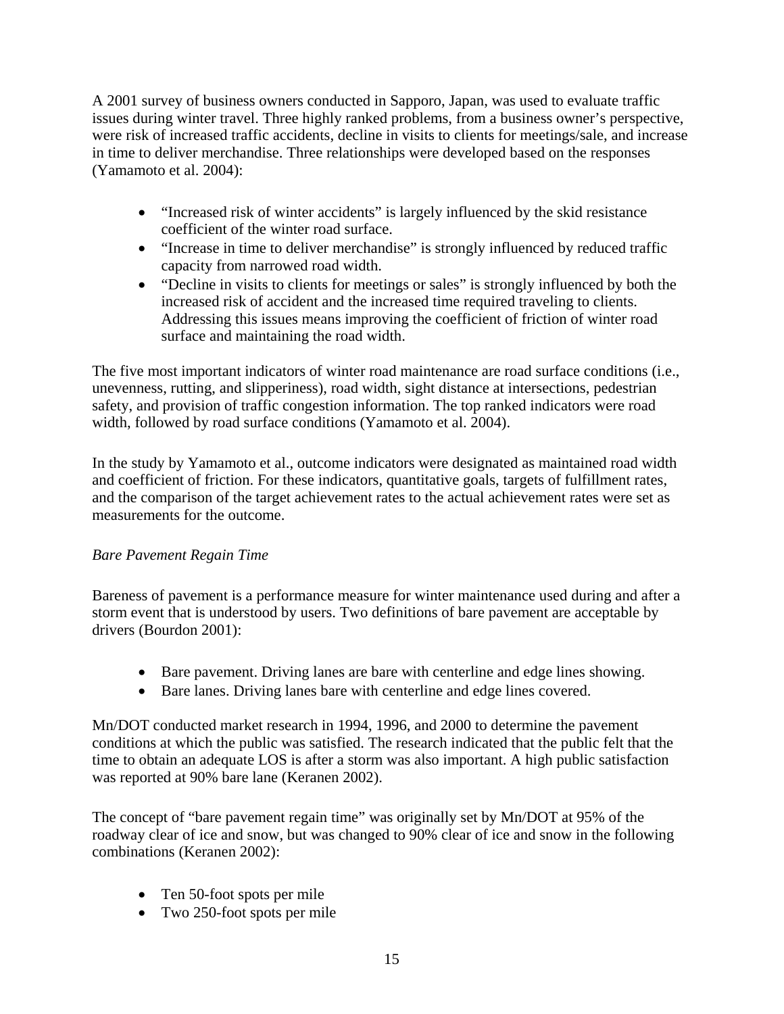A 2001 survey of business owners conducted in Sapporo, Japan, was used to evaluate traffic issues during winter travel. Three highly ranked problems, from a business owner's perspective, were risk of increased traffic accidents, decline in visits to clients for meetings/sale, and increase in time to deliver merchandise. Three relationships were developed based on the responses (Yamamoto et al. 2004):

- "Increased risk of winter accidents" is largely influenced by the skid resistance coefficient of the winter road surface.
- "Increase in time to deliver merchandise" is strongly influenced by reduced traffic capacity from narrowed road width.
- "Decline in visits to clients for meetings or sales" is strongly influenced by both the increased risk of accident and the increased time required traveling to clients. Addressing this issues means improving the coefficient of friction of winter road surface and maintaining the road width.

The five most important indicators of winter road maintenance are road surface conditions (i.e., unevenness, rutting, and slipperiness), road width, sight distance at intersections, pedestrian safety, and provision of traffic congestion information. The top ranked indicators were road width, followed by road surface conditions (Yamamoto et al. 2004).

In the study by Yamamoto et al., outcome indicators were designated as maintained road width and coefficient of friction. For these indicators, quantitative goals, targets of fulfillment rates, and the comparison of the target achievement rates to the actual achievement rates were set as measurements for the outcome.

# *Bare Pavement Regain Time*

Bareness of pavement is a performance measure for winter maintenance used during and after a storm event that is understood by users. Two definitions of bare pavement are acceptable by drivers (Bourdon 2001):

- Bare pavement. Driving lanes are bare with centerline and edge lines showing.
- Bare lanes. Driving lanes bare with centerline and edge lines covered.

Mn/DOT conducted market research in 1994, 1996, and 2000 to determine the pavement conditions at which the public was satisfied. The research indicated that the public felt that the time to obtain an adequate LOS is after a storm was also important. A high public satisfaction was reported at 90% bare lane (Keranen 2002).

The concept of "bare pavement regain time" was originally set by Mn/DOT at 95% of the roadway clear of ice and snow, but was changed to 90% clear of ice and snow in the following combinations (Keranen 2002):

- Ten 50-foot spots per mile
- Two 250-foot spots per mile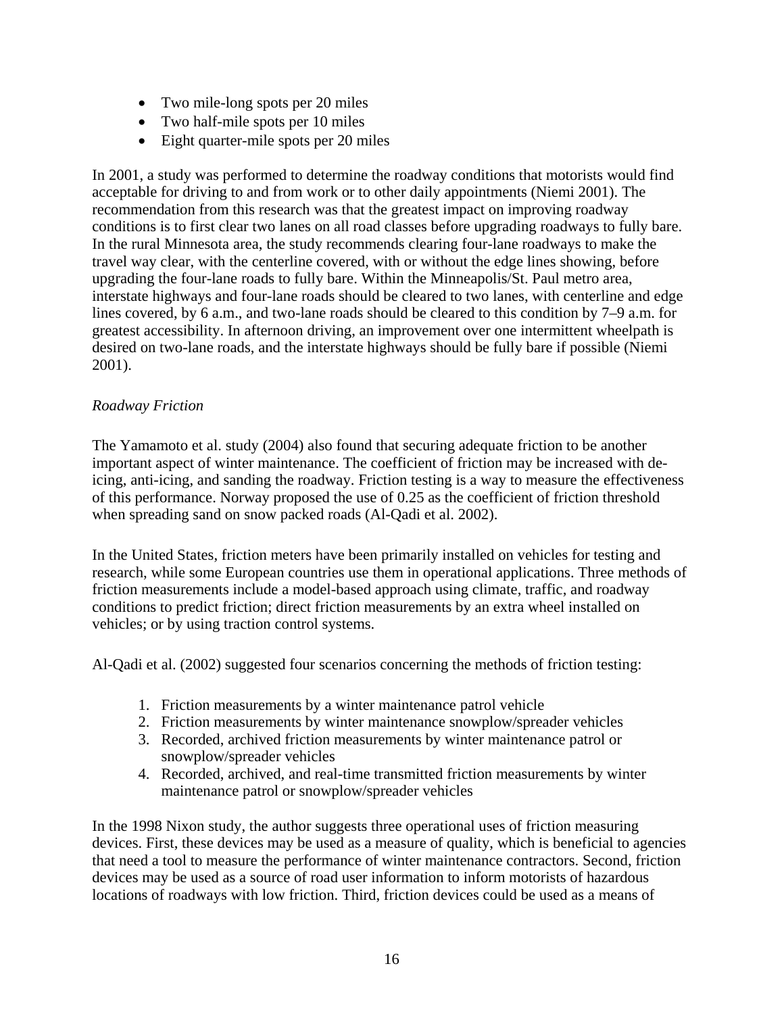- Two mile-long spots per 20 miles
- Two half-mile spots per 10 miles
- Eight quarter-mile spots per 20 miles

In 2001, a study was performed to determine the roadway conditions that motorists would find acceptable for driving to and from work or to other daily appointments (Niemi 2001). The recommendation from this research was that the greatest impact on improving roadway conditions is to first clear two lanes on all road classes before upgrading roadways to fully bare. In the rural Minnesota area, the study recommends clearing four-lane roadways to make the travel way clear, with the centerline covered, with or without the edge lines showing, before upgrading the four-lane roads to fully bare. Within the Minneapolis/St. Paul metro area, interstate highways and four-lane roads should be cleared to two lanes, with centerline and edge lines covered, by 6 a.m., and two-lane roads should be cleared to this condition by 7–9 a.m. for greatest accessibility. In afternoon driving, an improvement over one intermittent wheelpath is desired on two-lane roads, and the interstate highways should be fully bare if possible (Niemi 2001).

#### *Roadway Friction*

The Yamamoto et al. study (2004) also found that securing adequate friction to be another important aspect of winter maintenance. The coefficient of friction may be increased with deicing, anti-icing, and sanding the roadway. Friction testing is a way to measure the effectiveness of this performance. Norway proposed the use of 0.25 as the coefficient of friction threshold when spreading sand on snow packed roads (Al-Qadi et al. 2002).

In the United States, friction meters have been primarily installed on vehicles for testing and research, while some European countries use them in operational applications. Three methods of friction measurements include a model-based approach using climate, traffic, and roadway conditions to predict friction; direct friction measurements by an extra wheel installed on vehicles; or by using traction control systems.

Al-Qadi et al. (2002) suggested four scenarios concerning the methods of friction testing:

- 1. Friction measurements by a winter maintenance patrol vehicle
- 2. Friction measurements by winter maintenance snowplow/spreader vehicles
- 3. Recorded, archived friction measurements by winter maintenance patrol or snowplow/spreader vehicles
- 4. Recorded, archived, and real-time transmitted friction measurements by winter maintenance patrol or snowplow/spreader vehicles

In the 1998 Nixon study, the author suggests three operational uses of friction measuring devices. First, these devices may be used as a measure of quality, which is beneficial to agencies that need a tool to measure the performance of winter maintenance contractors. Second, friction devices may be used as a source of road user information to inform motorists of hazardous locations of roadways with low friction. Third, friction devices could be used as a means of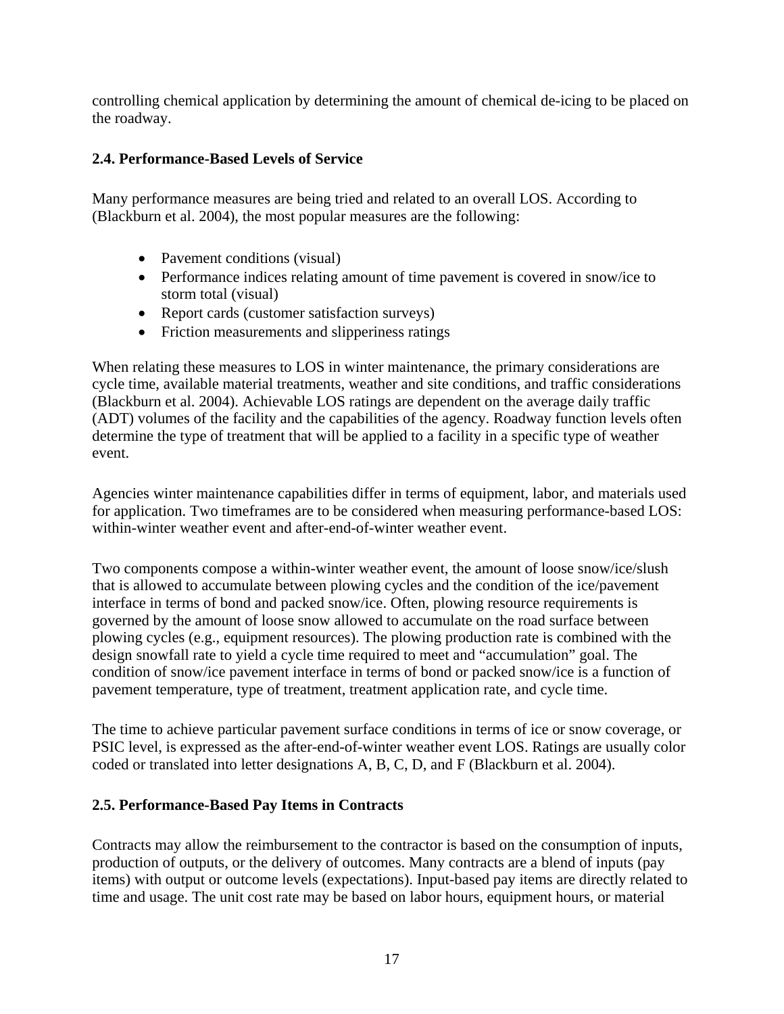<span id="page-24-0"></span>controlling chemical application by determining the amount of chemical de-icing to be placed on the roadway.

## <span id="page-24-1"></span>**2.4. Performance-Based Levels of Service**

Many performance measures are being tried and related to an overall LOS. According to (Blackburn et al. 2004), the most popular measures are the following:

- Pavement conditions (visual)
- Performance indices relating amount of time pavement is covered in snow/ice to storm total (visual)
- Report cards (customer satisfaction surveys)
- Friction measurements and slipperiness ratings

When relating these measures to LOS in winter maintenance, the primary considerations are cycle time, available material treatments, weather and site conditions, and traffic considerations (Blackburn et al. 2004). Achievable LOS ratings are dependent on the average daily traffic (ADT) volumes of the facility and the capabilities of the agency. Roadway function levels often determine the type of treatment that will be applied to a facility in a specific type of weather event.

Agencies winter maintenance capabilities differ in terms of equipment, labor, and materials used for application. Two timeframes are to be considered when measuring performance-based LOS: within-winter weather event and after-end-of-winter weather event.

Two components compose a within-winter weather event, the amount of loose snow/ice/slush that is allowed to accumulate between plowing cycles and the condition of the ice/pavement interface in terms of bond and packed snow/ice. Often, plowing resource requirements is governed by the amount of loose snow allowed to accumulate on the road surface between plowing cycles (e.g., equipment resources). The plowing production rate is combined with the design snowfall rate to yield a cycle time required to meet and "accumulation" goal. The condition of snow/ice pavement interface in terms of bond or packed snow/ice is a function of pavement temperature, type of treatment, treatment application rate, and cycle time.

The time to achieve particular pavement surface conditions in terms of ice or snow coverage, or PSIC level, is expressed as the after-end-of-winter weather event LOS. Ratings are usually color coded or translated into letter designations A, B, C, D, and F (Blackburn et al. 2004).

## <span id="page-24-2"></span>**2.5. Performance-Based Pay Items in Contracts**

Contracts may allow the reimbursement to the contractor is based on the consumption of inputs, production of outputs, or the delivery of outcomes. Many contracts are a blend of inputs (pay items) with output or outcome levels (expectations). Input-based pay items are directly related to time and usage. The unit cost rate may be based on labor hours, equipment hours, or material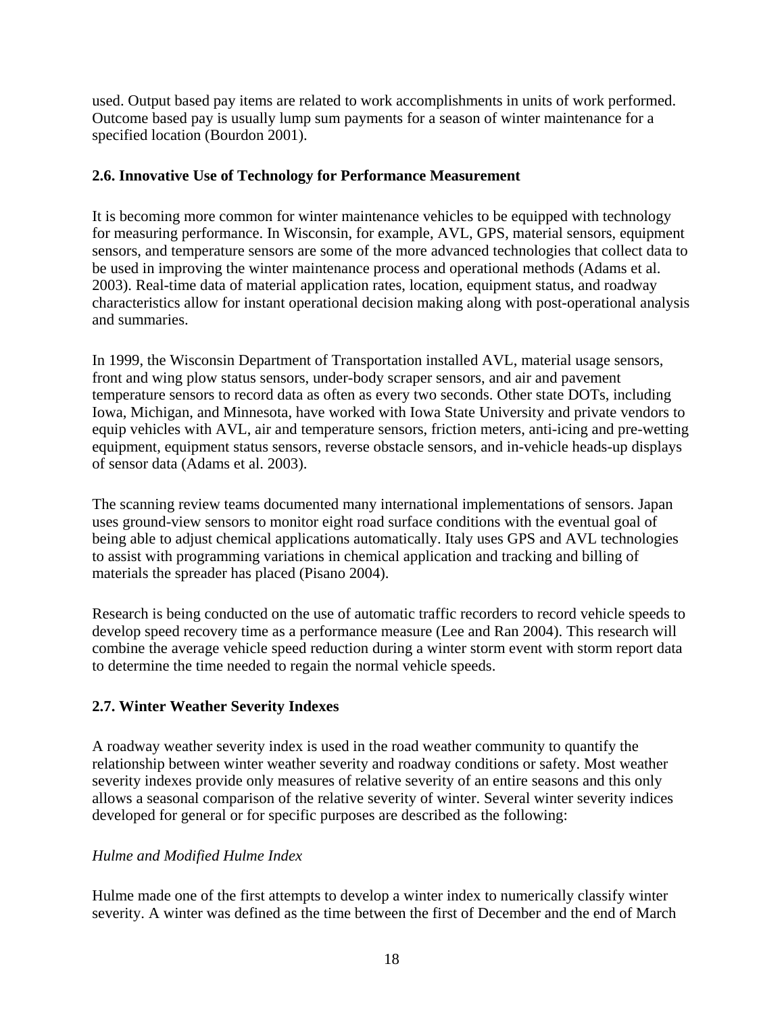<span id="page-25-0"></span>used. Output based pay items are related to work accomplishments in units of work performed. Outcome based pay is usually lump sum payments for a season of winter maintenance for a specified location (Bourdon 2001).

## <span id="page-25-1"></span>**2.6. Innovative Use of Technology for Performance Measurement**

It is becoming more common for winter maintenance vehicles to be equipped with technology for measuring performance. In Wisconsin, for example, AVL, GPS, material sensors, equipment sensors, and temperature sensors are some of the more advanced technologies that collect data to be used in improving the winter maintenance process and operational methods (Adams et al. 2003). Real-time data of material application rates, location, equipment status, and roadway characteristics allow for instant operational decision making along with post-operational analysis and summaries.

In 1999, the Wisconsin Department of Transportation installed AVL, material usage sensors, front and wing plow status sensors, under-body scraper sensors, and air and pavement temperature sensors to record data as often as every two seconds. Other state DOTs, including Iowa, Michigan, and Minnesota, have worked with Iowa State University and private vendors to equip vehicles with AVL, air and temperature sensors, friction meters, anti-icing and pre-wetting equipment, equipment status sensors, reverse obstacle sensors, and in-vehicle heads-up displays of sensor data (Adams et al. 2003).

The scanning review teams documented many international implementations of sensors. Japan uses ground-view sensors to monitor eight road surface conditions with the eventual goal of being able to adjust chemical applications automatically. Italy uses GPS and AVL technologies to assist with programming variations in chemical application and tracking and billing of materials the spreader has placed (Pisano 2004).

Research is being conducted on the use of automatic traffic recorders to record vehicle speeds to develop speed recovery time as a performance measure (Lee and Ran 2004). This research will combine the average vehicle speed reduction during a winter storm event with storm report data to determine the time needed to regain the normal vehicle speeds.

## <span id="page-25-2"></span>**2.7. Winter Weather Severity Indexes**

A roadway weather severity index is used in the road weather community to quantify the relationship between winter weather severity and roadway conditions or safety. Most weather severity indexes provide only measures of relative severity of an entire seasons and this only allows a seasonal comparison of the relative severity of winter. Several winter severity indices developed for general or for specific purposes are described as the following:

#### *Hulme and Modified Hulme Index*

Hulme made one of the first attempts to develop a winter index to numerically classify winter severity. A winter was defined as the time between the first of December and the end of March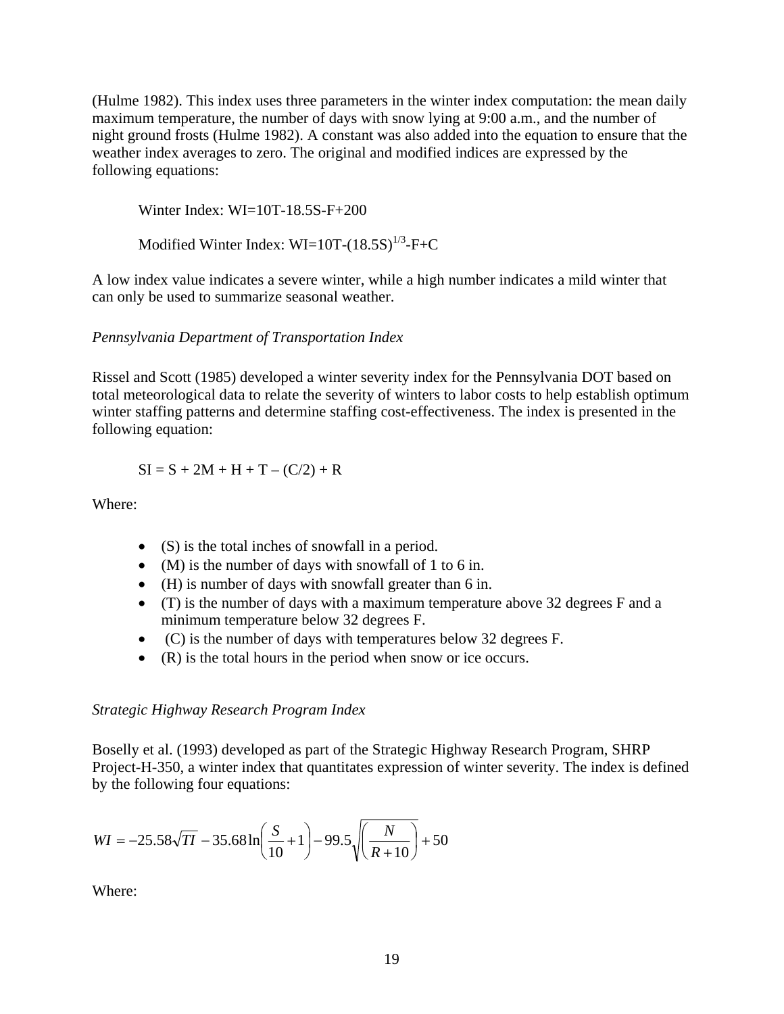(Hulme 1982). This index uses three parameters in the winter index computation: the mean daily maximum temperature, the number of days with snow lying at 9:00 a.m., and the number of night ground frosts (Hulme 1982). A constant was also added into the equation to ensure that the weather index averages to zero. The original and modified indices are expressed by the following equations:

Winter Index: WI=10T-18.5S-F+200

Modified Winter Index:  $WI=10T-(18.5S)^{1/3}-F+C$ 

A low index value indicates a severe winter, while a high number indicates a mild winter that can only be used to summarize seasonal weather.

#### *Pennsylvania Department of Transportation Index*

Rissel and Scott (1985) developed a winter severity index for the Pennsylvania DOT based on total meteorological data to relate the severity of winters to labor costs to help establish optimum winter staffing patterns and determine staffing cost-effectiveness. The index is presented in the following equation:

$$
SI = S + 2M + H + T - (C/2) + R
$$

Where:

- (S) is the total inches of snowfall in a period.
- (M) is the number of days with snowfall of 1 to 6 in.
- (H) is number of days with snowfall greater than 6 in.
- (T) is the number of days with a maximum temperature above 32 degrees F and a minimum temperature below 32 degrees F.
- (C) is the number of days with temperatures below 32 degrees F.
- (R) is the total hours in the period when snow or ice occurs.

#### *Strategic Highway Research Program Index*

Boselly et al. (1993) developed as part of the Strategic Highway Research Program, SHRP Project-H-350, a winter index that quantitates expression of winter severity. The index is defined by the following four equations:

$$
WI = -25.58\sqrt{TI} - 35.68\ln\left(\frac{S}{10} + 1\right) - 99.5\sqrt{\left(\frac{N}{R + 10}\right)} + 50
$$

Where: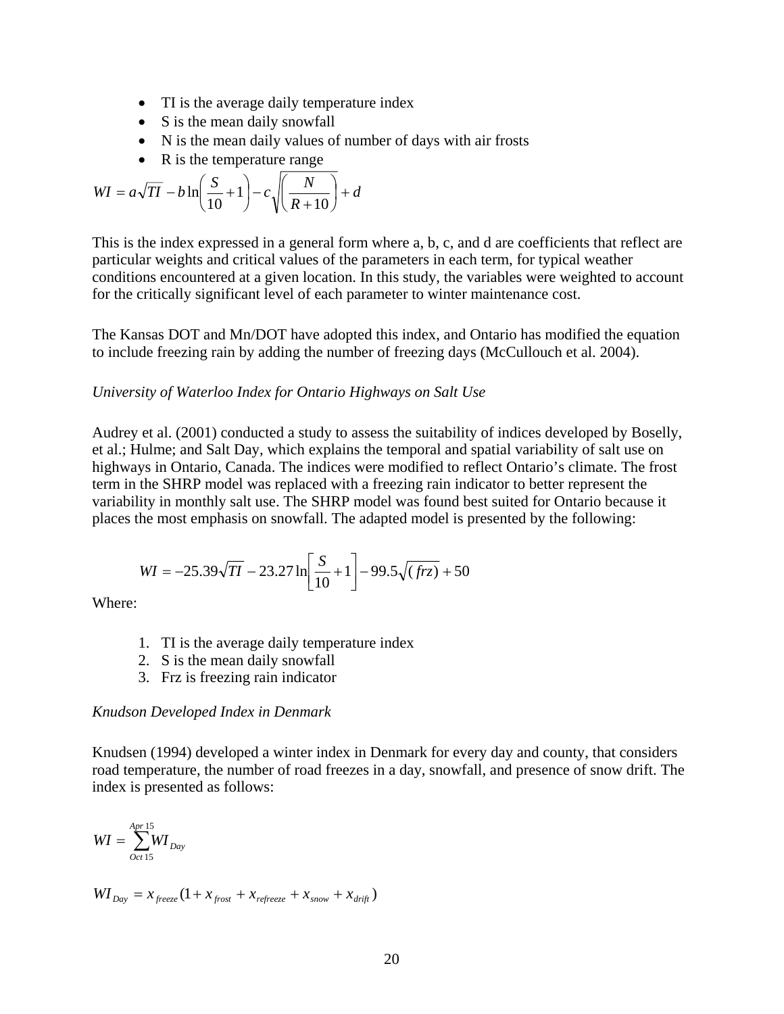- TI is the average daily temperature index
- S is the mean daily snowfall
- N is the mean daily values of number of days with air frosts
- R is the temperature range

$$
WI = a\sqrt{TI} - b\ln\left(\frac{S}{10} + 1\right) - c\sqrt{\left(\frac{N}{R + 10}\right)} + d
$$

This is the index expressed in a general form where a, b, c, and d are coefficients that reflect are particular weights and critical values of the parameters in each term, for typical weather conditions encountered at a given location. In this study, the variables were weighted to account for the critically significant level of each parameter to winter maintenance cost.

The Kansas DOT and Mn/DOT have adopted this index, and Ontario has modified the equation to include freezing rain by adding the number of freezing days (McCullouch et al. 2004).

#### *University of Waterloo Index for Ontario Highways on Salt Use*

Audrey et al. (2001) conducted a study to assess the suitability of indices developed by Boselly, et al.; Hulme; and Salt Day, which explains the temporal and spatial variability of salt use on highways in Ontario, Canada. The indices were modified to reflect Ontario's climate. The frost term in the SHRP model was replaced with a freezing rain indicator to better represent the variability in monthly salt use. The SHRP model was found best suited for Ontario because it places the most emphasis on snowfall. The adapted model is presented by the following:

$$
WI = -25.39\sqrt{TI} - 23.27 \ln \left[ \frac{S}{10} + 1 \right] - 99.5\sqrt{(frz)} + 50
$$

Where:

- 1. TI is the average daily temperature index
- 2. S is the mean daily snowfall
- 3. Frz is freezing rain indicator

#### *Knudson Developed Index in Denmark*

Knudsen (1994) developed a winter index in Denmark for every day and county, that considers road temperature, the number of road freezes in a day, snowfall, and presence of snow drift. The index is presented as follows:

$$
WI = \sum_{Oct \, 15}^{Apr \, 15} WI_{Day}
$$

$$
WI_{Day} = x_{\text{freeze}} (1 + x_{\text{front}} + x_{\text{reference}} + x_{\text{snow}} + x_{\text{drift}})
$$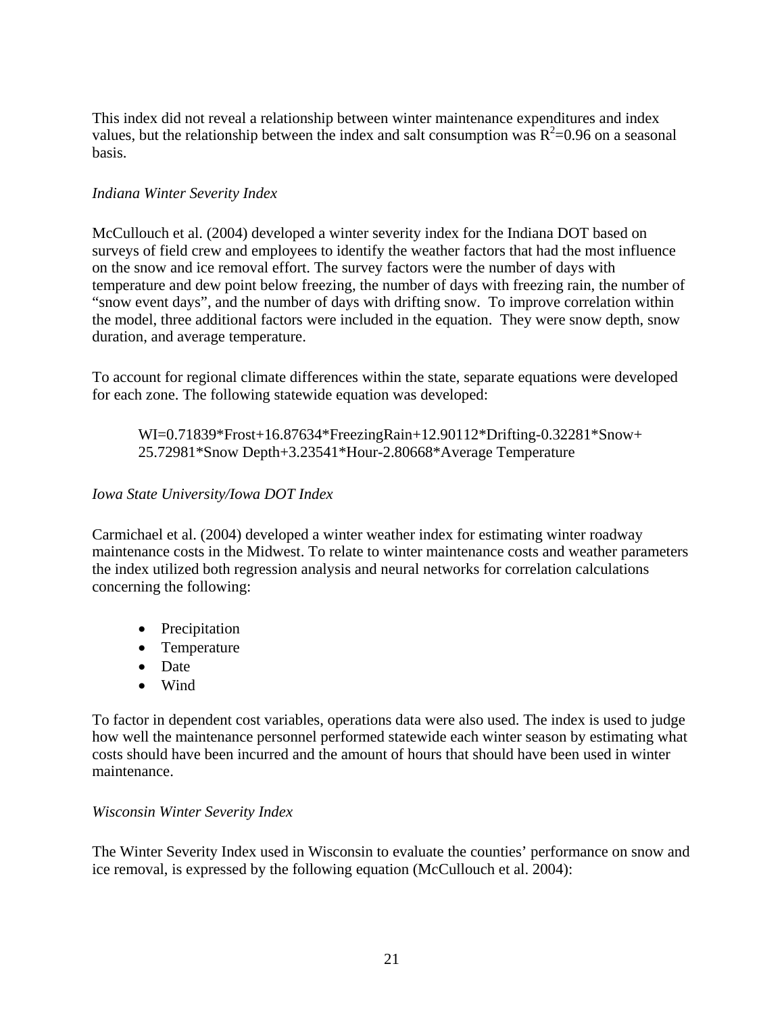This index did not reveal a relationship between winter maintenance expenditures and index values, but the relationship between the index and salt consumption was  $R^2$ =0.96 on a seasonal basis.

#### *Indiana Winter Severity Index*

McCullouch et al. (2004) developed a winter severity index for the Indiana DOT based on surveys of field crew and employees to identify the weather factors that had the most influence on the snow and ice removal effort. The survey factors were the number of days with temperature and dew point below freezing, the number of days with freezing rain, the number of "snow event days", and the number of days with drifting snow. To improve correlation within the model, three additional factors were included in the equation. They were snow depth, snow duration, and average temperature.

To account for regional climate differences within the state, separate equations were developed for each zone. The following statewide equation was developed:

#### WI=0.71839\*Frost+16.87634\*FreezingRain+12.90112\*Drifting-0.32281\*Snow+ 25.72981\*Snow Depth+3.23541\*Hour-2.80668\*Average Temperature

#### *Iowa State University/Iowa DOT Index*

Carmichael et al. (2004) developed a winter weather index for estimating winter roadway maintenance costs in the Midwest. To relate to winter maintenance costs and weather parameters the index utilized both regression analysis and neural networks for correlation calculations concerning the following:

- Precipitation
- Temperature
- Date
- Wind

To factor in dependent cost variables, operations data were also used. The index is used to judge how well the maintenance personnel performed statewide each winter season by estimating what costs should have been incurred and the amount of hours that should have been used in winter maintenance.

#### *Wisconsin Winter Severity Index*

The Winter Severity Index used in Wisconsin to evaluate the counties' performance on snow and ice removal, is expressed by the following equation (McCullouch et al. 2004):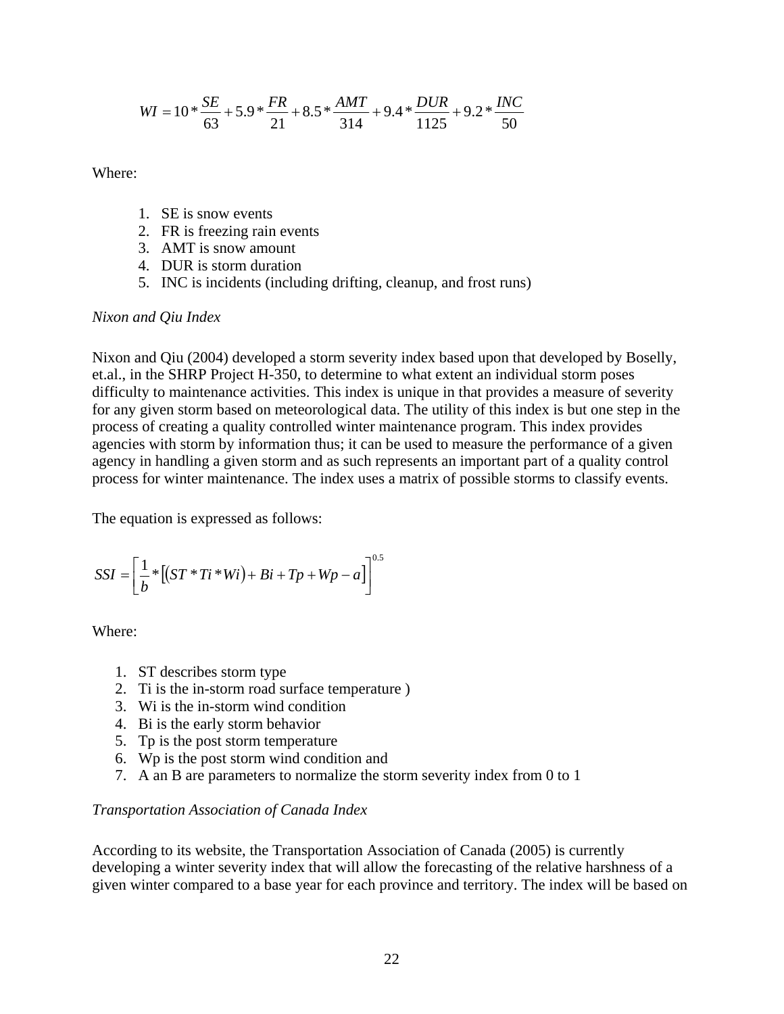$$
WI = 10 * \frac{SE}{63} + 5.9 * \frac{FR}{21} + 8.5 * \frac{AMT}{314} + 9.4 * \frac{DUR}{1125} + 9.2 * \frac{INC}{50}
$$

Where:

- 1. SE is snow events
- 2. FR is freezing rain events
- 3. AMT is snow amount
- 4. DUR is storm duration
- 5. INC is incidents (including drifting, cleanup, and frost runs)

#### *Nixon and Qiu Index*

Nixon and Qiu (2004) developed a storm severity index based upon that developed by Boselly, et.al., in the SHRP Project H-350, to determine to what extent an individual storm poses difficulty to maintenance activities. This index is unique in that provides a measure of severity for any given storm based on meteorological data. The utility of this index is but one step in the process of creating a quality controlled winter maintenance program. This index provides agencies with storm by information thus; it can be used to measure the performance of a given agency in handling a given storm and as such represents an important part of a quality control process for winter maintenance. The index uses a matrix of possible storms to classify events.

The equation is expressed as follows:

$$
SSI = \left[\frac{1}{b} * [(ST * Ti * Wi) + Bi + Tp + Wp - a]\right]^{0.5}
$$

Where:

- 1. ST describes storm type
- 2. Ti is the in-storm road surface temperature )
- 3. Wi is the in-storm wind condition
- 4. Bi is the early storm behavior
- 5. Tp is the post storm temperature
- 6. Wp is the post storm wind condition and
- 7. A an B are parameters to normalize the storm severity index from 0 to 1

#### *Transportation Association of Canada Index*

According to its website, the Transportation Association of Canada (2005) is currently developing a winter severity index that will allow the forecasting of the relative harshness of a given winter compared to a base year for each province and territory. The index will be based on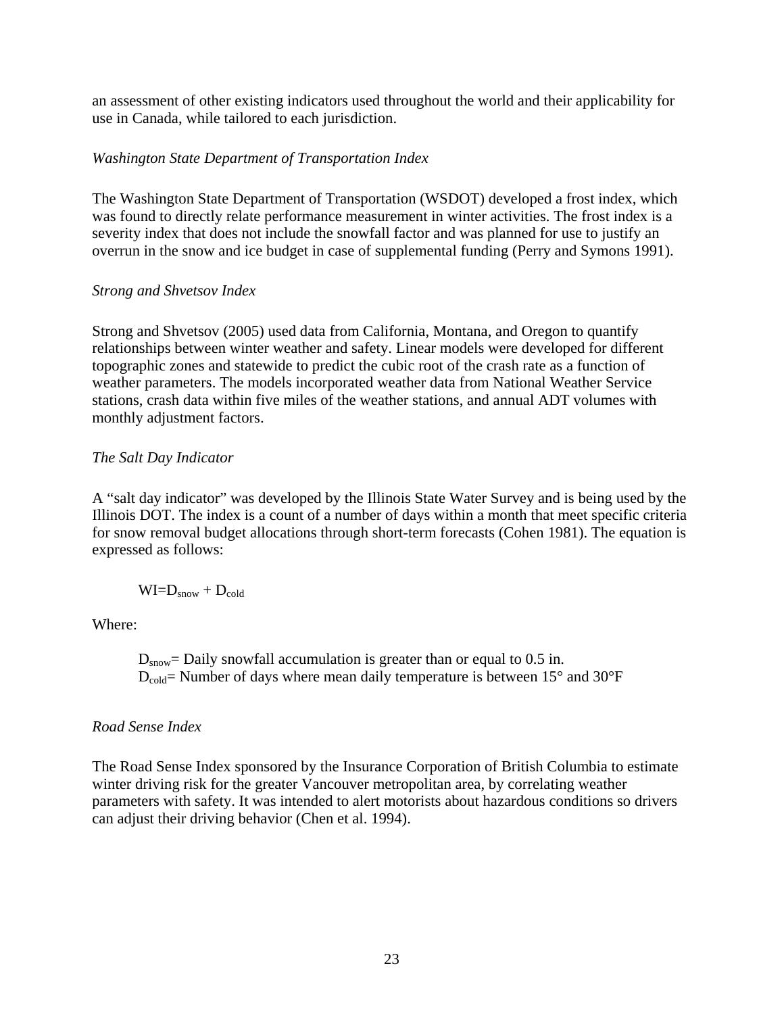an assessment of other existing indicators used throughout the world and their applicability for use in Canada, while tailored to each jurisdiction.

## *Washington State Department of Transportation Index*

The Washington State Department of Transportation (WSDOT) developed a frost index, which was found to directly relate performance measurement in winter activities. The frost index is a severity index that does not include the snowfall factor and was planned for use to justify an overrun in the snow and ice budget in case of supplemental funding (Perry and Symons 1991).

#### *Strong and Shvetsov Index*

Strong and Shvetsov (2005) used data from California, Montana, and Oregon to quantify relationships between winter weather and safety. Linear models were developed for different topographic zones and statewide to predict the cubic root of the crash rate as a function of weather parameters. The models incorporated weather data from National Weather Service stations, crash data within five miles of the weather stations, and annual ADT volumes with monthly adjustment factors.

## *The Salt Day Indicator*

A "salt day indicator" was developed by the Illinois State Water Survey and is being used by the Illinois DOT. The index is a count of a number of days within a month that meet specific criteria for snow removal budget allocations through short-term forecasts (Cohen 1981). The equation is expressed as follows:

$$
WI\!\!=\!\!D_{\text{snow}} + D_{\text{cold}}
$$

Where:

 $D_{snow} =$  Daily snowfall accumulation is greater than or equal to 0.5 in.  $D_{cold}$ = Number of days where mean daily temperature is between 15 $^{\circ}$  and 30 $^{\circ}$ F

#### *Road Sense Index*

The Road Sense Index sponsored by the Insurance Corporation of British Columbia to estimate winter driving risk for the greater Vancouver metropolitan area, by correlating weather parameters with safety. It was intended to alert motorists about hazardous conditions so drivers can adjust their driving behavior (Chen et al. 1994).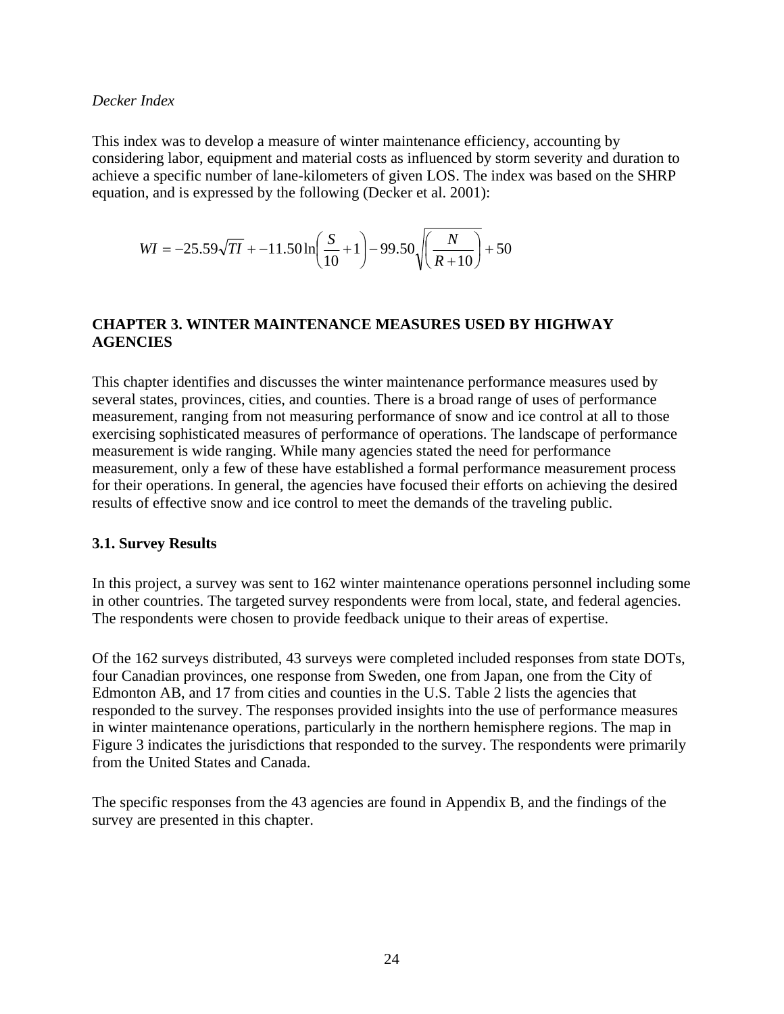#### <span id="page-31-0"></span>*Decker Index*

This index was to develop a measure of winter maintenance efficiency, accounting by considering labor, equipment and material costs as influenced by storm severity and duration to achieve a specific number of lane-kilometers of given LOS. The index was based on the SHRP equation, and is expressed by the following (Decker et al. 2001):

$$
WI = -25.59\sqrt{TI} + -11.50\ln\left(\frac{S}{10} + 1\right) - 99.50\sqrt{\left(\frac{N}{R+10}\right)} + 50
$$

## <span id="page-31-1"></span>**CHAPTER 3. WINTER MAINTENANCE MEASURES USED BY HIGHWAY AGENCIES**

This chapter identifies and discusses the winter maintenance performance measures used by several states, provinces, cities, and counties. There is a broad range of uses of performance measurement, ranging from not measuring performance of snow and ice control at all to those exercising sophisticated measures of performance of operations. The landscape of performance measurement is wide ranging. While many agencies stated the need for performance measurement, only a few of these have established a formal performance measurement process for their operations. In general, the agencies have focused their efforts on achieving the desired results of effective snow and ice control to meet the demands of the traveling public.

#### <span id="page-31-2"></span>**3.1. Survey Results**

In this project, a survey was sent to 162 winter maintenance operations personnel including some in other countries. The targeted survey respondents were from local, state, and federal agencies. The respondents were chosen to provide feedback unique to their areas of expertise.

Of the 162 surveys distributed, 43 surveys were completed included responses from state DOTs, four Canadian provinces, one response from Sweden, one from Japan, one from the City of Edmonton AB, and 17 from cities and counties in the U.S. Table 2 lists the agencies that responded to the survey. The responses provided insights into the use of performance measures in winter maintenance operations, particularly in the northern hemisphere regions. The map in Figure 3 indicates the jurisdictions that responded to the survey. The respondents were primarily from the United States and Canada.

The specific responses from the 43 agencies are found in Appendix B, and the findings of the survey are presented in this chapter.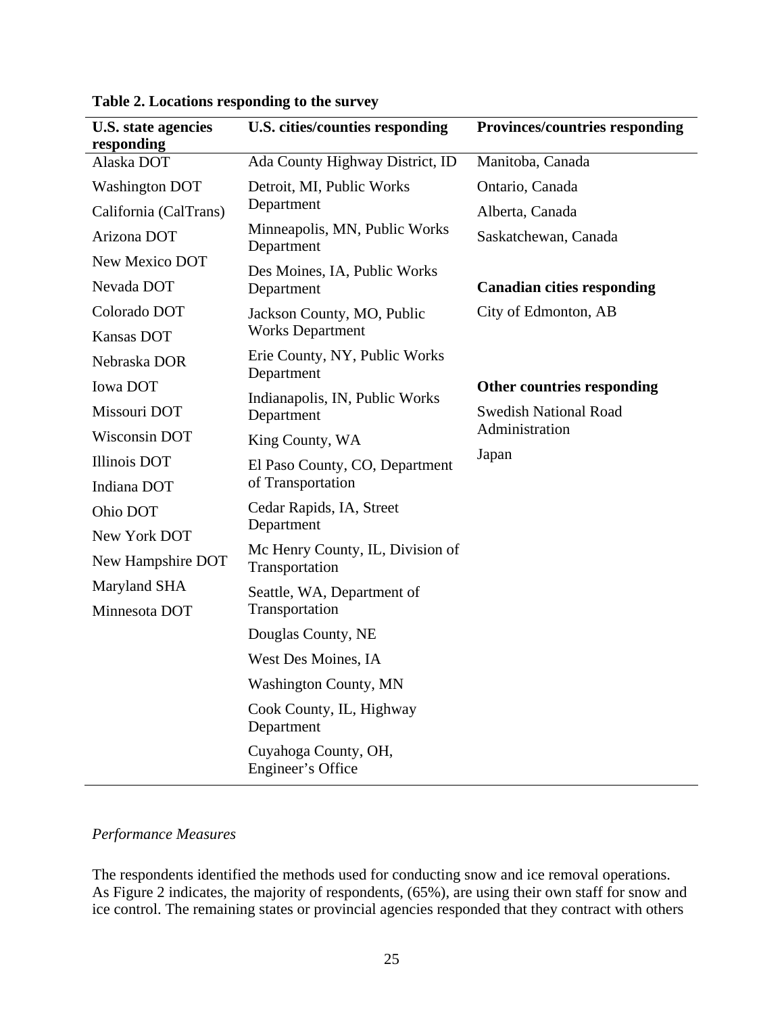<span id="page-32-1"></span>

| U.S. state agencies<br>responding | U.S. cities/counties responding                    | <b>Provinces/countries responding</b> |
|-----------------------------------|----------------------------------------------------|---------------------------------------|
| Alaska DOT                        | Ada County Highway District, ID                    | Manitoba, Canada                      |
| <b>Washington DOT</b>             | Detroit, MI, Public Works                          | Ontario, Canada                       |
| California (CalTrans)             | Department                                         | Alberta, Canada                       |
| Arizona DOT                       | Minneapolis, MN, Public Works<br>Department        | Saskatchewan, Canada                  |
| New Mexico DOT                    | Des Moines, IA, Public Works                       |                                       |
| Nevada DOT                        | Department                                         | <b>Canadian cities responding</b>     |
| Colorado DOT                      | Jackson County, MO, Public                         | City of Edmonton, AB                  |
| Kansas DOT                        | <b>Works Department</b>                            |                                       |
| Nebraska DOR                      | Erie County, NY, Public Works<br>Department        |                                       |
| Iowa DOT                          | Indianapolis, IN, Public Works                     | Other countries responding            |
| Missouri DOT                      | Department                                         | <b>Swedish National Road</b>          |
| Wisconsin DOT                     | King County, WA                                    | Administration                        |
| <b>Illinois DOT</b>               | El Paso County, CO, Department                     | Japan                                 |
| Indiana DOT                       | of Transportation                                  |                                       |
| Ohio DOT                          | Cedar Rapids, IA, Street                           |                                       |
| New York DOT                      | Department                                         |                                       |
| New Hampshire DOT                 | Mc Henry County, IL, Division of<br>Transportation |                                       |
| Maryland SHA                      | Seattle, WA, Department of                         |                                       |
| Minnesota DOT                     | Transportation                                     |                                       |
|                                   | Douglas County, NE                                 |                                       |
|                                   | West Des Moines, IA                                |                                       |
|                                   | <b>Washington County, MN</b>                       |                                       |
|                                   | Cook County, IL, Highway<br>Department             |                                       |
|                                   | Cuyahoga County, OH,<br>Engineer's Office          |                                       |

# <span id="page-32-0"></span>**Table 2. Locations responding to the survey**

## *Performance Measures*

The respondents identified the methods used for conducting snow and ice removal operations. As Figure 2 indicates, the majority of respondents, (65%), are using their own staff for snow and ice control. The remaining states or provincial agencies responded that they contract with others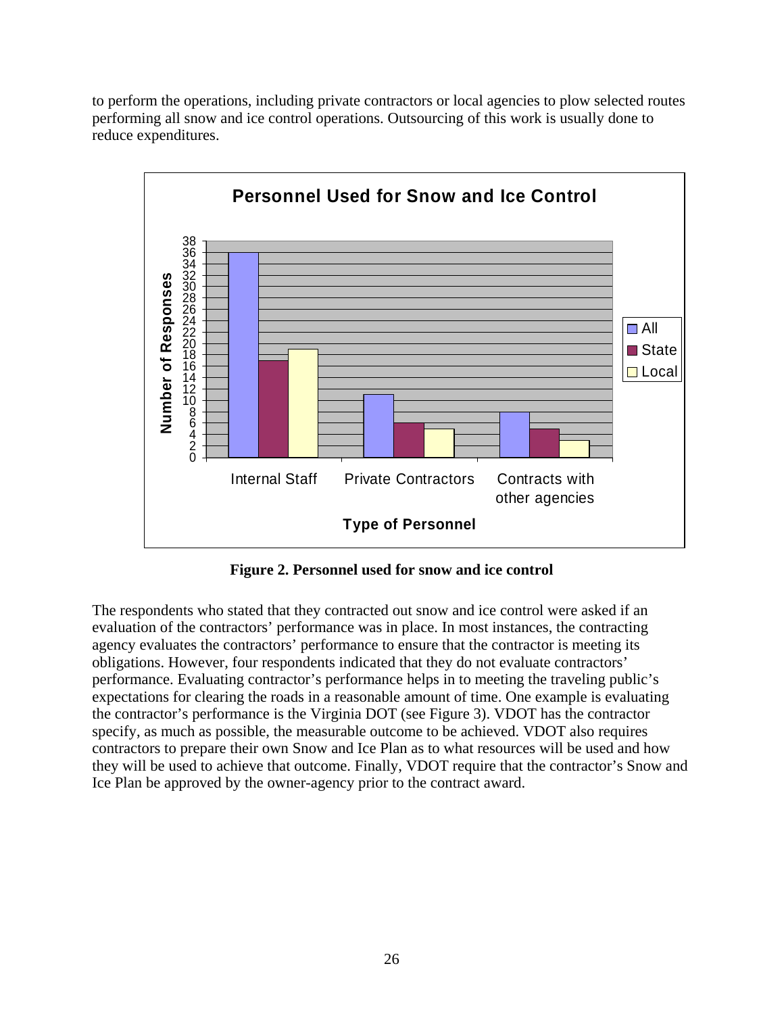

<span id="page-33-0"></span>to perform the operations, including private contractors or local agencies to plow selected routes performing all snow and ice control operations. Outsourcing of this work is usually done to reduce expenditures.

**Figure 2. Personnel used for snow and ice control** 

<span id="page-33-1"></span>The respondents who stated that they contracted out snow and ice control were asked if an evaluation of the contractors' performance was in place. In most instances, the contracting agency evaluates the contractors' performance to ensure that the contractor is meeting its obligations. However, four respondents indicated that they do not evaluate contractors' performance. Evaluating contractor's performance helps in to meeting the traveling public's expectations for clearing the roads in a reasonable amount of time. One example is evaluating the contractor's performance is the Virginia DOT (see Figure 3). VDOT has the contractor specify, as much as possible, the measurable outcome to be achieved. VDOT also requires contractors to prepare their own Snow and Ice Plan as to what resources will be used and how they will be used to achieve that outcome. Finally, VDOT require that the contractor's Snow and Ice Plan be approved by the owner-agency prior to the contract award.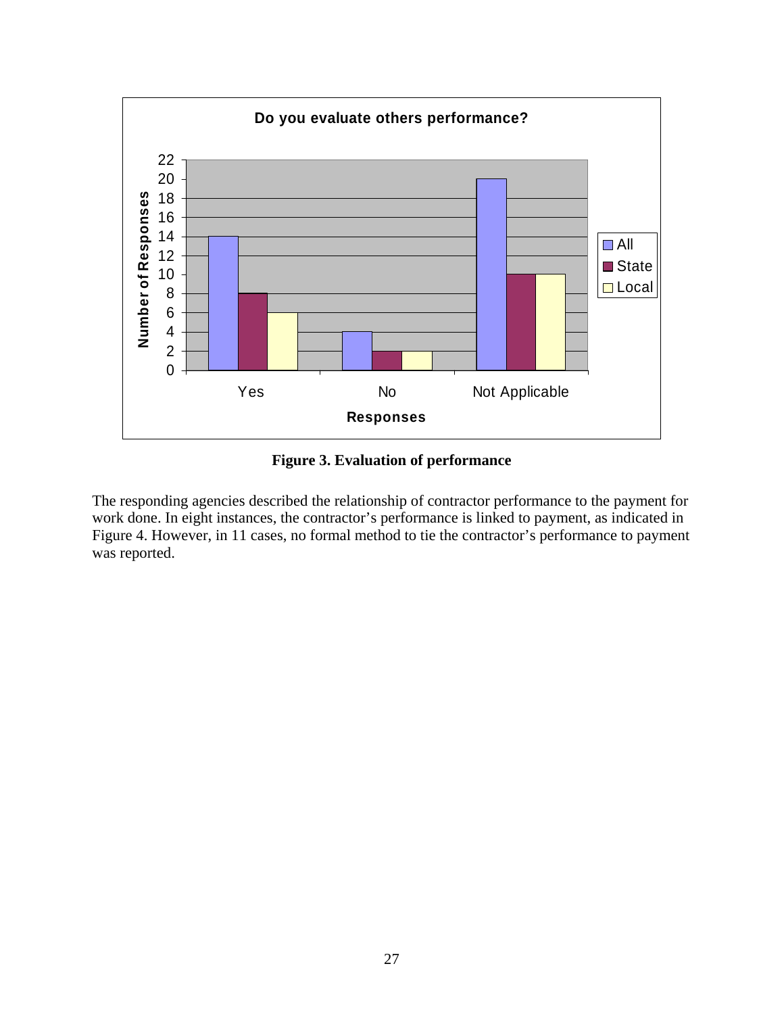<span id="page-34-0"></span>

**Figure 3. Evaluation of performance** 

<span id="page-34-1"></span>The responding agencies described the relationship of contractor performance to the payment for work done. In eight instances, the contractor's performance is linked to payment, as indicated in Figure 4. However, in 11 cases, no formal method to tie the contractor's performance to payment was reported.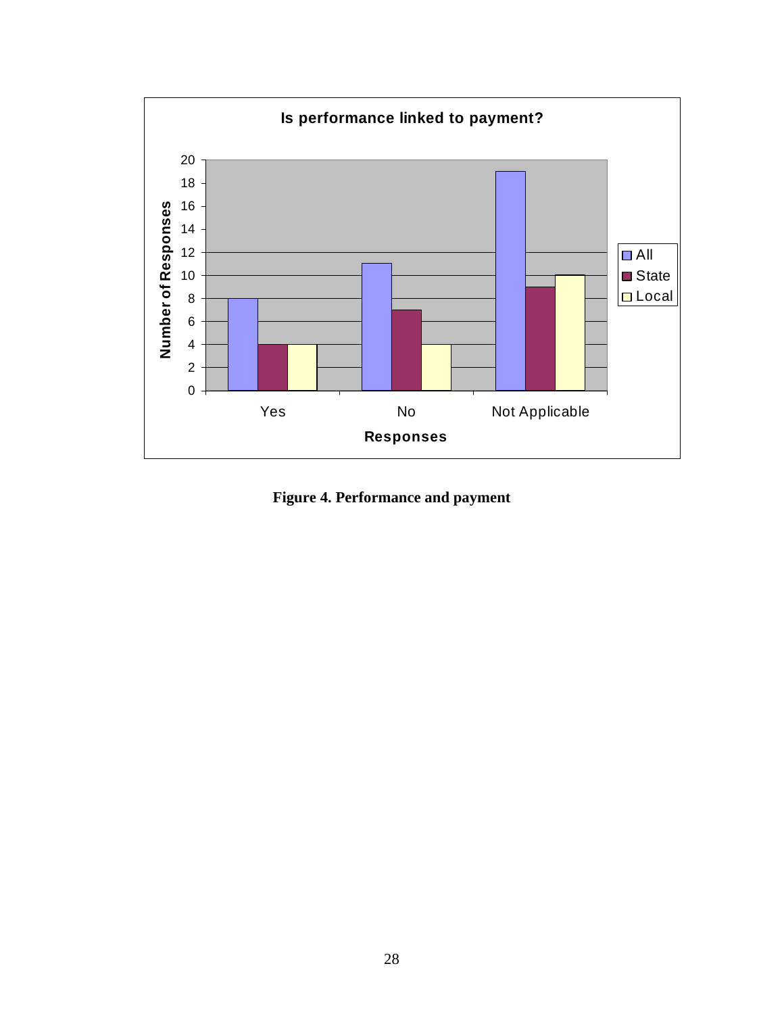<span id="page-35-0"></span>

<span id="page-35-1"></span>**Figure 4. Performance and payment**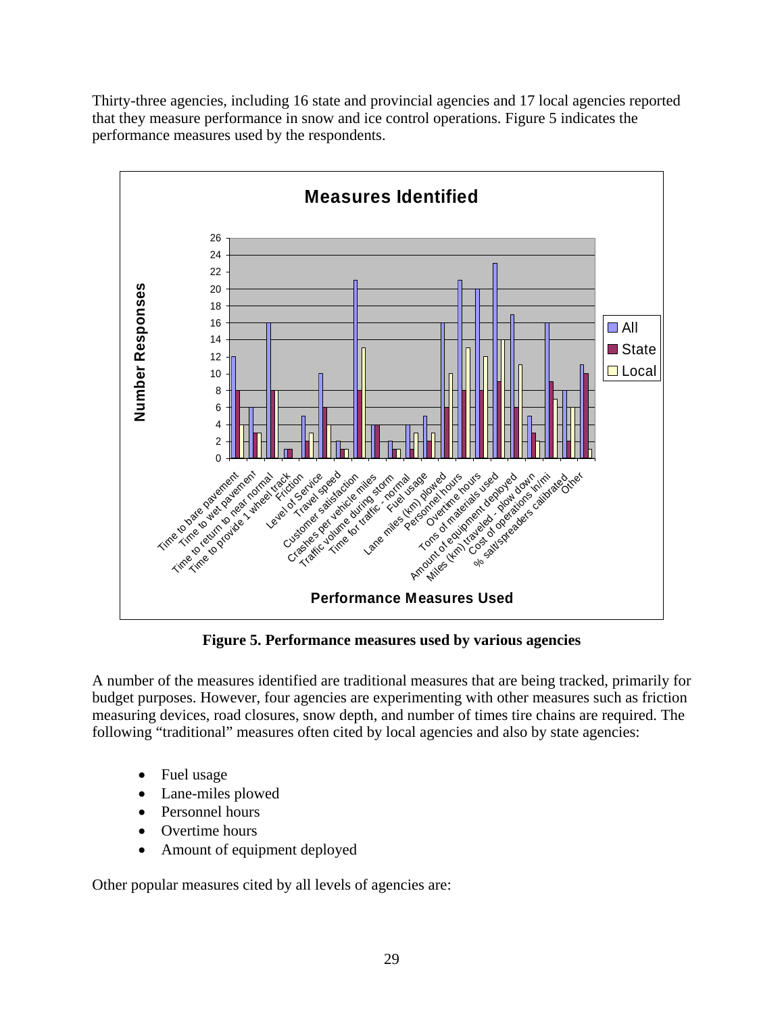Thirty-three agencies, including 16 state and provincial agencies and 17 local agencies reported that they measure performance in snow and ice control operations. Figure 5 indicates the performance measures used by the respondents.



**Figure 5. Performance measures used by various agencies** 

A number of the measures identified are traditional measures that are being tracked, primarily for budget purposes. However, four agencies are experimenting with other measures such as friction measuring devices, road closures, snow depth, and number of times tire chains are required. The following "traditional" measures often cited by local agencies and also by state agencies:

- Fuel usage
- Lane-miles plowed
- Personnel hours
- Overtime hours
- Amount of equipment deployed

Other popular measures cited by all levels of agencies are: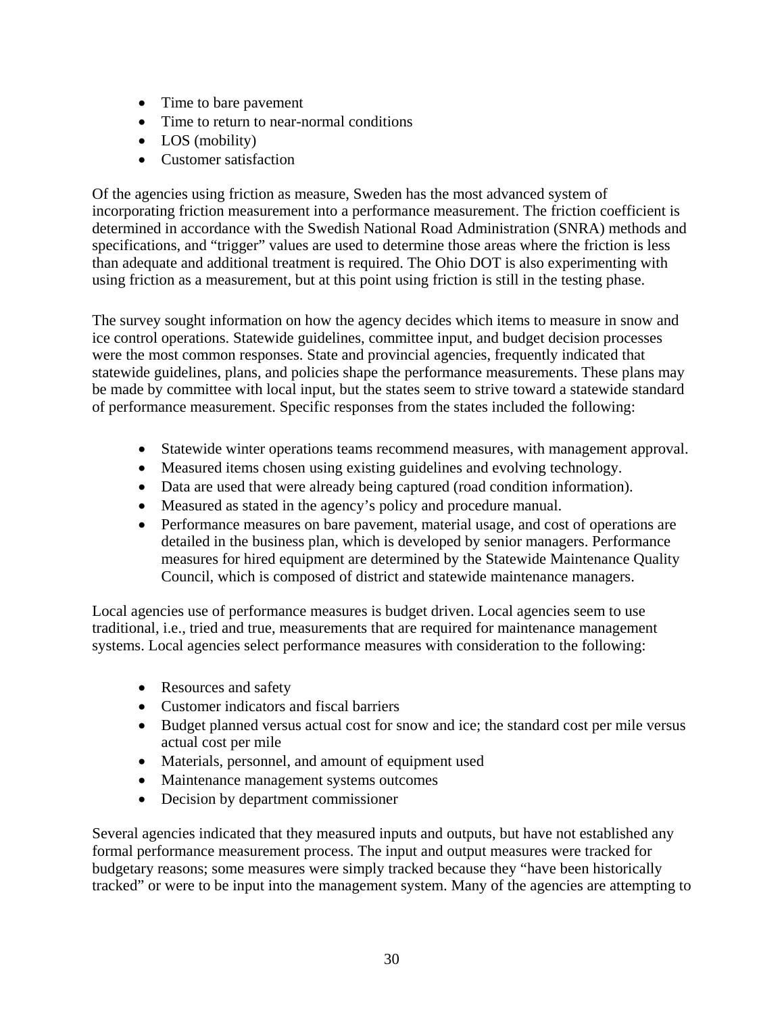- Time to bare pavement
- Time to return to near-normal conditions
- LOS (mobility)
- Customer satisfaction

Of the agencies using friction as measure, Sweden has the most advanced system of incorporating friction measurement into a performance measurement. The friction coefficient is determined in accordance with the Swedish National Road Administration (SNRA) methods and specifications, and "trigger" values are used to determine those areas where the friction is less than adequate and additional treatment is required. The Ohio DOT is also experimenting with using friction as a measurement, but at this point using friction is still in the testing phase.

The survey sought information on how the agency decides which items to measure in snow and ice control operations. Statewide guidelines, committee input, and budget decision processes were the most common responses. State and provincial agencies, frequently indicated that statewide guidelines, plans, and policies shape the performance measurements. These plans may be made by committee with local input, but the states seem to strive toward a statewide standard of performance measurement. Specific responses from the states included the following:

- Statewide winter operations teams recommend measures, with management approval.
- Measured items chosen using existing guidelines and evolving technology.
- Data are used that were already being captured (road condition information).
- Measured as stated in the agency's policy and procedure manual.
- Performance measures on bare pavement, material usage, and cost of operations are detailed in the business plan, which is developed by senior managers. Performance measures for hired equipment are determined by the Statewide Maintenance Quality Council, which is composed of district and statewide maintenance managers.

Local agencies use of performance measures is budget driven. Local agencies seem to use traditional, i.e., tried and true, measurements that are required for maintenance management systems. Local agencies select performance measures with consideration to the following:

- Resources and safety
- Customer indicators and fiscal barriers
- Budget planned versus actual cost for snow and ice; the standard cost per mile versus actual cost per mile
- Materials, personnel, and amount of equipment used
- Maintenance management systems outcomes
- Decision by department commissioner

Several agencies indicated that they measured inputs and outputs, but have not established any formal performance measurement process. The input and output measures were tracked for budgetary reasons; some measures were simply tracked because they "have been historically tracked" or were to be input into the management system. Many of the agencies are attempting to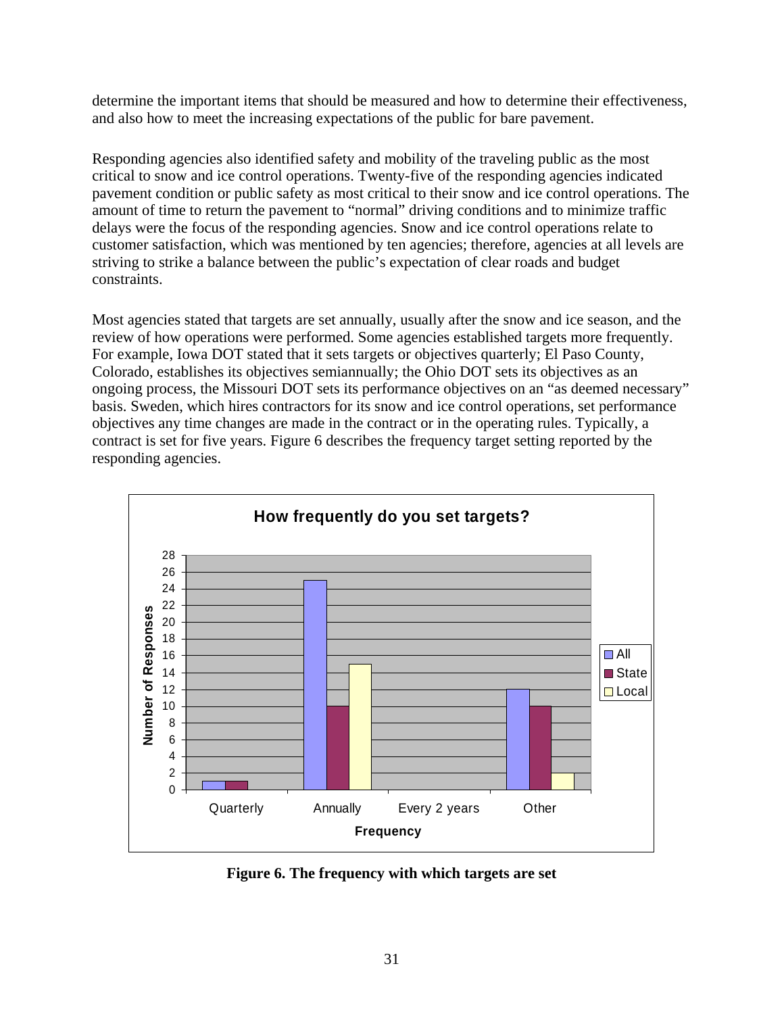determine the important items that should be measured and how to determine their effectiveness, and also how to meet the increasing expectations of the public for bare pavement.

Responding agencies also identified safety and mobility of the traveling public as the most critical to snow and ice control operations. Twenty-five of the responding agencies indicated pavement condition or public safety as most critical to their snow and ice control operations. The amount of time to return the pavement to "normal" driving conditions and to minimize traffic delays were the focus of the responding agencies. Snow and ice control operations relate to customer satisfaction, which was mentioned by ten agencies; therefore, agencies at all levels are striving to strike a balance between the public's expectation of clear roads and budget constraints.

Most agencies stated that targets are set annually, usually after the snow and ice season, and the review of how operations were performed. Some agencies established targets more frequently. For example, Iowa DOT stated that it sets targets or objectives quarterly; El Paso County, Colorado, establishes its objectives semiannually; the Ohio DOT sets its objectives as an ongoing process, the Missouri DOT sets its performance objectives on an "as deemed necessary" basis. Sweden, which hires contractors for its snow and ice control operations, set performance objectives any time changes are made in the contract or in the operating rules. Typically, a contract is set for five years. Figure 6 describes the frequency target setting reported by the responding agencies.



**Figure 6. The frequency with which targets are set**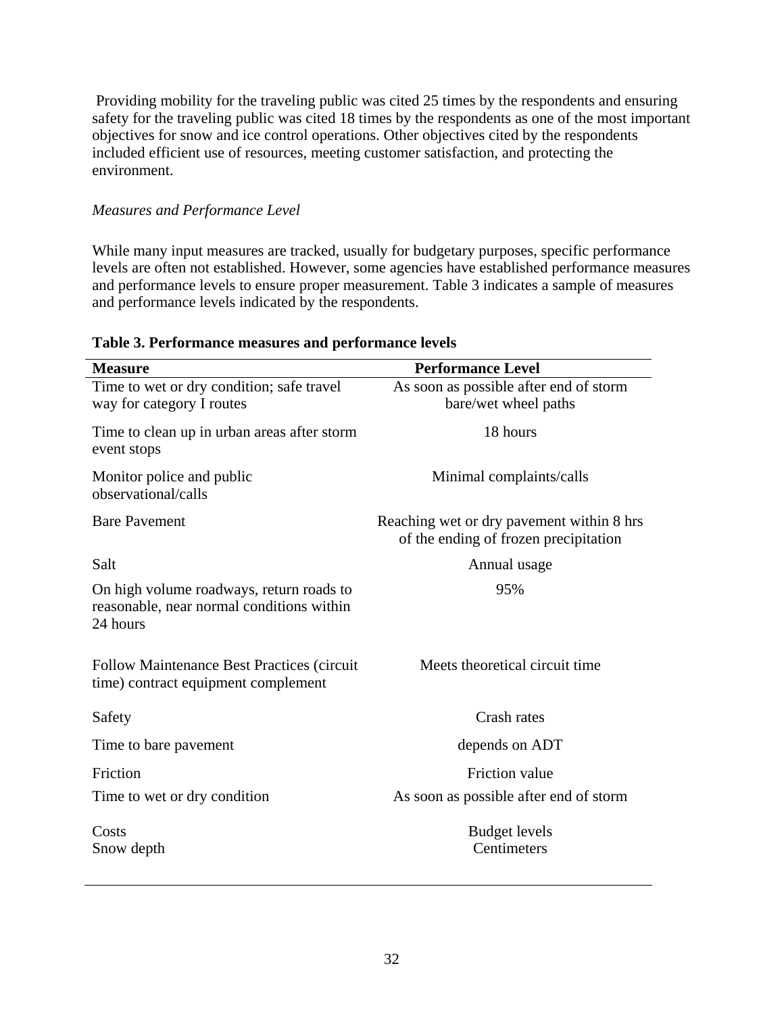Providing mobility for the traveling public was cited 25 times by the respondents and ensuring safety for the traveling public was cited 18 times by the respondents as one of the most important objectives for snow and ice control operations. Other objectives cited by the respondents included efficient use of resources, meeting customer satisfaction, and protecting the environment.

### *Measures and Performance Level*

While many input measures are tracked, usually for budgetary purposes, specific performance levels are often not established. However, some agencies have established performance measures and performance levels to ensure proper measurement. Table 3 indicates a sample of measures and performance levels indicated by the respondents.

| <b>Measure</b>                                                                                    | <b>Performance Level</b>                                                           |
|---------------------------------------------------------------------------------------------------|------------------------------------------------------------------------------------|
| Time to wet or dry condition; safe travel<br>way for category I routes                            | As soon as possible after end of storm<br>bare/wet wheel paths                     |
| Time to clean up in urban areas after storm<br>event stops                                        | 18 hours                                                                           |
| Monitor police and public<br>observational/calls                                                  | Minimal complaints/calls                                                           |
| <b>Bare Pavement</b>                                                                              | Reaching wet or dry pavement within 8 hrs<br>of the ending of frozen precipitation |
| Salt                                                                                              | Annual usage                                                                       |
| On high volume roadways, return roads to<br>reasonable, near normal conditions within<br>24 hours | 95%                                                                                |
| <b>Follow Maintenance Best Practices (circuit)</b><br>time) contract equipment complement         | Meets theoretical circuit time                                                     |
| Safety                                                                                            | Crash rates                                                                        |
| Time to bare pavement                                                                             | depends on ADT                                                                     |
| Friction                                                                                          | Friction value                                                                     |
| Time to wet or dry condition                                                                      | As soon as possible after end of storm                                             |
| Costs<br>Snow depth                                                                               | <b>Budget levels</b><br>Centimeters                                                |

### **Table 3. Performance measures and performance levels**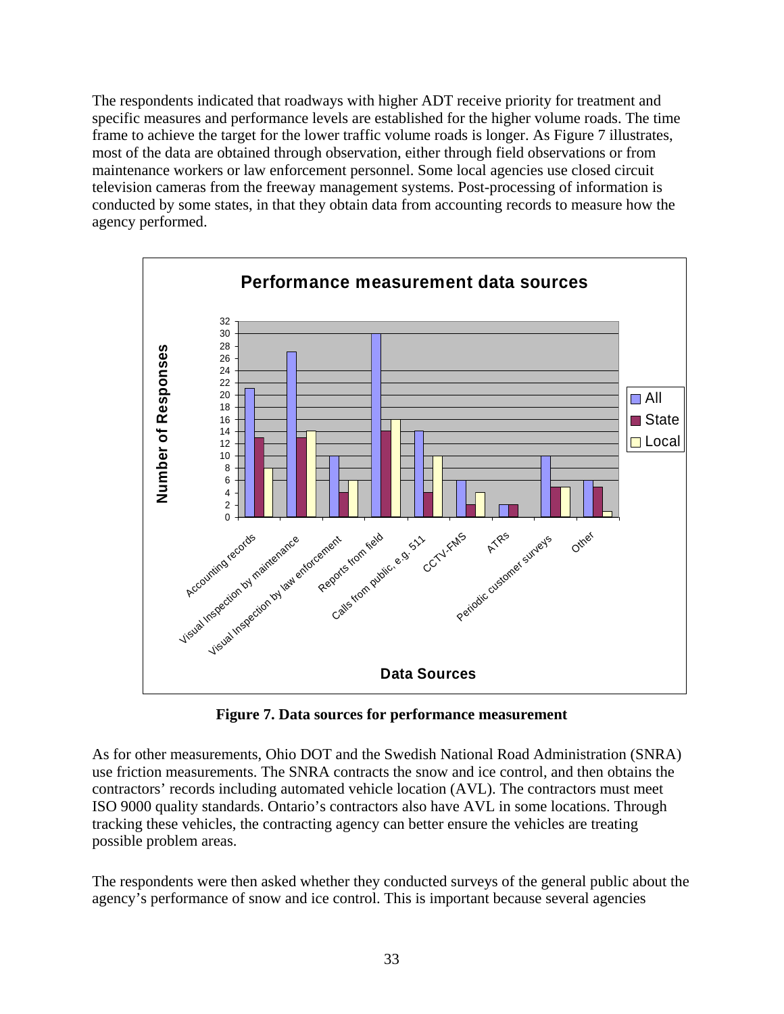The respondents indicated that roadways with higher ADT receive priority for treatment and specific measures and performance levels are established for the higher volume roads. The time frame to achieve the target for the lower traffic volume roads is longer. As Figure 7 illustrates, most of the data are obtained through observation, either through field observations or from maintenance workers or law enforcement personnel. Some local agencies use closed circuit television cameras from the freeway management systems. Post-processing of information is conducted by some states, in that they obtain data from accounting records to measure how the agency performed.



**Figure 7. Data sources for performance measurement** 

As for other measurements, Ohio DOT and the Swedish National Road Administration (SNRA) use friction measurements. The SNRA contracts the snow and ice control, and then obtains the contractors' records including automated vehicle location (AVL). The contractors must meet ISO 9000 quality standards. Ontario's contractors also have AVL in some locations. Through tracking these vehicles, the contracting agency can better ensure the vehicles are treating possible problem areas.

The respondents were then asked whether they conducted surveys of the general public about the agency's performance of snow and ice control. This is important because several agencies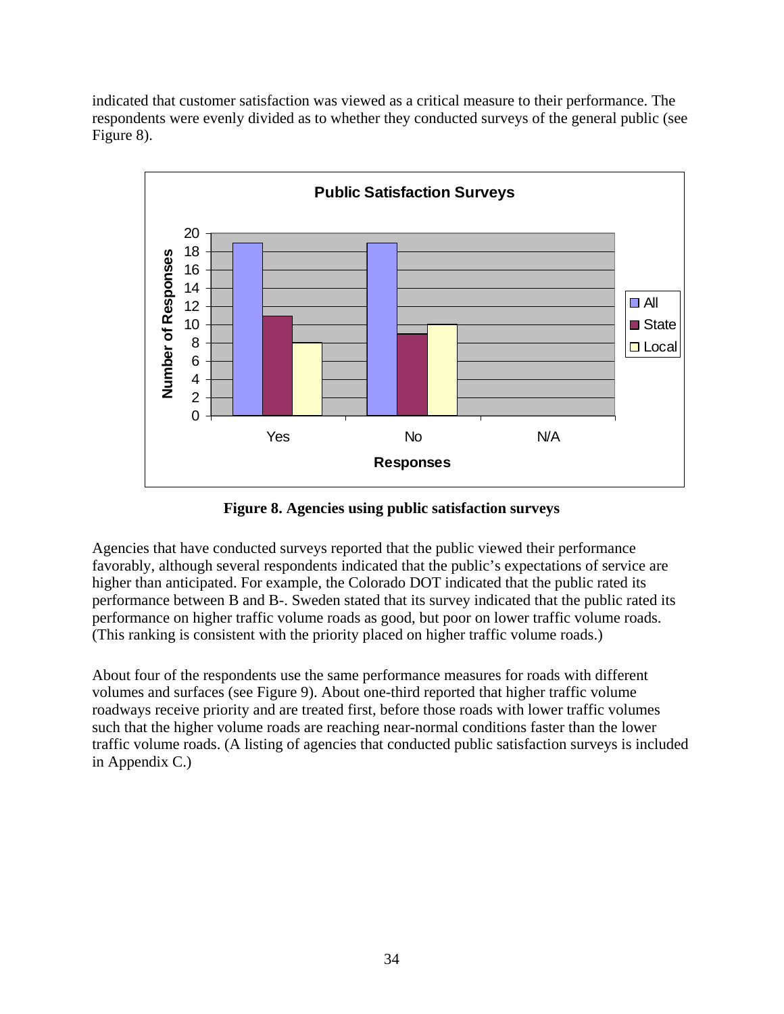indicated that customer satisfaction was viewed as a critical measure to their performance. The respondents were evenly divided as to whether they conducted surveys of the general public (see Figure 8).



**Figure 8. Agencies using public satisfaction surveys** 

Agencies that have conducted surveys reported that the public viewed their performance favorably, although several respondents indicated that the public's expectations of service are higher than anticipated. For example, the Colorado DOT indicated that the public rated its performance between B and B-. Sweden stated that its survey indicated that the public rated its performance on higher traffic volume roads as good, but poor on lower traffic volume roads. (This ranking is consistent with the priority placed on higher traffic volume roads.)

About four of the respondents use the same performance measures for roads with different volumes and surfaces (see Figure 9). About one-third reported that higher traffic volume roadways receive priority and are treated first, before those roads with lower traffic volumes such that the higher volume roads are reaching near-normal conditions faster than the lower traffic volume roads. (A listing of agencies that conducted public satisfaction surveys is included in Appendix C.)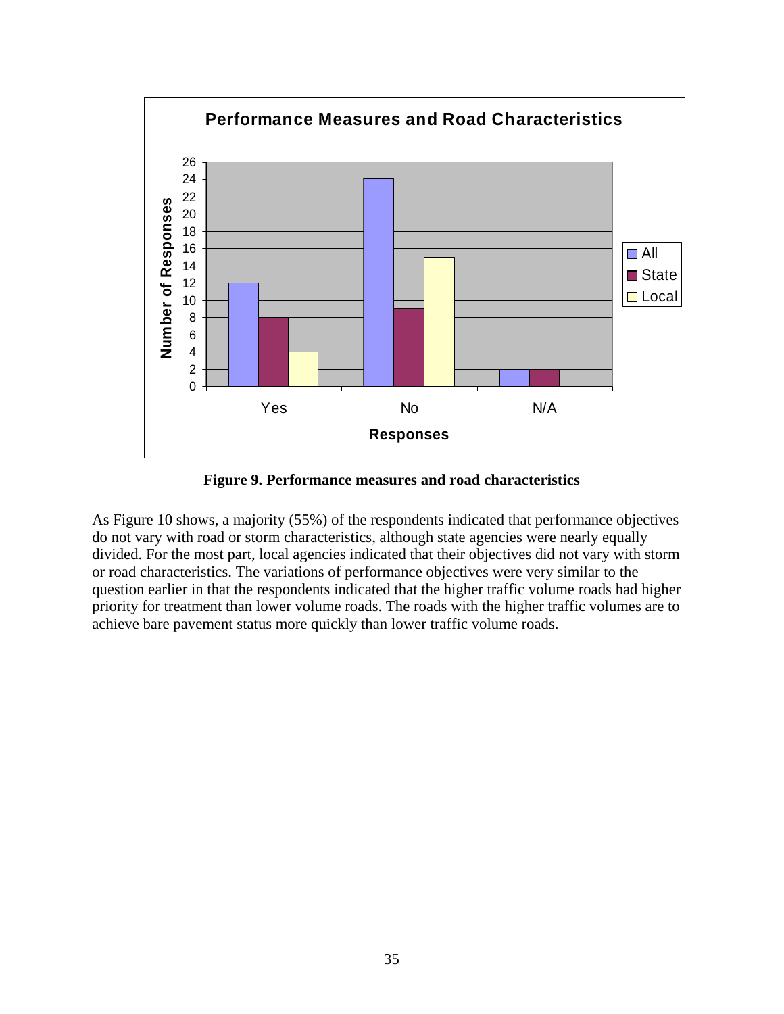

**Figure 9. Performance measures and road characteristics** 

As Figure 10 shows, a majority (55%) of the respondents indicated that performance objectives do not vary with road or storm characteristics, although state agencies were nearly equally divided. For the most part, local agencies indicated that their objectives did not vary with storm or road characteristics. The variations of performance objectives were very similar to the question earlier in that the respondents indicated that the higher traffic volume roads had higher priority for treatment than lower volume roads. The roads with the higher traffic volumes are to achieve bare pavement status more quickly than lower traffic volume roads.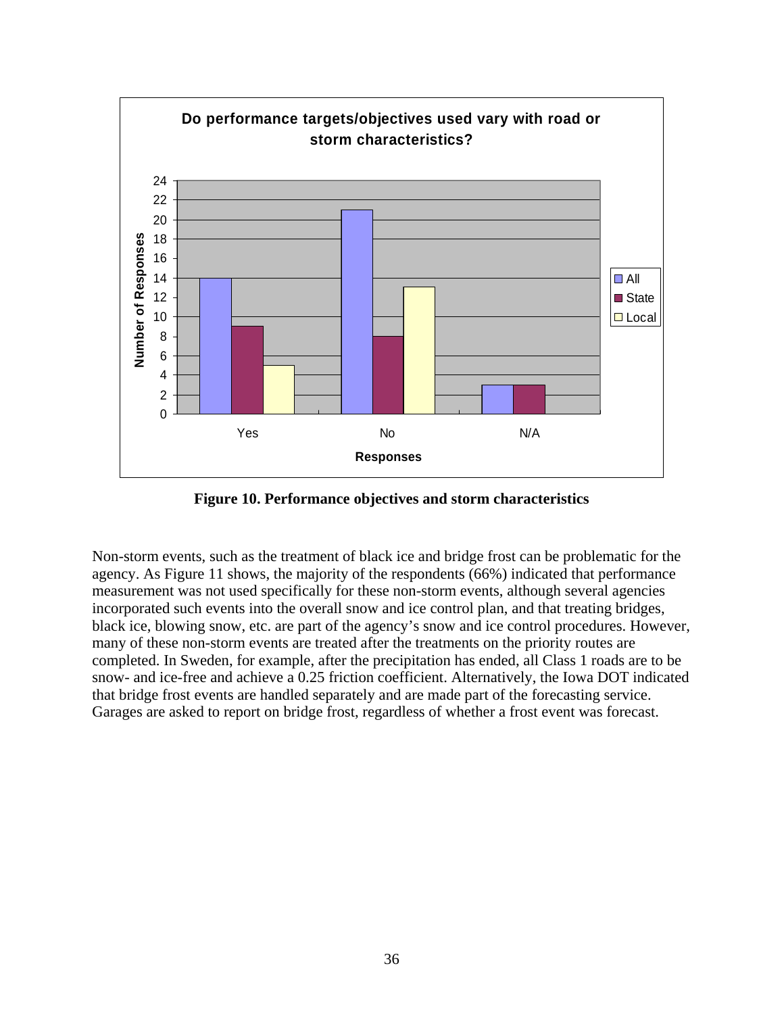

**Figure 10. Performance objectives and storm characteristics** 

Non-storm events, such as the treatment of black ice and bridge frost can be problematic for the agency. As Figure 11 shows, the majority of the respondents (66%) indicated that performance measurement was not used specifically for these non-storm events, although several agencies incorporated such events into the overall snow and ice control plan, and that treating bridges, black ice, blowing snow, etc. are part of the agency's snow and ice control procedures. However, many of these non-storm events are treated after the treatments on the priority routes are completed. In Sweden, for example, after the precipitation has ended, all Class 1 roads are to be snow- and ice-free and achieve a 0.25 friction coefficient. Alternatively, the Iowa DOT indicated that bridge frost events are handled separately and are made part of the forecasting service. Garages are asked to report on bridge frost, regardless of whether a frost event was forecast.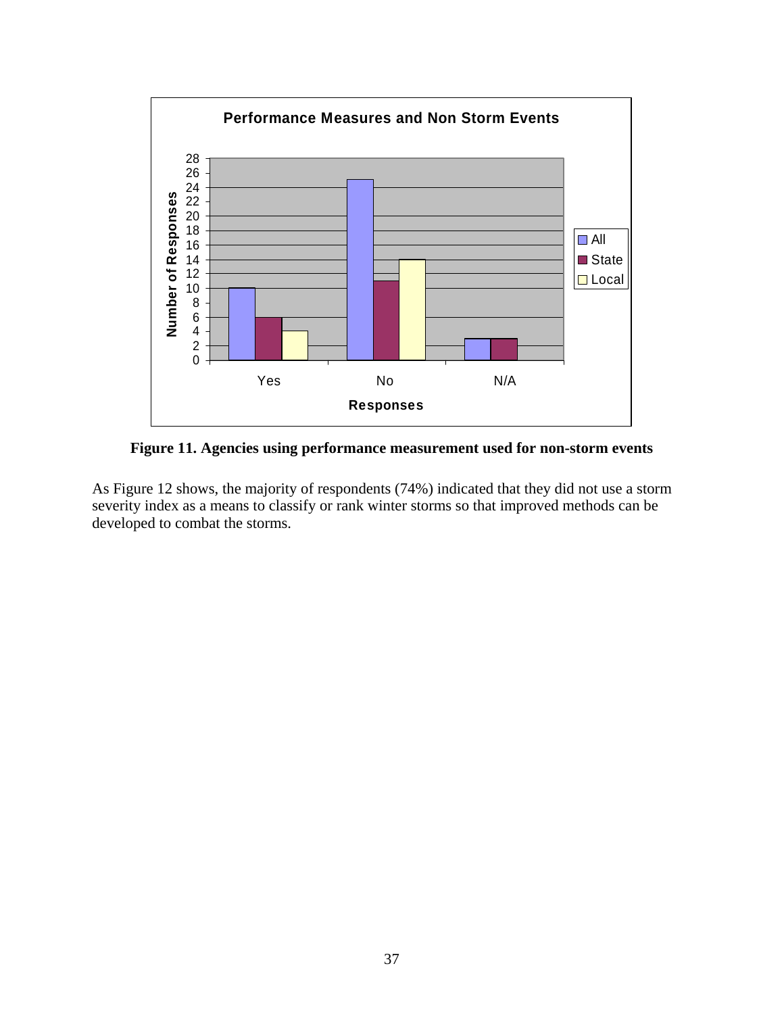

**Figure 11. Agencies using performance measurement used for non-storm events** 

As Figure 12 shows, the majority of respondents (74%) indicated that they did not use a storm severity index as a means to classify or rank winter storms so that improved methods can be developed to combat the storms.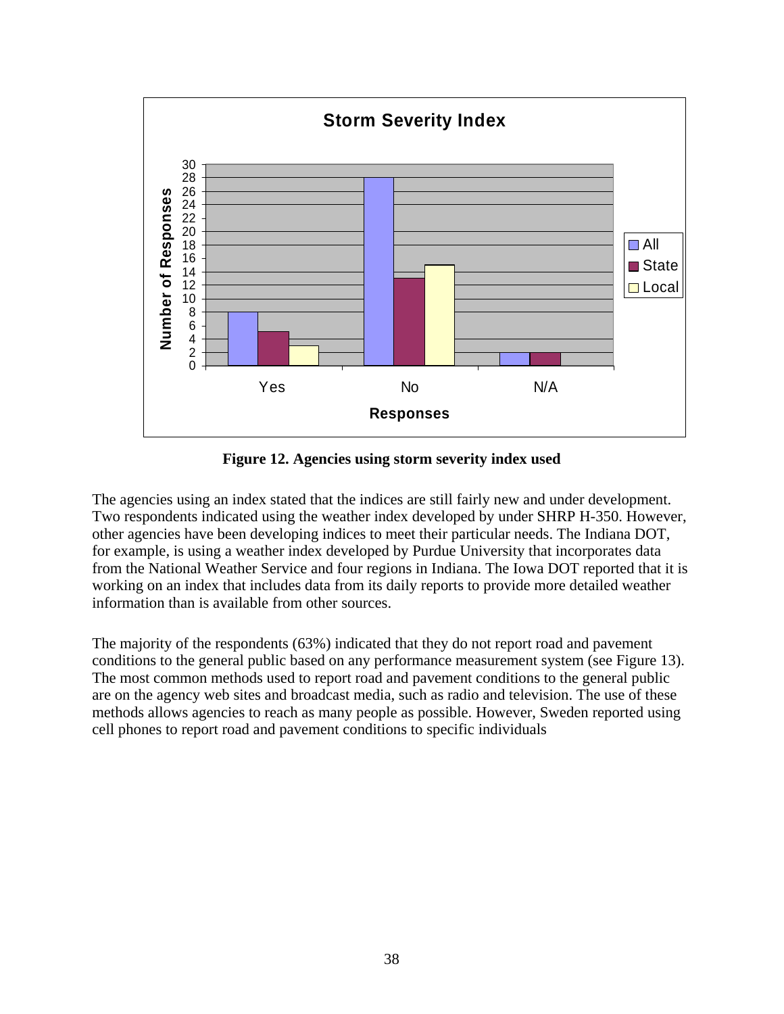

**Figure 12. Agencies using storm severity index used** 

The agencies using an index stated that the indices are still fairly new and under development. Two respondents indicated using the weather index developed by under SHRP H-350. However, other agencies have been developing indices to meet their particular needs. The Indiana DOT, for example, is using a weather index developed by Purdue University that incorporates data from the National Weather Service and four regions in Indiana. The Iowa DOT reported that it is working on an index that includes data from its daily reports to provide more detailed weather information than is available from other sources.

The majority of the respondents (63%) indicated that they do not report road and pavement conditions to the general public based on any performance measurement system (see Figure 13). The most common methods used to report road and pavement conditions to the general public are on the agency web sites and broadcast media, such as radio and television. The use of these methods allows agencies to reach as many people as possible. However, Sweden reported using cell phones to report road and pavement conditions to specific individuals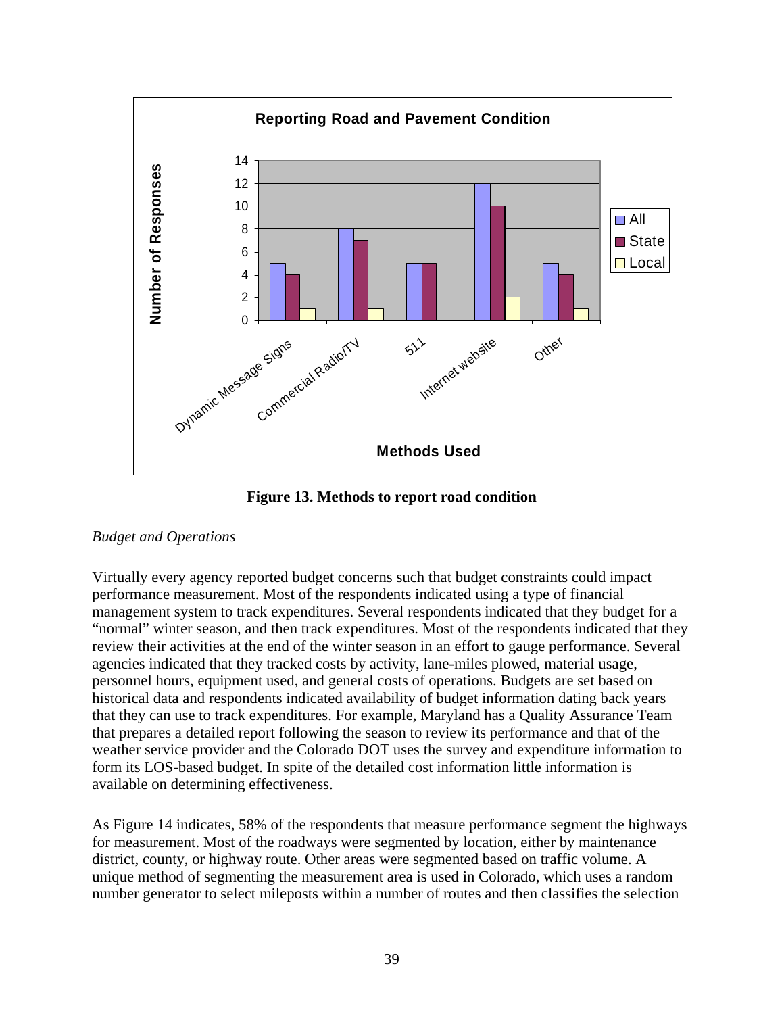

**Figure 13. Methods to report road condition** 

## *Budget and Operations*

Virtually every agency reported budget concerns such that budget constraints could impact performance measurement. Most of the respondents indicated using a type of financial management system to track expenditures. Several respondents indicated that they budget for a "normal" winter season, and then track expenditures. Most of the respondents indicated that they review their activities at the end of the winter season in an effort to gauge performance. Several agencies indicated that they tracked costs by activity, lane-miles plowed, material usage, personnel hours, equipment used, and general costs of operations. Budgets are set based on historical data and respondents indicated availability of budget information dating back years that they can use to track expenditures. For example, Maryland has a Quality Assurance Team that prepares a detailed report following the season to review its performance and that of the weather service provider and the Colorado DOT uses the survey and expenditure information to form its LOS-based budget. In spite of the detailed cost information little information is available on determining effectiveness.

As Figure 14 indicates, 58% of the respondents that measure performance segment the highways for measurement. Most of the roadways were segmented by location, either by maintenance district, county, or highway route. Other areas were segmented based on traffic volume. A unique method of segmenting the measurement area is used in Colorado, which uses a random number generator to select mileposts within a number of routes and then classifies the selection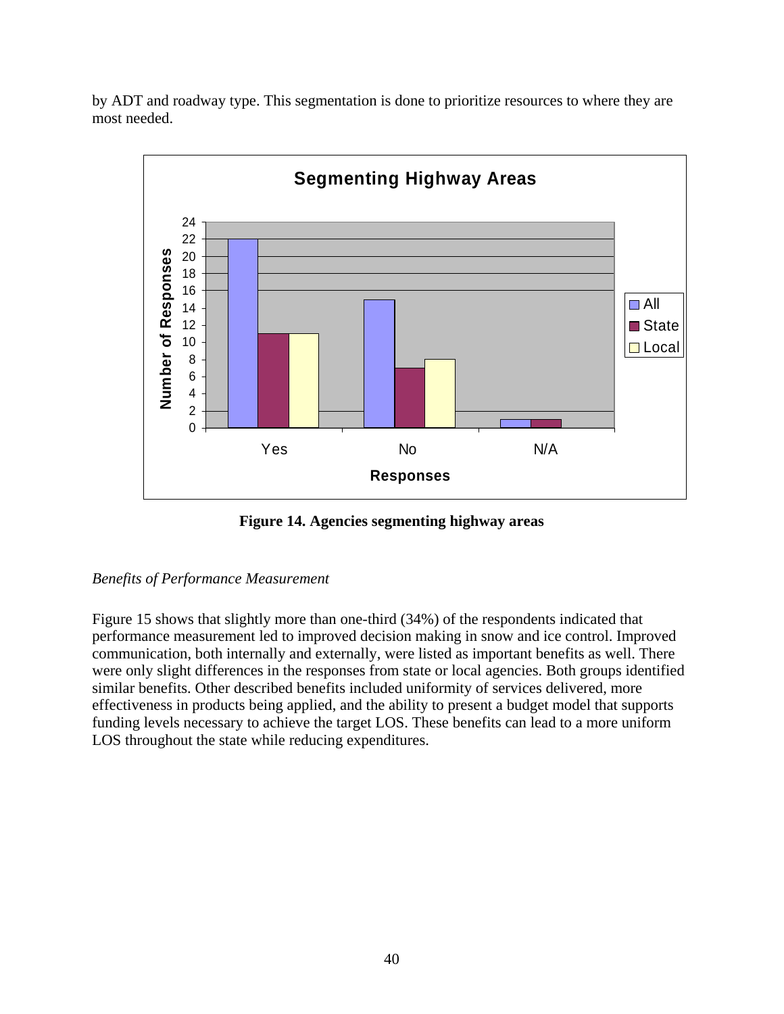by ADT and roadway type. This segmentation is done to prioritize resources to where they are most needed.



**Figure 14. Agencies segmenting highway areas** 

### *Benefits of Performance Measurement*

Figure 15 shows that slightly more than one-third (34%) of the respondents indicated that performance measurement led to improved decision making in snow and ice control. Improved communication, both internally and externally, were listed as important benefits as well. There were only slight differences in the responses from state or local agencies. Both groups identified similar benefits. Other described benefits included uniformity of services delivered, more effectiveness in products being applied, and the ability to present a budget model that supports funding levels necessary to achieve the target LOS. These benefits can lead to a more uniform LOS throughout the state while reducing expenditures.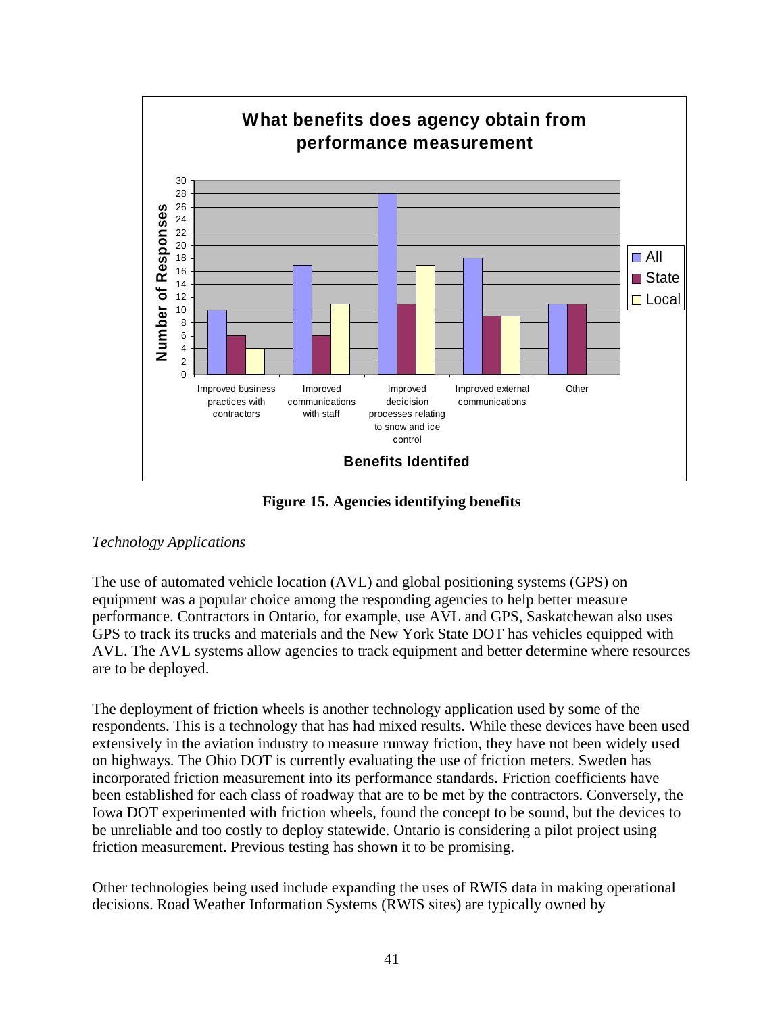

**Figure 15. Agencies identifying benefits** 

# *Technology Applications*

The use of automated vehicle location (AVL) and global positioning systems (GPS) on equipment was a popular choice among the responding agencies to help better measure performance. Contractors in Ontario, for example, use AVL and GPS, Saskatchewan also uses GPS to track its trucks and materials and the New York State DOT has vehicles equipped with AVL. The AVL systems allow agencies to track equipment and better determine where resources are to be deployed.

The deployment of friction wheels is another technology application used by some of the respondents. This is a technology that has had mixed results. While these devices have been used extensively in the aviation industry to measure runway friction, they have not been widely used on highways. The Ohio DOT is currently evaluating the use of friction meters. Sweden has incorporated friction measurement into its performance standards. Friction coefficients have been established for each class of roadway that are to be met by the contractors. Conversely, the Iowa DOT experimented with friction wheels, found the concept to be sound, but the devices to be unreliable and too costly to deploy statewide. Ontario is considering a pilot project using friction measurement. Previous testing has shown it to be promising.

Other technologies being used include expanding the uses of RWIS data in making operational decisions. Road Weather Information Systems (RWIS sites) are typically owned by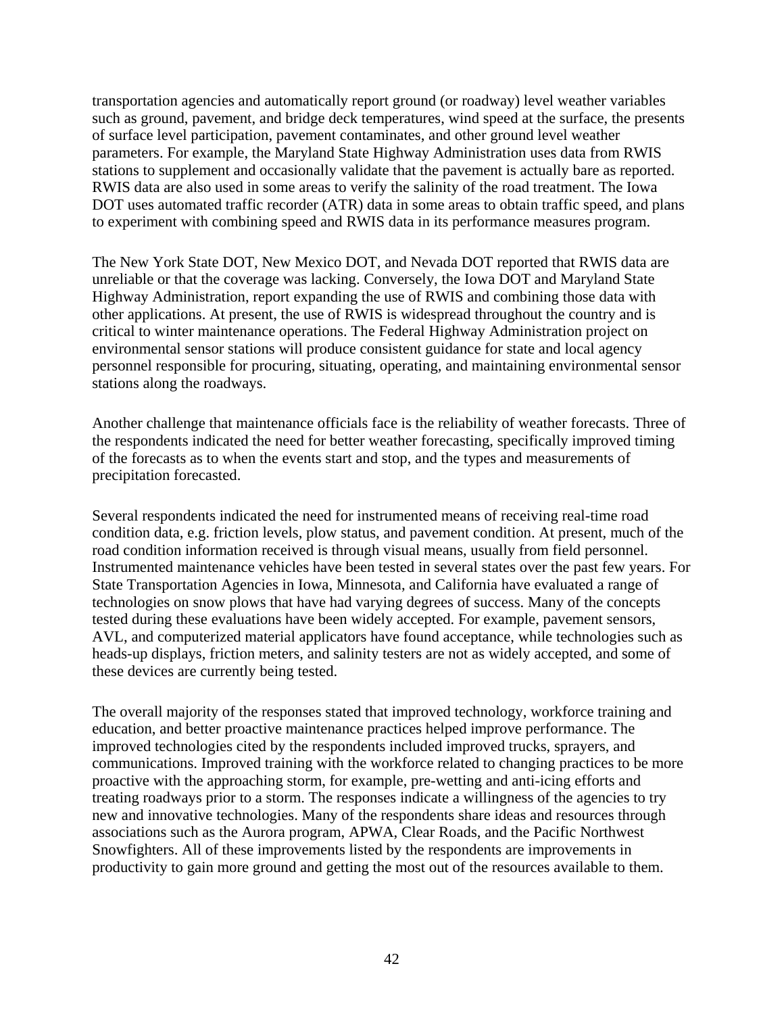transportation agencies and automatically report ground (or roadway) level weather variables such as ground, pavement, and bridge deck temperatures, wind speed at the surface, the presents of surface level participation, pavement contaminates, and other ground level weather parameters. For example, the Maryland State Highway Administration uses data from RWIS stations to supplement and occasionally validate that the pavement is actually bare as reported. RWIS data are also used in some areas to verify the salinity of the road treatment. The Iowa DOT uses automated traffic recorder (ATR) data in some areas to obtain traffic speed, and plans to experiment with combining speed and RWIS data in its performance measures program.

The New York State DOT, New Mexico DOT, and Nevada DOT reported that RWIS data are unreliable or that the coverage was lacking. Conversely, the Iowa DOT and Maryland State Highway Administration, report expanding the use of RWIS and combining those data with other applications. At present, the use of RWIS is widespread throughout the country and is critical to winter maintenance operations. The Federal Highway Administration project on environmental sensor stations will produce consistent guidance for state and local agency personnel responsible for procuring, situating, operating, and maintaining environmental sensor stations along the roadways.

Another challenge that maintenance officials face is the reliability of weather forecasts. Three of the respondents indicated the need for better weather forecasting, specifically improved timing of the forecasts as to when the events start and stop, and the types and measurements of precipitation forecasted.

Several respondents indicated the need for instrumented means of receiving real-time road condition data, e.g. friction levels, plow status, and pavement condition. At present, much of the road condition information received is through visual means, usually from field personnel. Instrumented maintenance vehicles have been tested in several states over the past few years. For State Transportation Agencies in Iowa, Minnesota, and California have evaluated a range of technologies on snow plows that have had varying degrees of success. Many of the concepts tested during these evaluations have been widely accepted. For example, pavement sensors, AVL, and computerized material applicators have found acceptance, while technologies such as heads-up displays, friction meters, and salinity testers are not as widely accepted, and some of these devices are currently being tested.

The overall majority of the responses stated that improved technology, workforce training and education, and better proactive maintenance practices helped improve performance. The improved technologies cited by the respondents included improved trucks, sprayers, and communications. Improved training with the workforce related to changing practices to be more proactive with the approaching storm, for example, pre-wetting and anti-icing efforts and treating roadways prior to a storm. The responses indicate a willingness of the agencies to try new and innovative technologies. Many of the respondents share ideas and resources through associations such as the Aurora program, APWA, Clear Roads, and the Pacific Northwest Snowfighters. All of these improvements listed by the respondents are improvements in productivity to gain more ground and getting the most out of the resources available to them.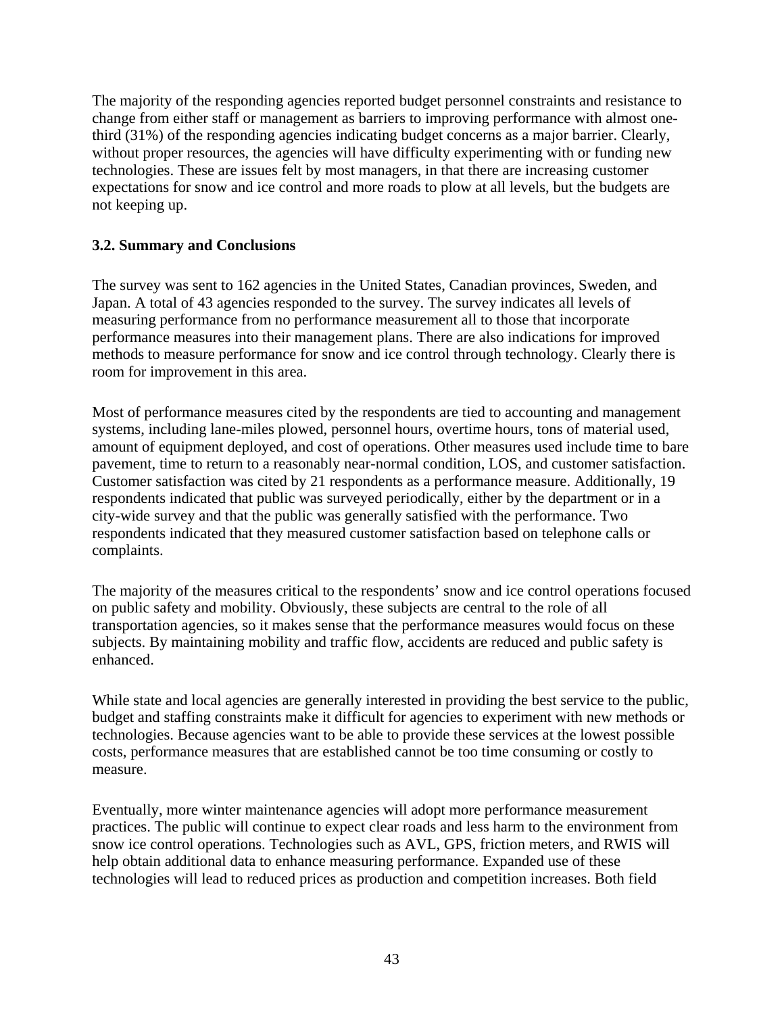The majority of the responding agencies reported budget personnel constraints and resistance to change from either staff or management as barriers to improving performance with almost onethird (31%) of the responding agencies indicating budget concerns as a major barrier. Clearly, without proper resources, the agencies will have difficulty experimenting with or funding new technologies. These are issues felt by most managers, in that there are increasing customer expectations for snow and ice control and more roads to plow at all levels, but the budgets are not keeping up.

### **3.2. Summary and Conclusions**

The survey was sent to 162 agencies in the United States, Canadian provinces, Sweden, and Japan. A total of 43 agencies responded to the survey. The survey indicates all levels of measuring performance from no performance measurement all to those that incorporate performance measures into their management plans. There are also indications for improved methods to measure performance for snow and ice control through technology. Clearly there is room for improvement in this area.

Most of performance measures cited by the respondents are tied to accounting and management systems, including lane-miles plowed, personnel hours, overtime hours, tons of material used, amount of equipment deployed, and cost of operations. Other measures used include time to bare pavement, time to return to a reasonably near-normal condition, LOS, and customer satisfaction. Customer satisfaction was cited by 21 respondents as a performance measure. Additionally, 19 respondents indicated that public was surveyed periodically, either by the department or in a city-wide survey and that the public was generally satisfied with the performance. Two respondents indicated that they measured customer satisfaction based on telephone calls or complaints.

The majority of the measures critical to the respondents' snow and ice control operations focused on public safety and mobility. Obviously, these subjects are central to the role of all transportation agencies, so it makes sense that the performance measures would focus on these subjects. By maintaining mobility and traffic flow, accidents are reduced and public safety is enhanced.

While state and local agencies are generally interested in providing the best service to the public, budget and staffing constraints make it difficult for agencies to experiment with new methods or technologies. Because agencies want to be able to provide these services at the lowest possible costs, performance measures that are established cannot be too time consuming or costly to measure.

Eventually, more winter maintenance agencies will adopt more performance measurement practices. The public will continue to expect clear roads and less harm to the environment from snow ice control operations. Technologies such as AVL, GPS, friction meters, and RWIS will help obtain additional data to enhance measuring performance. Expanded use of these technologies will lead to reduced prices as production and competition increases. Both field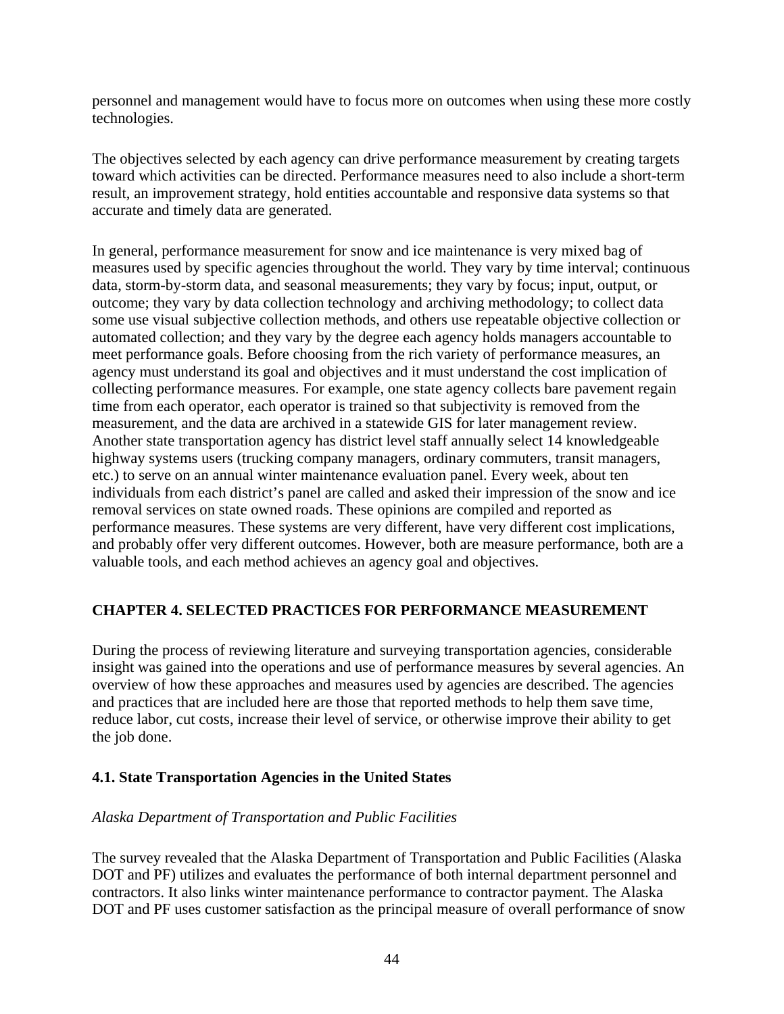personnel and management would have to focus more on outcomes when using these more costly technologies.

The objectives selected by each agency can drive performance measurement by creating targets toward which activities can be directed. Performance measures need to also include a short-term result, an improvement strategy, hold entities accountable and responsive data systems so that accurate and timely data are generated.

In general, performance measurement for snow and ice maintenance is very mixed bag of measures used by specific agencies throughout the world. They vary by time interval; continuous data, storm-by-storm data, and seasonal measurements; they vary by focus; input, output, or outcome; they vary by data collection technology and archiving methodology; to collect data some use visual subjective collection methods, and others use repeatable objective collection or automated collection; and they vary by the degree each agency holds managers accountable to meet performance goals. Before choosing from the rich variety of performance measures, an agency must understand its goal and objectives and it must understand the cost implication of collecting performance measures. For example, one state agency collects bare pavement regain time from each operator, each operator is trained so that subjectivity is removed from the measurement, and the data are archived in a statewide GIS for later management review. Another state transportation agency has district level staff annually select 14 knowledgeable highway systems users (trucking company managers, ordinary commuters, transit managers, etc.) to serve on an annual winter maintenance evaluation panel. Every week, about ten individuals from each district's panel are called and asked their impression of the snow and ice removal services on state owned roads. These opinions are compiled and reported as performance measures. These systems are very different, have very different cost implications, and probably offer very different outcomes. However, both are measure performance, both are a valuable tools, and each method achieves an agency goal and objectives.

## **CHAPTER 4. SELECTED PRACTICES FOR PERFORMANCE MEASUREMENT**

During the process of reviewing literature and surveying transportation agencies, considerable insight was gained into the operations and use of performance measures by several agencies. An overview of how these approaches and measures used by agencies are described. The agencies and practices that are included here are those that reported methods to help them save time, reduce labor, cut costs, increase their level of service, or otherwise improve their ability to get the job done.

## **4.1. State Transportation Agencies in the United States**

## *Alaska Department of Transportation and Public Facilities*

The survey revealed that the Alaska Department of Transportation and Public Facilities (Alaska DOT and PF) utilizes and evaluates the performance of both internal department personnel and contractors. It also links winter maintenance performance to contractor payment. The Alaska DOT and PF uses customer satisfaction as the principal measure of overall performance of snow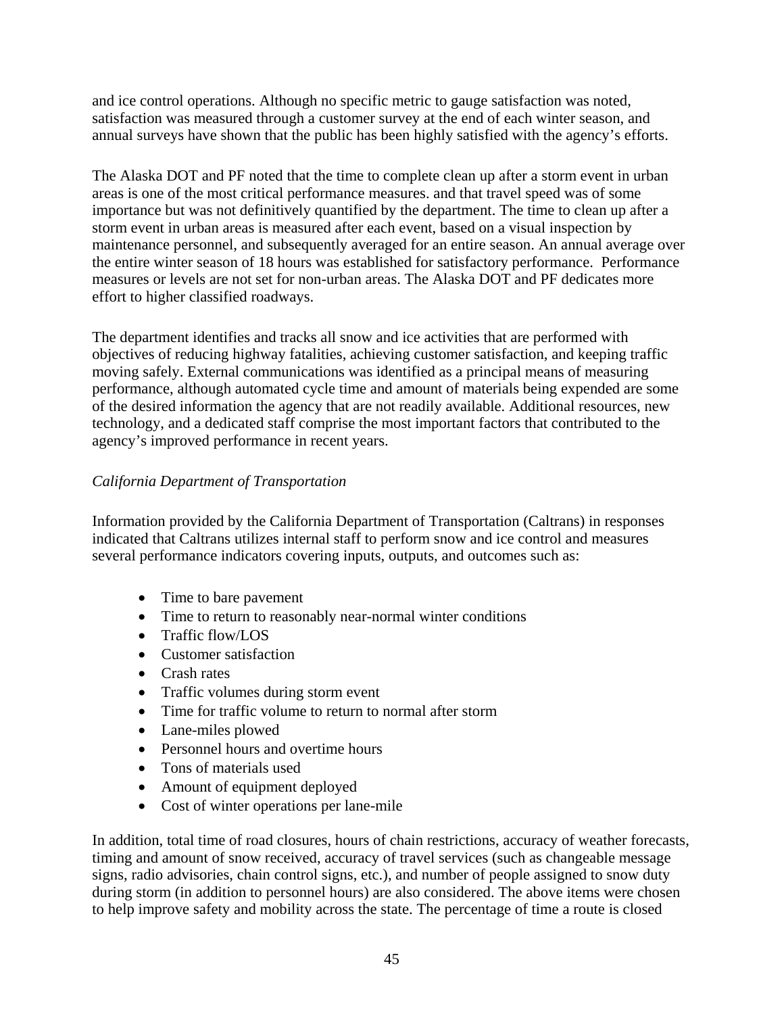and ice control operations. Although no specific metric to gauge satisfaction was noted, satisfaction was measured through a customer survey at the end of each winter season, and annual surveys have shown that the public has been highly satisfied with the agency's efforts.

The Alaska DOT and PF noted that the time to complete clean up after a storm event in urban areas is one of the most critical performance measures. and that travel speed was of some importance but was not definitively quantified by the department. The time to clean up after a storm event in urban areas is measured after each event, based on a visual inspection by maintenance personnel, and subsequently averaged for an entire season. An annual average over the entire winter season of 18 hours was established for satisfactory performance. Performance measures or levels are not set for non-urban areas. The Alaska DOT and PF dedicates more effort to higher classified roadways.

The department identifies and tracks all snow and ice activities that are performed with objectives of reducing highway fatalities, achieving customer satisfaction, and keeping traffic moving safely. External communications was identified as a principal means of measuring performance, although automated cycle time and amount of materials being expended are some of the desired information the agency that are not readily available. Additional resources, new technology, and a dedicated staff comprise the most important factors that contributed to the agency's improved performance in recent years.

# *California Department of Transportation*

Information provided by the California Department of Transportation (Caltrans) in responses indicated that Caltrans utilizes internal staff to perform snow and ice control and measures several performance indicators covering inputs, outputs, and outcomes such as:

- Time to bare pavement
- Time to return to reasonably near-normal winter conditions
- Traffic flow/LOS
- Customer satisfaction
- Crash rates
- Traffic volumes during storm event
- Time for traffic volume to return to normal after storm
- Lane-miles plowed
- Personnel hours and overtime hours
- Tons of materials used
- Amount of equipment deployed
- Cost of winter operations per lane-mile

In addition, total time of road closures, hours of chain restrictions, accuracy of weather forecasts, timing and amount of snow received, accuracy of travel services (such as changeable message signs, radio advisories, chain control signs, etc.), and number of people assigned to snow duty during storm (in addition to personnel hours) are also considered. The above items were chosen to help improve safety and mobility across the state. The percentage of time a route is closed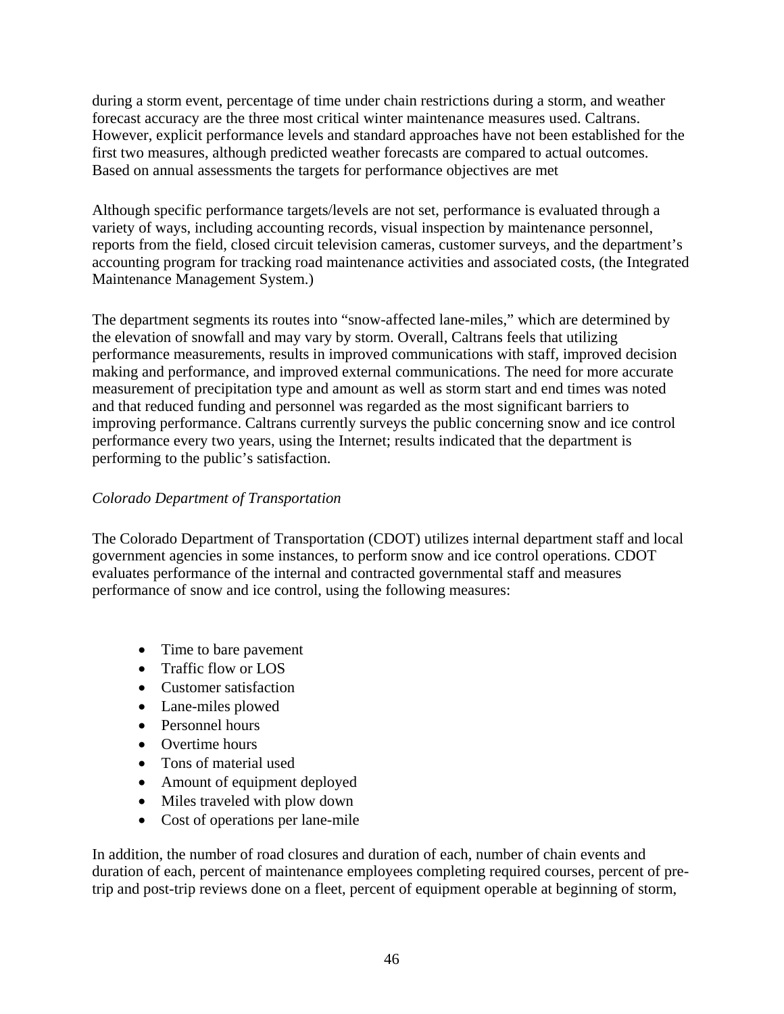during a storm event, percentage of time under chain restrictions during a storm, and weather forecast accuracy are the three most critical winter maintenance measures used. Caltrans. However, explicit performance levels and standard approaches have not been established for the first two measures, although predicted weather forecasts are compared to actual outcomes. Based on annual assessments the targets for performance objectives are met

Although specific performance targets/levels are not set, performance is evaluated through a variety of ways, including accounting records, visual inspection by maintenance personnel, reports from the field, closed circuit television cameras, customer surveys, and the department's accounting program for tracking road maintenance activities and associated costs, (the Integrated Maintenance Management System.)

The department segments its routes into "snow-affected lane-miles," which are determined by the elevation of snowfall and may vary by storm. Overall, Caltrans feels that utilizing performance measurements, results in improved communications with staff, improved decision making and performance, and improved external communications. The need for more accurate measurement of precipitation type and amount as well as storm start and end times was noted and that reduced funding and personnel was regarded as the most significant barriers to improving performance. Caltrans currently surveys the public concerning snow and ice control performance every two years, using the Internet; results indicated that the department is performing to the public's satisfaction.

## *Colorado Department of Transportation*

The Colorado Department of Transportation (CDOT) utilizes internal department staff and local government agencies in some instances, to perform snow and ice control operations. CDOT evaluates performance of the internal and contracted governmental staff and measures performance of snow and ice control, using the following measures:

- Time to bare pavement
- Traffic flow or LOS
- Customer satisfaction
- Lane-miles plowed
- Personnel hours
- Overtime hours
- Tons of material used
- Amount of equipment deployed
- Miles traveled with plow down
- Cost of operations per lane-mile

In addition, the number of road closures and duration of each, number of chain events and duration of each, percent of maintenance employees completing required courses, percent of pretrip and post-trip reviews done on a fleet, percent of equipment operable at beginning of storm,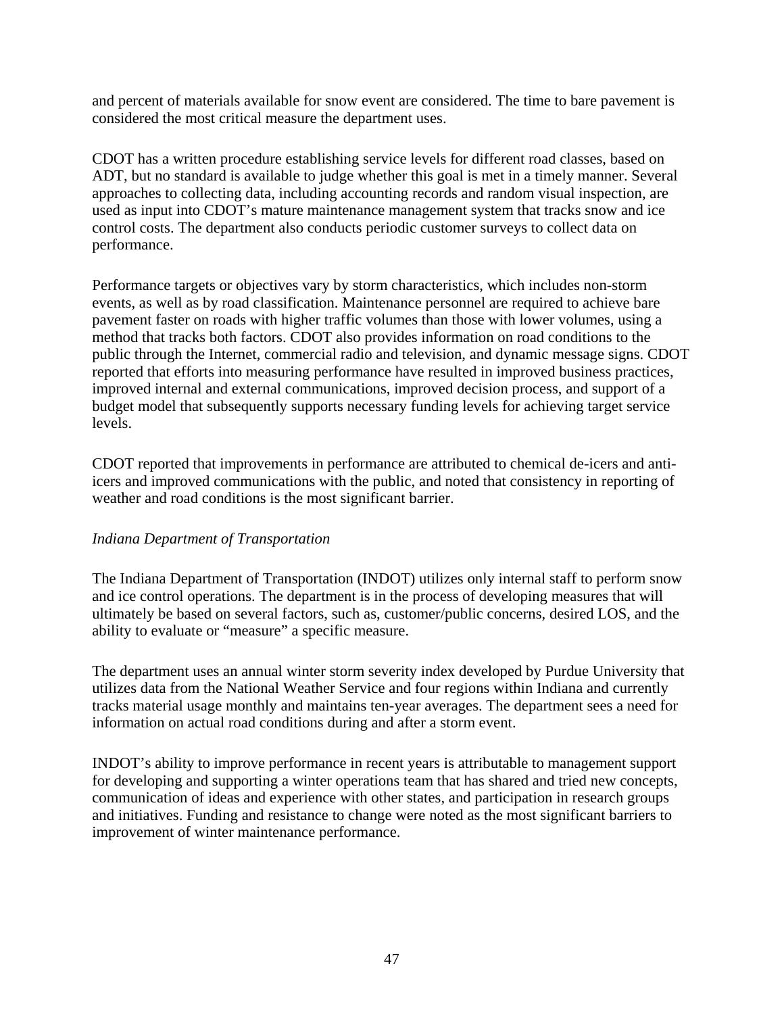and percent of materials available for snow event are considered. The time to bare pavement is considered the most critical measure the department uses.

CDOT has a written procedure establishing service levels for different road classes, based on ADT, but no standard is available to judge whether this goal is met in a timely manner. Several approaches to collecting data, including accounting records and random visual inspection, are used as input into CDOT's mature maintenance management system that tracks snow and ice control costs. The department also conducts periodic customer surveys to collect data on performance.

Performance targets or objectives vary by storm characteristics, which includes non-storm events, as well as by road classification. Maintenance personnel are required to achieve bare pavement faster on roads with higher traffic volumes than those with lower volumes, using a method that tracks both factors. CDOT also provides information on road conditions to the public through the Internet, commercial radio and television, and dynamic message signs. CDOT reported that efforts into measuring performance have resulted in improved business practices, improved internal and external communications, improved decision process, and support of a budget model that subsequently supports necessary funding levels for achieving target service levels.

CDOT reported that improvements in performance are attributed to chemical de-icers and antiicers and improved communications with the public, and noted that consistency in reporting of weather and road conditions is the most significant barrier.

### *Indiana Department of Transportation*

The Indiana Department of Transportation (INDOT) utilizes only internal staff to perform snow and ice control operations. The department is in the process of developing measures that will ultimately be based on several factors, such as, customer/public concerns, desired LOS, and the ability to evaluate or "measure" a specific measure.

The department uses an annual winter storm severity index developed by Purdue University that utilizes data from the National Weather Service and four regions within Indiana and currently tracks material usage monthly and maintains ten-year averages. The department sees a need for information on actual road conditions during and after a storm event.

INDOT's ability to improve performance in recent years is attributable to management support for developing and supporting a winter operations team that has shared and tried new concepts, communication of ideas and experience with other states, and participation in research groups and initiatives. Funding and resistance to change were noted as the most significant barriers to improvement of winter maintenance performance.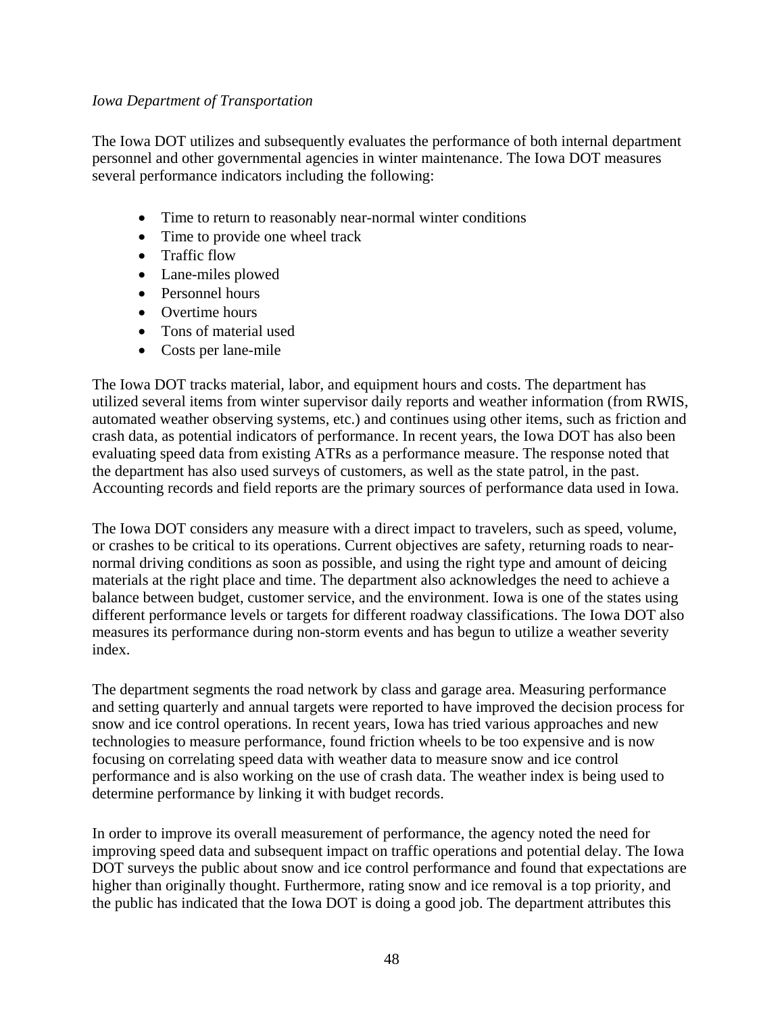#### *Iowa Department of Transportation*

The Iowa DOT utilizes and subsequently evaluates the performance of both internal department personnel and other governmental agencies in winter maintenance. The Iowa DOT measures several performance indicators including the following:

- Time to return to reasonably near-normal winter conditions
- Time to provide one wheel track
- Traffic flow
- Lane-miles plowed
- Personnel hours
- Overtime hours
- Tons of material used
- Costs per lane-mile

The Iowa DOT tracks material, labor, and equipment hours and costs. The department has utilized several items from winter supervisor daily reports and weather information (from RWIS, automated weather observing systems, etc.) and continues using other items, such as friction and crash data, as potential indicators of performance. In recent years, the Iowa DOT has also been evaluating speed data from existing ATRs as a performance measure. The response noted that the department has also used surveys of customers, as well as the state patrol, in the past. Accounting records and field reports are the primary sources of performance data used in Iowa.

The Iowa DOT considers any measure with a direct impact to travelers, such as speed, volume, or crashes to be critical to its operations. Current objectives are safety, returning roads to nearnormal driving conditions as soon as possible, and using the right type and amount of deicing materials at the right place and time. The department also acknowledges the need to achieve a balance between budget, customer service, and the environment. Iowa is one of the states using different performance levels or targets for different roadway classifications. The Iowa DOT also measures its performance during non-storm events and has begun to utilize a weather severity index.

The department segments the road network by class and garage area. Measuring performance and setting quarterly and annual targets were reported to have improved the decision process for snow and ice control operations. In recent years, Iowa has tried various approaches and new technologies to measure performance, found friction wheels to be too expensive and is now focusing on correlating speed data with weather data to measure snow and ice control performance and is also working on the use of crash data. The weather index is being used to determine performance by linking it with budget records.

In order to improve its overall measurement of performance, the agency noted the need for improving speed data and subsequent impact on traffic operations and potential delay. The Iowa DOT surveys the public about snow and ice control performance and found that expectations are higher than originally thought. Furthermore, rating snow and ice removal is a top priority, and the public has indicated that the Iowa DOT is doing a good job. The department attributes this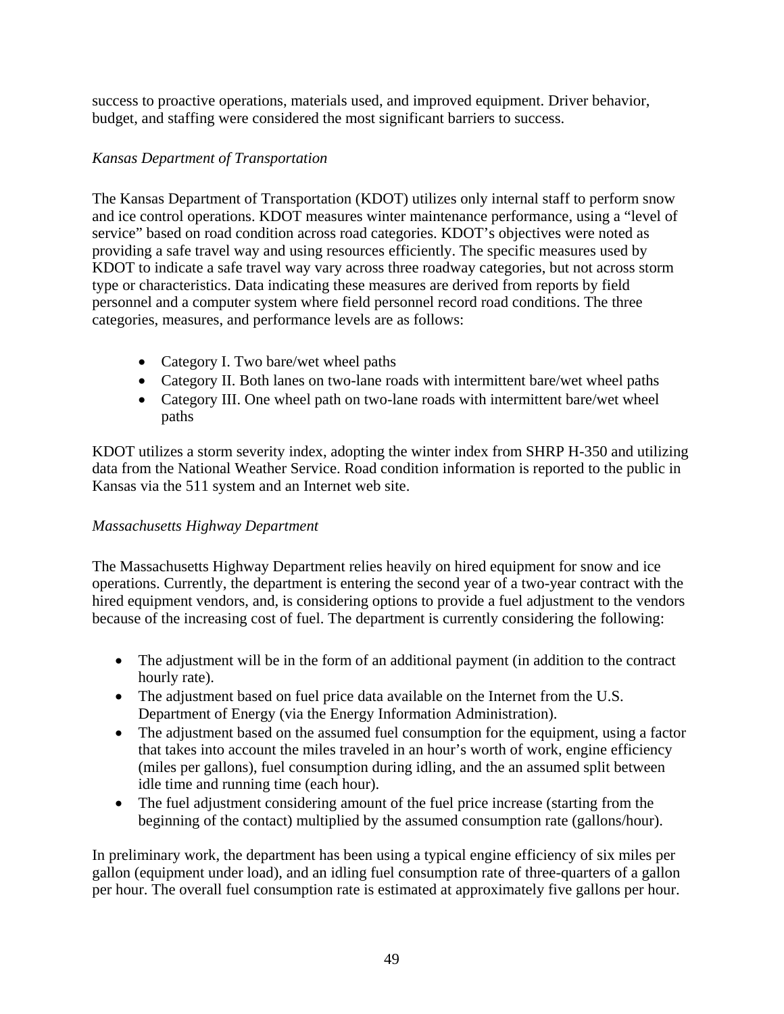success to proactive operations, materials used, and improved equipment. Driver behavior, budget, and staffing were considered the most significant barriers to success.

## *Kansas Department of Transportation*

The Kansas Department of Transportation (KDOT) utilizes only internal staff to perform snow and ice control operations. KDOT measures winter maintenance performance, using a "level of service" based on road condition across road categories. KDOT's objectives were noted as providing a safe travel way and using resources efficiently. The specific measures used by KDOT to indicate a safe travel way vary across three roadway categories, but not across storm type or characteristics. Data indicating these measures are derived from reports by field personnel and a computer system where field personnel record road conditions. The three categories, measures, and performance levels are as follows:

- Category I. Two bare/wet wheel paths
- Category II. Both lanes on two-lane roads with intermittent bare/wet wheel paths
- Category III. One wheel path on two-lane roads with intermittent bare/wet wheel paths

KDOT utilizes a storm severity index, adopting the winter index from SHRP H-350 and utilizing data from the National Weather Service. Road condition information is reported to the public in Kansas via the 511 system and an Internet web site.

## *Massachusetts Highway Department*

The Massachusetts Highway Department relies heavily on hired equipment for snow and ice operations. Currently, the department is entering the second year of a two-year contract with the hired equipment vendors, and, is considering options to provide a fuel adjustment to the vendors because of the increasing cost of fuel. The department is currently considering the following:

- The adjustment will be in the form of an additional payment (in addition to the contract hourly rate).
- The adjustment based on fuel price data available on the Internet from the U.S. Department of Energy (via the Energy Information Administration).
- The adjustment based on the assumed fuel consumption for the equipment, using a factor that takes into account the miles traveled in an hour's worth of work, engine efficiency (miles per gallons), fuel consumption during idling, and the an assumed split between idle time and running time (each hour).
- The fuel adjustment considering amount of the fuel price increase (starting from the beginning of the contact) multiplied by the assumed consumption rate (gallons/hour).

In preliminary work, the department has been using a typical engine efficiency of six miles per gallon (equipment under load), and an idling fuel consumption rate of three-quarters of a gallon per hour. The overall fuel consumption rate is estimated at approximately five gallons per hour.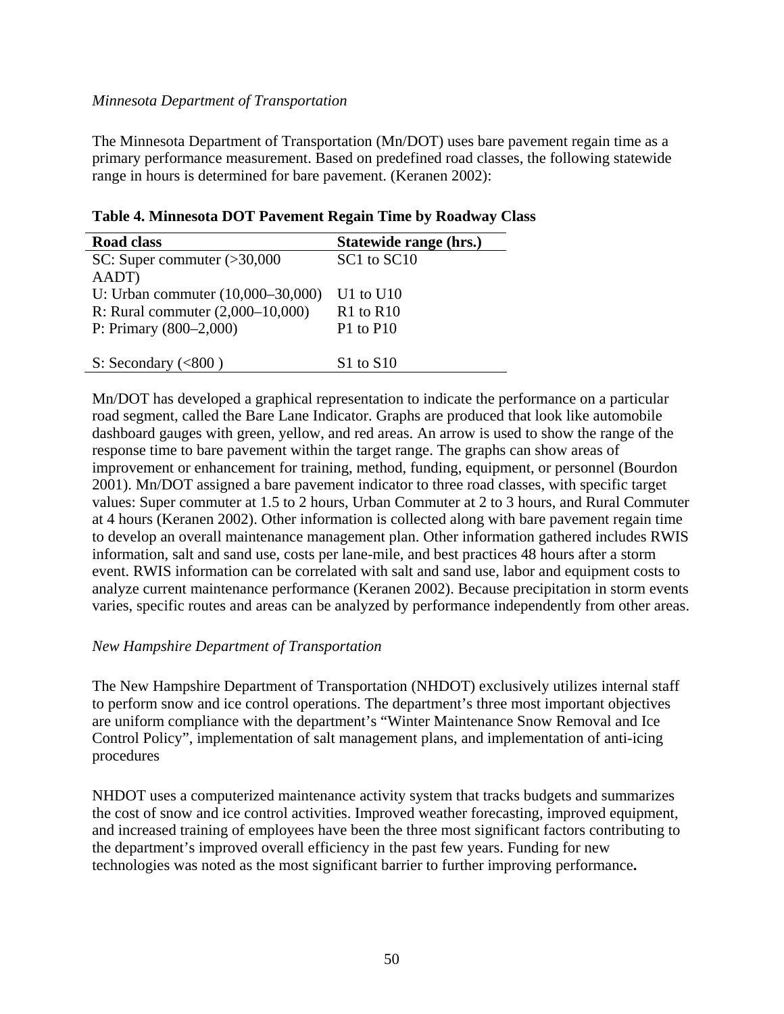### *Minnesota Department of Transportation*

The Minnesota Department of Transportation (Mn/DOT) uses bare pavement regain time as a primary performance measurement. Based on predefined road classes, the following statewide range in hours is determined for bare pavement. (Keranen 2002):

## **Table 4. Minnesota DOT Pavement Regain Time by Roadway Class**

| <b>Road class</b>                  | Statewide range (hrs.) |
|------------------------------------|------------------------|
| SC: Super commuter $(>30,000$      | SC1 to SC10            |
| AADT)                              |                        |
| U: Urban commuter (10,000–30,000)  | U1 to $U10$            |
| R: Rural commuter $(2,000-10,000)$ | $R1$ to $R10$          |
| P: Primary $(800-2,000)$           | P1 to P10              |
|                                    |                        |
| S: Secondary $(<800$ )             | $S1$ to $S10$          |

Mn/DOT has developed a graphical representation to indicate the performance on a particular road segment, called the Bare Lane Indicator. Graphs are produced that look like automobile dashboard gauges with green, yellow, and red areas. An arrow is used to show the range of the response time to bare pavement within the target range. The graphs can show areas of improvement or enhancement for training, method, funding, equipment, or personnel (Bourdon 2001). Mn/DOT assigned a bare pavement indicator to three road classes, with specific target values: Super commuter at 1.5 to 2 hours, Urban Commuter at 2 to 3 hours, and Rural Commuter at 4 hours (Keranen 2002). Other information is collected along with bare pavement regain time to develop an overall maintenance management plan. Other information gathered includes RWIS information, salt and sand use, costs per lane-mile, and best practices 48 hours after a storm event. RWIS information can be correlated with salt and sand use, labor and equipment costs to analyze current maintenance performance (Keranen 2002). Because precipitation in storm events varies, specific routes and areas can be analyzed by performance independently from other areas.

### *New Hampshire Department of Transportation*

The New Hampshire Department of Transportation (NHDOT) exclusively utilizes internal staff to perform snow and ice control operations. The department's three most important objectives are uniform compliance with the department's "Winter Maintenance Snow Removal and Ice Control Policy", implementation of salt management plans, and implementation of anti-icing procedures

NHDOT uses a computerized maintenance activity system that tracks budgets and summarizes the cost of snow and ice control activities. Improved weather forecasting, improved equipment, and increased training of employees have been the three most significant factors contributing to the department's improved overall efficiency in the past few years. Funding for new technologies was noted as the most significant barrier to further improving performance**.**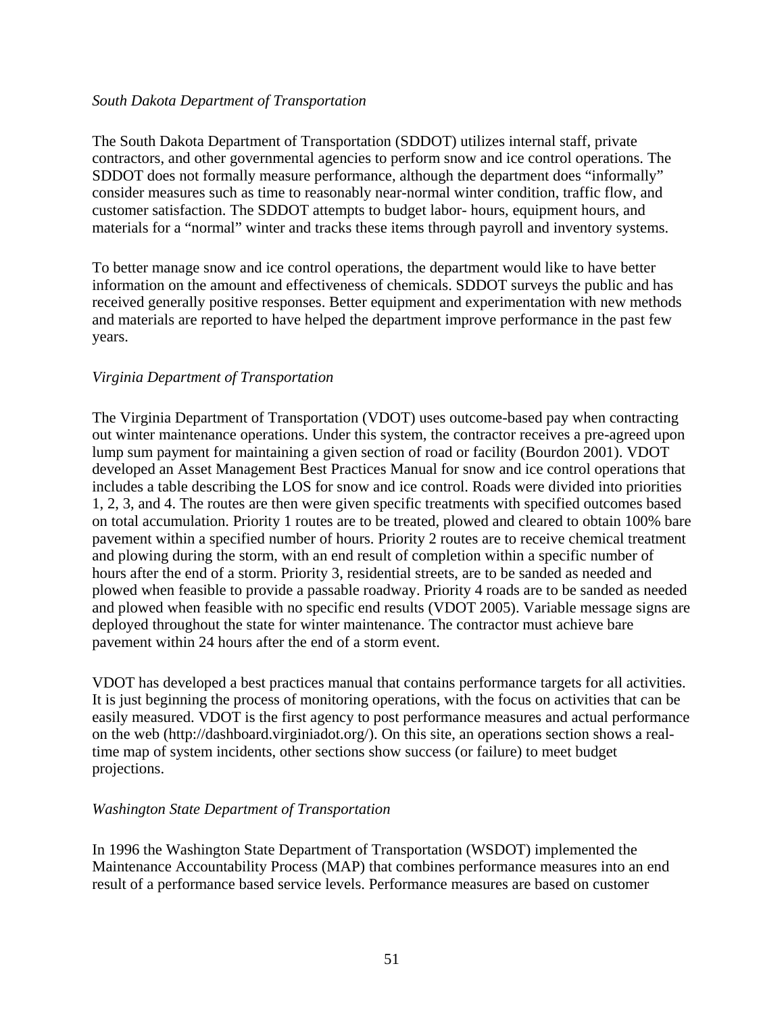#### *South Dakota Department of Transportation*

The South Dakota Department of Transportation (SDDOT) utilizes internal staff, private contractors, and other governmental agencies to perform snow and ice control operations. The SDDOT does not formally measure performance, although the department does "informally" consider measures such as time to reasonably near-normal winter condition, traffic flow, and customer satisfaction. The SDDOT attempts to budget labor- hours, equipment hours, and materials for a "normal" winter and tracks these items through payroll and inventory systems.

To better manage snow and ice control operations, the department would like to have better information on the amount and effectiveness of chemicals. SDDOT surveys the public and has received generally positive responses. Better equipment and experimentation with new methods and materials are reported to have helped the department improve performance in the past few years.

### *Virginia Department of Transportation*

The Virginia Department of Transportation (VDOT) uses outcome-based pay when contracting out winter maintenance operations. Under this system, the contractor receives a pre-agreed upon lump sum payment for maintaining a given section of road or facility (Bourdon 2001). VDOT developed an Asset Management Best Practices Manual for snow and ice control operations that includes a table describing the LOS for snow and ice control. Roads were divided into priorities 1, 2, 3, and 4. The routes are then were given specific treatments with specified outcomes based on total accumulation. Priority 1 routes are to be treated, plowed and cleared to obtain 100% bare pavement within a specified number of hours. Priority 2 routes are to receive chemical treatment and plowing during the storm, with an end result of completion within a specific number of hours after the end of a storm. Priority 3, residential streets, are to be sanded as needed and plowed when feasible to provide a passable roadway. Priority 4 roads are to be sanded as needed and plowed when feasible with no specific end results (VDOT 2005). Variable message signs are deployed throughout the state for winter maintenance. The contractor must achieve bare pavement within 24 hours after the end of a storm event.

VDOT has developed a best practices manual that contains performance targets for all activities. It is just beginning the process of monitoring operations, with the focus on activities that can be easily measured. VDOT is the first agency to post performance measures and actual performance on the web (http://dashboard.virginiadot.org/). On this site, an operations section shows a realtime map of system incidents, other sections show success (or failure) to meet budget projections.

### *Washington State Department of Transportation*

In 1996 the Washington State Department of Transportation (WSDOT) implemented the Maintenance Accountability Process (MAP) that combines performance measures into an end result of a performance based service levels. Performance measures are based on customer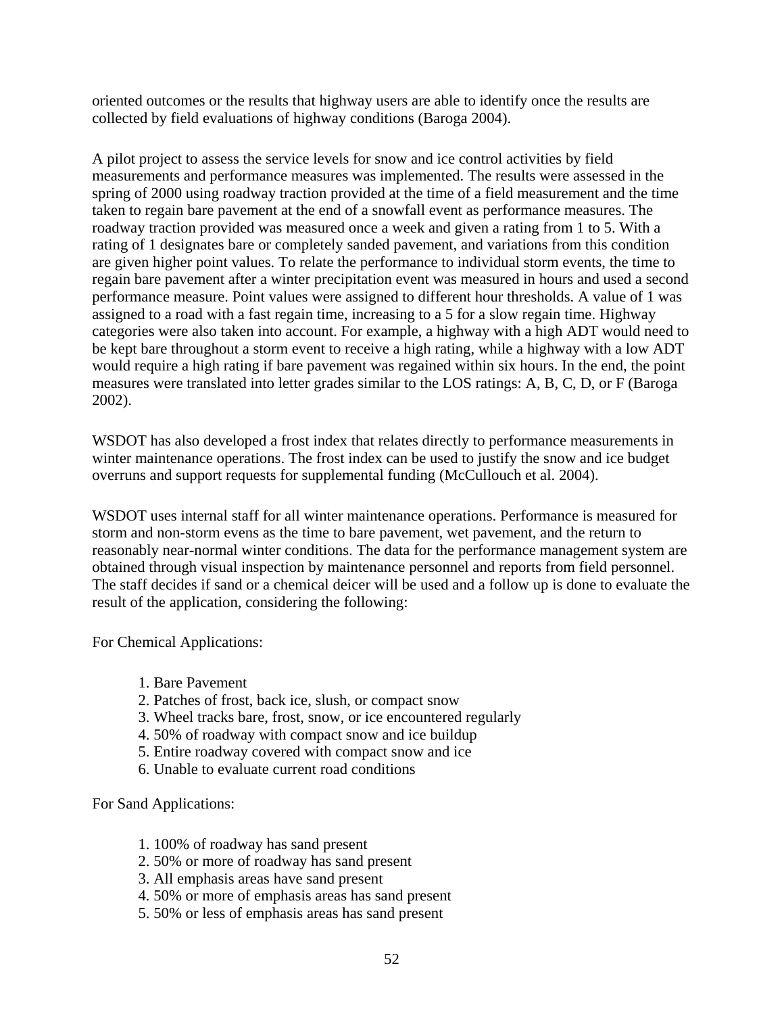oriented outcomes or the results that highway users are able to identify once the results are collected by field evaluations of highway conditions (Baroga 2004).

A pilot project to assess the service levels for snow and ice control activities by field measurements and performance measures was implemented. The results were assessed in the spring of 2000 using roadway traction provided at the time of a field measurement and the time taken to regain bare pavement at the end of a snowfall event as performance measures. The roadway traction provided was measured once a week and given a rating from 1 to 5. With a rating of 1 designates bare or completely sanded pavement, and variations from this condition are given higher point values. To relate the performance to individual storm events, the time to regain bare pavement after a winter precipitation event was measured in hours and used a second performance measure. Point values were assigned to different hour thresholds. A value of 1 was assigned to a road with a fast regain time, increasing to a 5 for a slow regain time. Highway categories were also taken into account. For example, a highway with a high ADT would need to be kept bare throughout a storm event to receive a high rating, while a highway with a low ADT would require a high rating if bare pavement was regained within six hours. In the end, the point measures were translated into letter grades similar to the LOS ratings: A, B, C, D, or F (Baroga 2002).

WSDOT has also developed a frost index that relates directly to performance measurements in winter maintenance operations. The frost index can be used to justify the snow and ice budget overruns and support requests for supplemental funding (McCullouch et al. 2004).

WSDOT uses internal staff for all winter maintenance operations. Performance is measured for storm and non-storm evens as the time to bare pavement, wet pavement, and the return to reasonably near-normal winter conditions. The data for the performance management system are obtained through visual inspection by maintenance personnel and reports from field personnel. The staff decides if sand or a chemical deicer will be used and a follow up is done to evaluate the result of the application, considering the following:

For Chemical Applications:

- 1. Bare Pavement
- 2. Patches of frost, back ice, slush, or compact snow
- 3. Wheel tracks bare, frost, snow, or ice encountered regularly
- 4. 50% of roadway with compact snow and ice buildup
- 5. Entire roadway covered with compact snow and ice
- 6. Unable to evaluate current road conditions

For Sand Applications:

- 1. 100% of roadway has sand present
- 2. 50% or more of roadway has sand present
- 3. All emphasis areas have sand present
- 4. 50% or more of emphasis areas has sand present
- 5. 50% or less of emphasis areas has sand present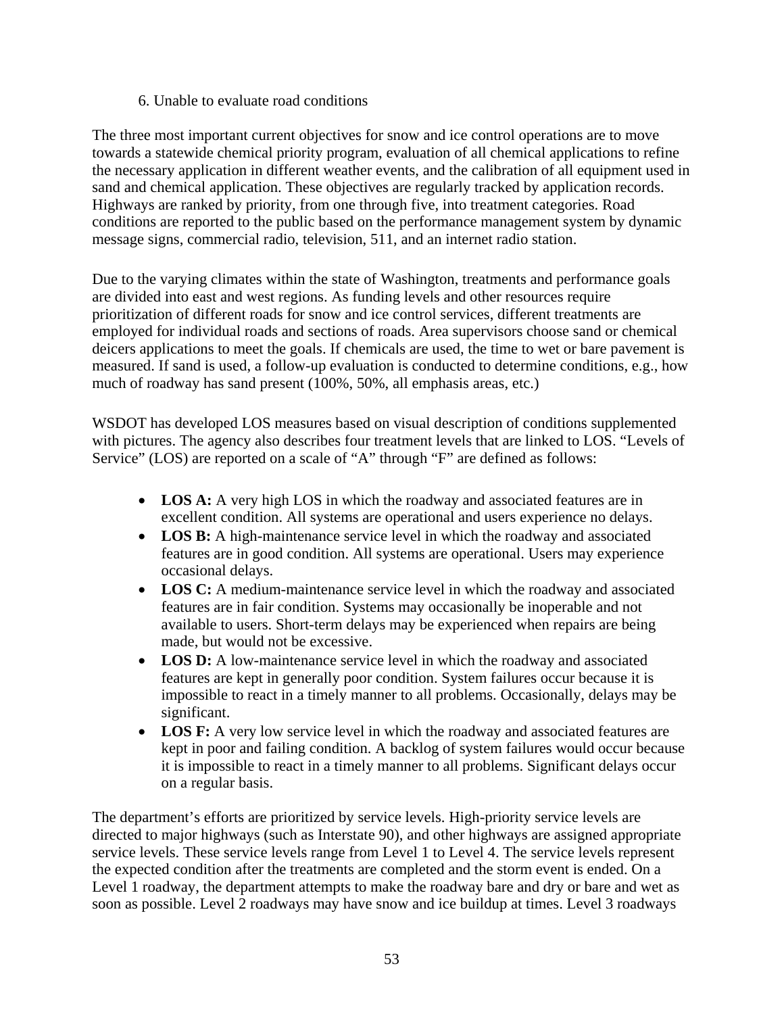6. Unable to evaluate road conditions

The three most important current objectives for snow and ice control operations are to move towards a statewide chemical priority program, evaluation of all chemical applications to refine the necessary application in different weather events, and the calibration of all equipment used in sand and chemical application. These objectives are regularly tracked by application records. Highways are ranked by priority, from one through five, into treatment categories. Road conditions are reported to the public based on the performance management system by dynamic message signs, commercial radio, television, 511, and an internet radio station.

Due to the varying climates within the state of Washington, treatments and performance goals are divided into east and west regions. As funding levels and other resources require prioritization of different roads for snow and ice control services, different treatments are employed for individual roads and sections of roads. Area supervisors choose sand or chemical deicers applications to meet the goals. If chemicals are used, the time to wet or bare pavement is measured. If sand is used, a follow-up evaluation is conducted to determine conditions, e.g., how much of roadway has sand present (100%, 50%, all emphasis areas, etc.)

WSDOT has developed LOS measures based on visual description of conditions supplemented with pictures. The agency also describes four treatment levels that are linked to LOS. "Levels of Service" (LOS) are reported on a scale of "A" through "F" are defined as follows:

- **LOS A:** A very high LOS in which the roadway and associated features are in excellent condition. All systems are operational and users experience no delays.
- **LOS B:** A high-maintenance service level in which the roadway and associated features are in good condition. All systems are operational. Users may experience occasional delays.
- **LOS C:** A medium-maintenance service level in which the roadway and associated features are in fair condition. Systems may occasionally be inoperable and not available to users. Short-term delays may be experienced when repairs are being made, but would not be excessive.
- **LOS D:** A low-maintenance service level in which the roadway and associated features are kept in generally poor condition. System failures occur because it is impossible to react in a timely manner to all problems. Occasionally, delays may be significant.
- **LOS F:** A very low service level in which the roadway and associated features are kept in poor and failing condition. A backlog of system failures would occur because it is impossible to react in a timely manner to all problems. Significant delays occur on a regular basis.

The department's efforts are prioritized by service levels. High-priority service levels are directed to major highways (such as Interstate 90), and other highways are assigned appropriate service levels. These service levels range from Level 1 to Level 4. The service levels represent the expected condition after the treatments are completed and the storm event is ended. On a Level 1 roadway, the department attempts to make the roadway bare and dry or bare and wet as soon as possible. Level 2 roadways may have snow and ice buildup at times. Level 3 roadways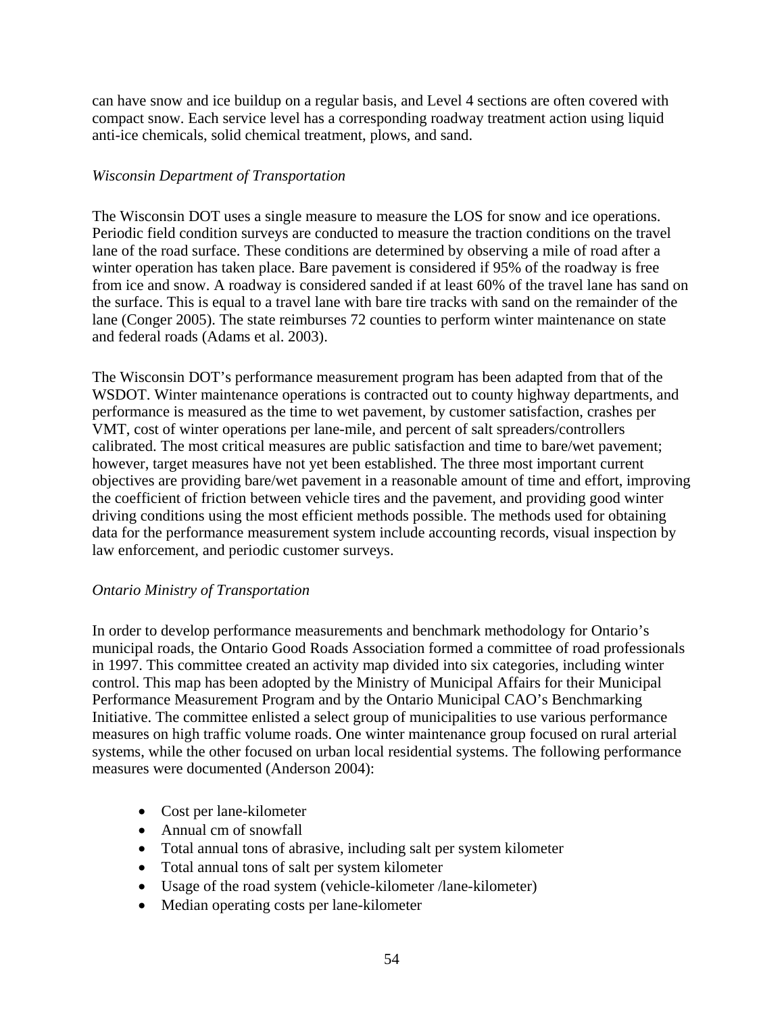can have snow and ice buildup on a regular basis, and Level 4 sections are often covered with compact snow. Each service level has a corresponding roadway treatment action using liquid anti-ice chemicals, solid chemical treatment, plows, and sand.

### *Wisconsin Department of Transportation*

The Wisconsin DOT uses a single measure to measure the LOS for snow and ice operations. Periodic field condition surveys are conducted to measure the traction conditions on the travel lane of the road surface. These conditions are determined by observing a mile of road after a winter operation has taken place. Bare pavement is considered if 95% of the roadway is free from ice and snow. A roadway is considered sanded if at least 60% of the travel lane has sand on the surface. This is equal to a travel lane with bare tire tracks with sand on the remainder of the lane (Conger 2005). The state reimburses 72 counties to perform winter maintenance on state and federal roads (Adams et al. 2003).

The Wisconsin DOT's performance measurement program has been adapted from that of the WSDOT. Winter maintenance operations is contracted out to county highway departments, and performance is measured as the time to wet pavement, by customer satisfaction, crashes per VMT, cost of winter operations per lane-mile, and percent of salt spreaders/controllers calibrated. The most critical measures are public satisfaction and time to bare/wet pavement; however, target measures have not yet been established. The three most important current objectives are providing bare/wet pavement in a reasonable amount of time and effort, improving the coefficient of friction between vehicle tires and the pavement, and providing good winter driving conditions using the most efficient methods possible. The methods used for obtaining data for the performance measurement system include accounting records, visual inspection by law enforcement, and periodic customer surveys.

## *Ontario Ministry of Transportation*

In order to develop performance measurements and benchmark methodology for Ontario's municipal roads, the Ontario Good Roads Association formed a committee of road professionals in 1997. This committee created an activity map divided into six categories, including winter control. This map has been adopted by the Ministry of Municipal Affairs for their Municipal Performance Measurement Program and by the Ontario Municipal CAO's Benchmarking Initiative. The committee enlisted a select group of municipalities to use various performance measures on high traffic volume roads. One winter maintenance group focused on rural arterial systems, while the other focused on urban local residential systems. The following performance measures were documented (Anderson 2004):

- Cost per lane-kilometer
- Annual cm of snowfall
- Total annual tons of abrasive, including salt per system kilometer
- Total annual tons of salt per system kilometer
- Usage of the road system (vehicle-kilometer /lane-kilometer)
- Median operating costs per lane-kilometer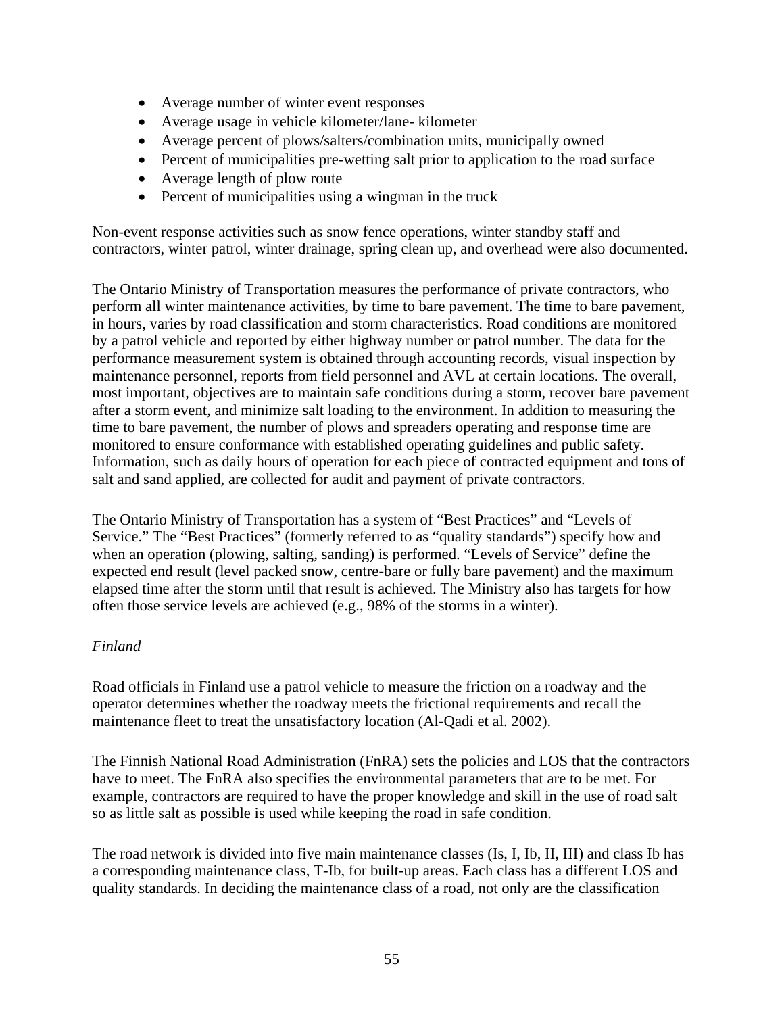- Average number of winter event responses
- Average usage in vehicle kilometer/lane- kilometer
- Average percent of plows/salters/combination units, municipally owned
- Percent of municipalities pre-wetting salt prior to application to the road surface
- Average length of plow route
- Percent of municipalities using a wingman in the truck

Non-event response activities such as snow fence operations, winter standby staff and contractors, winter patrol, winter drainage, spring clean up, and overhead were also documented.

The Ontario Ministry of Transportation measures the performance of private contractors, who perform all winter maintenance activities, by time to bare pavement. The time to bare pavement, in hours, varies by road classification and storm characteristics. Road conditions are monitored by a patrol vehicle and reported by either highway number or patrol number. The data for the performance measurement system is obtained through accounting records, visual inspection by maintenance personnel, reports from field personnel and AVL at certain locations. The overall, most important, objectives are to maintain safe conditions during a storm, recover bare pavement after a storm event, and minimize salt loading to the environment. In addition to measuring the time to bare pavement, the number of plows and spreaders operating and response time are monitored to ensure conformance with established operating guidelines and public safety. Information, such as daily hours of operation for each piece of contracted equipment and tons of salt and sand applied, are collected for audit and payment of private contractors.

The Ontario Ministry of Transportation has a system of "Best Practices" and "Levels of Service." The "Best Practices" (formerly referred to as "quality standards") specify how and when an operation (plowing, salting, sanding) is performed. "Levels of Service" define the expected end result (level packed snow, centre-bare or fully bare pavement) and the maximum elapsed time after the storm until that result is achieved. The Ministry also has targets for how often those service levels are achieved (e.g., 98% of the storms in a winter).

### *Finland*

Road officials in Finland use a patrol vehicle to measure the friction on a roadway and the operator determines whether the roadway meets the frictional requirements and recall the maintenance fleet to treat the unsatisfactory location (Al-Qadi et al. 2002).

The Finnish National Road Administration (FnRA) sets the policies and LOS that the contractors have to meet. The FnRA also specifies the environmental parameters that are to be met. For example, contractors are required to have the proper knowledge and skill in the use of road salt so as little salt as possible is used while keeping the road in safe condition.

The road network is divided into five main maintenance classes (Is, I, Ib, II, III) and class Ib has a corresponding maintenance class, T-Ib, for built-up areas. Each class has a different LOS and quality standards. In deciding the maintenance class of a road, not only are the classification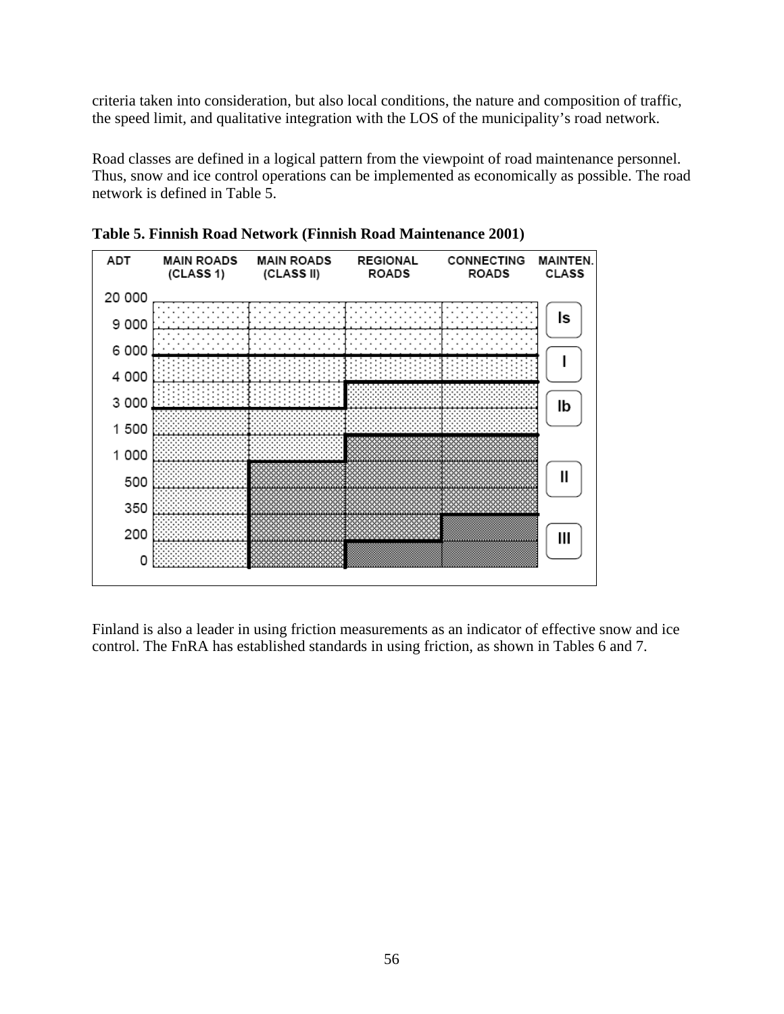criteria taken into consideration, but also local conditions, the nature and composition of traffic, the speed limit, and qualitative integration with the LOS of the municipality's road network.

Road classes are defined in a logical pattern from the viewpoint of road maintenance personnel. Thus, snow and ice control operations can be implemented as economically as possible. The road network is defined in Table 5.



**Table 5. Finnish Road Network (Finnish Road Maintenance 2001)** 

Finland is also a leader in using friction measurements as an indicator of effective snow and ice control. The FnRA has established standards in using friction, as shown in Tables 6 and 7.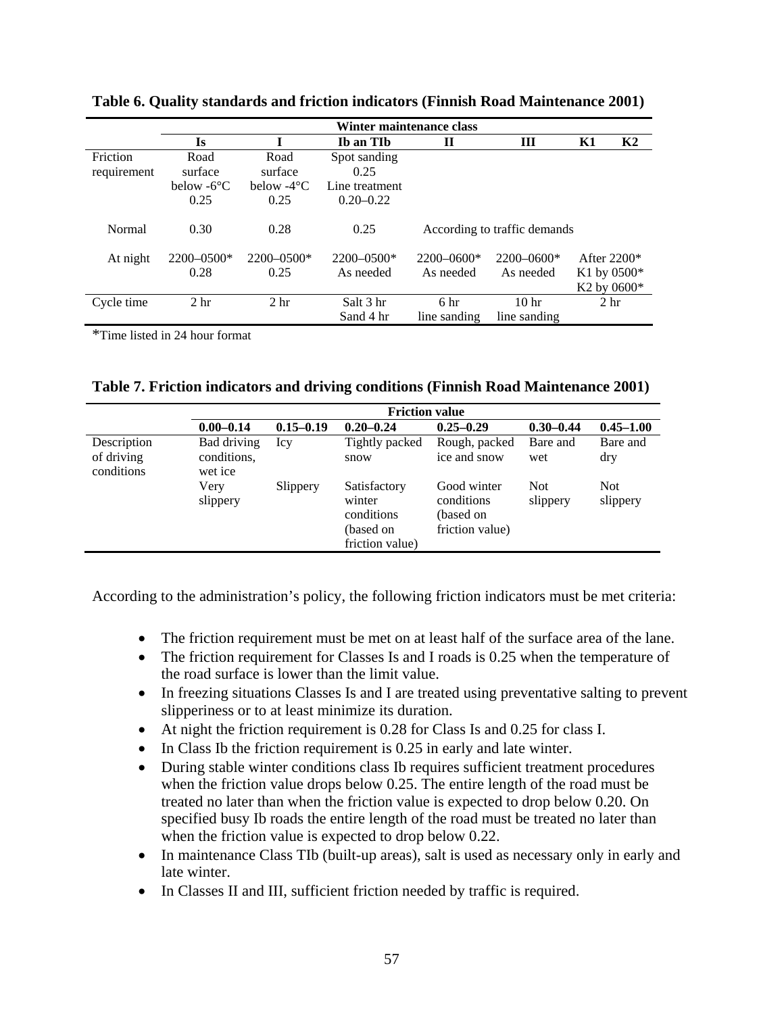|             |                      |                           | Winter maintenance class |                 |                              |                 |                |
|-------------|----------------------|---------------------------|--------------------------|-----------------|------------------------------|-----------------|----------------|
|             | Is                   |                           | Ib an TIb                | П               | Ш                            | K1              | K <sub>2</sub> |
| Friction    | Road                 | Road                      | Spot sanding             |                 |                              |                 |                |
| requirement | surface              | surface                   | 0.25                     |                 |                              |                 |                |
|             | below $-6^{\circ}$ C | below $-4$ <sup>o</sup> C | Line treatment           |                 |                              |                 |                |
|             | 0.25                 | 0.25                      | $0.20 - 0.22$            |                 |                              |                 |                |
| Normal      | 0.30                 | 0.28                      | 0.25                     |                 | According to traffic demands |                 |                |
| At night    | $2200 - 0500*$       | $2200 - 0500*$            | $2200 - 0500*$           | $2200 - 0600*$  | $2200 - 0600*$               | After $2200*$   |                |
|             | 0.28                 | 0.25                      | As needed                | As needed       | As needed                    | K1 by $0500*$   |                |
|             |                      |                           |                          |                 |                              | $K2$ by 0600*   |                |
| Cycle time  | 2 <sub>hr</sub>      | 2 <sub>hr</sub>           | Salt 3 hr                | 6 <sub>hr</sub> | 10 <sub>hr</sub>             | 2 <sub>hr</sub> |                |
|             |                      |                           | Sand 4 hr                | line sanding    | line sanding                 |                 |                |

**Table 6. Quality standards and friction indicators (Finnish Road Maintenance 2001)** 

\*Time listed in 24 hour format

|  | Table 7. Friction indicators and driving conditions (Finnish Road Maintenance 2001) |  |  |  |
|--|-------------------------------------------------------------------------------------|--|--|--|
|  |                                                                                     |  |  |  |

|                                         |                                       |               | <b>Friction value</b>                                                |                                                           |                        |                        |
|-----------------------------------------|---------------------------------------|---------------|----------------------------------------------------------------------|-----------------------------------------------------------|------------------------|------------------------|
|                                         | $0.00 - 0.14$                         | $0.15 - 0.19$ | $0.20 - 0.24$                                                        | $0.25 - 0.29$                                             | $0.30 - 0.44$          | $0.45 - 1.00$          |
| Description<br>of driving<br>conditions | Bad driving<br>conditions,<br>wet ice | Icy           | Tightly packed<br>snow                                               | Rough, packed<br>ice and snow                             | Bare and<br>wet        | Bare and<br>dry        |
|                                         | Very<br>slippery                      | Slippery      | Satisfactory<br>winter<br>conditions<br>(based on<br>friction value) | Good winter<br>conditions<br>(based on<br>friction value) | <b>Not</b><br>slippery | <b>Not</b><br>slippery |

According to the administration's policy, the following friction indicators must be met criteria:

- The friction requirement must be met on at least half of the surface area of the lane.
- The friction requirement for Classes Is and I roads is 0.25 when the temperature of the road surface is lower than the limit value.
- In freezing situations Classes Is and I are treated using preventative salting to prevent slipperiness or to at least minimize its duration.
- At night the friction requirement is 0.28 for Class Is and 0.25 for class I.
- In Class Ib the friction requirement is 0.25 in early and late winter.
- During stable winter conditions class Ib requires sufficient treatment procedures when the friction value drops below 0.25. The entire length of the road must be treated no later than when the friction value is expected to drop below 0.20. On specified busy Ib roads the entire length of the road must be treated no later than when the friction value is expected to drop below 0.22.
- In maintenance Class TIb (built-up areas), salt is used as necessary only in early and late winter.
- In Classes II and III, sufficient friction needed by traffic is required.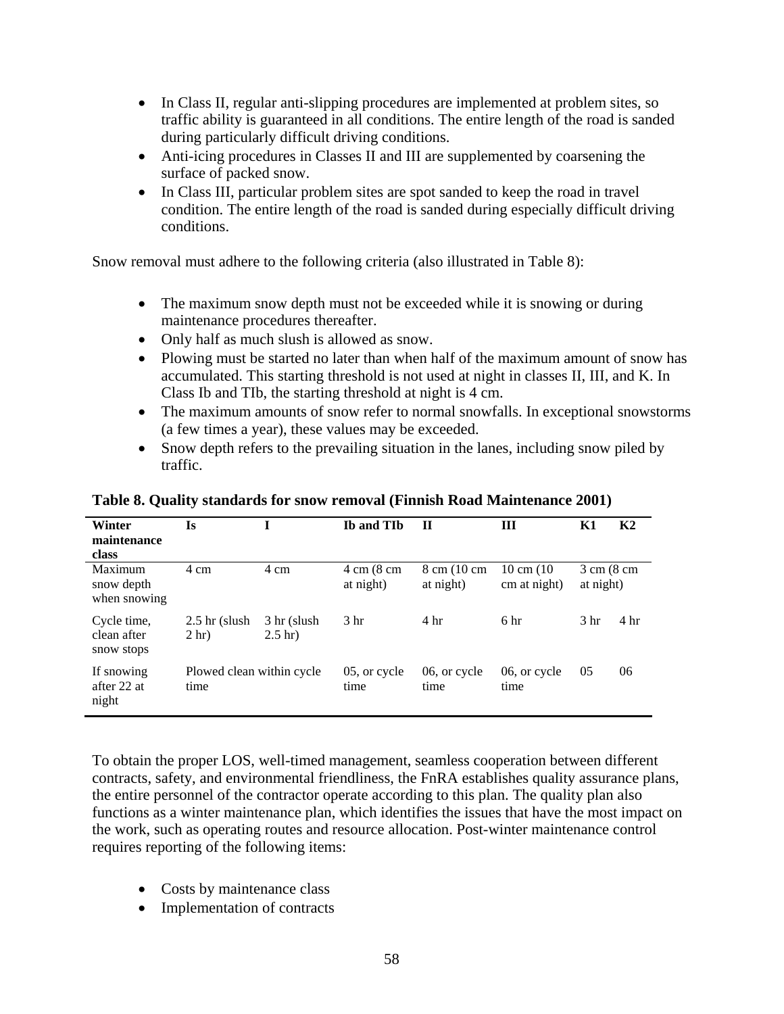- In Class II, regular anti-slipping procedures are implemented at problem sites, so traffic ability is guaranteed in all conditions. The entire length of the road is sanded during particularly difficult driving conditions.
- Anti-icing procedures in Classes II and III are supplemented by coarsening the surface of packed snow.
- In Class III, particular problem sites are spot sanded to keep the road in travel condition. The entire length of the road is sanded during especially difficult driving conditions.

Snow removal must adhere to the following criteria (also illustrated in Table 8):

- The maximum snow depth must not be exceeded while it is snowing or during maintenance procedures thereafter.
- Only half as much slush is allowed as snow.
- Plowing must be started no later than when half of the maximum amount of snow has accumulated. This starting threshold is not used at night in classes II, III, and K. In Class Ib and TIb, the starting threshold at night is 4 cm.
- The maximum amounts of snow refer to normal snowfalls. In exceptional snowstorms (a few times a year), these values may be exceeded.
- Snow depth refers to the prevailing situation in the lanes, including snow piled by traffic.

| Winter<br>maintenance<br>class           | Is                                  |                                  | <b>Ib and TIb</b>                 | П                        | Ш                                    | Κ1                                 | K <sub>2</sub>  |
|------------------------------------------|-------------------------------------|----------------------------------|-----------------------------------|--------------------------|--------------------------------------|------------------------------------|-----------------|
| Maximum<br>snow depth<br>when snowing    | 4 cm                                | 4 cm                             | $4 \text{ cm}$ (8 cm<br>at night) | 8 cm (10 cm<br>at night) | $10 \text{ cm} (10)$<br>cm at night) | $3 \text{ cm}$ (8 cm)<br>at night) |                 |
| Cycle time,<br>clean after<br>snow stops | $2.5$ hr (slush)<br>2 <sub>hr</sub> | 3 hr (slush)<br>$2.5 \text{ hr}$ | 3 <sub>hr</sub>                   | 4 <sup>hr</sup>          | 6 hr                                 | 3 <sub>hr</sub>                    | 4 <sub>hr</sub> |
| If snowing<br>after 22 at<br>night       | Plowed clean within cycle<br>time   |                                  | 05, or cycle<br>time              | 06, or cycle<br>time     | 06, or cycle<br>time                 | 05                                 | 06              |

### **Table 8. Quality standards for snow removal (Finnish Road Maintenance 2001)**

To obtain the proper LOS, well-timed management, seamless cooperation between different contracts, safety, and environmental friendliness, the FnRA establishes quality assurance plans, the entire personnel of the contractor operate according to this plan. The quality plan also functions as a winter maintenance plan, which identifies the issues that have the most impact on the work, such as operating routes and resource allocation. Post-winter maintenance control requires reporting of the following items:

- Costs by maintenance class
- Implementation of contracts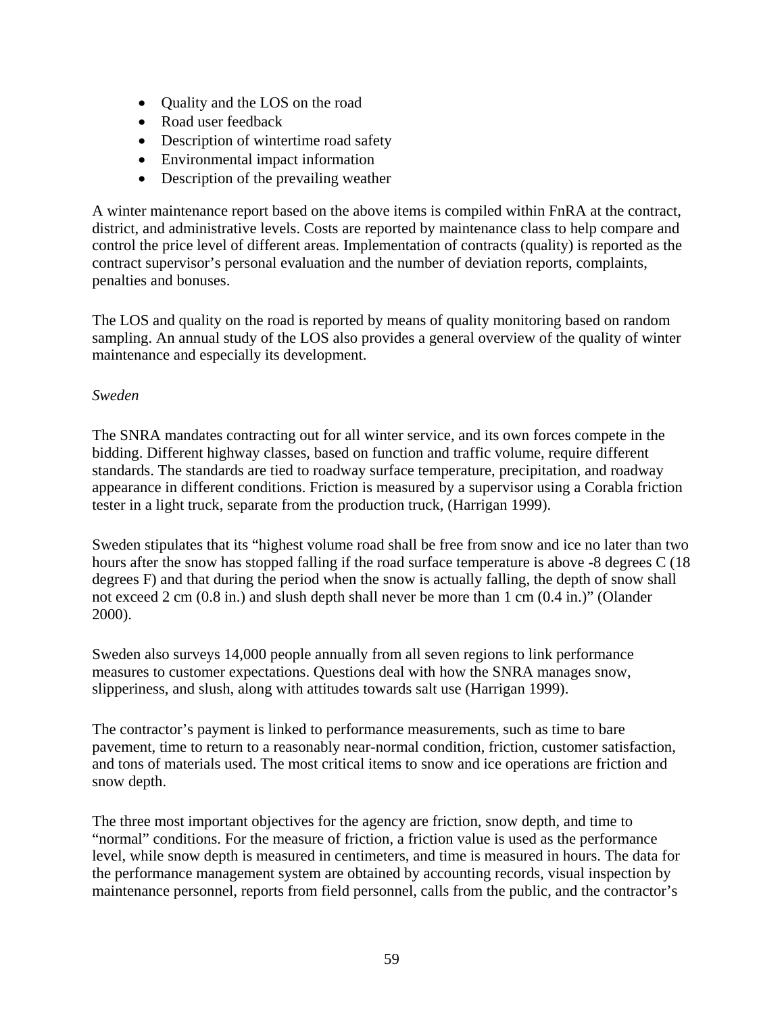- Quality and the LOS on the road
- Road user feedback
- Description of wintertime road safety
- Environmental impact information
- Description of the prevailing weather

A winter maintenance report based on the above items is compiled within FnRA at the contract, district, and administrative levels. Costs are reported by maintenance class to help compare and control the price level of different areas. Implementation of contracts (quality) is reported as the contract supervisor's personal evaluation and the number of deviation reports, complaints, penalties and bonuses.

The LOS and quality on the road is reported by means of quality monitoring based on random sampling. An annual study of the LOS also provides a general overview of the quality of winter maintenance and especially its development.

### *Sweden*

The SNRA mandates contracting out for all winter service, and its own forces compete in the bidding. Different highway classes, based on function and traffic volume, require different standards. The standards are tied to roadway surface temperature, precipitation, and roadway appearance in different conditions. Friction is measured by a supervisor using a Corabla friction tester in a light truck, separate from the production truck, (Harrigan 1999).

Sweden stipulates that its "highest volume road shall be free from snow and ice no later than two hours after the snow has stopped falling if the road surface temperature is above -8 degrees C (18 degrees F) and that during the period when the snow is actually falling, the depth of snow shall not exceed 2 cm (0.8 in.) and slush depth shall never be more than 1 cm (0.4 in.)" (Olander 2000).

Sweden also surveys 14,000 people annually from all seven regions to link performance measures to customer expectations. Questions deal with how the SNRA manages snow, slipperiness, and slush, along with attitudes towards salt use (Harrigan 1999).

The contractor's payment is linked to performance measurements, such as time to bare pavement, time to return to a reasonably near-normal condition, friction, customer satisfaction, and tons of materials used. The most critical items to snow and ice operations are friction and snow depth.

The three most important objectives for the agency are friction, snow depth, and time to "normal" conditions. For the measure of friction, a friction value is used as the performance level, while snow depth is measured in centimeters, and time is measured in hours. The data for the performance management system are obtained by accounting records, visual inspection by maintenance personnel, reports from field personnel, calls from the public, and the contractor's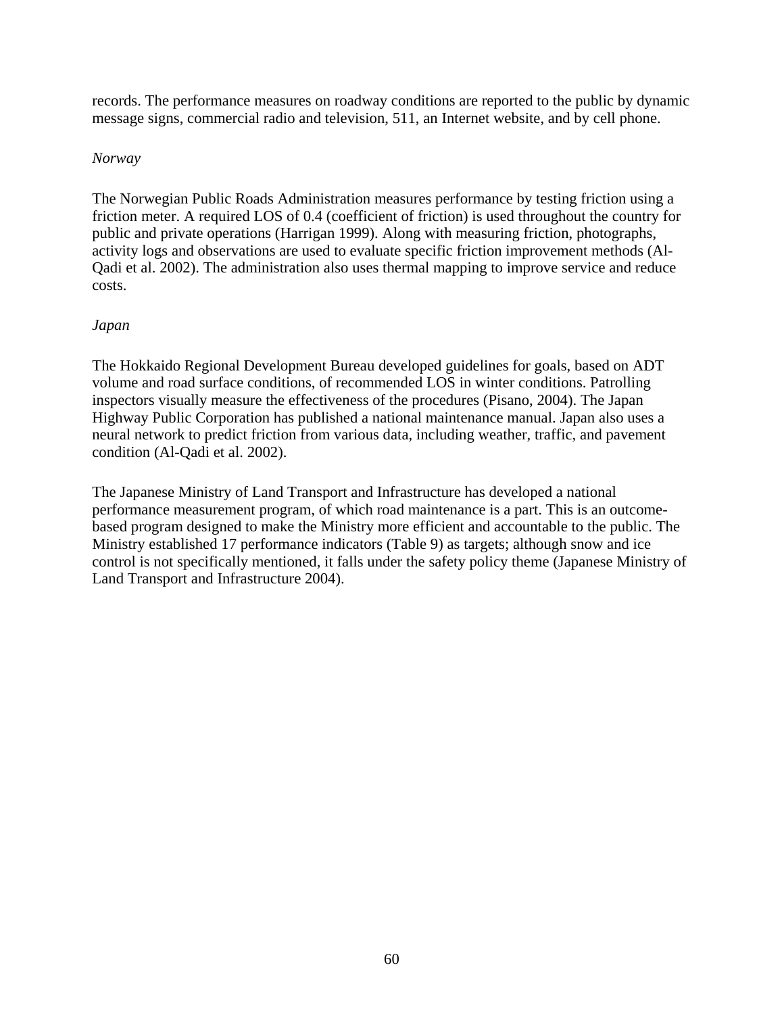records. The performance measures on roadway conditions are reported to the public by dynamic message signs, commercial radio and television, 511, an Internet website, and by cell phone.

### *Norway*

The Norwegian Public Roads Administration measures performance by testing friction using a friction meter. A required LOS of 0.4 (coefficient of friction) is used throughout the country for public and private operations (Harrigan 1999). Along with measuring friction, photographs, activity logs and observations are used to evaluate specific friction improvement methods (Al-Qadi et al. 2002). The administration also uses thermal mapping to improve service and reduce costs.

## *Japan*

The Hokkaido Regional Development Bureau developed guidelines for goals, based on ADT volume and road surface conditions, of recommended LOS in winter conditions. Patrolling inspectors visually measure the effectiveness of the procedures (Pisano, 2004). The Japan Highway Public Corporation has published a national maintenance manual. Japan also uses a neural network to predict friction from various data, including weather, traffic, and pavement condition (Al-Qadi et al. 2002).

The Japanese Ministry of Land Transport and Infrastructure has developed a national performance measurement program, of which road maintenance is a part. This is an outcomebased program designed to make the Ministry more efficient and accountable to the public. The Ministry established 17 performance indicators (Table 9) as targets; although snow and ice control is not specifically mentioned, it falls under the safety policy theme (Japanese Ministry of Land Transport and Infrastructure 2004).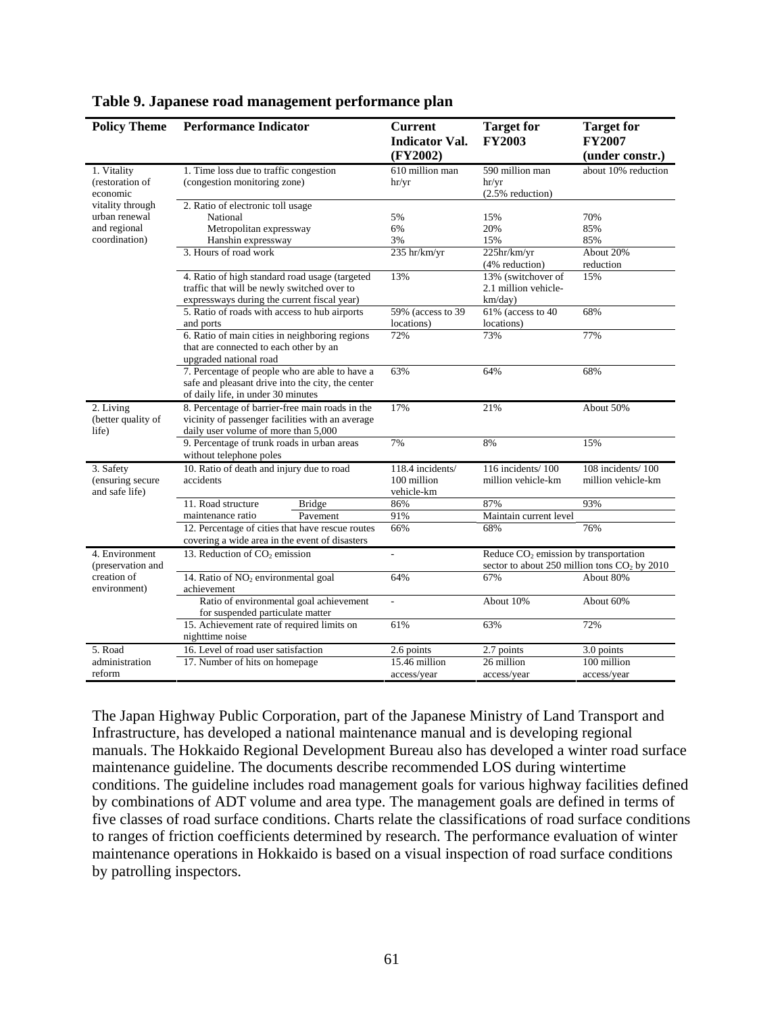| <b>Policy Theme</b>                                                | <b>Performance Indicator</b>                                                                                                                 | <b>Current</b><br><b>Indicator Val.</b><br>(FY2002) | <b>Target for</b><br><b>FY2003</b>                                                        | <b>Target for</b><br><b>FY2007</b><br>(under constr.) |
|--------------------------------------------------------------------|----------------------------------------------------------------------------------------------------------------------------------------------|-----------------------------------------------------|-------------------------------------------------------------------------------------------|-------------------------------------------------------|
| 1. Vitality<br>(restoration of<br>economic                         | 1. Time loss due to traffic congestion<br>(congestion monitoring zone)                                                                       | 610 million man<br>hr/yr                            | 590 million man<br>hr/yr<br>$(2.5\%$ reduction)                                           | about 10% reduction                                   |
| vitality through<br>urban renewal<br>and regional<br>coordination) | 2. Ratio of electronic toll usage<br>National<br>Metropolitan expressway<br>Hanshin expressway<br>3. Hours of road work                      | 5%<br>6%<br>3%<br>235 hr/km/yr                      | 15%<br>20%<br>15%<br>225hr/km/yr<br>(4% reduction)                                        | 70%<br>85%<br>85%<br>About 20%<br>reduction           |
|                                                                    | 4. Ratio of high standard road usage (targeted<br>traffic that will be newly switched over to<br>expressways during the current fiscal year) | 13%                                                 | 13% (switchover of<br>2.1 million vehicle-<br>km/day)                                     | 15%                                                   |
|                                                                    | 5. Ratio of roads with access to hub airports<br>and ports                                                                                   | 59% (access to 39)<br>locations)                    | 61% (access to 40<br>locations)                                                           | 68%                                                   |
|                                                                    | 6. Ratio of main cities in neighboring regions<br>that are connected to each other by an<br>upgraded national road                           | 72%                                                 | 73%                                                                                       | 77%                                                   |
|                                                                    | 7. Percentage of people who are able to have a<br>safe and pleasant drive into the city, the center<br>of daily life, in under 30 minutes    | 63%                                                 | 64%                                                                                       | 68%                                                   |
| 2. Living<br>(better quality of<br>life)                           | 8. Percentage of barrier-free main roads in the<br>vicinity of passenger facilities with an average<br>daily user volume of more than 5,000  | 17%                                                 | 21%                                                                                       | About 50%                                             |
|                                                                    | 9. Percentage of trunk roads in urban areas<br>without telephone poles                                                                       | 7%                                                  | 8%                                                                                        | 15%                                                   |
| 3. Safety<br>(ensuring secure<br>and safe life)                    | 10. Ratio of death and injury due to road<br>accidents                                                                                       | 118.4 incidents/<br>100 million<br>vehicle-km       | 116 incidents/100<br>million vehicle-km                                                   | 108 incidents/100<br>million vehicle-km               |
|                                                                    | 11. Road structure<br><b>Bridge</b>                                                                                                          | 86%                                                 | 87%                                                                                       | 93%                                                   |
|                                                                    | maintenance ratio<br>Pavement                                                                                                                | 91%                                                 | Maintain current level                                                                    |                                                       |
|                                                                    | 12. Percentage of cities that have rescue routes<br>covering a wide area in the event of disasters                                           | 66%                                                 | 68%                                                                                       | 76%                                                   |
| 4. Environment<br>(preservation and                                | 13. Reduction of $CO2$ emission                                                                                                              |                                                     | Reduce $CO2$ emission by transportation<br>sector to about 250 million tons $CO2$ by 2010 |                                                       |
| creation of<br>environment)                                        | 14. Ratio of NO <sub>2</sub> environmental goal<br>achievement                                                                               | 64%                                                 | 67%                                                                                       | About 80%                                             |
|                                                                    | Ratio of environmental goal achievement<br>for suspended particulate matter                                                                  | $\frac{1}{2}$                                       | About 10%                                                                                 | About 60%                                             |
|                                                                    | 15. Achievement rate of required limits on<br>nighttime noise                                                                                | 61%                                                 | 63%                                                                                       | 72%                                                   |
| 5. Road                                                            | 16. Level of road user satisfaction                                                                                                          | 2.6 points                                          | 2.7 points                                                                                | 3.0 points                                            |
| administration<br>reform                                           | 17. Number of hits on homepage                                                                                                               | 15.46 million<br>access/year                        | 26 million<br>access/year                                                                 | 100 million<br>access/year                            |

#### **Table 9. Japanese road management performance plan**

The Japan Highway Public Corporation, part of the Japanese Ministry of Land Transport and Infrastructure, has developed a national maintenance manual and is developing regional manuals. The Hokkaido Regional Development Bureau also has developed a winter road surface maintenance guideline. The documents describe recommended LOS during wintertime conditions. The guideline includes road management goals for various highway facilities defined by combinations of ADT volume and area type. The management goals are defined in terms of five classes of road surface conditions. Charts relate the classifications of road surface conditions to ranges of friction coefficients determined by research. The performance evaluation of winter maintenance operations in Hokkaido is based on a visual inspection of road surface conditions by patrolling inspectors.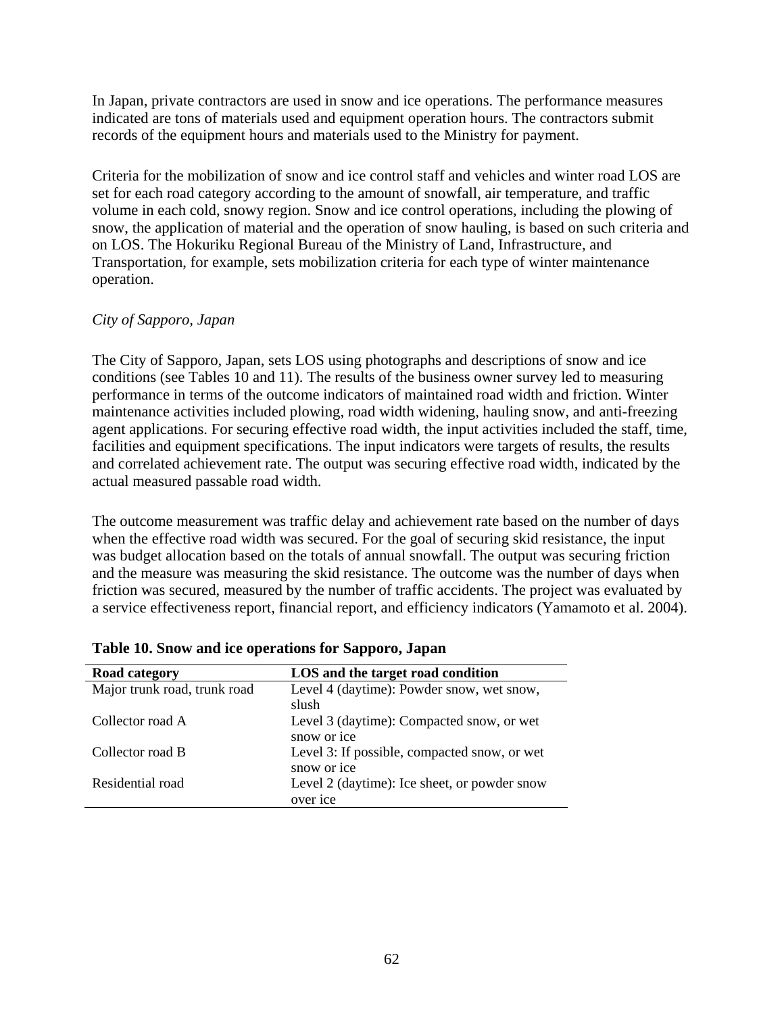In Japan, private contractors are used in snow and ice operations. The performance measures indicated are tons of materials used and equipment operation hours. The contractors submit records of the equipment hours and materials used to the Ministry for payment.

Criteria for the mobilization of snow and ice control staff and vehicles and winter road LOS are set for each road category according to the amount of snowfall, air temperature, and traffic volume in each cold, snowy region. Snow and ice control operations, including the plowing of snow, the application of material and the operation of snow hauling, is based on such criteria and on LOS. The Hokuriku Regional Bureau of the Ministry of Land, Infrastructure, and Transportation, for example, sets mobilization criteria for each type of winter maintenance operation.

### *City of Sapporo, Japan*

The City of Sapporo, Japan, sets LOS using photographs and descriptions of snow and ice conditions (see Tables 10 and 11). The results of the business owner survey led to measuring performance in terms of the outcome indicators of maintained road width and friction. Winter maintenance activities included plowing, road width widening, hauling snow, and anti-freezing agent applications. For securing effective road width, the input activities included the staff, time, facilities and equipment specifications. The input indicators were targets of results, the results and correlated achievement rate. The output was securing effective road width, indicated by the actual measured passable road width.

The outcome measurement was traffic delay and achievement rate based on the number of days when the effective road width was secured. For the goal of securing skid resistance, the input was budget allocation based on the totals of annual snowfall. The output was securing friction and the measure was measuring the skid resistance. The outcome was the number of days when friction was secured, measured by the number of traffic accidents. The project was evaluated by a service effectiveness report, financial report, and efficiency indicators (Yamamoto et al. 2004).

| Road category                | LOS and the target road condition                           |
|------------------------------|-------------------------------------------------------------|
| Major trunk road, trunk road | Level 4 (daytime): Powder snow, wet snow,<br>slush          |
| Collector road A             | Level 3 (daytime): Compacted snow, or wet<br>snow or ice    |
| Collector road B             | Level 3: If possible, compacted snow, or wet<br>snow or ice |
| Residential road             | Level 2 (daytime): Ice sheet, or powder snow<br>over ice    |

|  | Table 10. Snow and ice operations for Sapporo, Japan |
|--|------------------------------------------------------|
|--|------------------------------------------------------|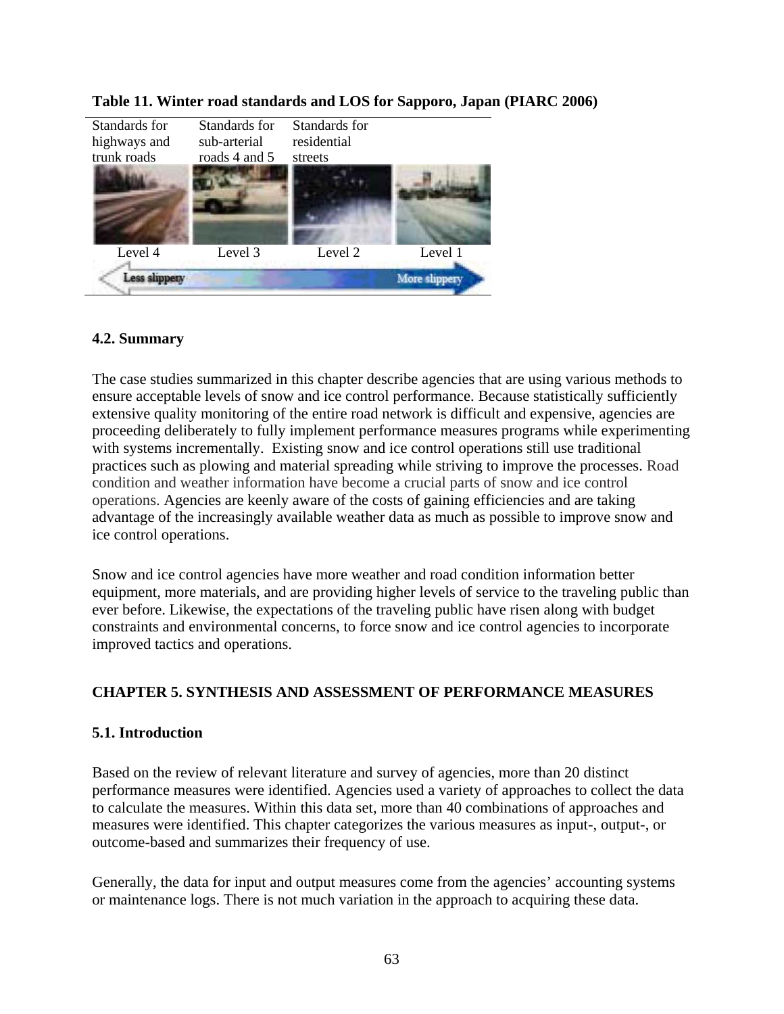

## **Table 11. Winter road standards and LOS for Sapporo, Japan (PIARC 2006)**

# **4.2. Summary**

The case studies summarized in this chapter describe agencies that are using various methods to ensure acceptable levels of snow and ice control performance. Because statistically sufficiently extensive quality monitoring of the entire road network is difficult and expensive, agencies are proceeding deliberately to fully implement performance measures programs while experimenting with systems incrementally. Existing snow and ice control operations still use traditional practices such as plowing and material spreading while striving to improve the processes. Road condition and weather information have become a crucial parts of snow and ice control operations. Agencies are keenly aware of the costs of gaining efficiencies and are taking advantage of the increasingly available weather data as much as possible to improve snow and ice control operations.

Snow and ice control agencies have more weather and road condition information better equipment, more materials, and are providing higher levels of service to the traveling public than ever before. Likewise, the expectations of the traveling public have risen along with budget constraints and environmental concerns, to force snow and ice control agencies to incorporate improved tactics and operations.

## **CHAPTER 5. SYNTHESIS AND ASSESSMENT OF PERFORMANCE MEASURES**

## **5.1. Introduction**

Based on the review of relevant literature and survey of agencies, more than 20 distinct performance measures were identified. Agencies used a variety of approaches to collect the data to calculate the measures. Within this data set, more than 40 combinations of approaches and measures were identified. This chapter categorizes the various measures as input-, output-, or outcome-based and summarizes their frequency of use.

Generally, the data for input and output measures come from the agencies' accounting systems or maintenance logs. There is not much variation in the approach to acquiring these data.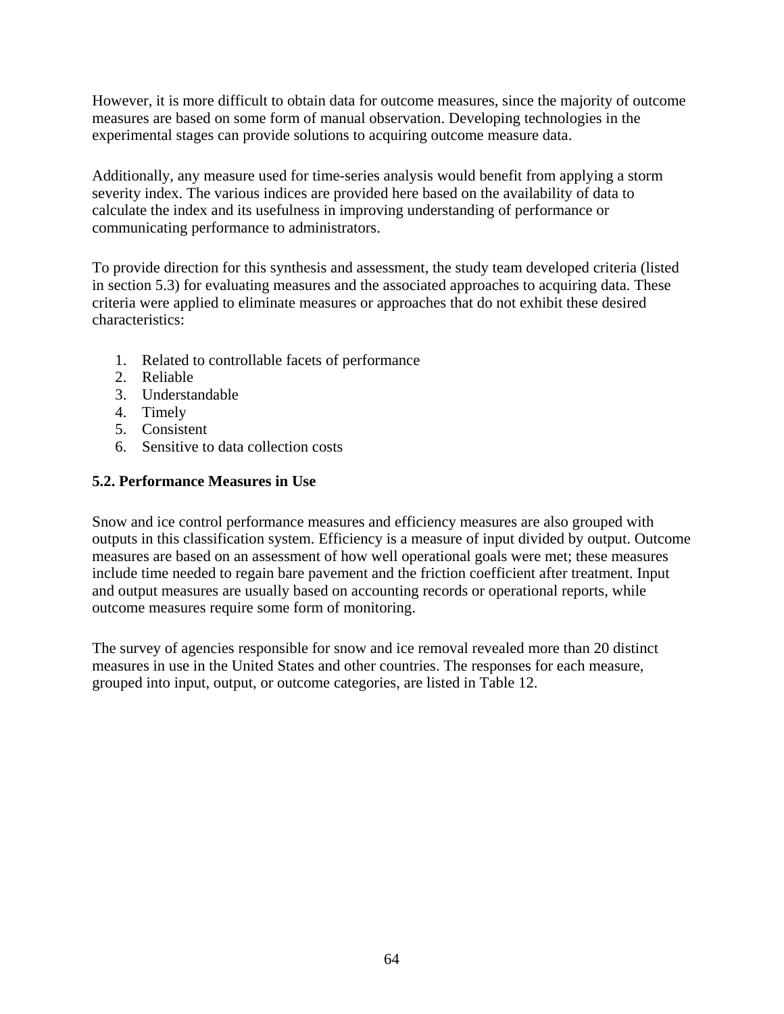However, it is more difficult to obtain data for outcome measures, since the majority of outcome measures are based on some form of manual observation. Developing technologies in the experimental stages can provide solutions to acquiring outcome measure data.

Additionally, any measure used for time-series analysis would benefit from applying a storm severity index. The various indices are provided here based on the availability of data to calculate the index and its usefulness in improving understanding of performance or communicating performance to administrators.

To provide direction for this synthesis and assessment, the study team developed criteria (listed in section 5.3) for evaluating measures and the associated approaches to acquiring data. These criteria were applied to eliminate measures or approaches that do not exhibit these desired characteristics:

- 1. Related to controllable facets of performance
- 2. Reliable
- 3. Understandable
- 4. Timely
- 5. Consistent
- 6. Sensitive to data collection costs

## **5.2. Performance Measures in Use**

Snow and ice control performance measures and efficiency measures are also grouped with outputs in this classification system. Efficiency is a measure of input divided by output. Outcome measures are based on an assessment of how well operational goals were met; these measures include time needed to regain bare pavement and the friction coefficient after treatment. Input and output measures are usually based on accounting records or operational reports, while outcome measures require some form of monitoring.

The survey of agencies responsible for snow and ice removal revealed more than 20 distinct measures in use in the United States and other countries. The responses for each measure, grouped into input, output, or outcome categories, are listed in Table 12.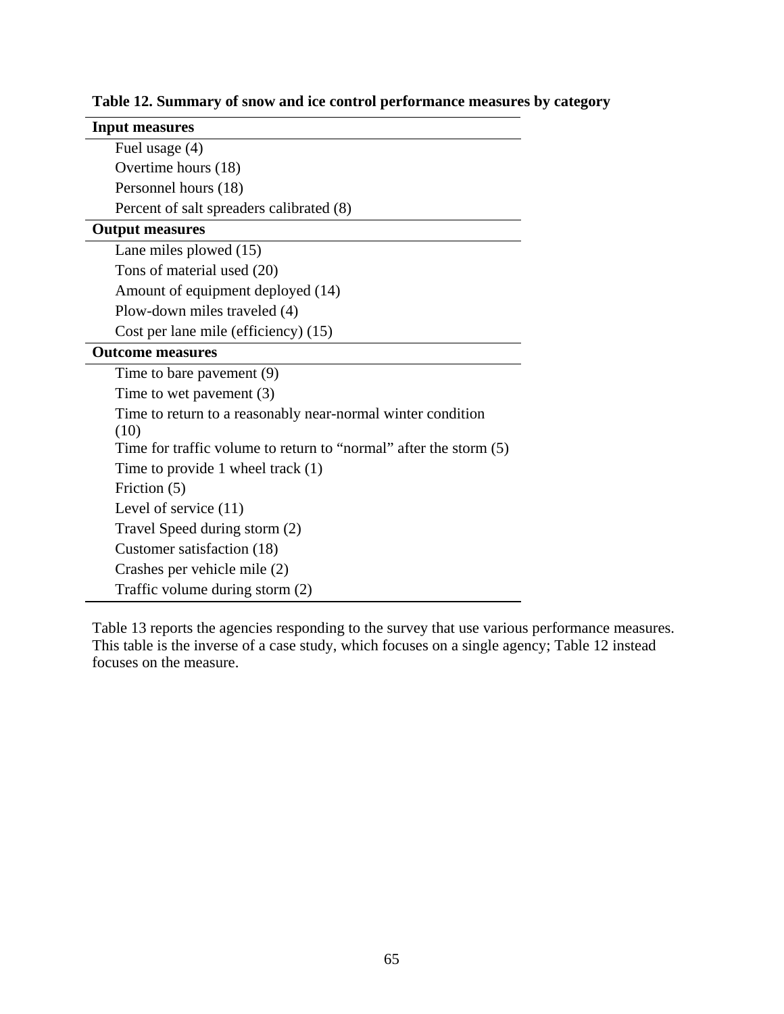| <b>Input measures</b>                                               |
|---------------------------------------------------------------------|
| Fuel usage (4)                                                      |
| Overtime hours (18)                                                 |
| Personnel hours (18)                                                |
| Percent of salt spreaders calibrated (8)                            |
| <b>Output measures</b>                                              |
| Lane miles plowed $(15)$                                            |
| Tons of material used (20)                                          |
| Amount of equipment deployed (14)                                   |
| Plow-down miles traveled (4)                                        |
| Cost per lane mile (efficiency) (15)                                |
| <b>Outcome measures</b>                                             |
| Time to bare pavement (9)                                           |
| Time to wet pavement $(3)$                                          |
| Time to return to a reasonably near-normal winter condition         |
| (10)                                                                |
| Time for traffic volume to return to "normal" after the storm $(5)$ |
| Time to provide 1 wheel track $(1)$                                 |
| Friction (5)                                                        |
| Level of service $(11)$                                             |
| Travel Speed during storm (2)                                       |
| Customer satisfaction (18)                                          |
| Crashes per vehicle mile (2)                                        |
| Traffic volume during storm (2)                                     |

**Table 12. Summary of snow and ice control performance measures by category** 

Table 13 reports the agencies responding to the survey that use various performance measures. This table is the inverse of a case study, which focuses on a single agency; Table 12 instead focuses on the measure.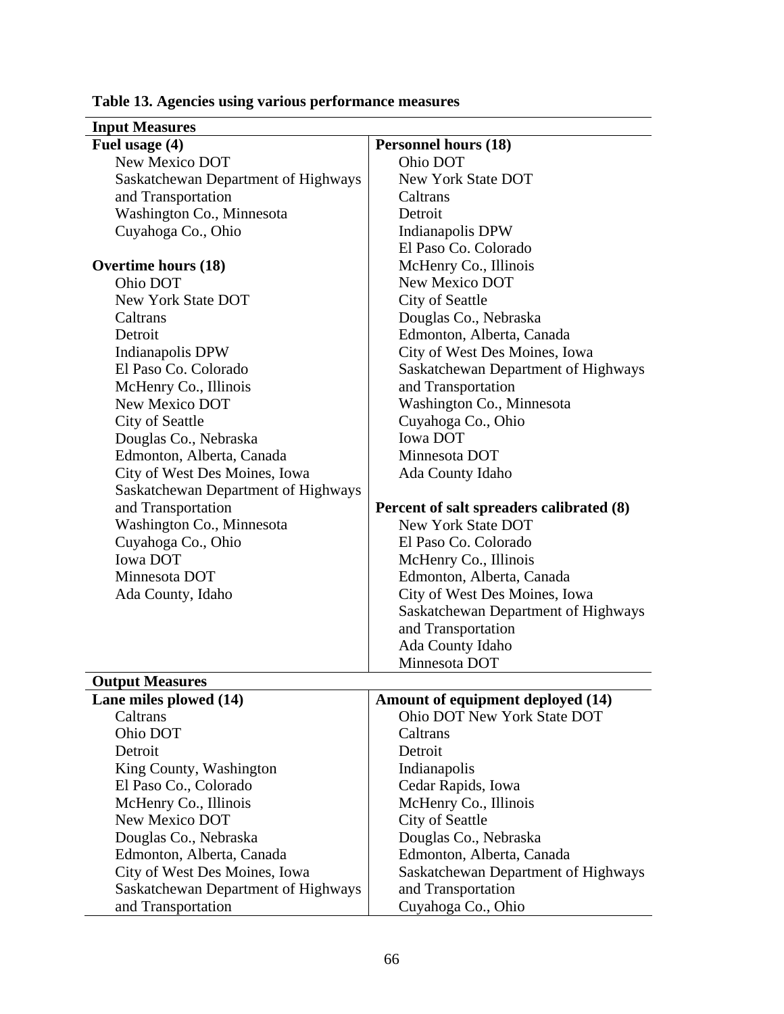| <b>Input Measures</b>                   |                                          |
|-----------------------------------------|------------------------------------------|
| Fuel usage (4)                          | <b>Personnel hours (18)</b>              |
| New Mexico DOT                          | Ohio DOT                                 |
| Saskatchewan Department of Highways     | New York State DOT                       |
| and Transportation                      | Caltrans                                 |
| Washington Co., Minnesota               | Detroit                                  |
| Cuyahoga Co., Ohio                      | Indianapolis DPW                         |
|                                         | El Paso Co. Colorado                     |
| <b>Overtime hours (18)</b>              | McHenry Co., Illinois                    |
| Ohio DOT                                | New Mexico DOT                           |
| <b>New York State DOT</b>               | City of Seattle                          |
| Caltrans                                | Douglas Co., Nebraska                    |
| Detroit                                 | Edmonton, Alberta, Canada                |
| Indianapolis DPW                        | City of West Des Moines, Iowa            |
| El Paso Co. Colorado                    | Saskatchewan Department of Highways      |
| McHenry Co., Illinois                   | and Transportation                       |
| New Mexico DOT                          | Washington Co., Minnesota                |
| City of Seattle                         | Cuyahoga Co., Ohio                       |
| Douglas Co., Nebraska                   | <b>Iowa DOT</b>                          |
| Edmonton, Alberta, Canada               | Minnesota DOT                            |
| City of West Des Moines, Iowa           | Ada County Idaho                         |
| Saskatchewan Department of Highways     |                                          |
| and Transportation                      | Percent of salt spreaders calibrated (8) |
| Washington Co., Minnesota               | <b>New York State DOT</b>                |
| Cuyahoga Co., Ohio                      | El Paso Co. Colorado                     |
| <b>Iowa DOT</b>                         | McHenry Co., Illinois                    |
| Minnesota DOT                           | Edmonton, Alberta, Canada                |
| Ada County, Idaho                       | City of West Des Moines, Iowa            |
|                                         | Saskatchewan Department of Highways      |
|                                         | and Transportation                       |
|                                         | Ada County Idaho                         |
|                                         | Minnesota DOT                            |
| <b>Output Measures</b>                  |                                          |
| Lane miles plowed (14)                  | Amount of equipment deployed (14)        |
| Caltrans                                | Ohio DOT New York State DOT              |
| Ohio DOT                                | Caltrans                                 |
| Detroit                                 | Detroit                                  |
| King County, Washington                 | Indianapolis                             |
| El Paso Co., Colorado                   | Cedar Rapids, Iowa                       |
|                                         |                                          |
| McHenry Co., Illinois<br>New Mexico DOT | McHenry Co., Illinois                    |
|                                         | City of Seattle                          |
| Douglas Co., Nebraska                   | Douglas Co., Nebraska                    |
| Edmonton, Alberta, Canada               | Edmonton, Alberta, Canada                |
| City of West Des Moines, Iowa           | Saskatchewan Department of Highways      |
| Saskatchewan Department of Highways     | and Transportation                       |
| and Transportation                      | Cuyahoga Co., Ohio                       |

# **Table 13. Agencies using various performance measures**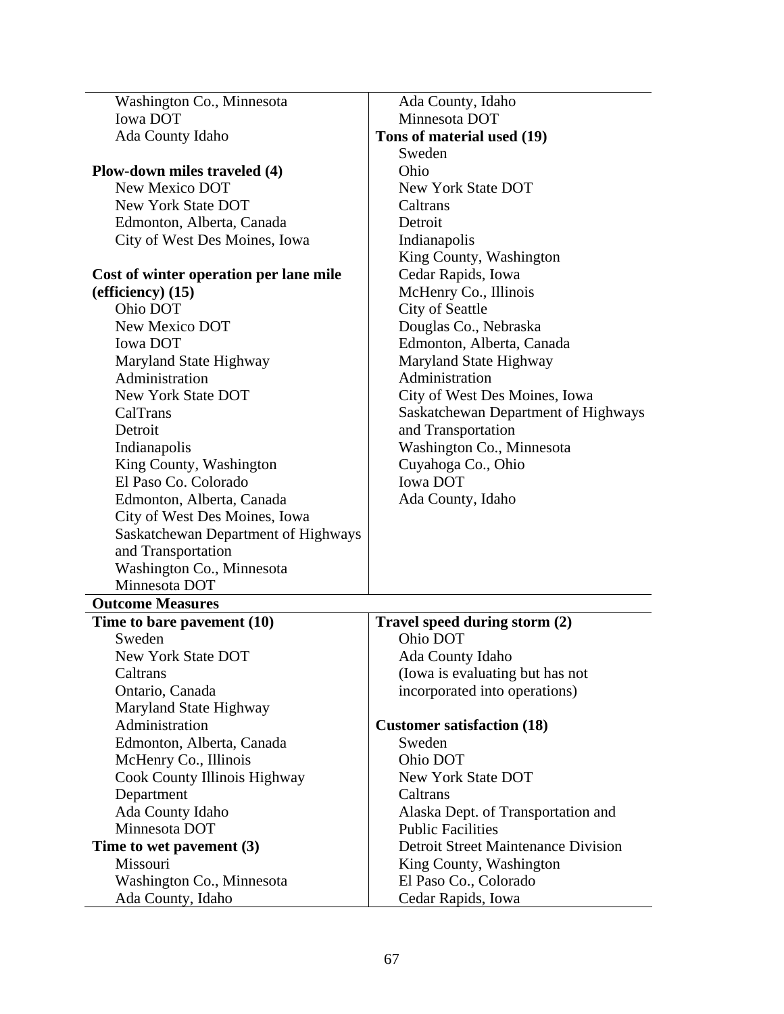| Washington Co., Minnesota              | Ada County, Idaho                          |
|----------------------------------------|--------------------------------------------|
| <b>Iowa DOT</b>                        | Minnesota DOT                              |
| Ada County Idaho                       | Tons of material used (19)                 |
|                                        | Sweden                                     |
| Plow-down miles traveled (4)           | Ohio                                       |
| New Mexico DOT                         | <b>New York State DOT</b>                  |
| New York State DOT                     | Caltrans                                   |
| Edmonton, Alberta, Canada              | Detroit                                    |
| City of West Des Moines, Iowa          | Indianapolis                               |
|                                        | King County, Washington                    |
| Cost of winter operation per lane mile | Cedar Rapids, Iowa                         |
| $\left($ efficiency $\right)$ (15)     | McHenry Co., Illinois                      |
| Ohio DOT                               | City of Seattle                            |
| New Mexico DOT                         | Douglas Co., Nebraska                      |
| <b>Iowa DOT</b>                        | Edmonton, Alberta, Canada                  |
| Maryland State Highway                 | Maryland State Highway                     |
| Administration                         | Administration                             |
| <b>New York State DOT</b>              | City of West Des Moines, Iowa              |
| CalTrans                               | Saskatchewan Department of Highways        |
| Detroit                                | and Transportation                         |
| Indianapolis                           | Washington Co., Minnesota                  |
| King County, Washington                | Cuyahoga Co., Ohio                         |
| El Paso Co. Colorado                   | <b>Iowa DOT</b>                            |
| Edmonton, Alberta, Canada              | Ada County, Idaho                          |
| City of West Des Moines, Iowa          |                                            |
| Saskatchewan Department of Highways    |                                            |
| and Transportation                     |                                            |
| Washington Co., Minnesota              |                                            |
| Minnesota DOT                          |                                            |
| <b>Outcome Measures</b>                |                                            |
| Time to bare pavement (10)             | Travel speed during storm (2)              |
| Sweden                                 | Ohio DOT                                   |
| <b>New York State DOT</b>              | Ada County Idaho                           |
| Caltrans                               | (Iowa is evaluating but has not            |
| Ontario, Canada                        | incorporated into operations)              |
| Maryland State Highway                 |                                            |
| Administration                         | <b>Customer satisfaction (18)</b>          |
| Edmonton, Alberta, Canada              | Sweden                                     |
| McHenry Co., Illinois                  | Ohio DOT                                   |
| Cook County Illinois Highway           | <b>New York State DOT</b>                  |
| Department                             | Caltrans                                   |
| Ada County Idaho                       | Alaska Dept. of Transportation and         |
| Minnesota DOT                          | <b>Public Facilities</b>                   |
| Time to wet pavement (3)               | <b>Detroit Street Maintenance Division</b> |
| Missouri                               | King County, Washington                    |
| Washington Co., Minnesota              | El Paso Co., Colorado                      |
| Ada County, Idaho                      | Cedar Rapids, Iowa                         |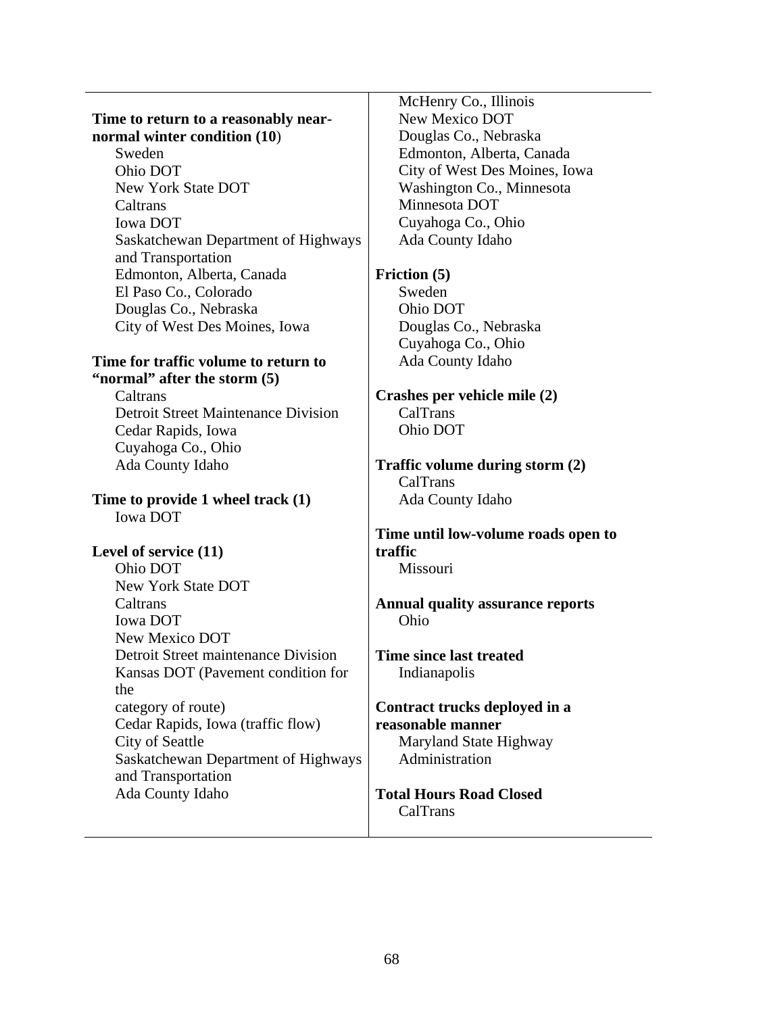#### **Time to return to a reasonably nearnormal winter condition (10**)

Sweden Ohio DOT New York State DOT **Caltrans** Iowa DOT Saskatchewan Department of Highways and Transportation Edmonton, Alberta, Canada El Paso Co., Colorado Douglas Co., Nebraska City of West Des Moines, Iowa

#### **Time for traffic volume to return to "normal" after the storm (5)**

**Caltrans** Detroit Street Maintenance Division Cedar Rapids, Iowa Cuyahoga Co., Ohio Ada County Idaho

**Time to provide 1 wheel track (1)**  Iowa DOT

## **Level of service (11)**

Ohio DOT New York State DOT Caltrans Iowa DOT New Mexico DOT Detroit Street maintenance Division Kansas DOT (Pavement condition for the category of route) Cedar Rapids, Iowa (traffic flow) City of Seattle Saskatchewan Department of Highways and Transportation Ada County Idaho

McHenry Co., Illinois New Mexico DOT Douglas Co., Nebraska Edmonton, Alberta, Canada City of West Des Moines, Iowa Washington Co., Minnesota Minnesota DOT Cuyahoga Co., Ohio Ada County Idaho

**Friction (5)** 

Sweden Ohio DOT Douglas Co., Nebraska Cuyahoga Co., Ohio Ada County Idaho

#### **Crashes per vehicle mile (2)**  CalTrans Ohio DOT

**Traffic volume during storm (2)** CalTrans Ada County Idaho

## **Time until low-volume roads open to traffic**

Missouri

### **Annual quality assurance reports**  Ohio

### **Time since last treated**  Indianapolis

#### **Contract trucks deployed in a reasonable manner**  Maryland State Highway

Administration

## **Total Hours Road Closed**  CalTrans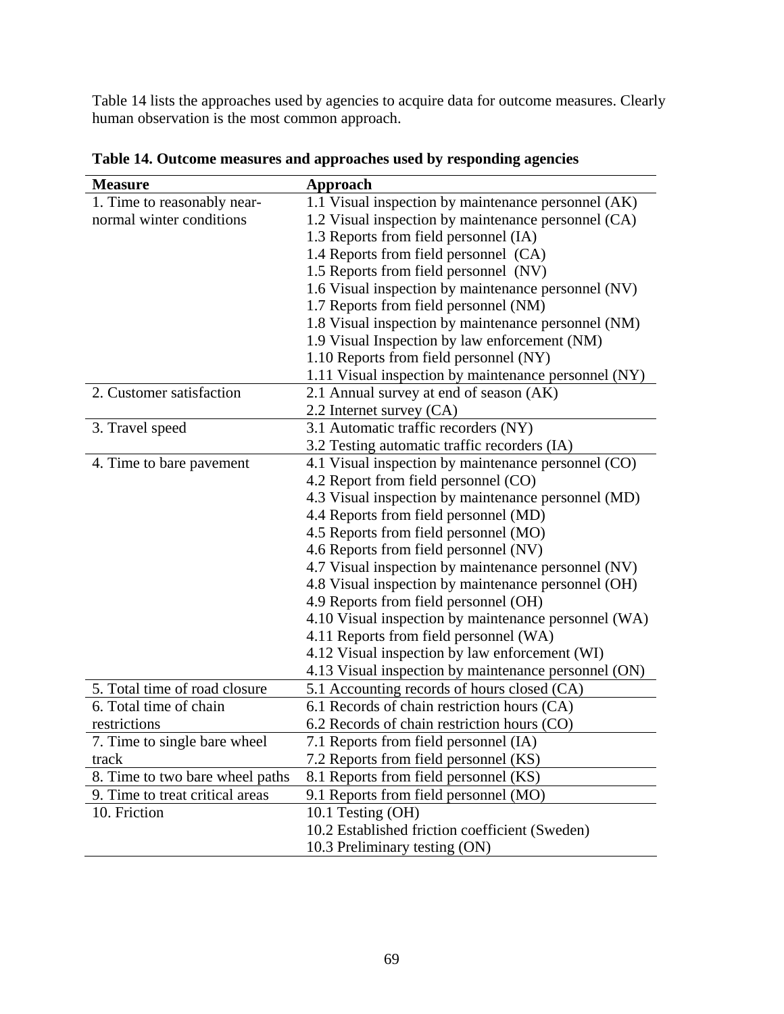Table 14 lists the approaches used by agencies to acquire data for outcome measures. Clearly human observation is the most common approach.

| <b>Measure</b>                  | Approach                                             |
|---------------------------------|------------------------------------------------------|
| 1. Time to reasonably near-     | 1.1 Visual inspection by maintenance personnel (AK)  |
| normal winter conditions        | 1.2 Visual inspection by maintenance personnel (CA)  |
|                                 | 1.3 Reports from field personnel (IA)                |
|                                 | 1.4 Reports from field personnel (CA)                |
|                                 | 1.5 Reports from field personnel (NV)                |
|                                 | 1.6 Visual inspection by maintenance personnel (NV)  |
|                                 | 1.7 Reports from field personnel (NM)                |
|                                 | 1.8 Visual inspection by maintenance personnel (NM)  |
|                                 | 1.9 Visual Inspection by law enforcement (NM)        |
|                                 | 1.10 Reports from field personnel (NY)               |
|                                 | 1.11 Visual inspection by maintenance personnel (NY) |
| 2. Customer satisfaction        | 2.1 Annual survey at end of season (AK)              |
|                                 | 2.2 Internet survey (CA)                             |
| 3. Travel speed                 | 3.1 Automatic traffic recorders (NY)                 |
|                                 | 3.2 Testing automatic traffic recorders (IA)         |
| 4. Time to bare pavement        | 4.1 Visual inspection by maintenance personnel (CO)  |
|                                 | 4.2 Report from field personnel (CO)                 |
|                                 | 4.3 Visual inspection by maintenance personnel (MD)  |
|                                 | 4.4 Reports from field personnel (MD)                |
|                                 | 4.5 Reports from field personnel (MO)                |
|                                 | 4.6 Reports from field personnel (NV)                |
|                                 | 4.7 Visual inspection by maintenance personnel (NV)  |
|                                 | 4.8 Visual inspection by maintenance personnel (OH)  |
|                                 | 4.9 Reports from field personnel (OH)                |
|                                 | 4.10 Visual inspection by maintenance personnel (WA) |
|                                 | 4.11 Reports from field personnel (WA)               |
|                                 | 4.12 Visual inspection by law enforcement (WI)       |
|                                 | 4.13 Visual inspection by maintenance personnel (ON) |
| 5. Total time of road closure   | 5.1 Accounting records of hours closed (CA)          |
| 6. Total time of chain          | 6.1 Records of chain restriction hours (CA)          |
| restrictions                    | 6.2 Records of chain restriction hours (CO)          |
| 7. Time to single bare wheel    | 7.1 Reports from field personnel (IA)                |
| track                           | 7.2 Reports from field personnel (KS)                |
| 8. Time to two bare wheel paths | 8.1 Reports from field personnel (KS)                |
| 9. Time to treat critical areas | 9.1 Reports from field personnel (MO)                |
| 10. Friction                    | 10.1 Testing (OH)                                    |
|                                 | 10.2 Established friction coefficient (Sweden)       |
|                                 | 10.3 Preliminary testing (ON)                        |

**Table 14. Outcome measures and approaches used by responding agencies**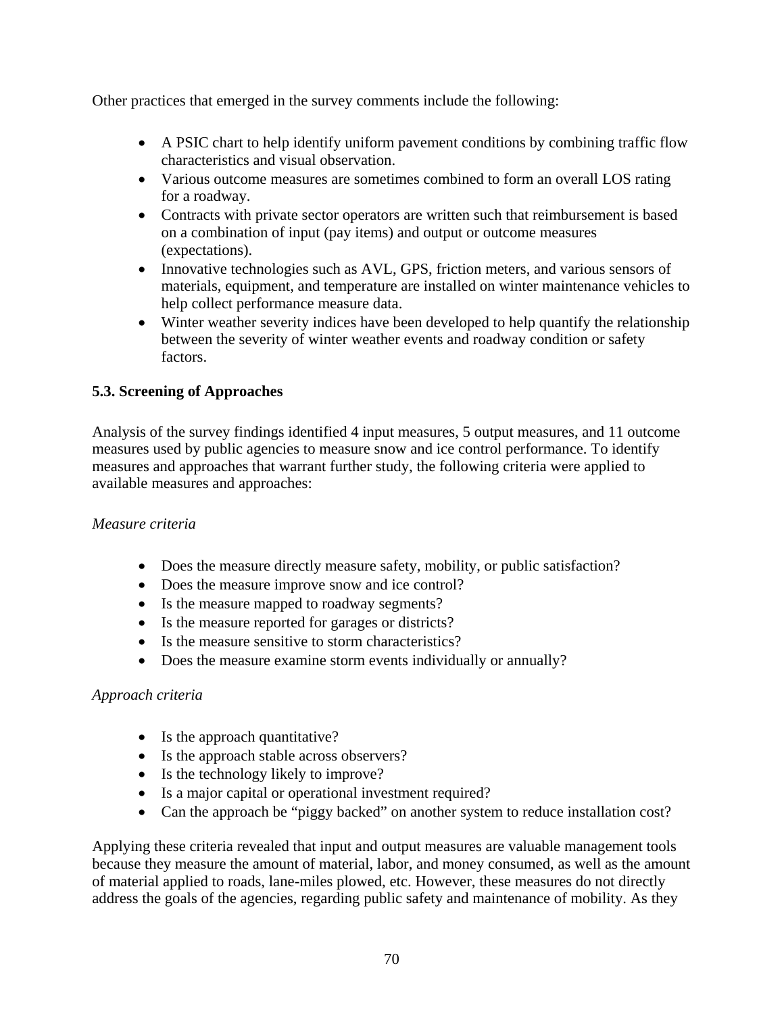Other practices that emerged in the survey comments include the following:

- A PSIC chart to help identify uniform pavement conditions by combining traffic flow characteristics and visual observation.
- Various outcome measures are sometimes combined to form an overall LOS rating for a roadway.
- Contracts with private sector operators are written such that reimbursement is based on a combination of input (pay items) and output or outcome measures (expectations).
- Innovative technologies such as AVL, GPS, friction meters, and various sensors of materials, equipment, and temperature are installed on winter maintenance vehicles to help collect performance measure data.
- Winter weather severity indices have been developed to help quantify the relationship between the severity of winter weather events and roadway condition or safety factors.

## **5.3. Screening of Approaches**

Analysis of the survey findings identified 4 input measures, 5 output measures, and 11 outcome measures used by public agencies to measure snow and ice control performance. To identify measures and approaches that warrant further study, the following criteria were applied to available measures and approaches:

## *Measure criteria*

- Does the measure directly measure safety, mobility, or public satisfaction?
- Does the measure improve snow and ice control?
- Is the measure mapped to roadway segments?
- Is the measure reported for garages or districts?
- Is the measure sensitive to storm characteristics?
- Does the measure examine storm events individually or annually?

#### *Approach criteria*

- Is the approach quantitative?
- Is the approach stable across observers?
- Is the technology likely to improve?
- Is a major capital or operational investment required?
- Can the approach be "piggy backed" on another system to reduce installation cost?

Applying these criteria revealed that input and output measures are valuable management tools because they measure the amount of material, labor, and money consumed, as well as the amount of material applied to roads, lane-miles plowed, etc. However, these measures do not directly address the goals of the agencies, regarding public safety and maintenance of mobility. As they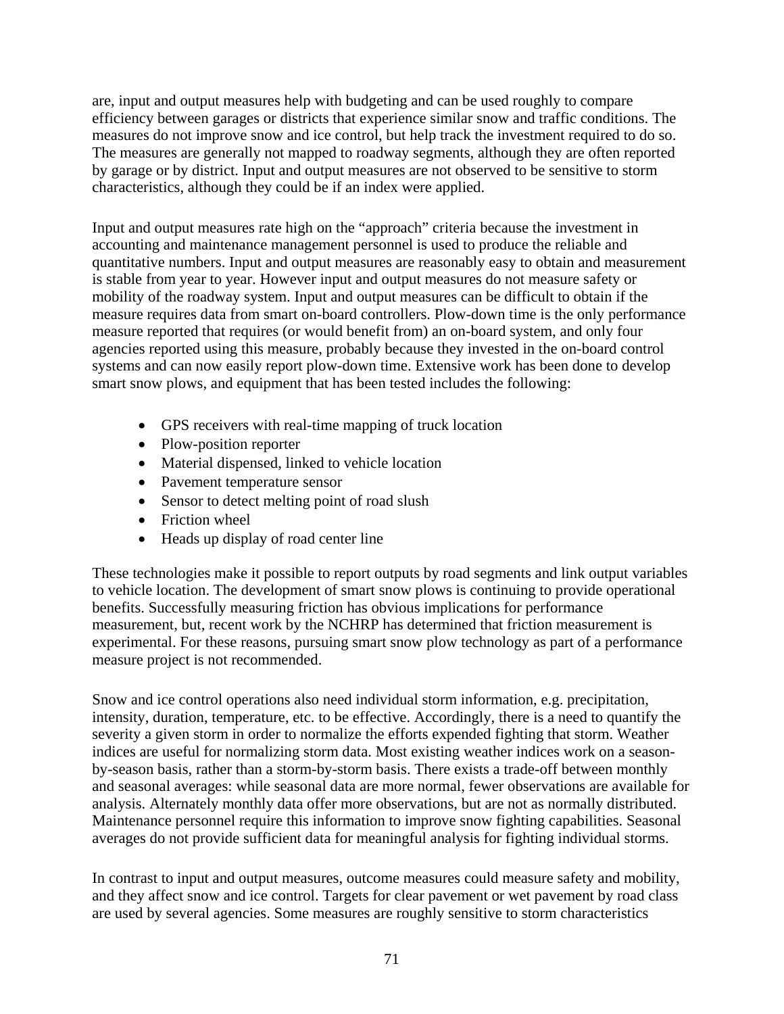are, input and output measures help with budgeting and can be used roughly to compare efficiency between garages or districts that experience similar snow and traffic conditions. The measures do not improve snow and ice control, but help track the investment required to do so. The measures are generally not mapped to roadway segments, although they are often reported by garage or by district. Input and output measures are not observed to be sensitive to storm characteristics, although they could be if an index were applied.

Input and output measures rate high on the "approach" criteria because the investment in accounting and maintenance management personnel is used to produce the reliable and quantitative numbers. Input and output measures are reasonably easy to obtain and measurement is stable from year to year. However input and output measures do not measure safety or mobility of the roadway system. Input and output measures can be difficult to obtain if the measure requires data from smart on-board controllers. Plow-down time is the only performance measure reported that requires (or would benefit from) an on-board system, and only four agencies reported using this measure, probably because they invested in the on-board control systems and can now easily report plow-down time. Extensive work has been done to develop smart snow plows, and equipment that has been tested includes the following:

- GPS receivers with real-time mapping of truck location
- Plow-position reporter
- Material dispensed, linked to vehicle location
- Pavement temperature sensor
- Sensor to detect melting point of road slush
- Friction wheel
- Heads up display of road center line

These technologies make it possible to report outputs by road segments and link output variables to vehicle location. The development of smart snow plows is continuing to provide operational benefits. Successfully measuring friction has obvious implications for performance measurement, but, recent work by the NCHRP has determined that friction measurement is experimental. For these reasons, pursuing smart snow plow technology as part of a performance measure project is not recommended.

Snow and ice control operations also need individual storm information, e.g. precipitation, intensity, duration, temperature, etc. to be effective. Accordingly, there is a need to quantify the severity a given storm in order to normalize the efforts expended fighting that storm. Weather indices are useful for normalizing storm data. Most existing weather indices work on a seasonby-season basis, rather than a storm-by-storm basis. There exists a trade-off between monthly and seasonal averages: while seasonal data are more normal, fewer observations are available for analysis. Alternately monthly data offer more observations, but are not as normally distributed. Maintenance personnel require this information to improve snow fighting capabilities. Seasonal averages do not provide sufficient data for meaningful analysis for fighting individual storms.

In contrast to input and output measures, outcome measures could measure safety and mobility, and they affect snow and ice control. Targets for clear pavement or wet pavement by road class are used by several agencies. Some measures are roughly sensitive to storm characteristics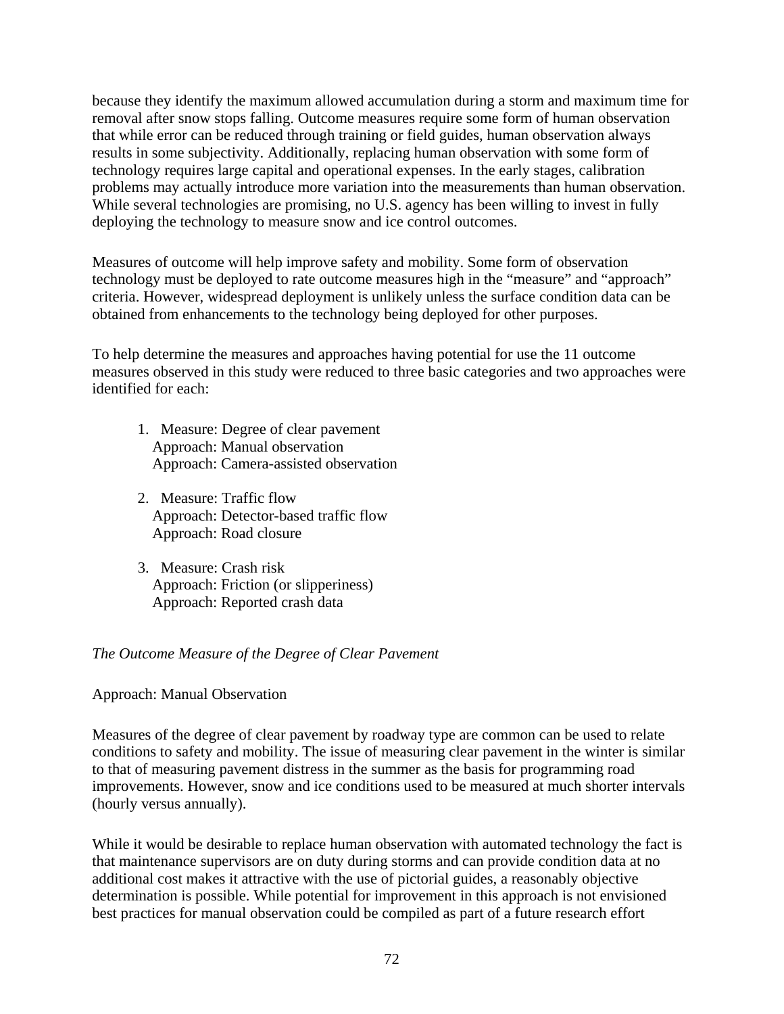because they identify the maximum allowed accumulation during a storm and maximum time for removal after snow stops falling. Outcome measures require some form of human observation that while error can be reduced through training or field guides, human observation always results in some subjectivity. Additionally, replacing human observation with some form of technology requires large capital and operational expenses. In the early stages, calibration problems may actually introduce more variation into the measurements than human observation. While several technologies are promising, no U.S. agency has been willing to invest in fully deploying the technology to measure snow and ice control outcomes.

Measures of outcome will help improve safety and mobility. Some form of observation technology must be deployed to rate outcome measures high in the "measure" and "approach" criteria. However, widespread deployment is unlikely unless the surface condition data can be obtained from enhancements to the technology being deployed for other purposes.

To help determine the measures and approaches having potential for use the 11 outcome measures observed in this study were reduced to three basic categories and two approaches were identified for each:

- 1. Measure: Degree of clear pavement Approach: Manual observation Approach: Camera-assisted observation
- 2. Measure: Traffic flow Approach: Detector-based traffic flow Approach: Road closure
- 3. Measure: Crash risk Approach: Friction (or slipperiness) Approach: Reported crash data

#### *The Outcome Measure of the Degree of Clear Pavement*

Approach: Manual Observation

Measures of the degree of clear pavement by roadway type are common can be used to relate conditions to safety and mobility. The issue of measuring clear pavement in the winter is similar to that of measuring pavement distress in the summer as the basis for programming road improvements. However, snow and ice conditions used to be measured at much shorter intervals (hourly versus annually).

While it would be desirable to replace human observation with automated technology the fact is that maintenance supervisors are on duty during storms and can provide condition data at no additional cost makes it attractive with the use of pictorial guides, a reasonably objective determination is possible. While potential for improvement in this approach is not envisioned best practices for manual observation could be compiled as part of a future research effort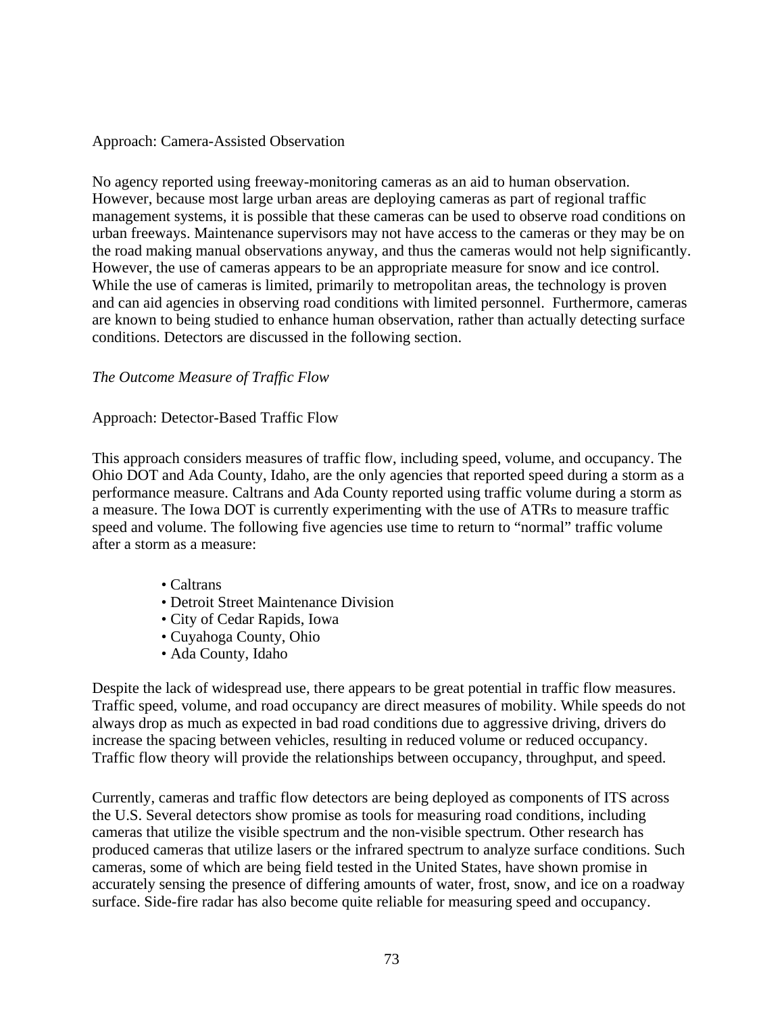#### Approach: Camera-Assisted Observation

No agency reported using freeway-monitoring cameras as an aid to human observation. However, because most large urban areas are deploying cameras as part of regional traffic management systems, it is possible that these cameras can be used to observe road conditions on urban freeways. Maintenance supervisors may not have access to the cameras or they may be on the road making manual observations anyway, and thus the cameras would not help significantly. However, the use of cameras appears to be an appropriate measure for snow and ice control. While the use of cameras is limited, primarily to metropolitan areas, the technology is proven and can aid agencies in observing road conditions with limited personnel. Furthermore, cameras are known to being studied to enhance human observation, rather than actually detecting surface conditions. Detectors are discussed in the following section.

#### *The Outcome Measure of Traffic Flow*

#### Approach: Detector-Based Traffic Flow

This approach considers measures of traffic flow, including speed, volume, and occupancy. The Ohio DOT and Ada County, Idaho, are the only agencies that reported speed during a storm as a performance measure. Caltrans and Ada County reported using traffic volume during a storm as a measure. The Iowa DOT is currently experimenting with the use of ATRs to measure traffic speed and volume. The following five agencies use time to return to "normal" traffic volume after a storm as a measure:

- Caltrans
- Detroit Street Maintenance Division
- City of Cedar Rapids, Iowa
- Cuyahoga County, Ohio
- Ada County, Idaho

Despite the lack of widespread use, there appears to be great potential in traffic flow measures. Traffic speed, volume, and road occupancy are direct measures of mobility. While speeds do not always drop as much as expected in bad road conditions due to aggressive driving, drivers do increase the spacing between vehicles, resulting in reduced volume or reduced occupancy. Traffic flow theory will provide the relationships between occupancy, throughput, and speed.

Currently, cameras and traffic flow detectors are being deployed as components of ITS across the U.S. Several detectors show promise as tools for measuring road conditions, including cameras that utilize the visible spectrum and the non-visible spectrum. Other research has produced cameras that utilize lasers or the infrared spectrum to analyze surface conditions. Such cameras, some of which are being field tested in the United States, have shown promise in accurately sensing the presence of differing amounts of water, frost, snow, and ice on a roadway surface. Side-fire radar has also become quite reliable for measuring speed and occupancy.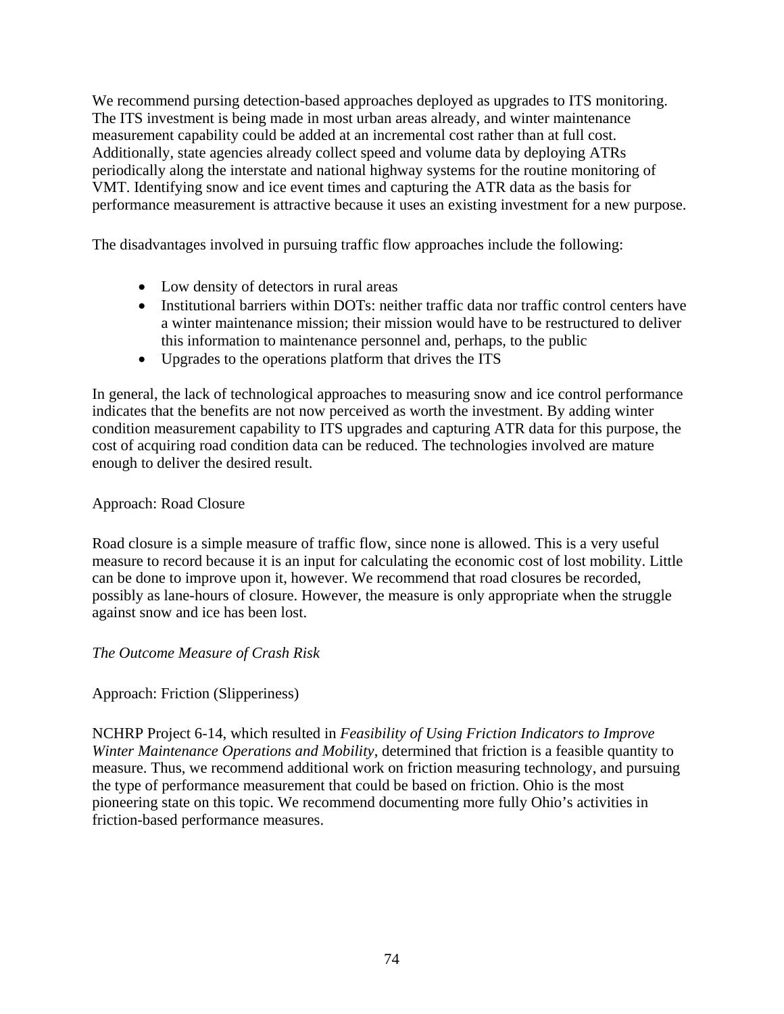We recommend pursing detection-based approaches deployed as upgrades to ITS monitoring. The ITS investment is being made in most urban areas already, and winter maintenance measurement capability could be added at an incremental cost rather than at full cost. Additionally, state agencies already collect speed and volume data by deploying ATRs periodically along the interstate and national highway systems for the routine monitoring of VMT. Identifying snow and ice event times and capturing the ATR data as the basis for performance measurement is attractive because it uses an existing investment for a new purpose.

The disadvantages involved in pursuing traffic flow approaches include the following:

- Low density of detectors in rural areas
- Institutional barriers within DOTs: neither traffic data nor traffic control centers have a winter maintenance mission; their mission would have to be restructured to deliver this information to maintenance personnel and, perhaps, to the public
- Upgrades to the operations platform that drives the ITS

In general, the lack of technological approaches to measuring snow and ice control performance indicates that the benefits are not now perceived as worth the investment. By adding winter condition measurement capability to ITS upgrades and capturing ATR data for this purpose, the cost of acquiring road condition data can be reduced. The technologies involved are mature enough to deliver the desired result.

## Approach: Road Closure

Road closure is a simple measure of traffic flow, since none is allowed. This is a very useful measure to record because it is an input for calculating the economic cost of lost mobility. Little can be done to improve upon it, however. We recommend that road closures be recorded, possibly as lane-hours of closure. However, the measure is only appropriate when the struggle against snow and ice has been lost.

#### *The Outcome Measure of Crash Risk*

Approach: Friction (Slipperiness)

NCHRP Project 6-14, which resulted in *Feasibility of Using Friction Indicators to Improve Winter Maintenance Operations and Mobility*, determined that friction is a feasible quantity to measure. Thus, we recommend additional work on friction measuring technology, and pursuing the type of performance measurement that could be based on friction. Ohio is the most pioneering state on this topic. We recommend documenting more fully Ohio's activities in friction-based performance measures.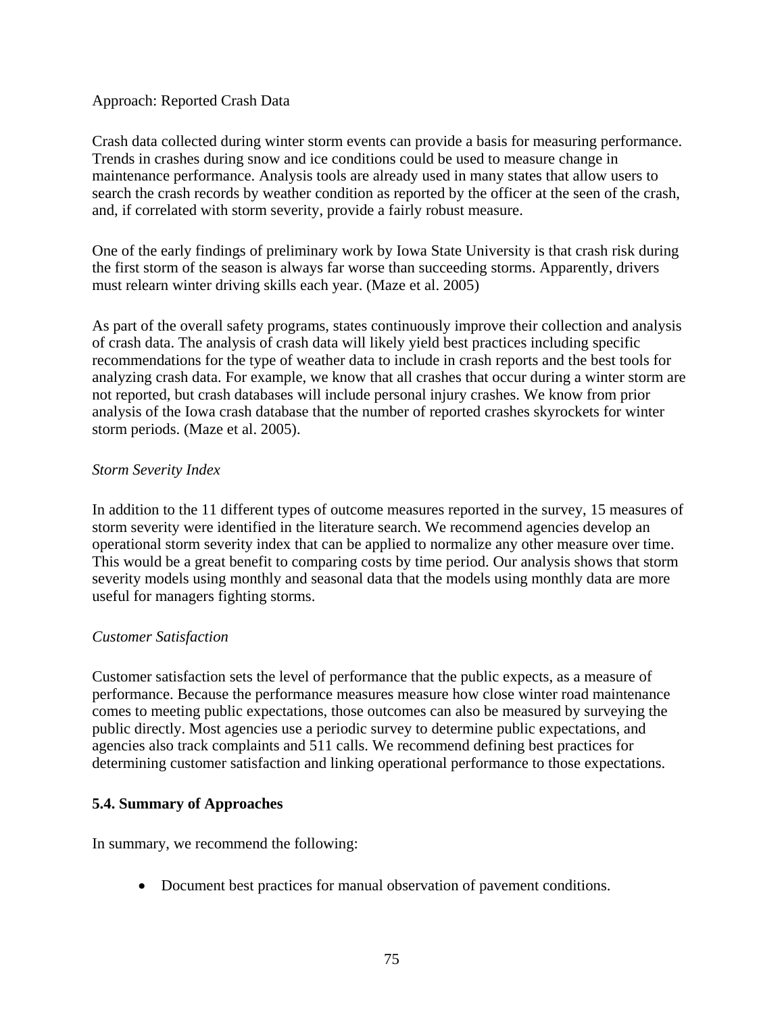#### Approach: Reported Crash Data

Crash data collected during winter storm events can provide a basis for measuring performance. Trends in crashes during snow and ice conditions could be used to measure change in maintenance performance. Analysis tools are already used in many states that allow users to search the crash records by weather condition as reported by the officer at the seen of the crash, and, if correlated with storm severity, provide a fairly robust measure.

One of the early findings of preliminary work by Iowa State University is that crash risk during the first storm of the season is always far worse than succeeding storms. Apparently, drivers must relearn winter driving skills each year. (Maze et al. 2005)

As part of the overall safety programs, states continuously improve their collection and analysis of crash data. The analysis of crash data will likely yield best practices including specific recommendations for the type of weather data to include in crash reports and the best tools for analyzing crash data. For example, we know that all crashes that occur during a winter storm are not reported, but crash databases will include personal injury crashes. We know from prior analysis of the Iowa crash database that the number of reported crashes skyrockets for winter storm periods. (Maze et al. 2005).

### *Storm Severity Index*

In addition to the 11 different types of outcome measures reported in the survey, 15 measures of storm severity were identified in the literature search. We recommend agencies develop an operational storm severity index that can be applied to normalize any other measure over time. This would be a great benefit to comparing costs by time period. Our analysis shows that storm severity models using monthly and seasonal data that the models using monthly data are more useful for managers fighting storms.

#### *Customer Satisfaction*

Customer satisfaction sets the level of performance that the public expects, as a measure of performance. Because the performance measures measure how close winter road maintenance comes to meeting public expectations, those outcomes can also be measured by surveying the public directly. Most agencies use a periodic survey to determine public expectations, and agencies also track complaints and 511 calls. We recommend defining best practices for determining customer satisfaction and linking operational performance to those expectations.

## **5.4. Summary of Approaches**

In summary, we recommend the following:

• Document best practices for manual observation of pavement conditions.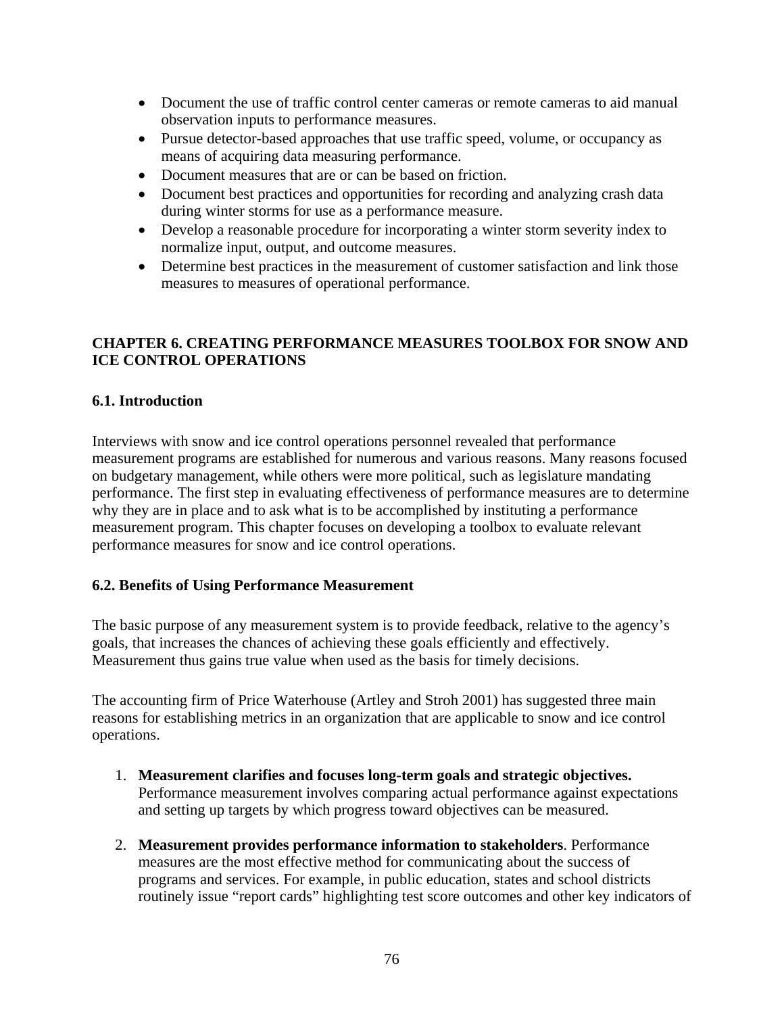- Document the use of traffic control center cameras or remote cameras to aid manual observation inputs to performance measures.
- Pursue detector-based approaches that use traffic speed, volume, or occupancy as means of acquiring data measuring performance.
- Document measures that are or can be based on friction.
- Document best practices and opportunities for recording and analyzing crash data during winter storms for use as a performance measure.
- Develop a reasonable procedure for incorporating a winter storm severity index to normalize input, output, and outcome measures.
- Determine best practices in the measurement of customer satisfaction and link those measures to measures of operational performance.

## **CHAPTER 6. CREATING PERFORMANCE MEASURES TOOLBOX FOR SNOW AND ICE CONTROL OPERATIONS**

### **6.1. Introduction**

Interviews with snow and ice control operations personnel revealed that performance measurement programs are established for numerous and various reasons. Many reasons focused on budgetary management, while others were more political, such as legislature mandating performance. The first step in evaluating effectiveness of performance measures are to determine why they are in place and to ask what is to be accomplished by instituting a performance measurement program. This chapter focuses on developing a toolbox to evaluate relevant performance measures for snow and ice control operations.

#### **6.2. Benefits of Using Performance Measurement**

The basic purpose of any measurement system is to provide feedback, relative to the agency's goals, that increases the chances of achieving these goals efficiently and effectively. Measurement thus gains true value when used as the basis for timely decisions.

The accounting firm of Price Waterhouse (Artley and Stroh 2001) has suggested three main reasons for establishing metrics in an organization that are applicable to snow and ice control operations.

- 1. **Measurement clarifies and focuses long-term goals and strategic objectives.** Performance measurement involves comparing actual performance against expectations and setting up targets by which progress toward objectives can be measured.
- 2. **Measurement provides performance information to stakeholders**. Performance measures are the most effective method for communicating about the success of programs and services. For example, in public education, states and school districts routinely issue "report cards" highlighting test score outcomes and other key indicators of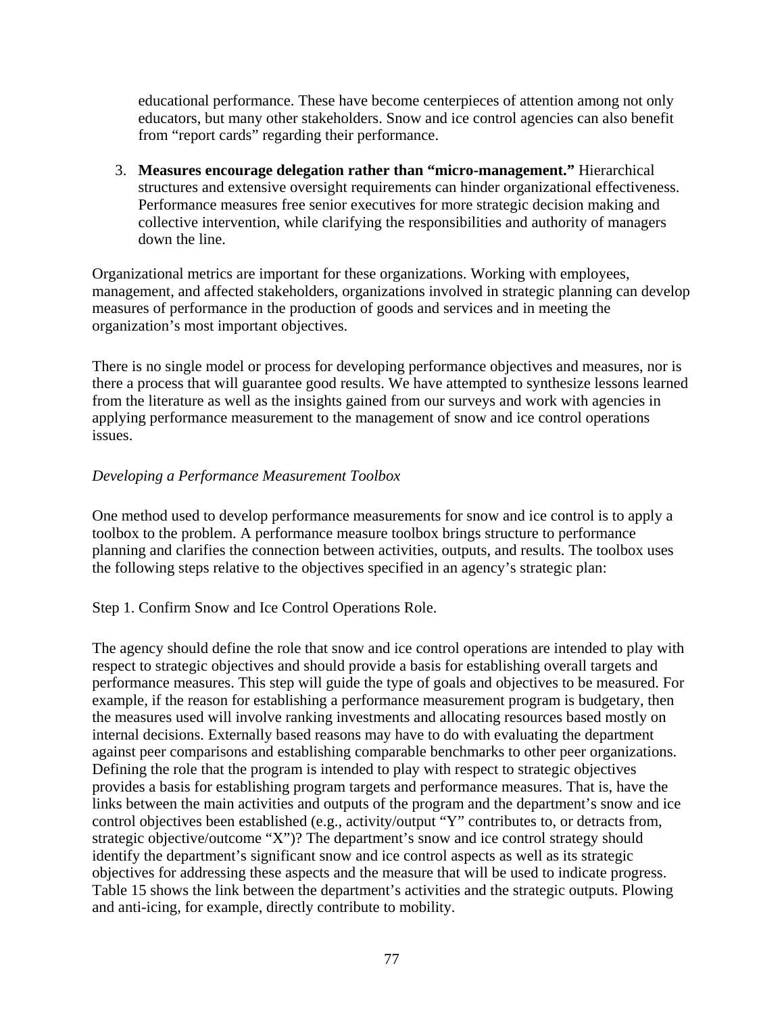educational performance. These have become centerpieces of attention among not only educators, but many other stakeholders. Snow and ice control agencies can also benefit from "report cards" regarding their performance.

3. **Measures encourage delegation rather than "micro-management."** Hierarchical structures and extensive oversight requirements can hinder organizational effectiveness. Performance measures free senior executives for more strategic decision making and collective intervention, while clarifying the responsibilities and authority of managers down the line.

Organizational metrics are important for these organizations. Working with employees, management, and affected stakeholders, organizations involved in strategic planning can develop measures of performance in the production of goods and services and in meeting the organization's most important objectives.

There is no single model or process for developing performance objectives and measures, nor is there a process that will guarantee good results. We have attempted to synthesize lessons learned from the literature as well as the insights gained from our surveys and work with agencies in applying performance measurement to the management of snow and ice control operations issues.

## *Developing a Performance Measurement Toolbox*

One method used to develop performance measurements for snow and ice control is to apply a toolbox to the problem. A performance measure toolbox brings structure to performance planning and clarifies the connection between activities, outputs, and results. The toolbox uses the following steps relative to the objectives specified in an agency's strategic plan:

Step 1. Confirm Snow and Ice Control Operations Role.

The agency should define the role that snow and ice control operations are intended to play with respect to strategic objectives and should provide a basis for establishing overall targets and performance measures. This step will guide the type of goals and objectives to be measured. For example, if the reason for establishing a performance measurement program is budgetary, then the measures used will involve ranking investments and allocating resources based mostly on internal decisions. Externally based reasons may have to do with evaluating the department against peer comparisons and establishing comparable benchmarks to other peer organizations. Defining the role that the program is intended to play with respect to strategic objectives provides a basis for establishing program targets and performance measures. That is, have the links between the main activities and outputs of the program and the department's snow and ice control objectives been established (e.g., activity/output "Y" contributes to, or detracts from, strategic objective/outcome "X")? The department's snow and ice control strategy should identify the department's significant snow and ice control aspects as well as its strategic objectives for addressing these aspects and the measure that will be used to indicate progress. Table 15 shows the link between the department's activities and the strategic outputs. Plowing and anti-icing, for example, directly contribute to mobility.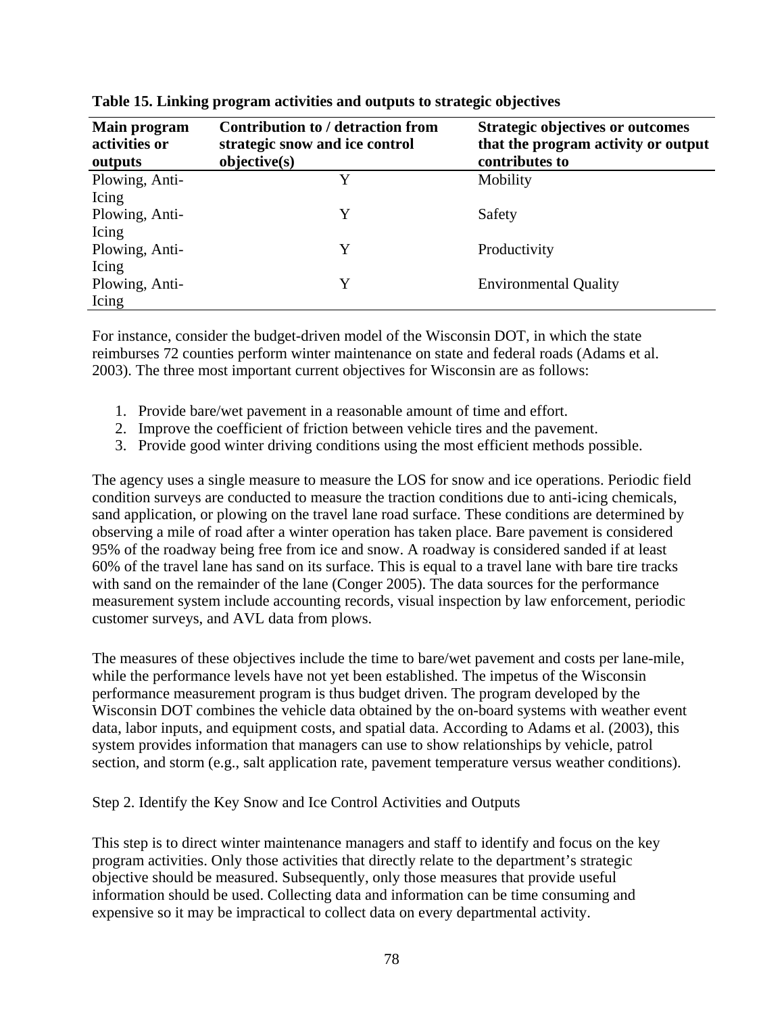| Main program<br>activities or<br>outputs | <b>Contribution to / detraction from</b><br>strategic snow and ice control<br>objective(s) | <b>Strategic objectives or outcomes</b><br>that the program activity or output<br>contributes to |
|------------------------------------------|--------------------------------------------------------------------------------------------|--------------------------------------------------------------------------------------------------|
| Plowing, Anti-                           | Y                                                                                          | Mobility                                                                                         |
| Icing                                    |                                                                                            |                                                                                                  |
| Plowing, Anti-                           | Y                                                                                          | Safety                                                                                           |
| Icing                                    |                                                                                            |                                                                                                  |
| Plowing, Anti-                           | Y                                                                                          | Productivity                                                                                     |
| Icing                                    |                                                                                            |                                                                                                  |
| Plowing, Anti-                           | Y                                                                                          | <b>Environmental Quality</b>                                                                     |
| Icing                                    |                                                                                            |                                                                                                  |

**Table 15. Linking program activities and outputs to strategic objectives** 

For instance, consider the budget-driven model of the Wisconsin DOT, in which the state reimburses 72 counties perform winter maintenance on state and federal roads (Adams et al. 2003). The three most important current objectives for Wisconsin are as follows:

- 1. Provide bare/wet pavement in a reasonable amount of time and effort.
- 2. Improve the coefficient of friction between vehicle tires and the pavement.
- 3. Provide good winter driving conditions using the most efficient methods possible.

The agency uses a single measure to measure the LOS for snow and ice operations. Periodic field condition surveys are conducted to measure the traction conditions due to anti-icing chemicals, sand application, or plowing on the travel lane road surface. These conditions are determined by observing a mile of road after a winter operation has taken place. Bare pavement is considered 95% of the roadway being free from ice and snow. A roadway is considered sanded if at least 60% of the travel lane has sand on its surface. This is equal to a travel lane with bare tire tracks with sand on the remainder of the lane (Conger 2005). The data sources for the performance measurement system include accounting records, visual inspection by law enforcement, periodic customer surveys, and AVL data from plows.

The measures of these objectives include the time to bare/wet pavement and costs per lane-mile, while the performance levels have not yet been established. The impetus of the Wisconsin performance measurement program is thus budget driven. The program developed by the Wisconsin DOT combines the vehicle data obtained by the on-board systems with weather event data, labor inputs, and equipment costs, and spatial data. According to Adams et al. (2003), this system provides information that managers can use to show relationships by vehicle, patrol section, and storm (e.g., salt application rate, pavement temperature versus weather conditions).

Step 2. Identify the Key Snow and Ice Control Activities and Outputs

This step is to direct winter maintenance managers and staff to identify and focus on the key program activities. Only those activities that directly relate to the department's strategic objective should be measured. Subsequently, only those measures that provide useful information should be used. Collecting data and information can be time consuming and expensive so it may be impractical to collect data on every departmental activity.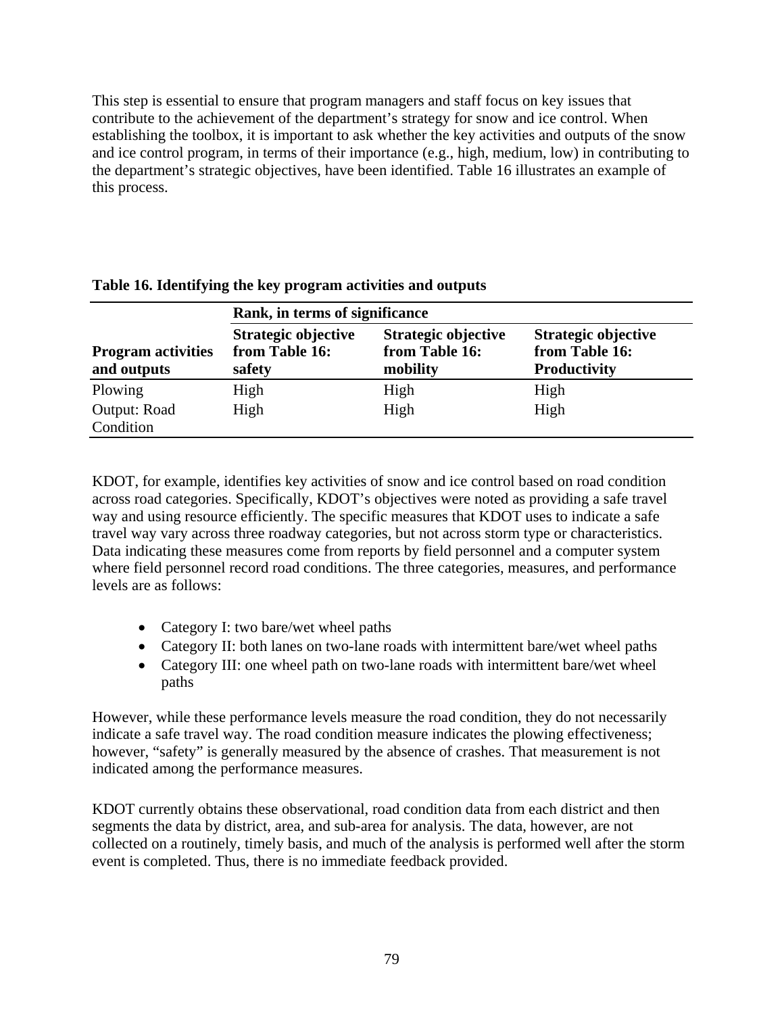This step is essential to ensure that program managers and staff focus on key issues that contribute to the achievement of the department's strategy for snow and ice control. When establishing the toolbox, it is important to ask whether the key activities and outputs of the snow and ice control program, in terms of their importance (e.g., high, medium, low) in contributing to the department's strategic objectives, have been identified. Table 16 illustrates an example of this process.

|                                          | Rank, in terms of significance                  |                                                   |                                                                     |  |
|------------------------------------------|-------------------------------------------------|---------------------------------------------------|---------------------------------------------------------------------|--|
| <b>Program activities</b><br>and outputs | Strategic objective<br>from Table 16:<br>safety | Strategic objective<br>from Table 16:<br>mobility | <b>Strategic objective</b><br>from Table 16:<br><b>Productivity</b> |  |
| Plowing                                  | High                                            | High                                              | High                                                                |  |
| <b>Output: Road</b><br>Condition         | High                                            | High                                              | High                                                                |  |

**Table 16. Identifying the key program activities and outputs** 

KDOT, for example, identifies key activities of snow and ice control based on road condition across road categories. Specifically, KDOT's objectives were noted as providing a safe travel way and using resource efficiently. The specific measures that KDOT uses to indicate a safe travel way vary across three roadway categories, but not across storm type or characteristics. Data indicating these measures come from reports by field personnel and a computer system where field personnel record road conditions. The three categories, measures, and performance levels are as follows:

- Category I: two bare/wet wheel paths
- Category II: both lanes on two-lane roads with intermittent bare/wet wheel paths
- Category III: one wheel path on two-lane roads with intermittent bare/wet wheel paths

However, while these performance levels measure the road condition, they do not necessarily indicate a safe travel way. The road condition measure indicates the plowing effectiveness; however, "safety" is generally measured by the absence of crashes. That measurement is not indicated among the performance measures.

KDOT currently obtains these observational, road condition data from each district and then segments the data by district, area, and sub-area for analysis. The data, however, are not collected on a routinely, timely basis, and much of the analysis is performed well after the storm event is completed. Thus, there is no immediate feedback provided.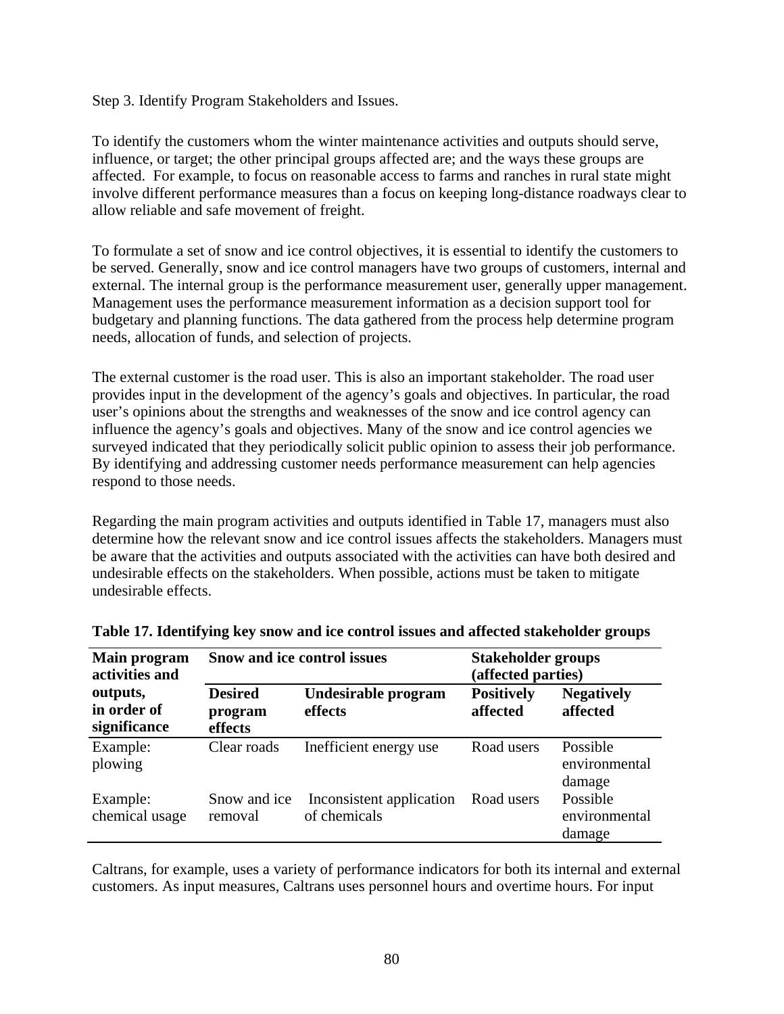Step 3. Identify Program Stakeholders and Issues.

To identify the customers whom the winter maintenance activities and outputs should serve, influence, or target; the other principal groups affected are; and the ways these groups are affected. For example, to focus on reasonable access to farms and ranches in rural state might involve different performance measures than a focus on keeping long-distance roadways clear to allow reliable and safe movement of freight.

To formulate a set of snow and ice control objectives, it is essential to identify the customers to be served. Generally, snow and ice control managers have two groups of customers, internal and external. The internal group is the performance measurement user, generally upper management. Management uses the performance measurement information as a decision support tool for budgetary and planning functions. The data gathered from the process help determine program needs, allocation of funds, and selection of projects.

The external customer is the road user. This is also an important stakeholder. The road user provides input in the development of the agency's goals and objectives. In particular, the road user's opinions about the strengths and weaknesses of the snow and ice control agency can influence the agency's goals and objectives. Many of the snow and ice control agencies we surveyed indicated that they periodically solicit public opinion to assess their job performance. By identifying and addressing customer needs performance measurement can help agencies respond to those needs.

Regarding the main program activities and outputs identified in Table 17, managers must also determine how the relevant snow and ice control issues affects the stakeholders. Managers must be aware that the activities and outputs associated with the activities can have both desired and undesirable effects on the stakeholders. When possible, actions must be taken to mitigate undesirable effects.

| <b>Main program</b><br>activities and   | Snow and ice control issues          |                                          | <b>Stakeholder groups</b><br>(affected parties) |                                     |
|-----------------------------------------|--------------------------------------|------------------------------------------|-------------------------------------------------|-------------------------------------|
| outputs,<br>in order of<br>significance | <b>Desired</b><br>program<br>effects | Undesirable program<br>effects           | <b>Positively</b><br>affected                   | <b>Negatively</b><br>affected       |
| Example:<br>plowing                     | Clear roads                          | Inefficient energy use                   | Road users                                      | Possible<br>environmental<br>damage |
| Example:<br>chemical usage              | Snow and ice<br>removal              | Inconsistent application<br>of chemicals | Road users                                      | Possible<br>environmental<br>damage |

Caltrans, for example, uses a variety of performance indicators for both its internal and external customers. As input measures, Caltrans uses personnel hours and overtime hours. For input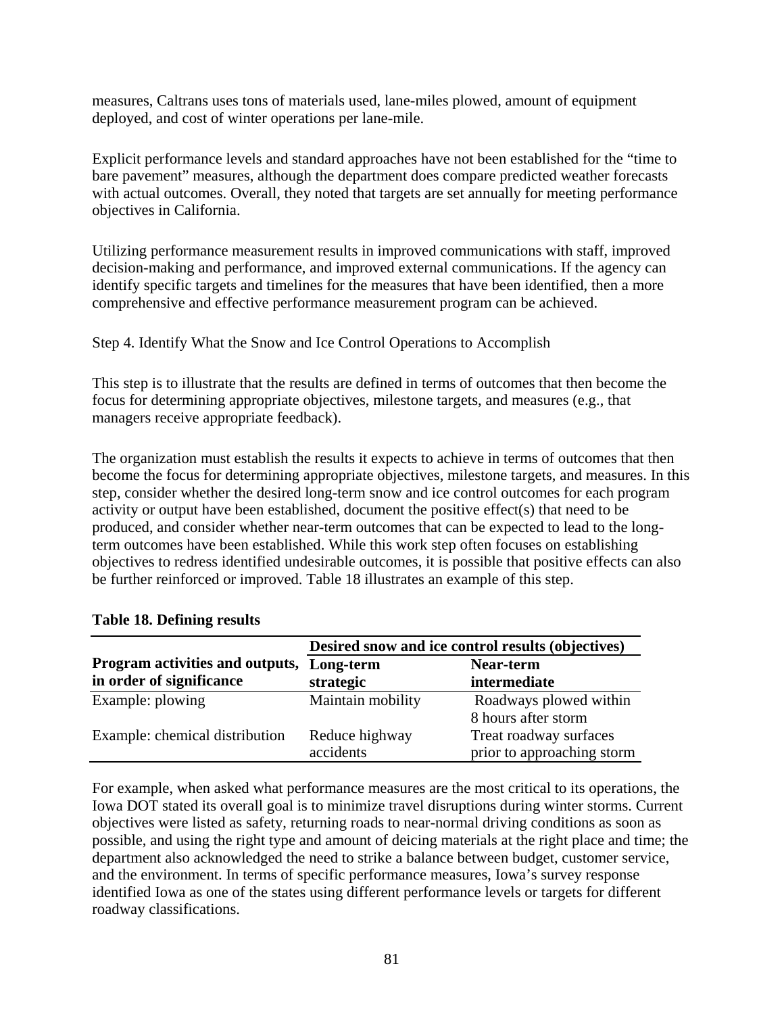measures, Caltrans uses tons of materials used, lane-miles plowed, amount of equipment deployed, and cost of winter operations per lane-mile.

Explicit performance levels and standard approaches have not been established for the "time to bare pavement" measures, although the department does compare predicted weather forecasts with actual outcomes. Overall, they noted that targets are set annually for meeting performance objectives in California.

Utilizing performance measurement results in improved communications with staff, improved decision-making and performance, and improved external communications. If the agency can identify specific targets and timelines for the measures that have been identified, then a more comprehensive and effective performance measurement program can be achieved.

Step 4. Identify What the Snow and Ice Control Operations to Accomplish

This step is to illustrate that the results are defined in terms of outcomes that then become the focus for determining appropriate objectives, milestone targets, and measures (e.g., that managers receive appropriate feedback).

The organization must establish the results it expects to achieve in terms of outcomes that then become the focus for determining appropriate objectives, milestone targets, and measures. In this step, consider whether the desired long-term snow and ice control outcomes for each program activity or output have been established, document the positive effect(s) that need to be produced, and consider whether near-term outcomes that can be expected to lead to the longterm outcomes have been established. While this work step often focuses on establishing objectives to redress identified undesirable outcomes, it is possible that positive effects can also be further reinforced or improved. Table 18 illustrates an example of this step.

|                                 | Desired snow and ice control results (objectives) |                            |  |
|---------------------------------|---------------------------------------------------|----------------------------|--|
| Program activities and outputs, | Near-term<br>Long-term                            |                            |  |
| in order of significance        | strategic                                         | intermediate               |  |
| Example: plowing                | Maintain mobility                                 | Roadways plowed within     |  |
|                                 |                                                   | 8 hours after storm        |  |
| Example: chemical distribution  | Reduce highway                                    | Treat roadway surfaces     |  |
|                                 | accidents                                         | prior to approaching storm |  |

#### **Table 18. Defining results**

For example, when asked what performance measures are the most critical to its operations, the Iowa DOT stated its overall goal is to minimize travel disruptions during winter storms. Current objectives were listed as safety, returning roads to near-normal driving conditions as soon as possible, and using the right type and amount of deicing materials at the right place and time; the department also acknowledged the need to strike a balance between budget, customer service, and the environment. In terms of specific performance measures, Iowa's survey response identified Iowa as one of the states using different performance levels or targets for different roadway classifications.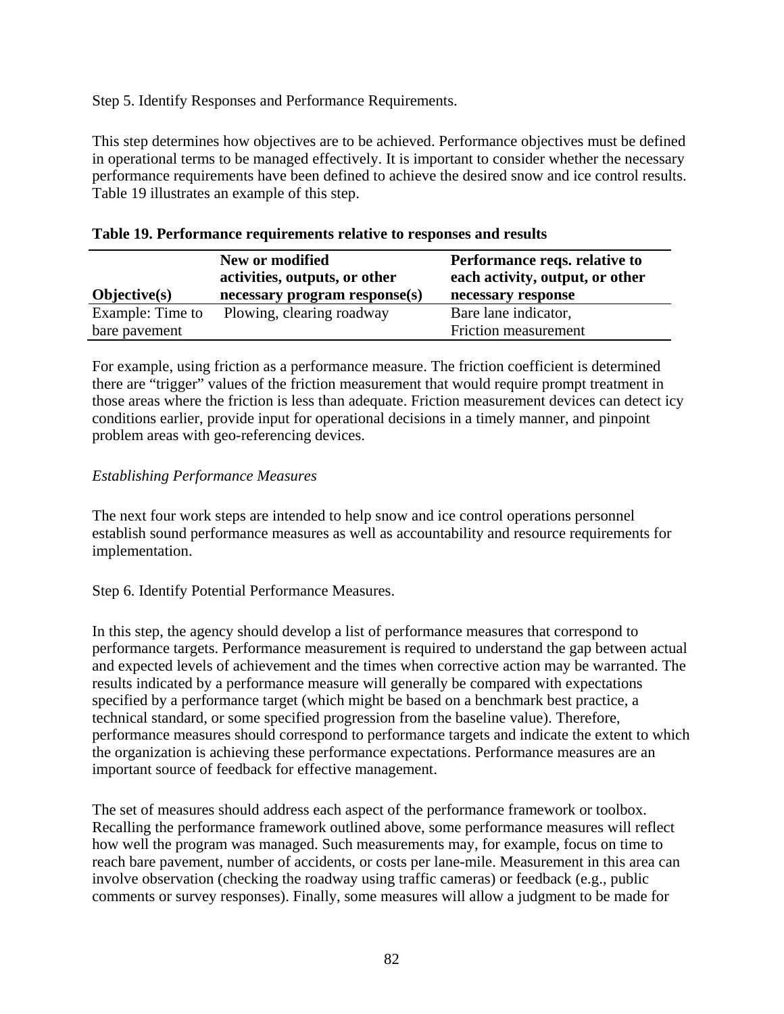Step 5. Identify Responses and Performance Requirements.

This step determines how objectives are to be achieved. Performance objectives must be defined in operational terms to be managed effectively. It is important to consider whether the necessary performance requirements have been defined to achieve the desired snow and ice control results. Table 19 illustrates an example of this step.

| $Objective(s)$   | New or modified<br>activities, outputs, or other<br>necessary program response(s) | Performance reqs. relative to<br>each activity, output, or other<br>necessary response |
|------------------|-----------------------------------------------------------------------------------|----------------------------------------------------------------------------------------|
| Example: Time to | Plowing, clearing roadway                                                         | Bare lane indicator,                                                                   |
| bare pavement    |                                                                                   | Friction measurement                                                                   |

|  | Table 19. Performance requirements relative to responses and results |  |
|--|----------------------------------------------------------------------|--|
|--|----------------------------------------------------------------------|--|

For example, using friction as a performance measure. The friction coefficient is determined there are "trigger" values of the friction measurement that would require prompt treatment in those areas where the friction is less than adequate. Friction measurement devices can detect icy conditions earlier, provide input for operational decisions in a timely manner, and pinpoint problem areas with geo-referencing devices.

### *Establishing Performance Measures*

The next four work steps are intended to help snow and ice control operations personnel establish sound performance measures as well as accountability and resource requirements for implementation.

Step 6. Identify Potential Performance Measures.

In this step, the agency should develop a list of performance measures that correspond to performance targets. Performance measurement is required to understand the gap between actual and expected levels of achievement and the times when corrective action may be warranted. The results indicated by a performance measure will generally be compared with expectations specified by a performance target (which might be based on a benchmark best practice, a technical standard, or some specified progression from the baseline value). Therefore, performance measures should correspond to performance targets and indicate the extent to which the organization is achieving these performance expectations. Performance measures are an important source of feedback for effective management.

The set of measures should address each aspect of the performance framework or toolbox. Recalling the performance framework outlined above, some performance measures will reflect how well the program was managed. Such measurements may, for example, focus on time to reach bare pavement, number of accidents, or costs per lane-mile. Measurement in this area can involve observation (checking the roadway using traffic cameras) or feedback (e.g., public comments or survey responses). Finally, some measures will allow a judgment to be made for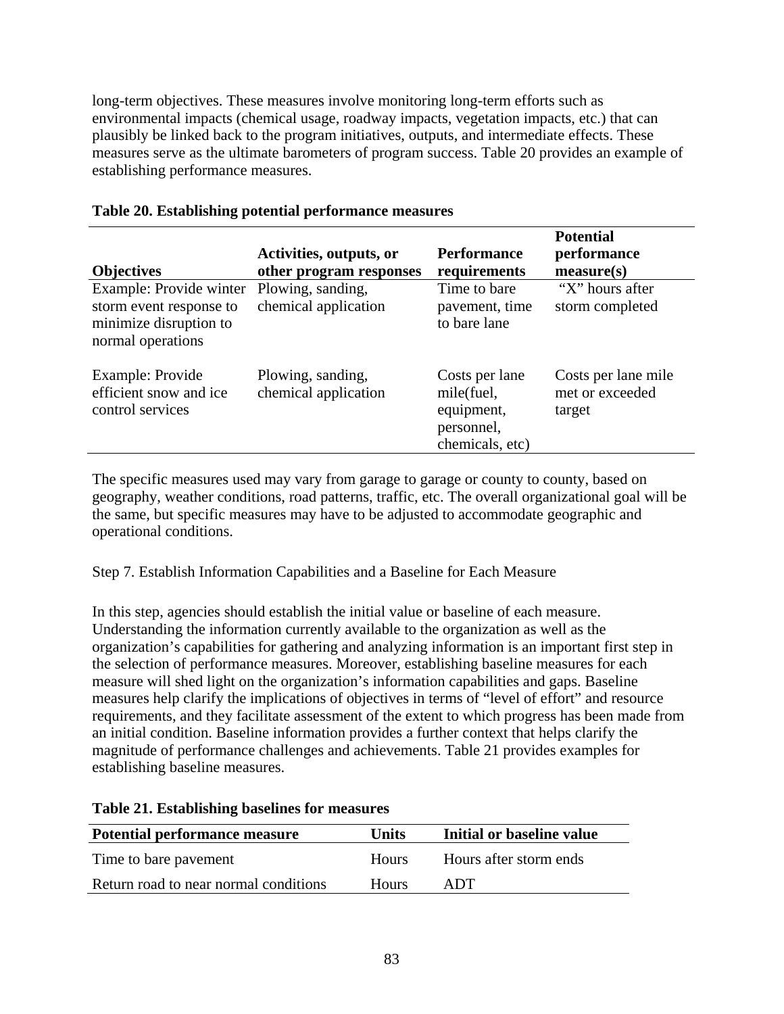long-term objectives. These measures involve monitoring long-term efforts such as environmental impacts (chemical usage, roadway impacts, vegetation impacts, etc.) that can plausibly be linked back to the program initiatives, outputs, and intermediate effects. These measures serve as the ultimate barometers of program success. Table 20 provides an example of establishing performance measures.

| <b>Objectives</b>                                                                                 | Activities, outputs, or<br>other program responses | <b>Performance</b><br>requirements                                          | <b>Potential</b><br>performance<br>measure(s)    |
|---------------------------------------------------------------------------------------------------|----------------------------------------------------|-----------------------------------------------------------------------------|--------------------------------------------------|
| Example: Provide winter<br>storm event response to<br>minimize disruption to<br>normal operations | Plowing, sanding,<br>chemical application          | Time to bare<br>pavement, time<br>to bare lane                              | "X" hours after<br>storm completed               |
| Example: Provide<br>efficient snow and ice<br>control services                                    | Plowing, sanding,<br>chemical application          | Costs per lane<br>mile(fuel,<br>equipment,<br>personnel,<br>chemicals, etc) | Costs per lane mile<br>met or exceeded<br>target |

## **Table 20. Establishing potential performance measures**

The specific measures used may vary from garage to garage or county to county, based on geography, weather conditions, road patterns, traffic, etc. The overall organizational goal will be the same, but specific measures may have to be adjusted to accommodate geographic and operational conditions.

Step 7. Establish Information Capabilities and a Baseline for Each Measure

In this step, agencies should establish the initial value or baseline of each measure. Understanding the information currently available to the organization as well as the organization's capabilities for gathering and analyzing information is an important first step in the selection of performance measures. Moreover, establishing baseline measures for each measure will shed light on the organization's information capabilities and gaps. Baseline measures help clarify the implications of objectives in terms of "level of effort" and resource requirements, and they facilitate assessment of the extent to which progress has been made from an initial condition. Baseline information provides a further context that helps clarify the magnitude of performance challenges and achievements. Table 21 provides examples for establishing baseline measures.

| Potential performance measure         | Units        | Initial or baseline value |
|---------------------------------------|--------------|---------------------------|
| Time to bare payement                 | <b>Hours</b> | Hours after storm ends    |
| Return road to near normal conditions | Hours.       | ADT                       |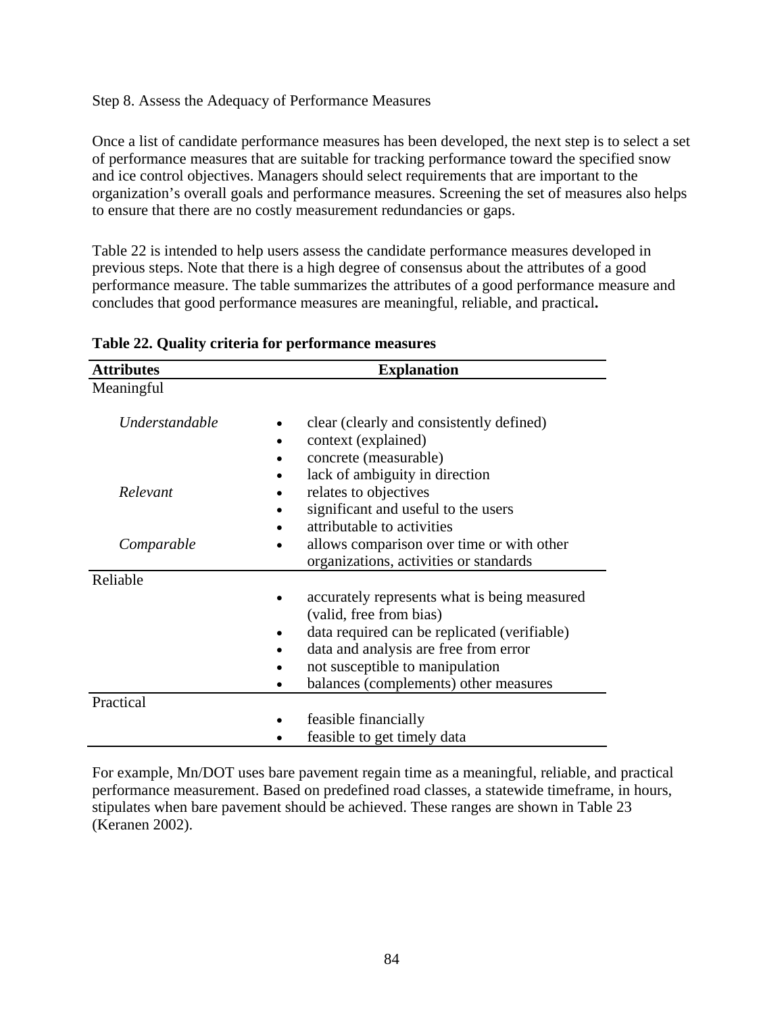#### Step 8. Assess the Adequacy of Performance Measures

Once a list of candidate performance measures has been developed, the next step is to select a set of performance measures that are suitable for tracking performance toward the specified snow and ice control objectives. Managers should select requirements that are important to the organization's overall goals and performance measures. Screening the set of measures also helps to ensure that there are no costly measurement redundancies or gaps.

Table 22 is intended to help users assess the candidate performance measures developed in previous steps. Note that there is a high degree of consensus about the attributes of a good performance measure. The table summarizes the attributes of a good performance measure and concludes that good performance measures are meaningful, reliable, and practical**.** 

| <b>Attributes</b>     | <b>Explanation</b>                                                                                                                                                                                                                           |  |
|-----------------------|----------------------------------------------------------------------------------------------------------------------------------------------------------------------------------------------------------------------------------------------|--|
| Meaningful            |                                                                                                                                                                                                                                              |  |
| <i>Understandable</i> | clear (clearly and consistently defined)<br>context (explained)<br>concrete (measurable)<br>lack of ambiguity in direction                                                                                                                   |  |
| Relevant              | relates to objectives<br>significant and useful to the users<br>attributable to activities                                                                                                                                                   |  |
| Comparable            | allows comparison over time or with other<br>organizations, activities or standards                                                                                                                                                          |  |
| Reliable              | accurately represents what is being measured<br>(valid, free from bias)<br>data required can be replicated (verifiable)<br>data and analysis are free from error<br>not susceptible to manipulation<br>balances (complements) other measures |  |
| Practical             |                                                                                                                                                                                                                                              |  |
|                       | feasible financially<br>feasible to get timely data                                                                                                                                                                                          |  |

**Table 22. Quality criteria for performance measures** 

For example, Mn/DOT uses bare pavement regain time as a meaningful, reliable, and practical performance measurement. Based on predefined road classes, a statewide timeframe, in hours, stipulates when bare pavement should be achieved. These ranges are shown in Table 23 (Keranen 2002).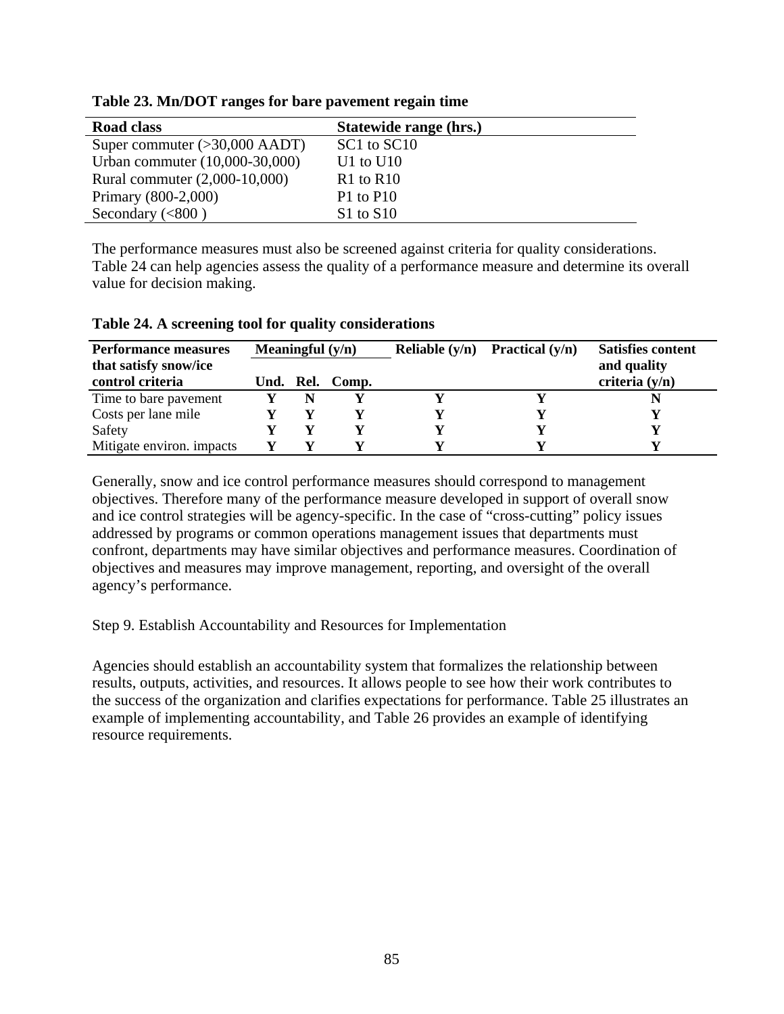| Road class                              | Statewide range (hrs.) |
|-----------------------------------------|------------------------|
| Super commuter $(>30,000 \text{ AADT})$ | SC1 to SC10            |
| Urban commuter (10,000-30,000)          | U1 to U10              |
| Rural commuter (2,000-10,000)           | $R1$ to $R10$          |
| Primary (800-2,000)                     | $P1$ to $P10$          |
| Secondary $(<800$ )                     | $S1$ to $S10$          |

**Table 23. Mn/DOT ranges for bare pavement regain time** 

The performance measures must also be screened against criteria for quality considerations. Table 24 can help agencies assess the quality of a performance measure and determine its overall value for decision making.

| <b>Performance measures</b>               | Meaningful $(y/n)$ |           | Reliable $(y/n)$ | <b>Practical</b> $(y/n)$ | <b>Satisfies content</b> |                                 |
|-------------------------------------------|--------------------|-----------|------------------|--------------------------|--------------------------|---------------------------------|
| that satisfy snow/ice<br>control criteria |                    | Und. Rel. | Comp.            |                          |                          | and quality<br>criteria $(y/n)$ |
| Time to bare pavement                     |                    | N         |                  |                          |                          |                                 |
| Costs per lane mile                       |                    |           |                  |                          |                          |                                 |
| Safety                                    |                    |           |                  |                          |                          |                                 |
| Mitigate environ. impacts                 |                    |           |                  |                          |                          |                                 |

#### **Table 24. A screening tool for quality considerations**

Generally, snow and ice control performance measures should correspond to management objectives. Therefore many of the performance measure developed in support of overall snow and ice control strategies will be agency-specific. In the case of "cross-cutting" policy issues addressed by programs or common operations management issues that departments must confront, departments may have similar objectives and performance measures. Coordination of objectives and measures may improve management, reporting, and oversight of the overall agency's performance.

Step 9. Establish Accountability and Resources for Implementation

Agencies should establish an accountability system that formalizes the relationship between results, outputs, activities, and resources. It allows people to see how their work contributes to the success of the organization and clarifies expectations for performance. Table 25 illustrates an example of implementing accountability, and Table 26 provides an example of identifying resource requirements.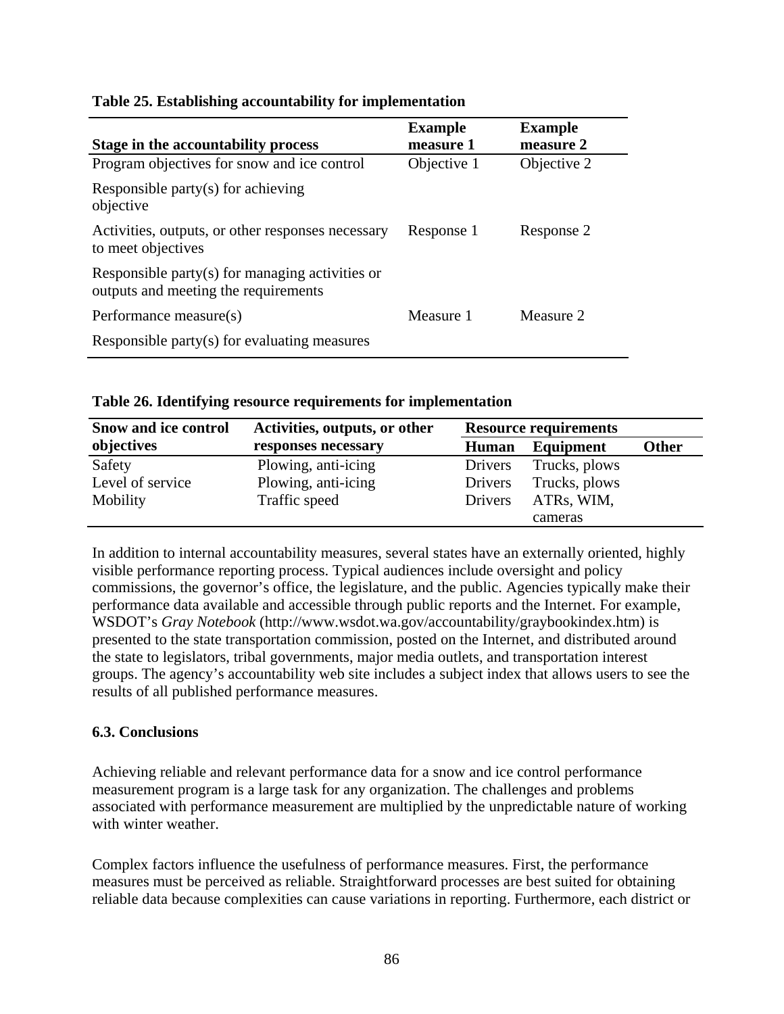| Stage in the accountability process                                                     | <b>Example</b><br>measure 1 | <b>Example</b><br>measure 2 |
|-----------------------------------------------------------------------------------------|-----------------------------|-----------------------------|
| Program objectives for snow and ice control                                             | Objective 1                 | Objective 2                 |
| Responsible party(s) for achieving<br>objective                                         |                             |                             |
| Activities, outputs, or other responses necessary<br>to meet objectives                 | Response 1                  | Response 2                  |
| Responsible party(s) for managing activities or<br>outputs and meeting the requirements |                             |                             |
| Performance measure(s)                                                                  | Measure 1                   | Measure 2                   |
| Responsible party(s) for evaluating measures                                            |                             |                             |

### **Table 25. Establishing accountability for implementation**

**Table 26. Identifying resource requirements for implementation** 

| <b>Snow and ice control</b> | Activities, outputs, or other | <b>Resource requirements</b> |               |              |
|-----------------------------|-------------------------------|------------------------------|---------------|--------------|
| objectives                  | responses necessary           | <b>Human</b>                 | Equipment     | <b>Other</b> |
| Safety                      | Plowing, anti-icing           | Drivers                      | Trucks, plows |              |
| Level of service            | Plowing, anti-icing           | Drivers                      | Trucks, plows |              |
| Mobility                    | Traffic speed                 | Drivers                      | ATRs, WIM,    |              |
|                             |                               |                              | cameras       |              |

In addition to internal accountability measures, several states have an externally oriented, highly visible performance reporting process. Typical audiences include oversight and policy commissions, the governor's office, the legislature, and the public. Agencies typically make their performance data available and accessible through public reports and the Internet. For example, WSDOT's *Gray Notebook* (http://www.wsdot.wa.gov/accountability/graybookindex.htm) is presented to the state transportation commission, posted on the Internet, and distributed around the state to legislators, tribal governments, major media outlets, and transportation interest groups. The agency's accountability web site includes a subject index that allows users to see the results of all published performance measures.

## **6.3. Conclusions**

Achieving reliable and relevant performance data for a snow and ice control performance measurement program is a large task for any organization. The challenges and problems associated with performance measurement are multiplied by the unpredictable nature of working with winter weather.

Complex factors influence the usefulness of performance measures. First, the performance measures must be perceived as reliable. Straightforward processes are best suited for obtaining reliable data because complexities can cause variations in reporting. Furthermore, each district or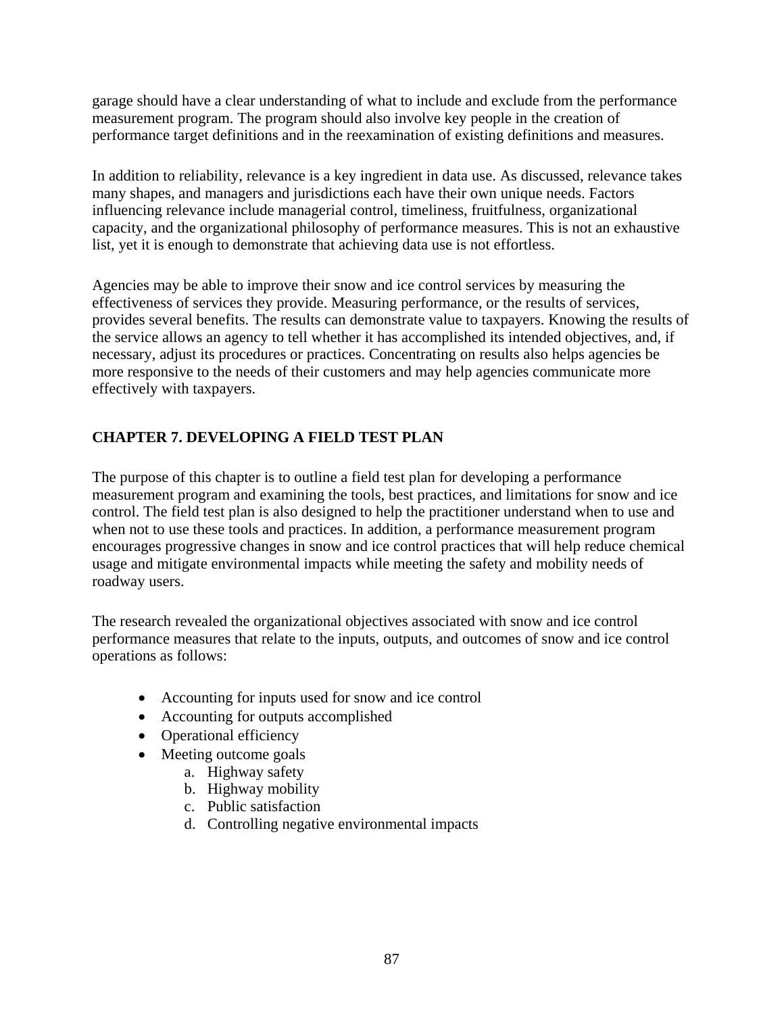garage should have a clear understanding of what to include and exclude from the performance measurement program. The program should also involve key people in the creation of performance target definitions and in the reexamination of existing definitions and measures.

In addition to reliability, relevance is a key ingredient in data use. As discussed, relevance takes many shapes, and managers and jurisdictions each have their own unique needs. Factors influencing relevance include managerial control, timeliness, fruitfulness, organizational capacity, and the organizational philosophy of performance measures. This is not an exhaustive list, yet it is enough to demonstrate that achieving data use is not effortless.

Agencies may be able to improve their snow and ice control services by measuring the effectiveness of services they provide. Measuring performance, or the results of services, provides several benefits. The results can demonstrate value to taxpayers. Knowing the results of the service allows an agency to tell whether it has accomplished its intended objectives, and, if necessary, adjust its procedures or practices. Concentrating on results also helps agencies be more responsive to the needs of their customers and may help agencies communicate more effectively with taxpayers.

## **CHAPTER 7. DEVELOPING A FIELD TEST PLAN**

The purpose of this chapter is to outline a field test plan for developing a performance measurement program and examining the tools, best practices, and limitations for snow and ice control. The field test plan is also designed to help the practitioner understand when to use and when not to use these tools and practices. In addition, a performance measurement program encourages progressive changes in snow and ice control practices that will help reduce chemical usage and mitigate environmental impacts while meeting the safety and mobility needs of roadway users.

The research revealed the organizational objectives associated with snow and ice control performance measures that relate to the inputs, outputs, and outcomes of snow and ice control operations as follows:

- Accounting for inputs used for snow and ice control
- Accounting for outputs accomplished
- Operational efficiency
- Meeting outcome goals
	- a. Highway safety
	- b. Highway mobility
	- c. Public satisfaction
	- d. Controlling negative environmental impacts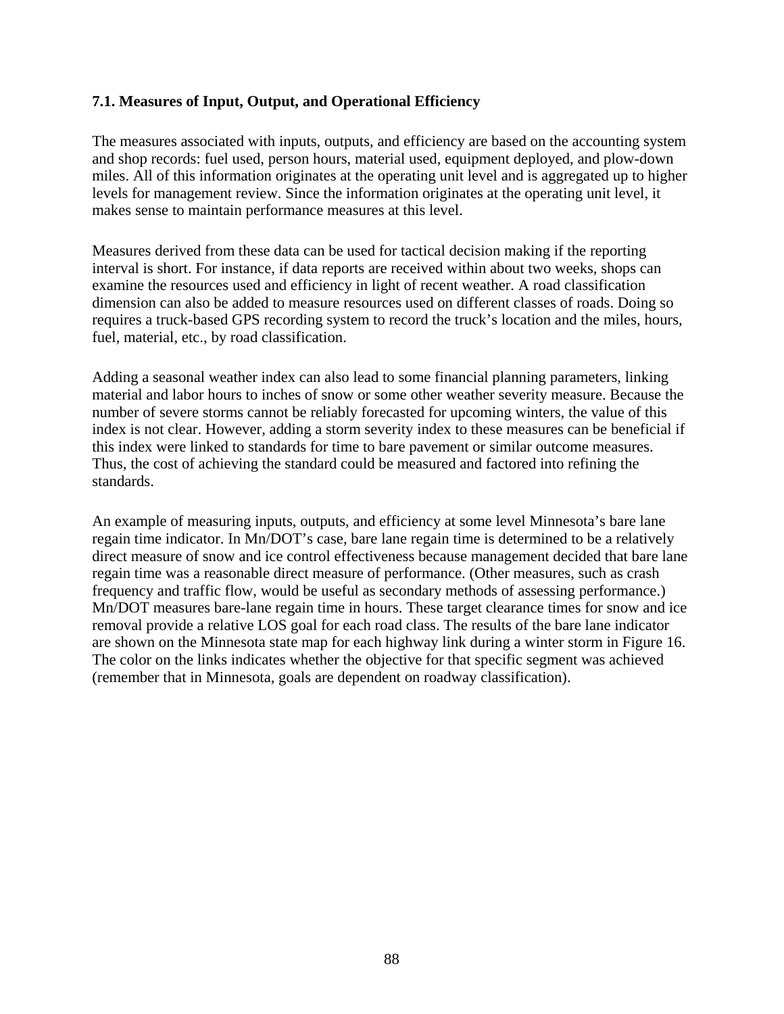### **7.1. Measures of Input, Output, and Operational Efficiency**

The measures associated with inputs, outputs, and efficiency are based on the accounting system and shop records: fuel used, person hours, material used, equipment deployed, and plow-down miles. All of this information originates at the operating unit level and is aggregated up to higher levels for management review. Since the information originates at the operating unit level, it makes sense to maintain performance measures at this level.

Measures derived from these data can be used for tactical decision making if the reporting interval is short. For instance, if data reports are received within about two weeks, shops can examine the resources used and efficiency in light of recent weather. A road classification dimension can also be added to measure resources used on different classes of roads. Doing so requires a truck-based GPS recording system to record the truck's location and the miles, hours, fuel, material, etc., by road classification.

Adding a seasonal weather index can also lead to some financial planning parameters, linking material and labor hours to inches of snow or some other weather severity measure. Because the number of severe storms cannot be reliably forecasted for upcoming winters, the value of this index is not clear. However, adding a storm severity index to these measures can be beneficial if this index were linked to standards for time to bare pavement or similar outcome measures. Thus, the cost of achieving the standard could be measured and factored into refining the standards.

An example of measuring inputs, outputs, and efficiency at some level Minnesota's bare lane regain time indicator. In Mn/DOT's case, bare lane regain time is determined to be a relatively direct measure of snow and ice control effectiveness because management decided that bare lane regain time was a reasonable direct measure of performance. (Other measures, such as crash frequency and traffic flow, would be useful as secondary methods of assessing performance.) Mn/DOT measures bare-lane regain time in hours. These target clearance times for snow and ice removal provide a relative LOS goal for each road class. The results of the bare lane indicator are shown on the Minnesota state map for each highway link during a winter storm in Figure 16. The color on the links indicates whether the objective for that specific segment was achieved (remember that in Minnesota, goals are dependent on roadway classification).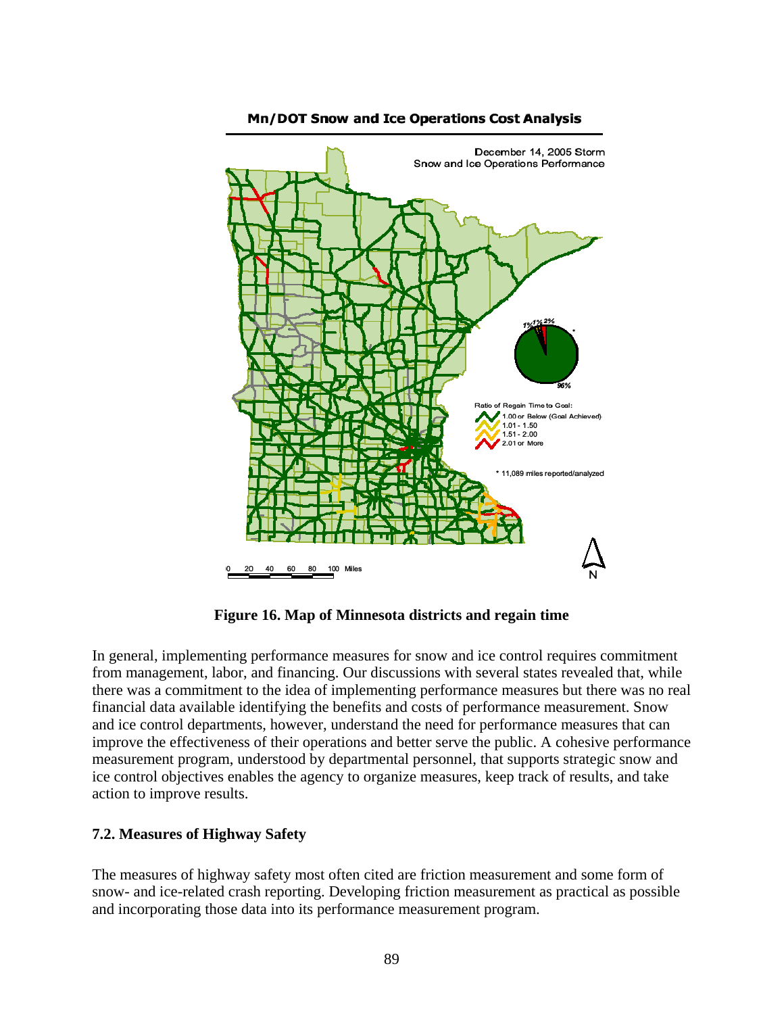

#### **Mn/DOT Snow and Ice Operations Cost Analysis**

**Figure 16. Map of Minnesota districts and regain time** 

In general, implementing performance measures for snow and ice control requires commitment from management, labor, and financing. Our discussions with several states revealed that, while there was a commitment to the idea of implementing performance measures but there was no real financial data available identifying the benefits and costs of performance measurement. Snow and ice control departments, however, understand the need for performance measures that can improve the effectiveness of their operations and better serve the public. A cohesive performance measurement program, understood by departmental personnel, that supports strategic snow and ice control objectives enables the agency to organize measures, keep track of results, and take action to improve results.

#### **7.2. Measures of Highway Safety**

The measures of highway safety most often cited are friction measurement and some form of snow- and ice-related crash reporting. Developing friction measurement as practical as possible and incorporating those data into its performance measurement program.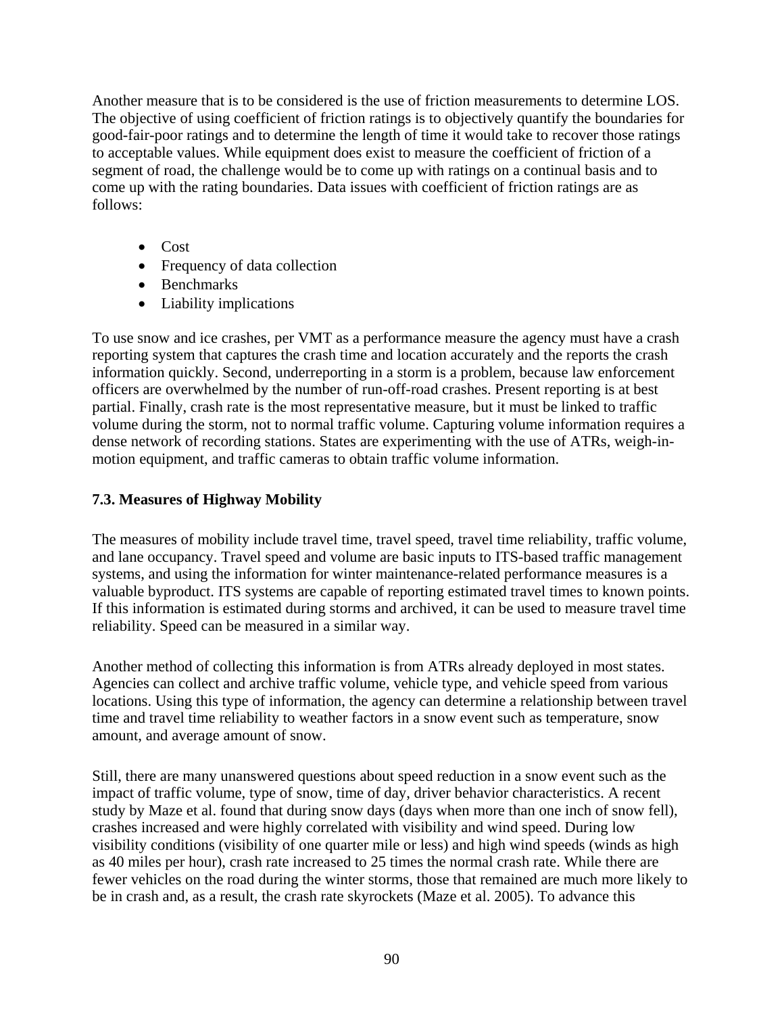Another measure that is to be considered is the use of friction measurements to determine LOS. The objective of using coefficient of friction ratings is to objectively quantify the boundaries for good-fair-poor ratings and to determine the length of time it would take to recover those ratings to acceptable values. While equipment does exist to measure the coefficient of friction of a segment of road, the challenge would be to come up with ratings on a continual basis and to come up with the rating boundaries. Data issues with coefficient of friction ratings are as follows:

- Cost
- Frequency of data collection
- Benchmarks
- Liability implications

To use snow and ice crashes, per VMT as a performance measure the agency must have a crash reporting system that captures the crash time and location accurately and the reports the crash information quickly. Second, underreporting in a storm is a problem, because law enforcement officers are overwhelmed by the number of run-off-road crashes. Present reporting is at best partial. Finally, crash rate is the most representative measure, but it must be linked to traffic volume during the storm, not to normal traffic volume. Capturing volume information requires a dense network of recording stations. States are experimenting with the use of ATRs, weigh-inmotion equipment, and traffic cameras to obtain traffic volume information.

## **7.3. Measures of Highway Mobility**

The measures of mobility include travel time, travel speed, travel time reliability, traffic volume, and lane occupancy. Travel speed and volume are basic inputs to ITS-based traffic management systems, and using the information for winter maintenance-related performance measures is a valuable byproduct. ITS systems are capable of reporting estimated travel times to known points. If this information is estimated during storms and archived, it can be used to measure travel time reliability. Speed can be measured in a similar way.

Another method of collecting this information is from ATRs already deployed in most states. Agencies can collect and archive traffic volume, vehicle type, and vehicle speed from various locations. Using this type of information, the agency can determine a relationship between travel time and travel time reliability to weather factors in a snow event such as temperature, snow amount, and average amount of snow.

Still, there are many unanswered questions about speed reduction in a snow event such as the impact of traffic volume, type of snow, time of day, driver behavior characteristics. A recent study by Maze et al. found that during snow days (days when more than one inch of snow fell), crashes increased and were highly correlated with visibility and wind speed. During low visibility conditions (visibility of one quarter mile or less) and high wind speeds (winds as high as 40 miles per hour), crash rate increased to 25 times the normal crash rate. While there are fewer vehicles on the road during the winter storms, those that remained are much more likely to be in crash and, as a result, the crash rate skyrockets (Maze et al. 2005). To advance this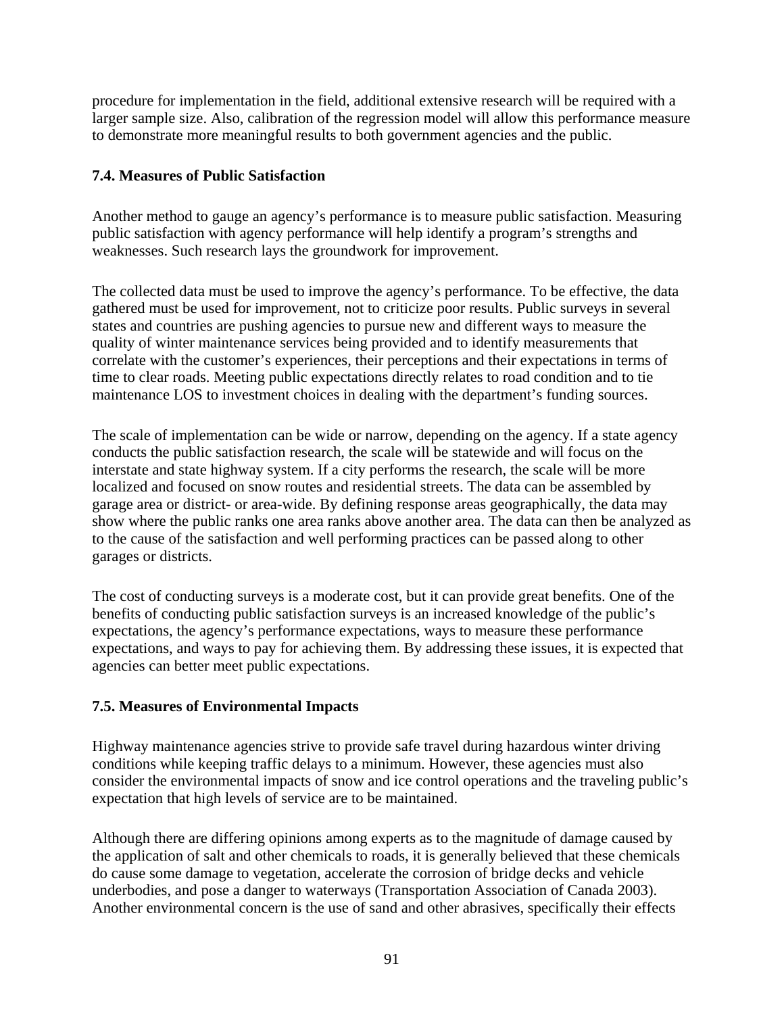procedure for implementation in the field, additional extensive research will be required with a larger sample size. Also, calibration of the regression model will allow this performance measure to demonstrate more meaningful results to both government agencies and the public.

## **7.4. Measures of Public Satisfaction**

Another method to gauge an agency's performance is to measure public satisfaction. Measuring public satisfaction with agency performance will help identify a program's strengths and weaknesses. Such research lays the groundwork for improvement.

The collected data must be used to improve the agency's performance. To be effective, the data gathered must be used for improvement, not to criticize poor results. Public surveys in several states and countries are pushing agencies to pursue new and different ways to measure the quality of winter maintenance services being provided and to identify measurements that correlate with the customer's experiences, their perceptions and their expectations in terms of time to clear roads. Meeting public expectations directly relates to road condition and to tie maintenance LOS to investment choices in dealing with the department's funding sources.

The scale of implementation can be wide or narrow, depending on the agency. If a state agency conducts the public satisfaction research, the scale will be statewide and will focus on the interstate and state highway system. If a city performs the research, the scale will be more localized and focused on snow routes and residential streets. The data can be assembled by garage area or district- or area-wide. By defining response areas geographically, the data may show where the public ranks one area ranks above another area. The data can then be analyzed as to the cause of the satisfaction and well performing practices can be passed along to other garages or districts.

The cost of conducting surveys is a moderate cost, but it can provide great benefits. One of the benefits of conducting public satisfaction surveys is an increased knowledge of the public's expectations, the agency's performance expectations, ways to measure these performance expectations, and ways to pay for achieving them. By addressing these issues, it is expected that agencies can better meet public expectations.

## **7.5. Measures of Environmental Impacts**

Highway maintenance agencies strive to provide safe travel during hazardous winter driving conditions while keeping traffic delays to a minimum. However, these agencies must also consider the environmental impacts of snow and ice control operations and the traveling public's expectation that high levels of service are to be maintained.

Although there are differing opinions among experts as to the magnitude of damage caused by the application of salt and other chemicals to roads, it is generally believed that these chemicals do cause some damage to vegetation, accelerate the corrosion of bridge decks and vehicle underbodies, and pose a danger to waterways (Transportation Association of Canada 2003). Another environmental concern is the use of sand and other abrasives, specifically their effects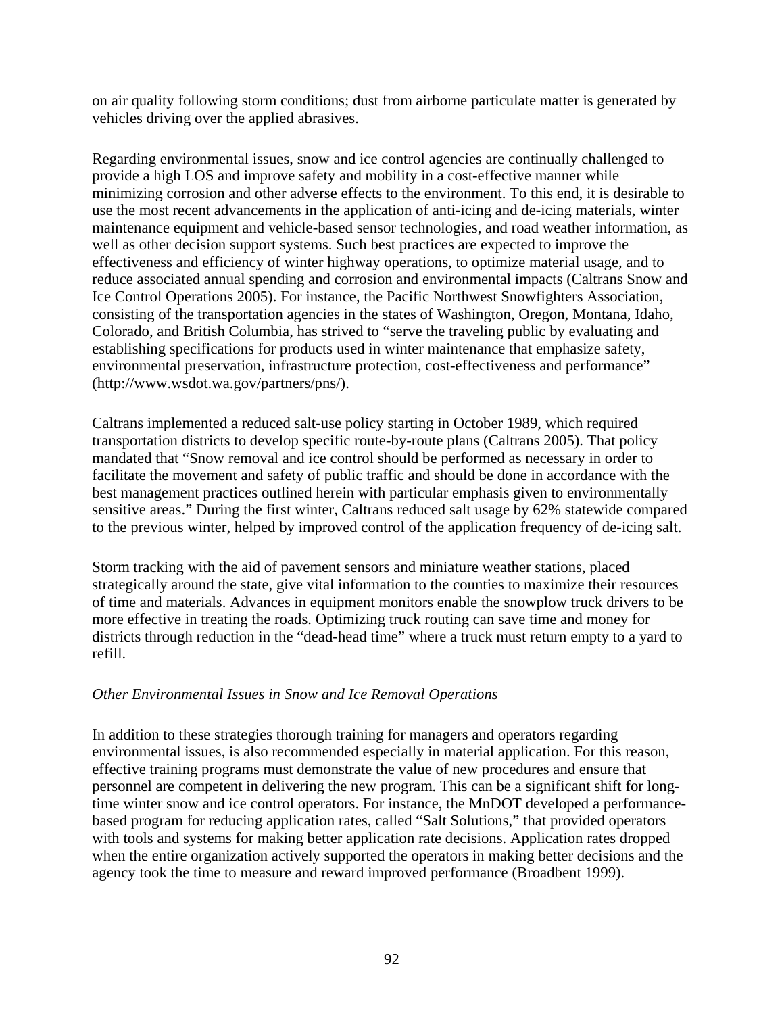on air quality following storm conditions; dust from airborne particulate matter is generated by vehicles driving over the applied abrasives.

Regarding environmental issues, snow and ice control agencies are continually challenged to provide a high LOS and improve safety and mobility in a cost-effective manner while minimizing corrosion and other adverse effects to the environment. To this end, it is desirable to use the most recent advancements in the application of anti-icing and de-icing materials, winter maintenance equipment and vehicle-based sensor technologies, and road weather information, as well as other decision support systems. Such best practices are expected to improve the effectiveness and efficiency of winter highway operations, to optimize material usage, and to reduce associated annual spending and corrosion and environmental impacts (Caltrans Snow and Ice Control Operations 2005). For instance, the Pacific Northwest Snowfighters Association, consisting of the transportation agencies in the states of Washington, Oregon, Montana, Idaho, Colorado, and British Columbia, has strived to "serve the traveling public by evaluating and establishing specifications for products used in winter maintenance that emphasize safety, environmental preservation, infrastructure protection, cost-effectiveness and performance" (http://www.wsdot.wa.gov/partners/pns/).

Caltrans implemented a reduced salt-use policy starting in October 1989, which required transportation districts to develop specific route-by-route plans (Caltrans 2005). That policy mandated that "Snow removal and ice control should be performed as necessary in order to facilitate the movement and safety of public traffic and should be done in accordance with the best management practices outlined herein with particular emphasis given to environmentally sensitive areas." During the first winter, Caltrans reduced salt usage by 62% statewide compared to the previous winter, helped by improved control of the application frequency of de-icing salt.

Storm tracking with the aid of pavement sensors and miniature weather stations, placed strategically around the state, give vital information to the counties to maximize their resources of time and materials. Advances in equipment monitors enable the snowplow truck drivers to be more effective in treating the roads. Optimizing truck routing can save time and money for districts through reduction in the "dead-head time" where a truck must return empty to a yard to refill.

## *Other Environmental Issues in Snow and Ice Removal Operations*

In addition to these strategies thorough training for managers and operators regarding environmental issues, is also recommended especially in material application. For this reason, effective training programs must demonstrate the value of new procedures and ensure that personnel are competent in delivering the new program. This can be a significant shift for longtime winter snow and ice control operators. For instance, the MnDOT developed a performancebased program for reducing application rates, called "Salt Solutions," that provided operators with tools and systems for making better application rate decisions. Application rates dropped when the entire organization actively supported the operators in making better decisions and the agency took the time to measure and reward improved performance (Broadbent 1999).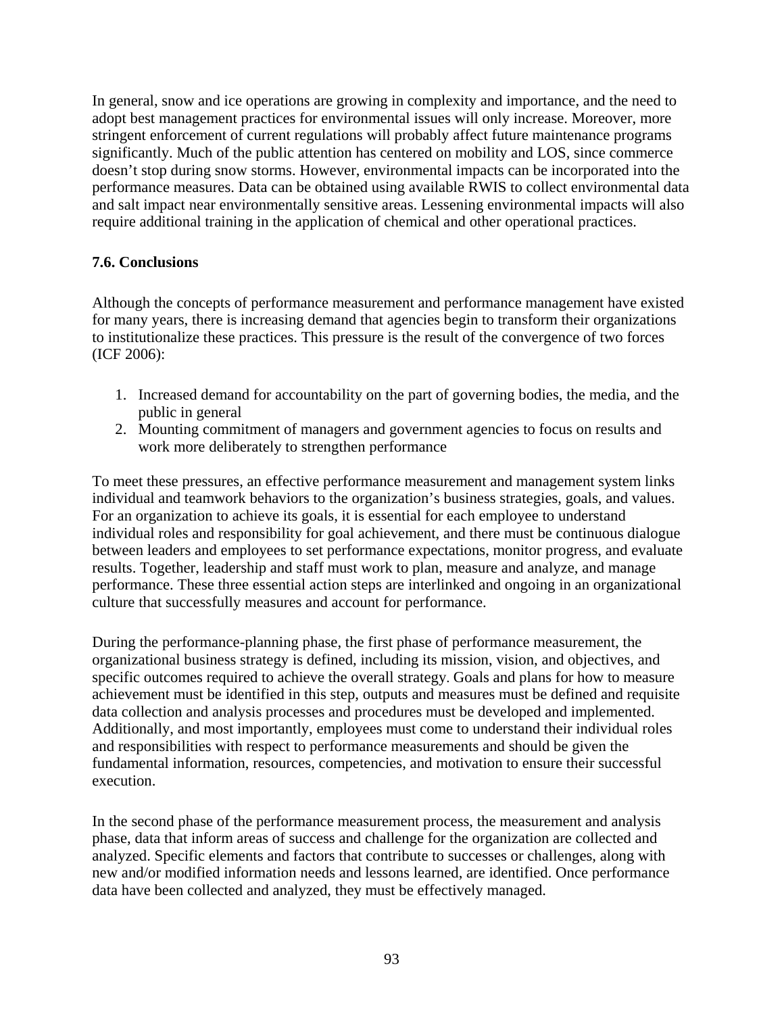In general, snow and ice operations are growing in complexity and importance, and the need to adopt best management practices for environmental issues will only increase. Moreover, more stringent enforcement of current regulations will probably affect future maintenance programs significantly. Much of the public attention has centered on mobility and LOS, since commerce doesn't stop during snow storms. However, environmental impacts can be incorporated into the performance measures. Data can be obtained using available RWIS to collect environmental data and salt impact near environmentally sensitive areas. Lessening environmental impacts will also require additional training in the application of chemical and other operational practices.

### **7.6. Conclusions**

Although the concepts of performance measurement and performance management have existed for many years, there is increasing demand that agencies begin to transform their organizations to institutionalize these practices. This pressure is the result of the convergence of two forces (ICF 2006):

- 1. Increased demand for accountability on the part of governing bodies, the media, and the public in general
- 2. Mounting commitment of managers and government agencies to focus on results and work more deliberately to strengthen performance

To meet these pressures, an effective performance measurement and management system links individual and teamwork behaviors to the organization's business strategies, goals, and values. For an organization to achieve its goals, it is essential for each employee to understand individual roles and responsibility for goal achievement, and there must be continuous dialogue between leaders and employees to set performance expectations, monitor progress, and evaluate results. Together, leadership and staff must work to plan, measure and analyze, and manage performance. These three essential action steps are interlinked and ongoing in an organizational culture that successfully measures and account for performance.

During the performance-planning phase, the first phase of performance measurement, the organizational business strategy is defined, including its mission, vision, and objectives, and specific outcomes required to achieve the overall strategy. Goals and plans for how to measure achievement must be identified in this step, outputs and measures must be defined and requisite data collection and analysis processes and procedures must be developed and implemented. Additionally, and most importantly, employees must come to understand their individual roles and responsibilities with respect to performance measurements and should be given the fundamental information, resources, competencies, and motivation to ensure their successful execution.

In the second phase of the performance measurement process, the measurement and analysis phase, data that inform areas of success and challenge for the organization are collected and analyzed. Specific elements and factors that contribute to successes or challenges, along with new and/or modified information needs and lessons learned, are identified. Once performance data have been collected and analyzed, they must be effectively managed.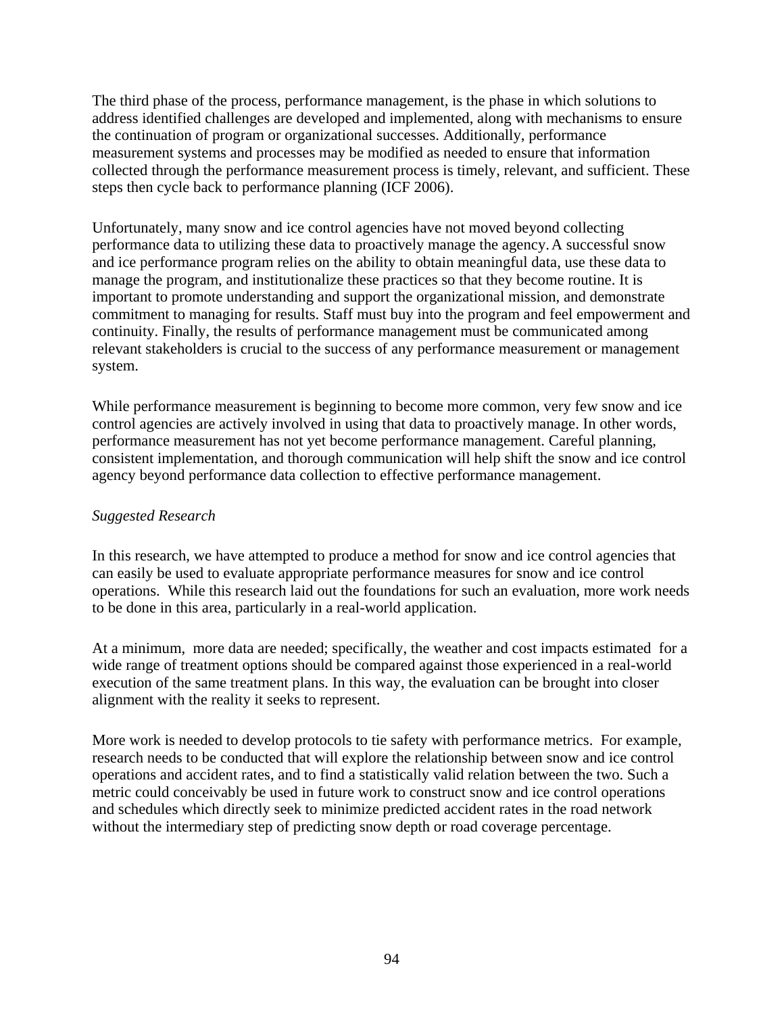The third phase of the process, performance management, is the phase in which solutions to address identified challenges are developed and implemented, along with mechanisms to ensure the continuation of program or organizational successes. Additionally, performance measurement systems and processes may be modified as needed to ensure that information collected through the performance measurement process is timely, relevant, and sufficient. These steps then cycle back to performance planning (ICF 2006).

Unfortunately, many snow and ice control agencies have not moved beyond collecting performance data to utilizing these data to proactively manage the agency.A successful snow and ice performance program relies on the ability to obtain meaningful data, use these data to manage the program, and institutionalize these practices so that they become routine. It is important to promote understanding and support the organizational mission, and demonstrate commitment to managing for results. Staff must buy into the program and feel empowerment and continuity. Finally, the results of performance management must be communicated among relevant stakeholders is crucial to the success of any performance measurement or management system.

While performance measurement is beginning to become more common, very few snow and ice control agencies are actively involved in using that data to proactively manage. In other words, performance measurement has not yet become performance management. Careful planning, consistent implementation, and thorough communication will help shift the snow and ice control agency beyond performance data collection to effective performance management.

## *Suggested Research*

In this research, we have attempted to produce a method for snow and ice control agencies that can easily be used to evaluate appropriate performance measures for snow and ice control operations. While this research laid out the foundations for such an evaluation, more work needs to be done in this area, particularly in a real-world application.

At a minimum, more data are needed; specifically, the weather and cost impacts estimated for a wide range of treatment options should be compared against those experienced in a real-world execution of the same treatment plans. In this way, the evaluation can be brought into closer alignment with the reality it seeks to represent.

More work is needed to develop protocols to tie safety with performance metrics. For example, research needs to be conducted that will explore the relationship between snow and ice control operations and accident rates, and to find a statistically valid relation between the two. Such a metric could conceivably be used in future work to construct snow and ice control operations and schedules which directly seek to minimize predicted accident rates in the road network without the intermediary step of predicting snow depth or road coverage percentage.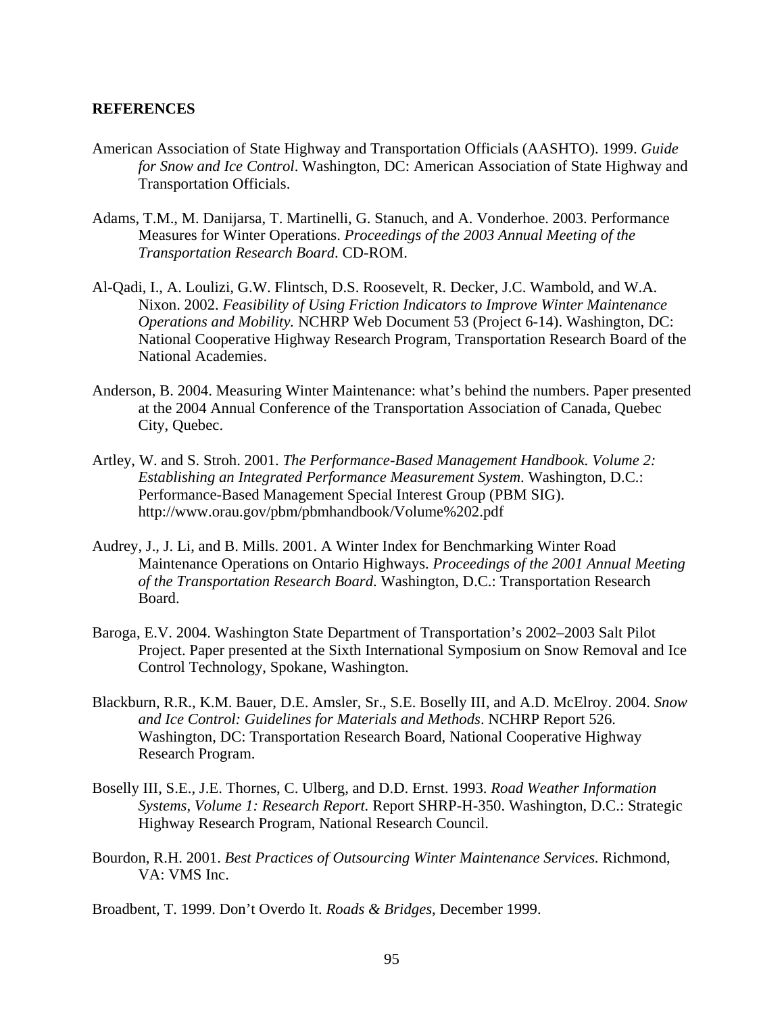#### **REFERENCES**

- American Association of State Highway and Transportation Officials (AASHTO). 1999. *Guide for Snow and Ice Control*. Washington, DC: American Association of State Highway and Transportation Officials.
- Adams, T.M., M. Danijarsa, T. Martinelli, G. Stanuch, and A. Vonderhoe. 2003. Performance Measures for Winter Operations. *Proceedings of the 2003 Annual Meeting of the Transportation Research Board*. CD-ROM.
- Al-Qadi, I., A. Loulizi, G.W. Flintsch, D.S. Roosevelt, R. Decker, J.C. Wambold, and W.A. Nixon. 2002. *Feasibility of Using Friction Indicators to Improve Winter Maintenance Operations and Mobility.* NCHRP Web Document 53 (Project 6-14). Washington, DC: National Cooperative Highway Research Program, Transportation Research Board of the National Academies.
- Anderson, B. 2004. Measuring Winter Maintenance: what's behind the numbers. Paper presented at the 2004 Annual Conference of the Transportation Association of Canada, Quebec City, Quebec.
- Artley, W. and S. Stroh. 2001. *The Performance-Based Management Handbook. Volume 2: Establishing an Integrated Performance Measurement System*. Washington, D.C.: Performance-Based Management Special Interest Group (PBM SIG). http://www.orau.gov/pbm/pbmhandbook/Volume%202.pdf
- Audrey, J., J. Li, and B. Mills. 2001. A Winter Index for Benchmarking Winter Road Maintenance Operations on Ontario Highways. *Proceedings of the 2001 Annual Meeting of the Transportation Research Board*. Washington, D.C.: Transportation Research Board.
- Baroga, E.V. 2004. Washington State Department of Transportation's 2002–2003 Salt Pilot Project. Paper presented at the Sixth International Symposium on Snow Removal and Ice Control Technology, Spokane, Washington.
- Blackburn, R.R., K.M. Bauer, D.E. Amsler, Sr., S.E. Boselly III, and A.D. McElroy. 2004. *Snow and Ice Control: Guidelines for Materials and Methods*. NCHRP Report 526. Washington, DC: Transportation Research Board, National Cooperative Highway Research Program.
- Boselly III, S.E., J.E. Thornes, C. Ulberg, and D.D. Ernst. 1993. *Road Weather Information Systems, Volume 1: Research Report.* Report SHRP-H-350. Washington, D.C.: Strategic Highway Research Program, National Research Council.
- Bourdon, R.H. 2001. *Best Practices of Outsourcing Winter Maintenance Services.* Richmond, VA: VMS Inc.

Broadbent, T. 1999. Don't Overdo It. *Roads & Bridges*, December 1999.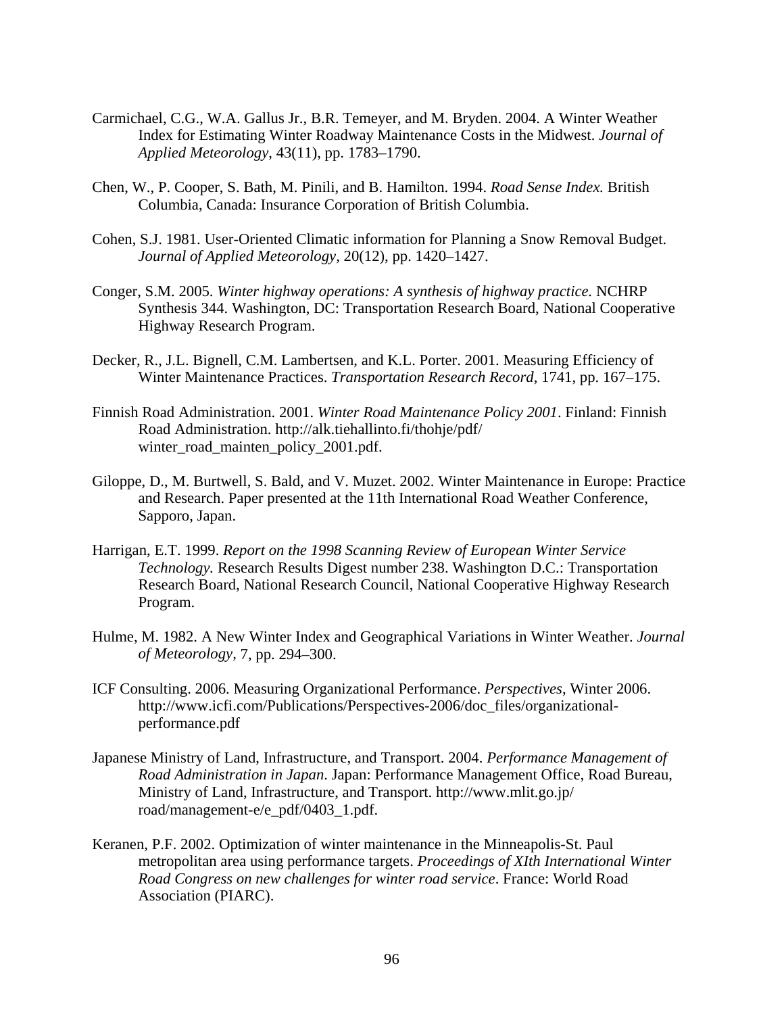- Carmichael, C.G., W.A. Gallus Jr., B.R. Temeyer, and M. Bryden. 2004. A Winter Weather Index for Estimating Winter Roadway Maintenance Costs in the Midwest. *Journal of Applied Meteorology,* 43(11), pp. 1783–1790.
- Chen, W., P. Cooper, S. Bath, M. Pinili, and B. Hamilton. 1994. *Road Sense Index.* British Columbia, Canada: Insurance Corporation of British Columbia.
- Cohen, S.J. 1981. User-Oriented Climatic information for Planning a Snow Removal Budget. *Journal of Applied Meteorology*, 20(12), pp. 1420–1427.
- Conger, S.M. 2005. *Winter highway operations: A synthesis of highway practice.* NCHRP Synthesis 344. Washington, DC: Transportation Research Board, National Cooperative Highway Research Program.
- Decker, R., J.L. Bignell, C.M. Lambertsen, and K.L. Porter. 2001. Measuring Efficiency of Winter Maintenance Practices. *Transportation Research Record*, 1741, pp. 167–175.
- Finnish Road Administration. 2001. *Winter Road Maintenance Policy 2001*. Finland: Finnish Road Administration. http://alk.tiehallinto.fi/thohje/pdf/ winter\_road\_mainten\_policy\_2001.pdf.
- Giloppe, D., M. Burtwell, S. Bald, and V. Muzet. 2002. Winter Maintenance in Europe: Practice and Research. Paper presented at the 11th International Road Weather Conference, Sapporo, Japan.
- Harrigan, E.T. 1999. *Report on the 1998 Scanning Review of European Winter Service Technology.* Research Results Digest number 238. Washington D.C.: Transportation Research Board, National Research Council, National Cooperative Highway Research Program.
- Hulme, M. 1982. A New Winter Index and Geographical Variations in Winter Weather. *Journal of Meteorology,* 7, pp. 294–300.
- ICF Consulting. 2006. Measuring Organizational Performance. *Perspectives*, Winter 2006. http://www.icfi.com/Publications/Perspectives-2006/doc\_files/organizationalperformance.pdf
- Japanese Ministry of Land, Infrastructure, and Transport. 2004. *Performance Management of Road Administration in Japan*. Japan: Performance Management Office, Road Bureau, Ministry of Land, Infrastructure, and Transport. http://www.mlit.go.jp/ road/management-e/e\_pdf/0403\_1.pdf.
- Keranen, P.F. 2002. Optimization of winter maintenance in the Minneapolis-St. Paul metropolitan area using performance targets. *Proceedings of XIth International Winter Road Congress on new challenges for winter road service*. France: World Road Association (PIARC).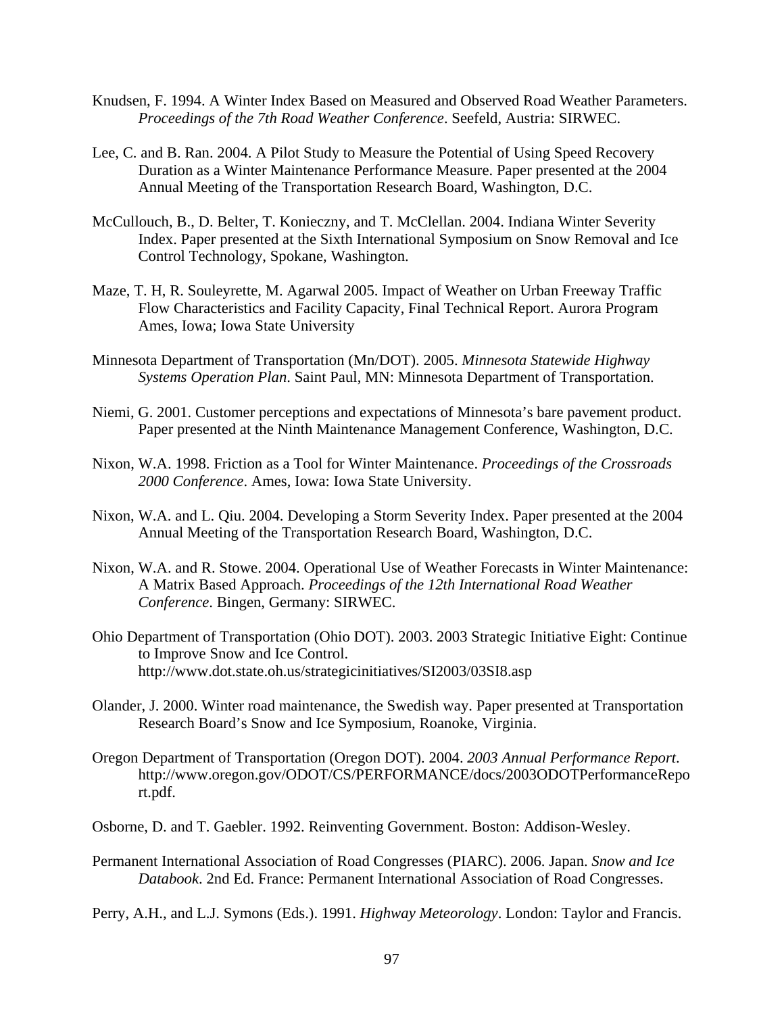- Knudsen, F. 1994. A Winter Index Based on Measured and Observed Road Weather Parameters. *Proceedings of the 7th Road Weather Conference*. Seefeld, Austria: SIRWEC.
- Lee, C. and B. Ran. 2004. A Pilot Study to Measure the Potential of Using Speed Recovery Duration as a Winter Maintenance Performance Measure. Paper presented at the 2004 Annual Meeting of the Transportation Research Board, Washington, D.C.
- McCullouch, B., D. Belter, T. Konieczny, and T. McClellan. 2004. Indiana Winter Severity Index. Paper presented at the Sixth International Symposium on Snow Removal and Ice Control Technology, Spokane, Washington.
- Maze, T. H, R. Souleyrette, M. Agarwal 2005. Impact of Weather on Urban Freeway Traffic Flow Characteristics and Facility Capacity, Final Technical Report. Aurora Program Ames, Iowa; Iowa State University
- Minnesota Department of Transportation (Mn/DOT). 2005. *Minnesota Statewide Highway Systems Operation Plan*. Saint Paul, MN: Minnesota Department of Transportation.
- Niemi, G. 2001. Customer perceptions and expectations of Minnesota's bare pavement product. Paper presented at the Ninth Maintenance Management Conference, Washington, D.C.
- Nixon, W.A. 1998. Friction as a Tool for Winter Maintenance. *Proceedings of the Crossroads 2000 Conference*. Ames, Iowa: Iowa State University.
- Nixon, W.A. and L. Qiu. 2004. Developing a Storm Severity Index. Paper presented at the 2004 Annual Meeting of the Transportation Research Board, Washington, D.C.
- Nixon, W.A. and R. Stowe. 2004. Operational Use of Weather Forecasts in Winter Maintenance: A Matrix Based Approach. *Proceedings of the 12th International Road Weather Conference*. Bingen, Germany: SIRWEC.
- Ohio Department of Transportation (Ohio DOT). 2003. 2003 Strategic Initiative Eight: Continue to Improve Snow and Ice Control. http://www.dot.state.oh.us/strategicinitiatives/SI2003/03SI8.asp
- Olander, J. 2000. Winter road maintenance, the Swedish way. Paper presented at Transportation Research Board's Snow and Ice Symposium, Roanoke, Virginia.
- Oregon Department of Transportation (Oregon DOT). 2004. *2003 Annual Performance Report*. http://www.oregon.gov/ODOT/CS/PERFORMANCE/docs/2003ODOTPerformanceRepo rt.pdf.
- Osborne, D. and T. Gaebler. 1992. Reinventing Government. Boston: Addison-Wesley.
- Permanent International Association of Road Congresses (PIARC). 2006. Japan. *Snow and Ice Databook*. 2nd Ed. France: Permanent International Association of Road Congresses.
- Perry, A.H., and L.J. Symons (Eds.). 1991. *Highway Meteorology*. London: Taylor and Francis.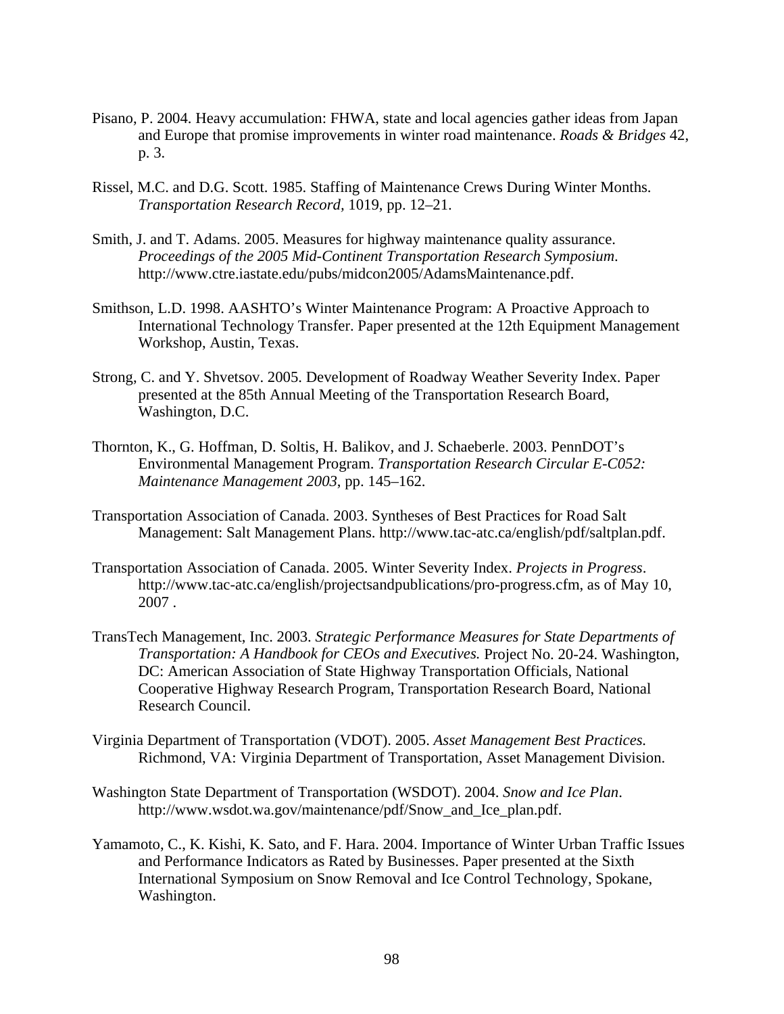- Pisano, P. 2004. Heavy accumulation: FHWA, state and local agencies gather ideas from Japan and Europe that promise improvements in winter road maintenance. *Roads & Bridges* 42, p. 3.
- Rissel, M.C. and D.G. Scott. 1985. Staffing of Maintenance Crews During Winter Months. *Transportation Research Record,* 1019, pp. 12–21.
- Smith, J. and T. Adams. 2005. Measures for highway maintenance quality assurance. *Proceedings of the 2005 Mid-Continent Transportation Research Symposium*. http://www.ctre.iastate.edu/pubs/midcon2005/AdamsMaintenance.pdf.
- Smithson, L.D. 1998. AASHTO's Winter Maintenance Program: A Proactive Approach to International Technology Transfer. Paper presented at the 12th Equipment Management Workshop, Austin, Texas.
- Strong, C. and Y. Shvetsov. 2005. Development of Roadway Weather Severity Index. Paper presented at the 85th Annual Meeting of the Transportation Research Board, Washington, D.C.
- Thornton, K., G. Hoffman, D. Soltis, H. Balikov, and J. Schaeberle. 2003. PennDOT's Environmental Management Program. *Transportation Research Circular E-C052: Maintenance Management 2003*, pp. 145–162.
- Transportation Association of Canada. 2003. Syntheses of Best Practices for Road Salt Management: Salt Management Plans. http://www.tac-atc.ca/english/pdf/saltplan.pdf.
- Transportation Association of Canada. 2005. Winter Severity Index. *Projects in Progress*. http://www.tac-atc.ca/english/projectsandpublications/pro-progress.cfm, as of May 10, 2007 .
- TransTech Management, Inc. 2003. *Strategic Performance Measures for State Departments of Transportation: A Handbook for CEOs and Executives.* Project No. 20-24. Washington, DC: American Association of State Highway Transportation Officials, National Cooperative Highway Research Program, Transportation Research Board, National Research Council.
- Virginia Department of Transportation (VDOT). 2005. *Asset Management Best Practices.* Richmond, VA: Virginia Department of Transportation, Asset Management Division.
- Washington State Department of Transportation (WSDOT). 2004. *Snow and Ice Plan*. http://www.wsdot.wa.gov/maintenance/pdf/Snow\_and\_Ice\_plan.pdf.
- Yamamoto, C., K. Kishi, K. Sato, and F. Hara. 2004. Importance of Winter Urban Traffic Issues and Performance Indicators as Rated by Businesses. Paper presented at the Sixth International Symposium on Snow Removal and Ice Control Technology, Spokane, Washington.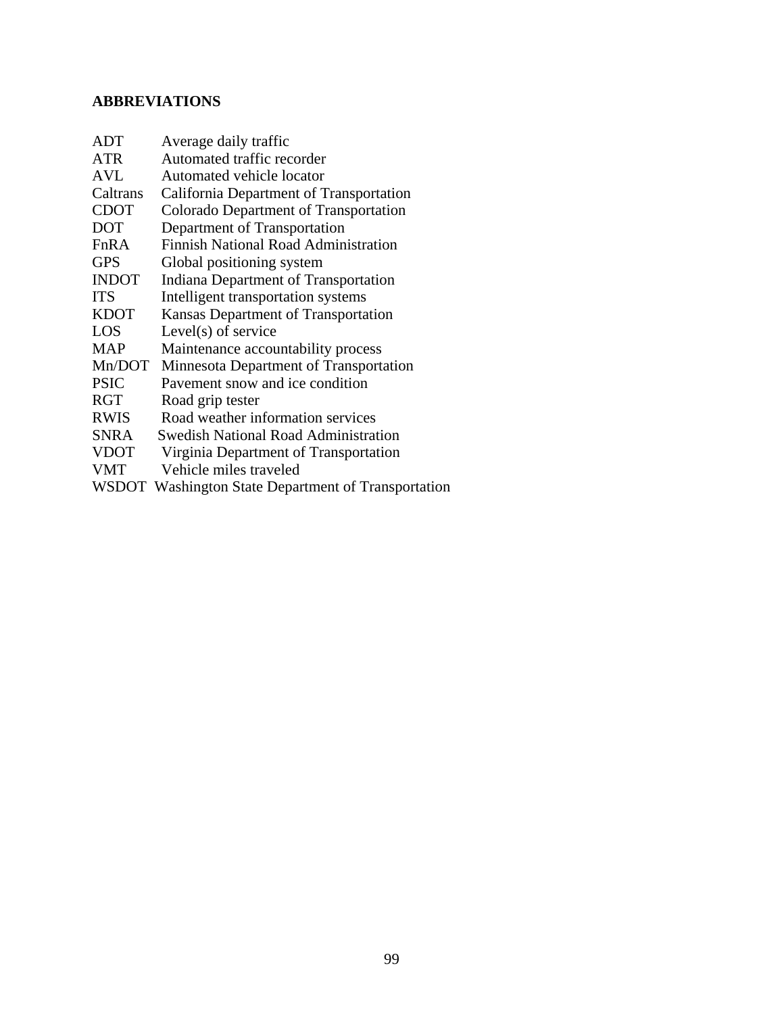## **ABBREVIATIONS**

| <b>ADT</b>   | Average daily traffic                               |
|--------------|-----------------------------------------------------|
| <b>ATR</b>   | Automated traffic recorder                          |
| AVL          | Automated vehicle locator                           |
| Caltrans     | California Department of Transportation             |
| <b>CDOT</b>  | Colorado Department of Transportation               |
| <b>DOT</b>   | Department of Transportation                        |
| FnRA         | <b>Finnish National Road Administration</b>         |
| <b>GPS</b>   | Global positioning system                           |
| <b>INDOT</b> | <b>Indiana Department of Transportation</b>         |
| <b>TTS</b>   | Intelligent transportation systems                  |
| <b>KDOT</b>  | Kansas Department of Transportation                 |
| LOS          | Level $(s)$ of service                              |
| <b>MAP</b>   | Maintenance accountability process                  |
| Mn/DOT       | Minnesota Department of Transportation              |
| <b>PSIC</b>  | Payement snow and ice condition                     |
| <b>RGT</b>   | Road grip tester                                    |
| <b>RWIS</b>  | Road weather information services                   |
| <b>SNRA</b>  | <b>Swedish National Road Administration</b>         |
| <b>VDOT</b>  | Virginia Department of Transportation               |
| <b>VMT</b>   | Vehicle miles traveled                              |
|              | WSDOT Washington State Department of Transportation |
|              |                                                     |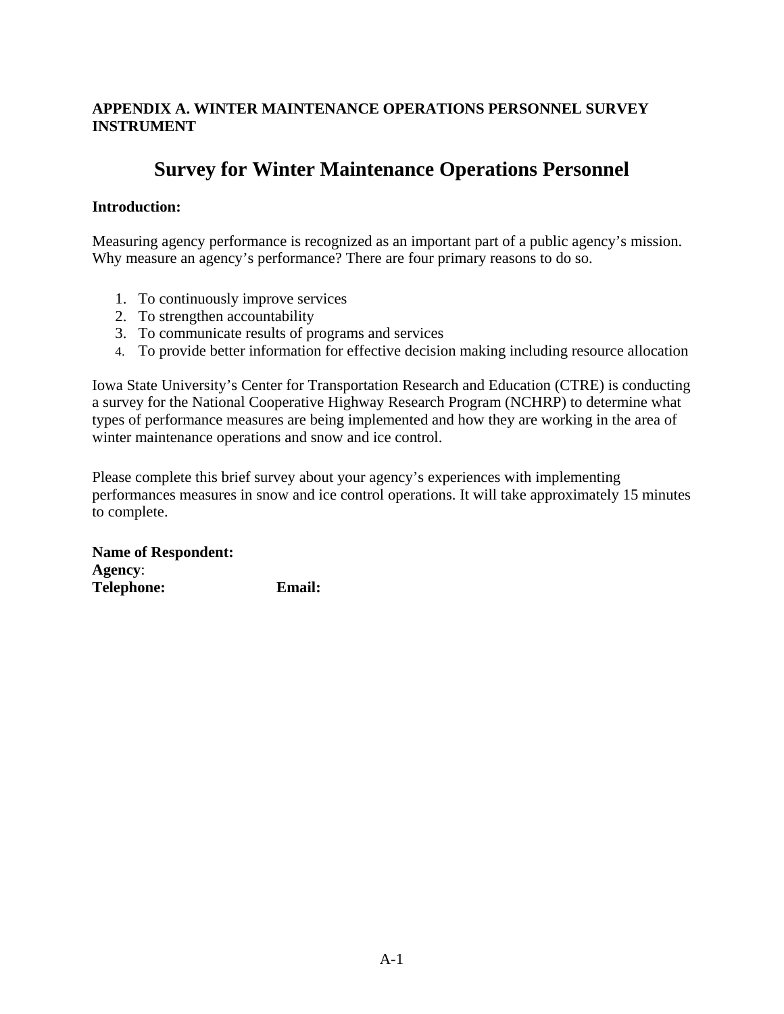## **APPENDIX A. WINTER MAINTENANCE OPERATIONS PERSONNEL SURVEY INSTRUMENT**

# **Survey for Winter Maintenance Operations Personnel**

## **Introduction:**

Measuring agency performance is recognized as an important part of a public agency's mission. Why measure an agency's performance? There are four primary reasons to do so.

- 1. To continuously improve services
- 2. To strengthen accountability
- 3. To communicate results of programs and services
- 4. To provide better information for effective decision making including resource allocation

Iowa State University's Center for Transportation Research and Education (CTRE) is conducting a survey for the National Cooperative Highway Research Program (NCHRP) to determine what types of performance measures are being implemented and how they are working in the area of winter maintenance operations and snow and ice control.

Please complete this brief survey about your agency's experiences with implementing performances measures in snow and ice control operations. It will take approximately 15 minutes to complete.

**Name of Respondent: Agency**: **Telephone: Email:**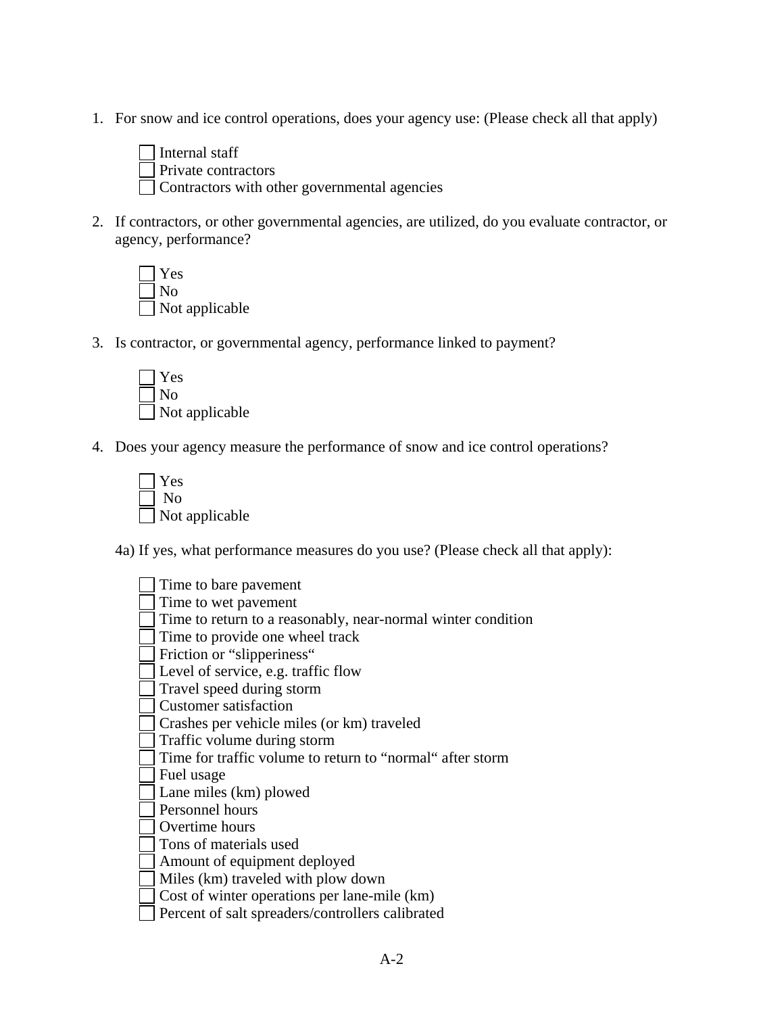1. For snow and ice control operations, does your agency use: (Please check all that apply)



2. If contractors, or other governmental agencies, are utilized, do you evaluate contractor, or agency, performance?



3. Is contractor, or governmental agency, performance linked to payment?



4. Does your agency measure the performance of snow and ice control operations?

| Yes            |
|----------------|
| No             |
| Not applicable |

4a) If yes, what performance measures do you use? (Please check all that apply):

 Time to bare pavement Time to wet pavement Time to return to a reasonably, near-normal winter condition Time to provide one wheel track Friction or "slipperiness" Level of service, e.g. traffic flow Travel speed during storm Customer satisfaction Crashes per vehicle miles (or km) traveled Traffic volume during storm Time for traffic volume to return to "normal" after storm Fuel usage Lane miles (km) plowed Personnel hours Overtime hours Tons of materials used Amount of equipment deployed Miles (km) traveled with plow down Cost of winter operations per lane-mile (km) Percent of salt spreaders/controllers calibrated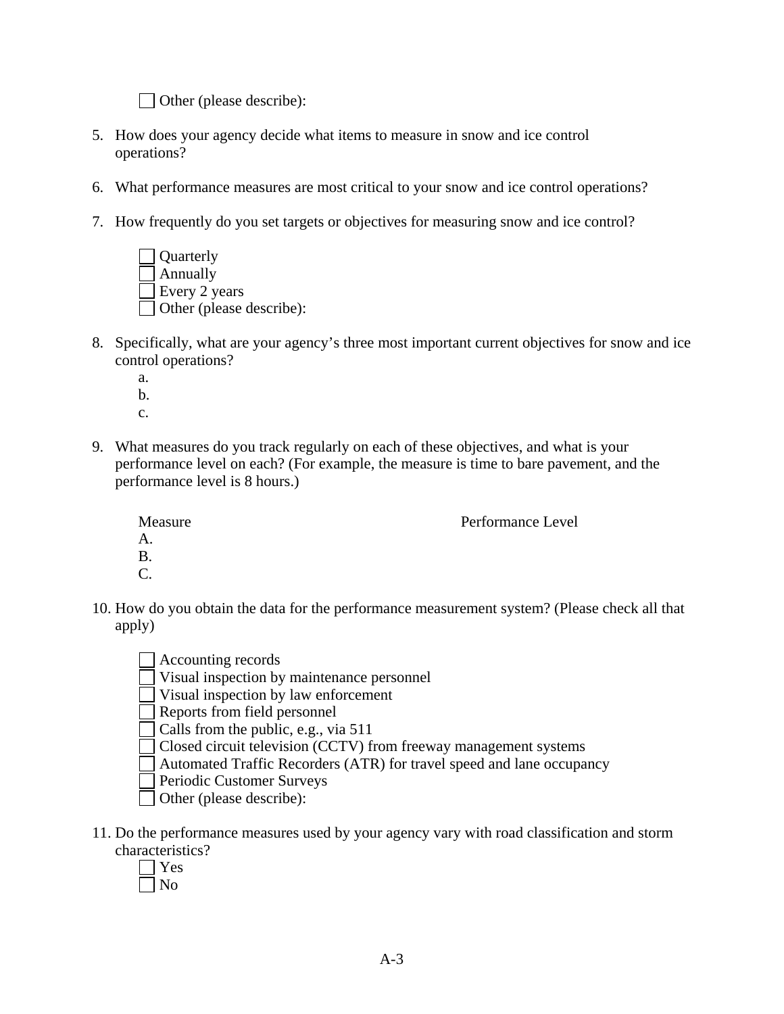Other (please describe):

- 5. How does your agency decide what items to measure in snow and ice control operations?
- 6. What performance measures are most critical to your snow and ice control operations?
- 7. How frequently do you set targets or objectives for measuring snow and ice control?



- 8. Specifically, what are your agency's three most important current objectives for snow and ice control operations?
	- a. b.
	- c.
- 9. What measures do you track regularly on each of these objectives, and what is your performance level on each? (For example, the measure is time to bare pavement, and the performance level is 8 hours.)

| Measure         | Performance Level |
|-----------------|-------------------|
| A.              |                   |
| Β.              |                   |
| $\mathcal{C}$ . |                   |

- 10. How do you obtain the data for the performance measurement system? (Please check all that apply)
	- Accounting records Visual inspection by maintenance personnel Visual inspection by law enforcement Reports from field personnel Calls from the public, e.g., via 511
	-
	- Closed circuit television (CCTV) from freeway management systems
	- Automated Traffic Recorders (ATR) for travel speed and lane occupancy
	- Periodic Customer Surveys
	- Other (please describe):
- 11. Do the performance measures used by your agency vary with road classification and storm characteristics?
	- Yes
	- $\Box$  No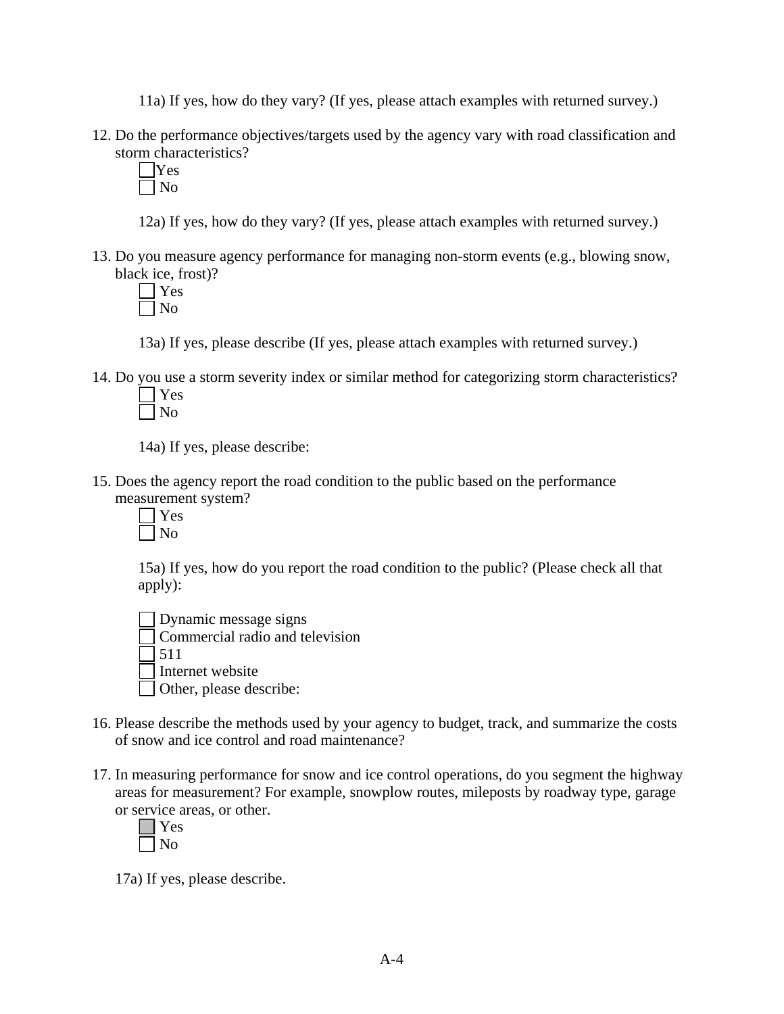11a) If yes, how do they vary? (If yes, please attach examples with returned survey.)

- 12. Do the performance objectives/targets used by the agency vary with road classification and storm characteristics?
	- Yes  $\n <sup>1</sup>N<sub>0</sub>\n$

12a) If yes, how do they vary? (If yes, please attach examples with returned survey.)

13. Do you measure agency performance for managing non-storm events (e.g., blowing snow, black ice, frost)?

 Yes No

13a) If yes, please describe (If yes, please attach examples with returned survey.)

14. Do you use a storm severity index or similar method for categorizing storm characteristics? Yes

 $\Box$  No

14a) If yes, please describe:

- 15. Does the agency report the road condition to the public based on the performance measurement system?
	- Yes  $\Box$  No

15a) If yes, how do you report the road condition to the public? (Please check all that apply):

 Dynamic message signs Commercial radio and television  $\overline{1}$  511

Internet website

Other, please describe:

- 16. Please describe the methods used by your agency to budget, track, and summarize the costs of snow and ice control and road maintenance?
- 17. In measuring performance for snow and ice control operations, do you segment the highway areas for measurement? For example, snowplow routes, mileposts by roadway type, garage or service areas, or other.

17a) If yes, please describe.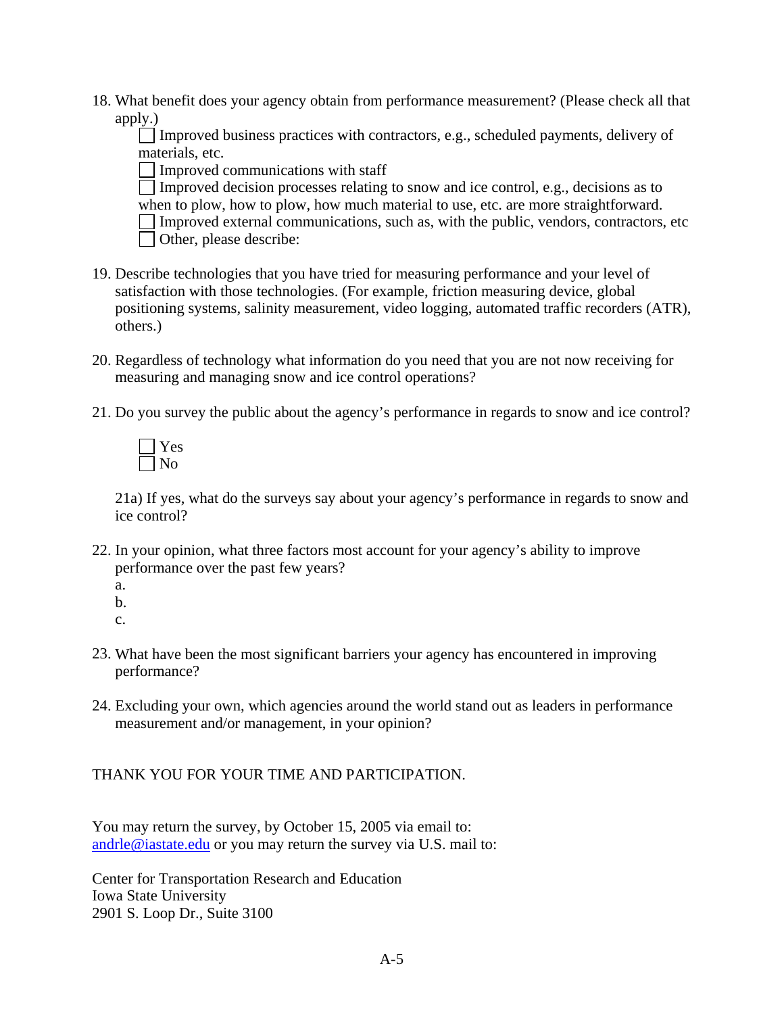18. What benefit does your agency obtain from performance measurement? (Please check all that apply.)

 $\Box$  Improved business practices with contractors, e.g., scheduled payments, delivery of materials, etc.

Improved communications with staff

 Improved decision processes relating to snow and ice control, e.g., decisions as to when to plow, how to plow, how much material to use, etc. are more straightforward.  $\Box$  Improved external communications, such as, with the public, vendors, contractors, etc Other, please describe:

- 19. Describe technologies that you have tried for measuring performance and your level of satisfaction with those technologies. (For example, friction measuring device, global positioning systems, salinity measurement, video logging, automated traffic recorders (ATR), others.)
- 20. Regardless of technology what information do you need that you are not now receiving for measuring and managing snow and ice control operations?
- 21. Do you survey the public about the agency's performance in regards to snow and ice control?



21a) If yes, what do the surveys say about your agency's performance in regards to snow and ice control?

- 22. In your opinion, what three factors most account for your agency's ability to improve performance over the past few years?
	- a.
	- b.

c.

- 23. What have been the most significant barriers your agency has encountered in improving performance?
- 24. Excluding your own, which agencies around the world stand out as leaders in performance measurement and/or management, in your opinion?

## THANK YOU FOR YOUR TIME AND PARTICIPATION.

You may return the survey, by October 15, 2005 via email to: [andrle@iastate.edu](mailto:kroeger@iastate.edu) or you may return the survey via U.S. mail to:

Center for Transportation Research and Education Iowa State University 2901 S. Loop Dr., Suite 3100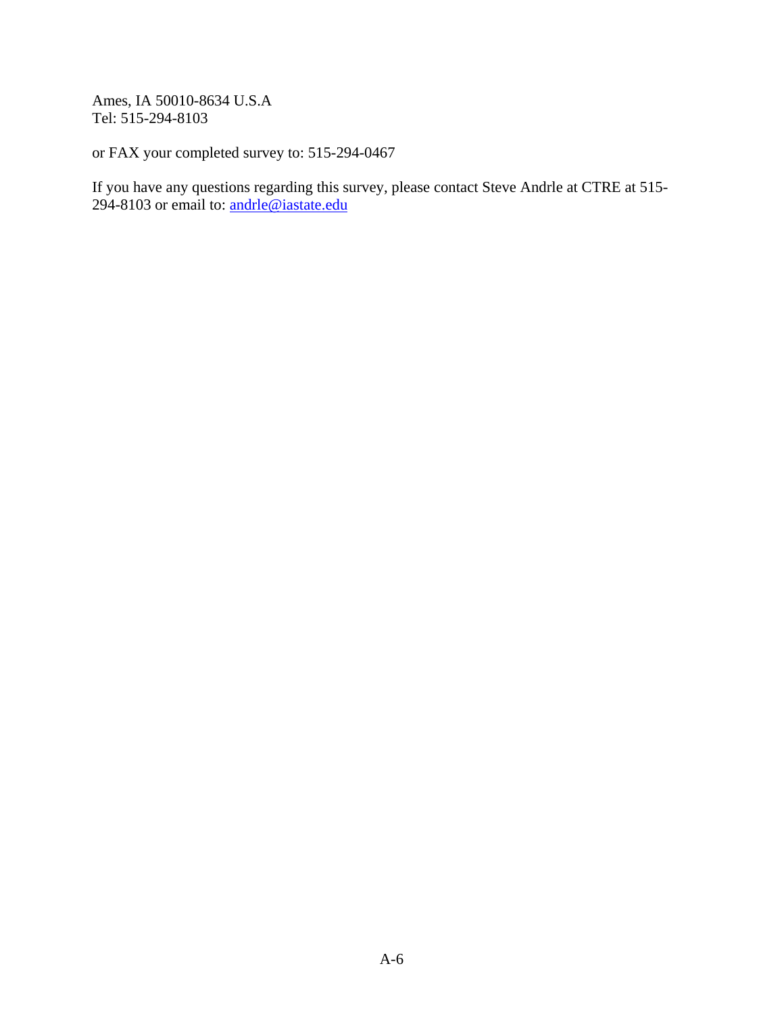Ames, IA 50010-8634 U.S.A Tel: 515-294-8103

or FAX your completed survey to: 515-294-0467

If you have any questions regarding this survey, please contact Steve Andrle at CTRE at 515- 294-8103 or email to: **andrle@iastate.edu**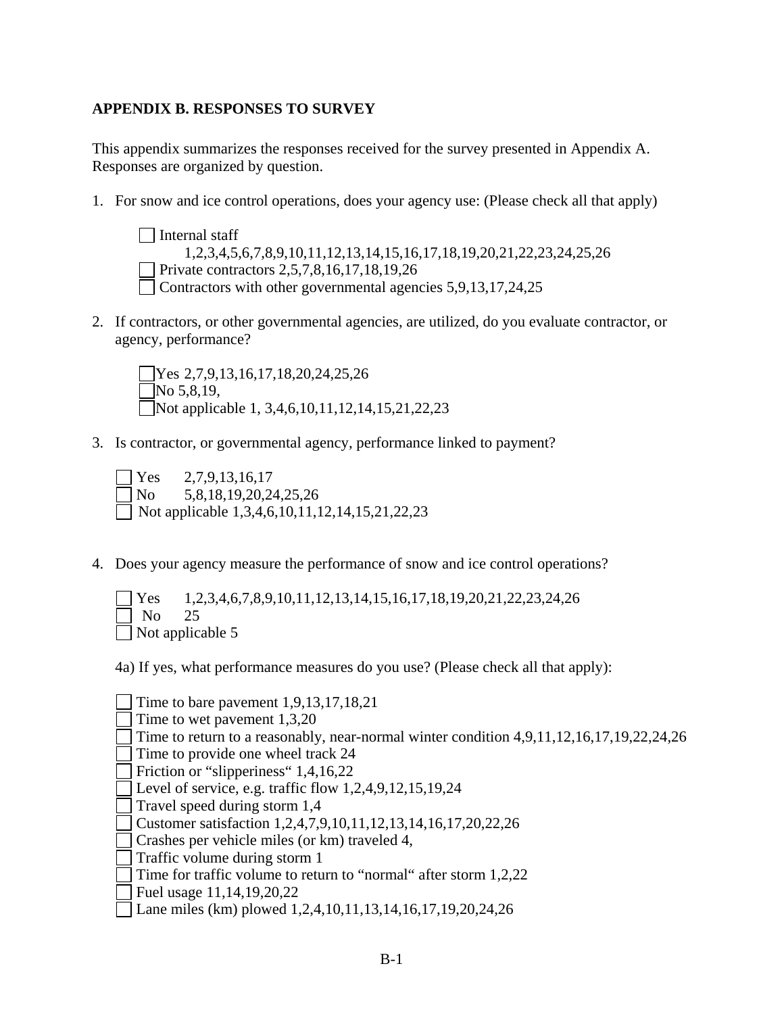## **APPENDIX B. RESPONSES TO SURVEY**

This appendix summarizes the responses received for the survey presented in Appendix A. Responses are organized by question.

1. For snow and ice control operations, does your agency use: (Please check all that apply)

 $\Box$  Internal staff 1,2,3,4,5,6,7,8,9,10,11,12,13,14,15,16,17,18,19,20,21,22,23,24,25,26 Private contractors 2,5,7,8,16,17,18,19,26 Contractors with other governmental agencies 5,9,13,17,24,25

2. If contractors, or other governmental agencies, are utilized, do you evaluate contractor, or agency, performance?

Yes 2,7,9,13,16,17,18,20,24,25,26  $\neg$ No 5,8,19, Not applicable 1, 3,4,6,10,11,12,14,15,21,22,23

3. Is contractor, or governmental agency, performance linked to payment?

 $\text{Yes} \quad 2,7,9,13,16,17$  No 5,8,18,19,20,24,25,26 Not applicable  $1,3,4,6,10,11,12,14,15,21,22,23$ 

4. Does your agency measure the performance of snow and ice control operations?

 Yes 1,2,3,4,6,7,8,9,10,11,12,13,14,15,16,17,18,19,20,21,22,23,24,26 No 25 Not applicable 5

4a) If yes, what performance measures do you use? (Please check all that apply):

Time to bare pavement 1,9,13,17,18,21 Time to wet pavement 1,3,20 Time to return to a reasonably, near-normal winter condition 4,9,11,12,16,17,19,22,24,26 Time to provide one wheel track 24 Friction or "slipperiness" 1,4,16,22 Level of service, e.g. traffic flow  $1,2,4,9,12,15,19,24$  Travel speed during storm 1,4 Customer satisfaction 1,2,4,7,9,10,11,12,13,14,16,17,20,22,26 Crashes per vehicle miles (or km) traveled 4, Traffic volume during storm 1 Time for traffic volume to return to "normal" after storm 1,2,22 Fuel usage 11,14,19,20,22 Lane miles (km) plowed 1,2,4,10,11,13,14,16,17,19,20,24,26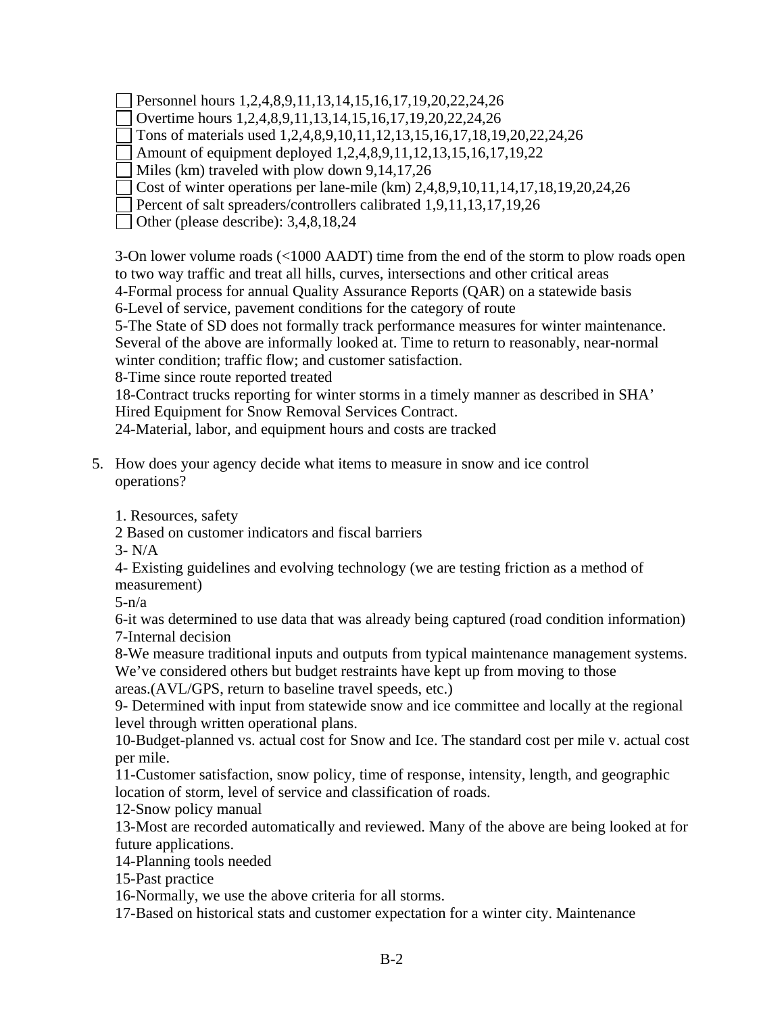Personnel hours 1,2,4,8,9,11,13,14,15,16,17,19,20,22,24,26

Overtime hours 1,2,4,8,9,11,13,14,15,16,17,19,20,22,24,26

Tons of materials used 1,2,4,8,9,10,11,12,13,15,16,17,18,19,20,22,24,26

Amount of equipment deployed 1,2,4,8,9,11,12,13,15,16,17,19,22

Miles (km) traveled with plow down 9,14,17,26

Cost of winter operations per lane-mile (km) 2,4,8,9,10,11,14,17,18,19,20,24,26

Percent of salt spreaders/controllers calibrated 1,9,11,13,17,19,26

Other (please describe): 3,4,8,18,24

3-On lower volume roads (<1000 AADT) time from the end of the storm to plow roads open to two way traffic and treat all hills, curves, intersections and other critical areas 4-Formal process for annual Quality Assurance Reports (QAR) on a statewide basis 6-Level of service, pavement conditions for the category of route

5-The State of SD does not formally track performance measures for winter maintenance. Several of the above are informally looked at. Time to return to reasonably, near-normal winter condition; traffic flow; and customer satisfaction.

8-Time since route reported treated

18-Contract trucks reporting for winter storms in a timely manner as described in SHA' Hired Equipment for Snow Removal Services Contract.

24-Material, labor, and equipment hours and costs are tracked

5. How does your agency decide what items to measure in snow and ice control operations?

1. Resources, safety

2 Based on customer indicators and fiscal barriers

3- N/A

4- Existing guidelines and evolving technology (we are testing friction as a method of measurement)

 $5-n/a$ 

6-it was determined to use data that was already being captured (road condition information) 7-Internal decision

8-We measure traditional inputs and outputs from typical maintenance management systems. We've considered others but budget restraints have kept up from moving to those

areas.(AVL/GPS, return to baseline travel speeds, etc.)

9- Determined with input from statewide snow and ice committee and locally at the regional level through written operational plans.

10-Budget-planned vs. actual cost for Snow and Ice. The standard cost per mile v. actual cost per mile.

11-Customer satisfaction, snow policy, time of response, intensity, length, and geographic location of storm, level of service and classification of roads.

12-Snow policy manual

13-Most are recorded automatically and reviewed. Many of the above are being looked at for future applications.

14-Planning tools needed

15-Past practice

16-Normally, we use the above criteria for all storms.

17-Based on historical stats and customer expectation for a winter city. Maintenance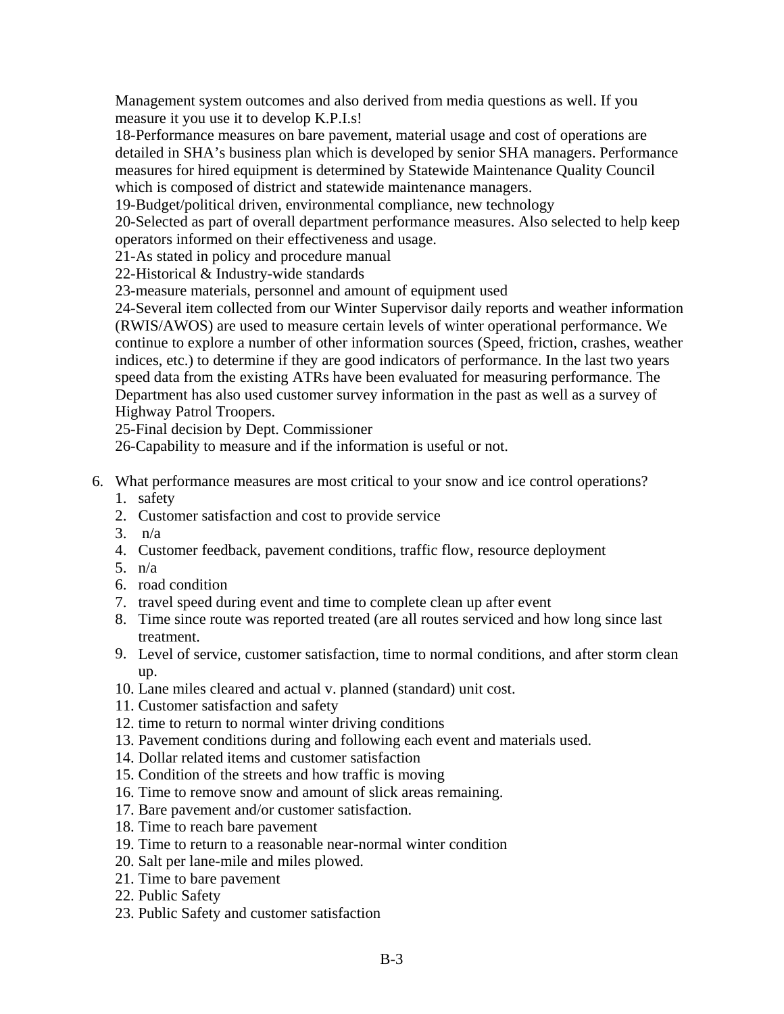Management system outcomes and also derived from media questions as well. If you measure it you use it to develop K.P.I.s!

18-Performance measures on bare pavement, material usage and cost of operations are detailed in SHA's business plan which is developed by senior SHA managers. Performance measures for hired equipment is determined by Statewide Maintenance Quality Council which is composed of district and statewide maintenance managers.

19-Budget/political driven, environmental compliance, new technology

20-Selected as part of overall department performance measures. Also selected to help keep operators informed on their effectiveness and usage.

21-As stated in policy and procedure manual

22-Historical & Industry-wide standards

23-measure materials, personnel and amount of equipment used

24-Several item collected from our Winter Supervisor daily reports and weather information (RWIS/AWOS) are used to measure certain levels of winter operational performance. We continue to explore a number of other information sources (Speed, friction, crashes, weather indices, etc.) to determine if they are good indicators of performance. In the last two years speed data from the existing ATRs have been evaluated for measuring performance. The Department has also used customer survey information in the past as well as a survey of Highway Patrol Troopers.

25-Final decision by Dept. Commissioner

26-Capability to measure and if the information is useful or not.

- 6. What performance measures are most critical to your snow and ice control operations?
	- 1. safety
	- 2. Customer satisfaction and cost to provide service
	- 3. n/a
	- 4. Customer feedback, pavement conditions, traffic flow, resource deployment
	- 5. n/a
	- 6. road condition
	- 7. travel speed during event and time to complete clean up after event
	- 8. Time since route was reported treated (are all routes serviced and how long since last treatment.
	- 9. Level of service, customer satisfaction, time to normal conditions, and after storm clean up.
	- 10. Lane miles cleared and actual v. planned (standard) unit cost.
	- 11. Customer satisfaction and safety
	- 12. time to return to normal winter driving conditions
	- 13. Pavement conditions during and following each event and materials used.
	- 14. Dollar related items and customer satisfaction
	- 15. Condition of the streets and how traffic is moving
	- 16. Time to remove snow and amount of slick areas remaining.
	- 17. Bare pavement and/or customer satisfaction.
	- 18. Time to reach bare pavement
	- 19. Time to return to a reasonable near-normal winter condition
	- 20. Salt per lane-mile and miles plowed.
	- 21. Time to bare pavement
	- 22. Public Safety
	- 23. Public Safety and customer satisfaction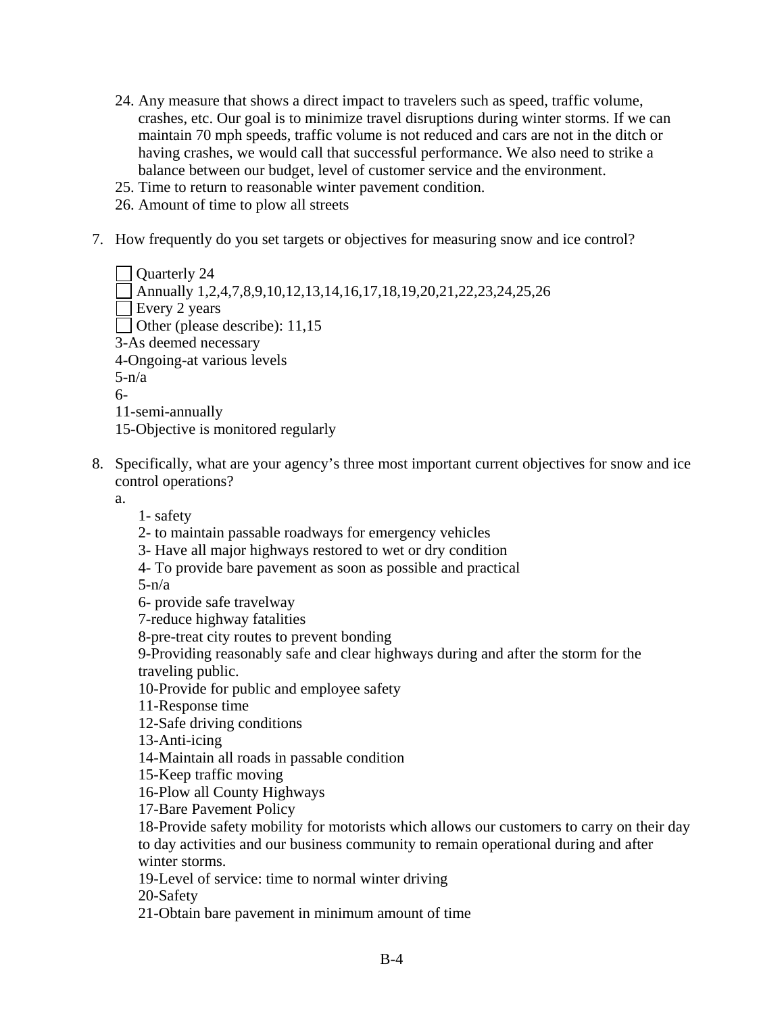- 24. Any measure that shows a direct impact to travelers such as speed, traffic volume, crashes, etc. Our goal is to minimize travel disruptions during winter storms. If we can maintain 70 mph speeds, traffic volume is not reduced and cars are not in the ditch or having crashes, we would call that successful performance. We also need to strike a balance between our budget, level of customer service and the environment.
- 25. Time to return to reasonable winter pavement condition.
- 26. Amount of time to plow all streets
- 7. How frequently do you set targets or objectives for measuring snow and ice control?

```
Ouarterly 24
  Annually 1,2,4,7,8,9,10,12,13,14,16,17,18,19,20,21,22,23,24,25,26 
Every 2 years
Other (please describe): 11,15
3-As deemed necessary 
4-Ongoing-at various levels 
5-n/a6- 
11-semi-annually 
15-Objective is monitored regularly
```
- 8. Specifically, what are your agency's three most important current objectives for snow and ice
	- control operations?

a.

- 1- safety
- 2- to maintain passable roadways for emergency vehicles
- 3- Have all major highways restored to wet or dry condition
- 4- To provide bare pavement as soon as possible and practical

 $5-n/a$ 

6- provide safe travelway

7-reduce highway fatalities

8-pre-treat city routes to prevent bonding

 9-Providing reasonably safe and clear highways during and after the storm for the traveling public.

10-Provide for public and employee safety

11-Response time

12-Safe driving conditions

13-Anti-icing

14-Maintain all roads in passable condition

15-Keep traffic moving

16-Plow all County Highways

17-Bare Pavement Policy

 18-Provide safety mobility for motorists which allows our customers to carry on their day to day activities and our business community to remain operational during and after winter storms.

19-Level of service: time to normal winter driving

20-Safety

21-Obtain bare pavement in minimum amount of time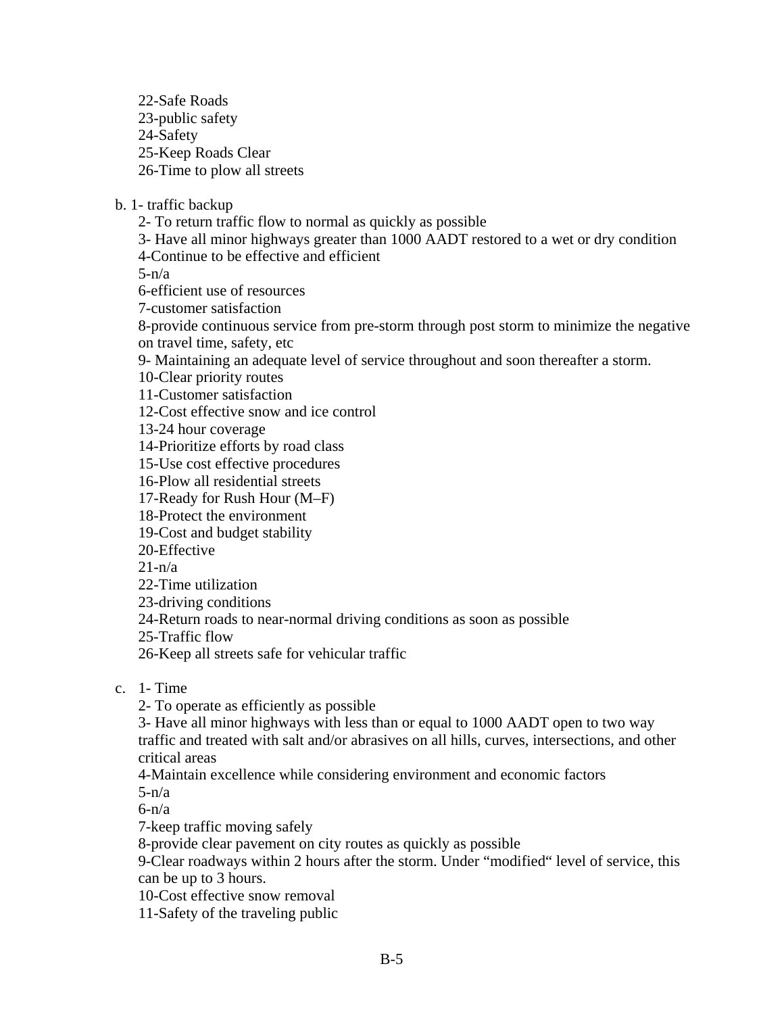22-Safe Roads 23-public safety 24-Safety 25-Keep Roads Clear 26-Time to plow all streets

b. 1- traffic backup

2- To return traffic flow to normal as quickly as possible

3- Have all minor highways greater than 1000 AADT restored to a wet or dry condition

4-Continue to be effective and efficient

 $5-n/a$ 

6-efficient use of resources

7-customer satisfaction

 8-provide continuous service from pre-storm through post storm to minimize the negative on travel time, safety, etc

9- Maintaining an adequate level of service throughout and soon thereafter a storm.

10-Clear priority routes

11-Customer satisfaction

12-Cost effective snow and ice control

13-24 hour coverage

14-Prioritize efforts by road class

15-Use cost effective procedures

16-Plow all residential streets

17-Ready for Rush Hour (M–F)

18-Protect the environment

19-Cost and budget stability

20-Effective

 $21-n/a$ 

22-Time utilization

23-driving conditions

24-Return roads to near-normal driving conditions as soon as possible

25-Traffic flow

26-Keep all streets safe for vehicular traffic

c. 1- Time

2- To operate as efficiently as possible

 3- Have all minor highways with less than or equal to 1000 AADT open to two way traffic and treated with salt and/or abrasives on all hills, curves, intersections, and other critical areas

4-Maintain excellence while considering environment and economic factors

 $5-n/a$ 

 $6-n/a$ 

7-keep traffic moving safely

8-provide clear pavement on city routes as quickly as possible

 9-Clear roadways within 2 hours after the storm. Under "modified" level of service, this can be up to 3 hours.

10-Cost effective snow removal

11-Safety of the traveling public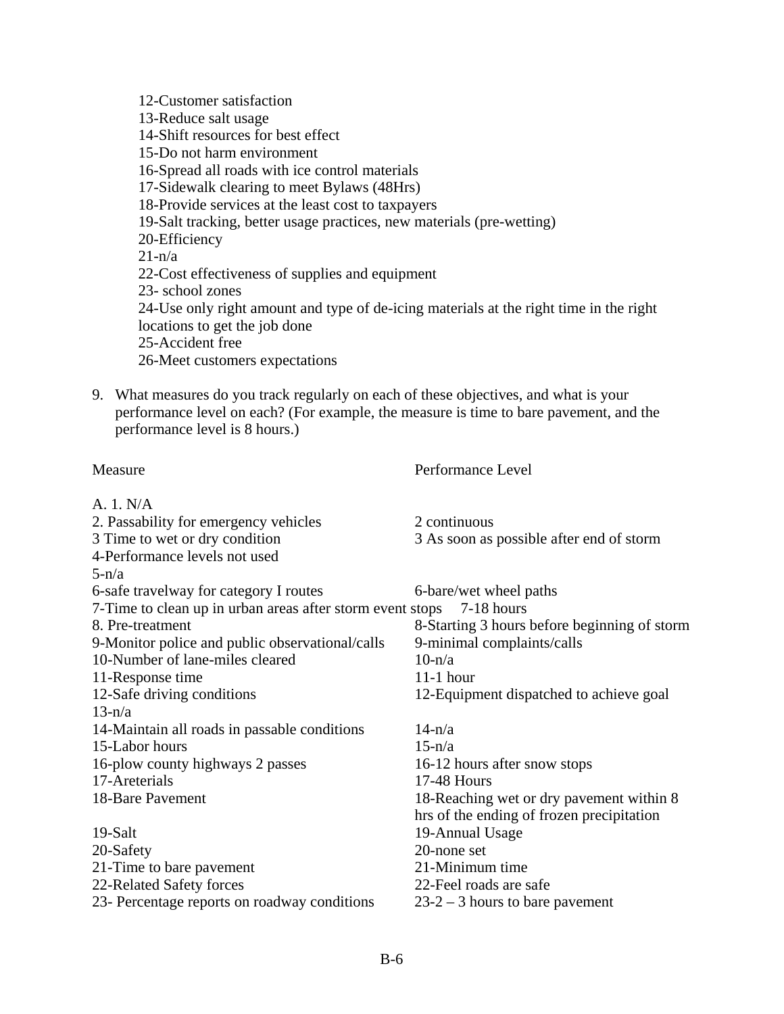12-Customer satisfaction 13-Reduce salt usage 14-Shift resources for best effect 15-Do not harm environment 16-Spread all roads with ice control materials 17-Sidewalk clearing to meet Bylaws (48Hrs) 18-Provide services at the least cost to taxpayers 19-Salt tracking, better usage practices, new materials (pre-wetting) 20-Efficiency  $21-n/a$ 22-Cost effectiveness of supplies and equipment 23- school zones 24-Use only right amount and type of de-icing materials at the right time in the right locations to get the job done 25-Accident free 26-Meet customers expectations

9. What measures do you track regularly on each of these objectives, and what is your performance level on each? (For example, the measure is time to bare pavement, and the performance level is 8 hours.)

| Performance Level                                                         |
|---------------------------------------------------------------------------|
|                                                                           |
| 2 continuous                                                              |
| 3 As soon as possible after end of storm                                  |
|                                                                           |
|                                                                           |
| 6-bare/wet wheel paths                                                    |
| 7-Time to clean up in urban areas after storm event stops<br>$7-18$ hours |
| 8-Starting 3 hours before beginning of storm                              |
| 9-minimal complaints/calls                                                |
| $10-n/a$                                                                  |
| $11-1$ hour                                                               |
| 12-Equipment dispatched to achieve goal                                   |
|                                                                           |
| $14-n/a$                                                                  |
| $15-n/a$                                                                  |
| 16-12 hours after snow stops                                              |
| <b>17-48 Hours</b>                                                        |
| 18-Reaching wet or dry pavement within 8                                  |
| hrs of the ending of frozen precipitation                                 |
| 19-Annual Usage                                                           |
| 20-none set                                                               |
| 21-Minimum time                                                           |
| 22-Feel roads are safe                                                    |
| $23-2-3$ hours to bare pavement                                           |
|                                                                           |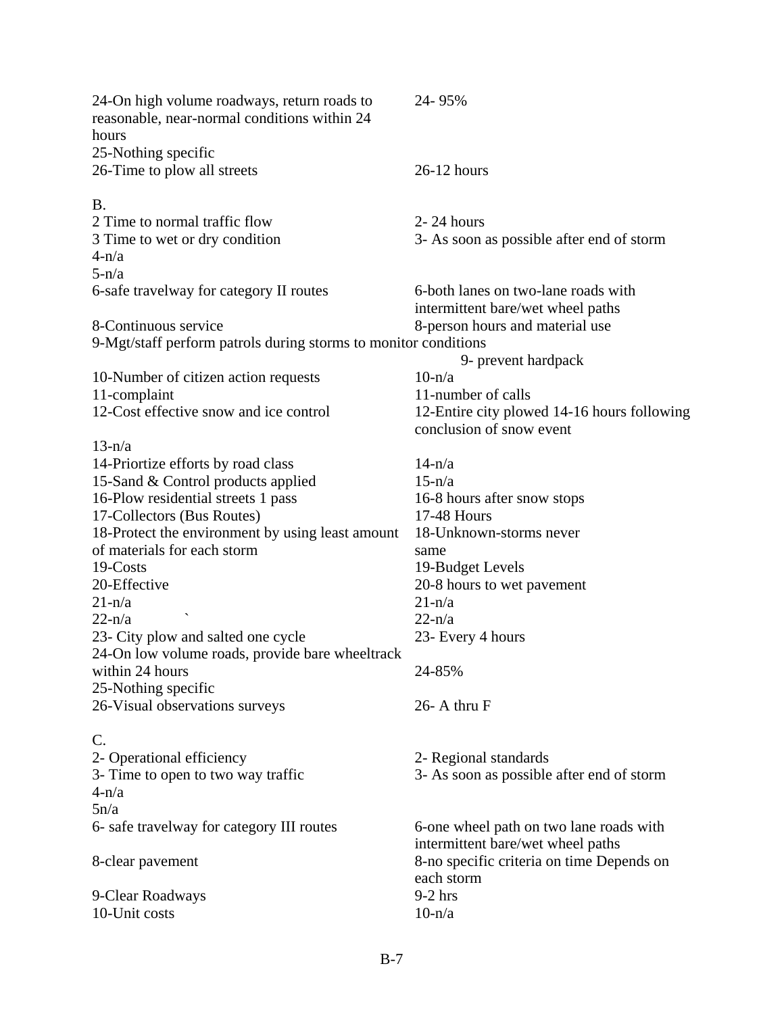| 24-On high volume roadways, return roads to<br>reasonable, near-normal conditions within 24<br>hours | 24-95%                                                                       |  |
|------------------------------------------------------------------------------------------------------|------------------------------------------------------------------------------|--|
| 25-Nothing specific<br>26-Time to plow all streets                                                   | $26-12$ hours                                                                |  |
| <b>B.</b><br>2 Time to normal traffic flow                                                           | $2 - 24$ hours                                                               |  |
| 3 Time to wet or dry condition<br>$4-n/a$                                                            | 3- As soon as possible after end of storm                                    |  |
| $5-n/a$                                                                                              |                                                                              |  |
| 6-safe travelway for category II routes                                                              | 6-both lanes on two-lane roads with<br>intermittent bare/wet wheel paths     |  |
| 8-Continuous service                                                                                 | 8-person hours and material use                                              |  |
| 9-Mgt/staff perform patrols during storms to monitor conditions                                      |                                                                              |  |
|                                                                                                      | 9- prevent hardpack                                                          |  |
| 10-Number of citizen action requests                                                                 | $10-n/a$                                                                     |  |
| 11-complaint                                                                                         | 11-number of calls                                                           |  |
| 12-Cost effective snow and ice control                                                               | 12-Entire city plowed 14-16 hours following<br>conclusion of snow event      |  |
| $13-n/a$                                                                                             |                                                                              |  |
| 14-Priortize efforts by road class                                                                   | $14-n/a$                                                                     |  |
| 15-Sand & Control products applied                                                                   | $15-n/a$                                                                     |  |
| 16-Plow residential streets 1 pass                                                                   | 16-8 hours after snow stops                                                  |  |
| 17-Collectors (Bus Routes)                                                                           | 17-48 Hours                                                                  |  |
| 18-Protect the environment by using least amount                                                     | 18-Unknown-storms never                                                      |  |
| of materials for each storm                                                                          | same                                                                         |  |
| 19-Costs                                                                                             | 19-Budget Levels                                                             |  |
| 20-Effective                                                                                         | 20-8 hours to wet pavement                                                   |  |
| $21-n/a$                                                                                             | $21-n/a$                                                                     |  |
| $22-n/a$                                                                                             | $22-n/a$                                                                     |  |
| 23- City plow and salted one cycle                                                                   | 23- Every 4 hours                                                            |  |
| 24-On low volume roads, provide bare wheeltrack<br>within 24 hours                                   | 24-85%                                                                       |  |
| 25-Nothing specific                                                                                  |                                                                              |  |
| 26-Visual observations surveys                                                                       | 26- A thru F                                                                 |  |
| C.                                                                                                   |                                                                              |  |
| 2- Operational efficiency                                                                            | 2- Regional standards                                                        |  |
| 3- Time to open to two way traffic                                                                   | 3- As soon as possible after end of storm                                    |  |
| $4-n/a$                                                                                              |                                                                              |  |
| 5n/a                                                                                                 |                                                                              |  |
| 6- safe travelway for category III routes                                                            | 6-one wheel path on two lane roads with<br>intermittent bare/wet wheel paths |  |
| 8-clear pavement                                                                                     | 8-no specific criteria on time Depends on<br>each storm                      |  |
| 9-Clear Roadways<br>10-Unit costs                                                                    | $9-2$ hrs<br>$10-n/a$                                                        |  |
|                                                                                                      |                                                                              |  |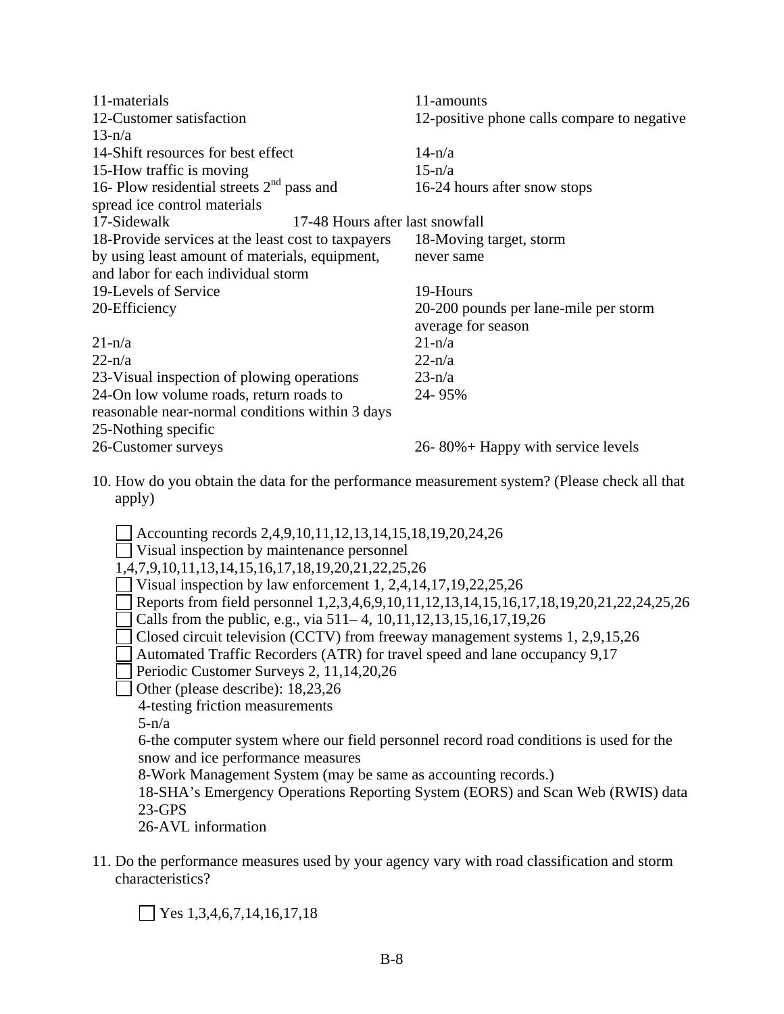| 11-materials                                       | 11-amounts                                  |  |
|----------------------------------------------------|---------------------------------------------|--|
| 12-Customer satisfaction                           | 12-positive phone calls compare to negative |  |
|                                                    |                                             |  |
| $13-n/a$                                           |                                             |  |
| 14-Shift resources for best effect                 | $14-n/a$                                    |  |
| 15-How traffic is moving                           | $15-n/a$                                    |  |
| 16- Plow residential streets $2nd$ pass and        | 16-24 hours after snow stops                |  |
| spread ice control materials                       |                                             |  |
| 17-Sidewalk<br>17-48 Hours after last snowfall     |                                             |  |
| 18-Provide services at the least cost to taxpayers | 18-Moving target, storm                     |  |
| by using least amount of materials, equipment,     | never same                                  |  |
| and labor for each individual storm                |                                             |  |
| 19-Levels of Service                               | 19-Hours                                    |  |
| 20-Efficiency                                      | 20-200 pounds per lane-mile per storm       |  |
|                                                    | average for season                          |  |
| $21-n/a$                                           | $21-n/a$                                    |  |
| $22-n/a$                                           | $22-n/a$                                    |  |
| 23-Visual inspection of plowing operations         | $23-n/a$                                    |  |
| 24-On low volume roads, return roads to            | 24-95%                                      |  |
| reasonable near-normal conditions within 3 days    |                                             |  |
| 25-Nothing specific                                |                                             |  |
| 26-Customer surveys                                | 26-80% + Happy with service levels          |  |

10. How do you obtain the data for the performance measurement system? (Please check all that apply)

 $\Box$  Accounting records 2,4,9,10,11,12,13,14,15,18,19,20,24,26

- Visual inspection by maintenance personnel
- 1,4,7,9,10,11,13,14,15,16,17,18,19,20,21,22,25,26
- Visual inspection by law enforcement 1, 2,4,14,17,19,22,25,26
- Reports from field personnel 1,2,3,4,6,9,10,11,12,13,14,15,16,17,18,19,20,21,22,24,25,26
- Calls from the public, e.g., via  $511-4$ ,  $10,11,12,13,15,16,17,19,26$
- Closed circuit television (CCTV) from freeway management systems 1, 2,9,15,26
- Automated Traffic Recorders (ATR) for travel speed and lane occupancy 9,17
- Periodic Customer Surveys 2, 11, 14, 20, 26
- Other (please describe): 18,23,26

4-testing friction measurements

 $5-n/a$ 

 6-the computer system where our field personnel record road conditions is used for the snow and ice performance measures

8-Work Management System (may be same as accounting records.)

 18-SHA's Emergency Operations Reporting System (EORS) and Scan Web (RWIS) data 23-GPS

26-AVL information

11. Do the performance measures used by your agency vary with road classification and storm characteristics?

 $\vert$  Yes 1,3,4,6,7,14,16,17,18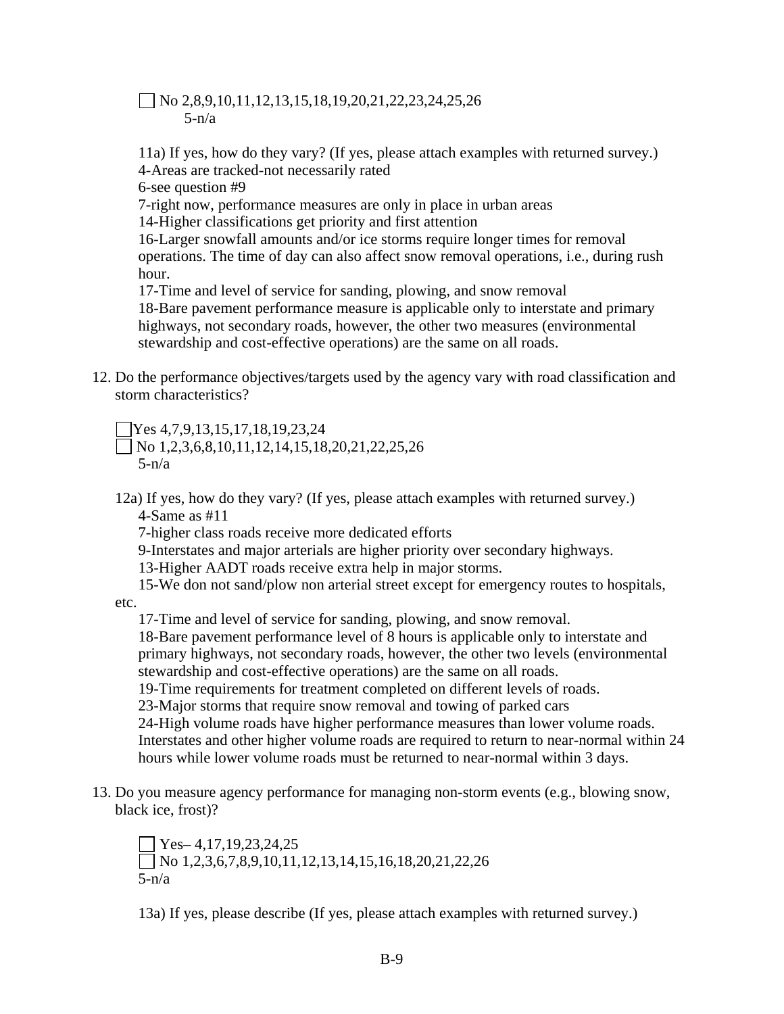## $\Box$  No 2,8,9,10,11,12,13,15,18,19,20,21,22,23,24,25,26  $5-n/a$

11a) If yes, how do they vary? (If yes, please attach examples with returned survey.) 4-Areas are tracked-not necessarily rated

6-see question #9

7-right now, performance measures are only in place in urban areas

14-Higher classifications get priority and first attention

 16-Larger snowfall amounts and/or ice storms require longer times for removal operations. The time of day can also affect snow removal operations, i.e., during rush hour.

 17-Time and level of service for sanding, plowing, and snow removal 18-Bare pavement performance measure is applicable only to interstate and primary highways, not secondary roads, however, the other two measures (environmental stewardship and cost-effective operations) are the same on all roads.

12. Do the performance objectives/targets used by the agency vary with road classification and storm characteristics?

Yes 4,7,9,13,15,17,18,19,23,24

 $\n \ \bigcap$  No 1,2,3,6,8,10,11,12,14,15,18,20,21,22,25,26  $5-n/a$ 

12a) If yes, how do they vary? (If yes, please attach examples with returned survey.) 4-Same as #11

7-higher class roads receive more dedicated efforts

9-Interstates and major arterials are higher priority over secondary highways.

13-Higher AADT roads receive extra help in major storms.

15-We don not sand/plow non arterial street except for emergency routes to hospitals,

etc.

17-Time and level of service for sanding, plowing, and snow removal.

 18-Bare pavement performance level of 8 hours is applicable only to interstate and primary highways, not secondary roads, however, the other two levels (environmental stewardship and cost-effective operations) are the same on all roads.

19-Time requirements for treatment completed on different levels of roads.

23-Major storms that require snow removal and towing of parked cars

 24-High volume roads have higher performance measures than lower volume roads. Interstates and other higher volume roads are required to return to near-normal within 24 hours while lower volume roads must be returned to near-normal within 3 days.

13. Do you measure agency performance for managing non-storm events (e.g., blowing snow, black ice, frost)?

 $\sqrt{Y}$ es– 4,17,19,23,24,25  $\n \n \bigcap$  No 1,2,3,6,7,8,9,10,11,12,13,14,15,16,18,20,21,22,26  $5-n/a$ 

13a) If yes, please describe (If yes, please attach examples with returned survey.)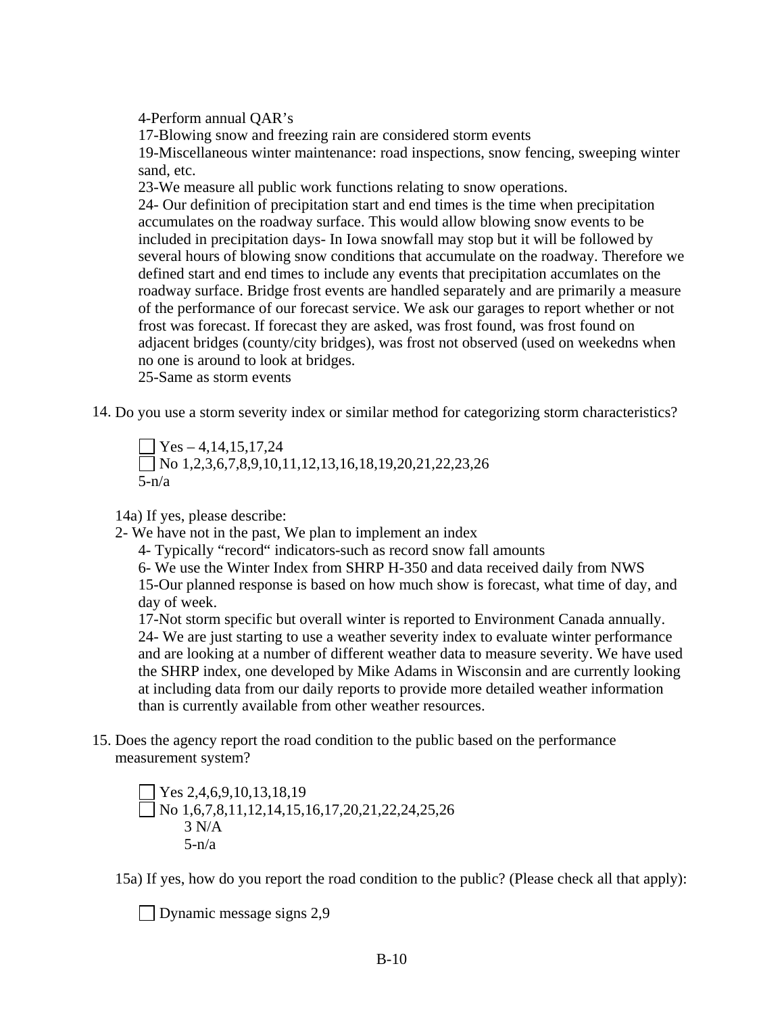4-Perform annual QAR's

17-Blowing snow and freezing rain are considered storm events

 19-Miscellaneous winter maintenance: road inspections, snow fencing, sweeping winter sand, etc.

23-We measure all public work functions relating to snow operations.

 24- Our definition of precipitation start and end times is the time when precipitation accumulates on the roadway surface. This would allow blowing snow events to be included in precipitation days- In Iowa snowfall may stop but it will be followed by several hours of blowing snow conditions that accumulate on the roadway. Therefore we defined start and end times to include any events that precipitation accumlates on the roadway surface. Bridge frost events are handled separately and are primarily a measure of the performance of our forecast service. We ask our garages to report whether or not frost was forecast. If forecast they are asked, was frost found, was frost found on adjacent bridges (county/city bridges), was frost not observed (used on weekedns when no one is around to look at bridges.

25-Same as storm events

14. Do you use a storm severity index or similar method for categorizing storm characteristics?

 $\Box$  Yes – 4,14,15,17,24  $\n \bigcap$  No 1,2,3,6,7,8,9,10,11,12,13,16,18,19,20,21,22,23,26  $5-n/a$ 

14a) If yes, please describe:

2- We have not in the past, We plan to implement an index

4- Typically "record" indicators-such as record snow fall amounts

 6- We use the Winter Index from SHRP H-350 and data received daily from NWS 15-Our planned response is based on how much show is forecast, what time of day, and day of week.

 17-Not storm specific but overall winter is reported to Environment Canada annually. 24- We are just starting to use a weather severity index to evaluate winter performance and are looking at a number of different weather data to measure severity. We have used the SHRP index, one developed by Mike Adams in Wisconsin and are currently looking at including data from our daily reports to provide more detailed weather information than is currently available from other weather resources.

15. Does the agency report the road condition to the public based on the performance measurement system?

 $\sqrt{Y}$ es 2,4,6,9,10,13,18,19 No 1,6,7,8,11,12,14,15,16,17,20,21,22,24,25,26  $3 N/A$  $5-n/a$ 

15a) If yes, how do you report the road condition to the public? (Please check all that apply):

Dynamic message signs  $2,9$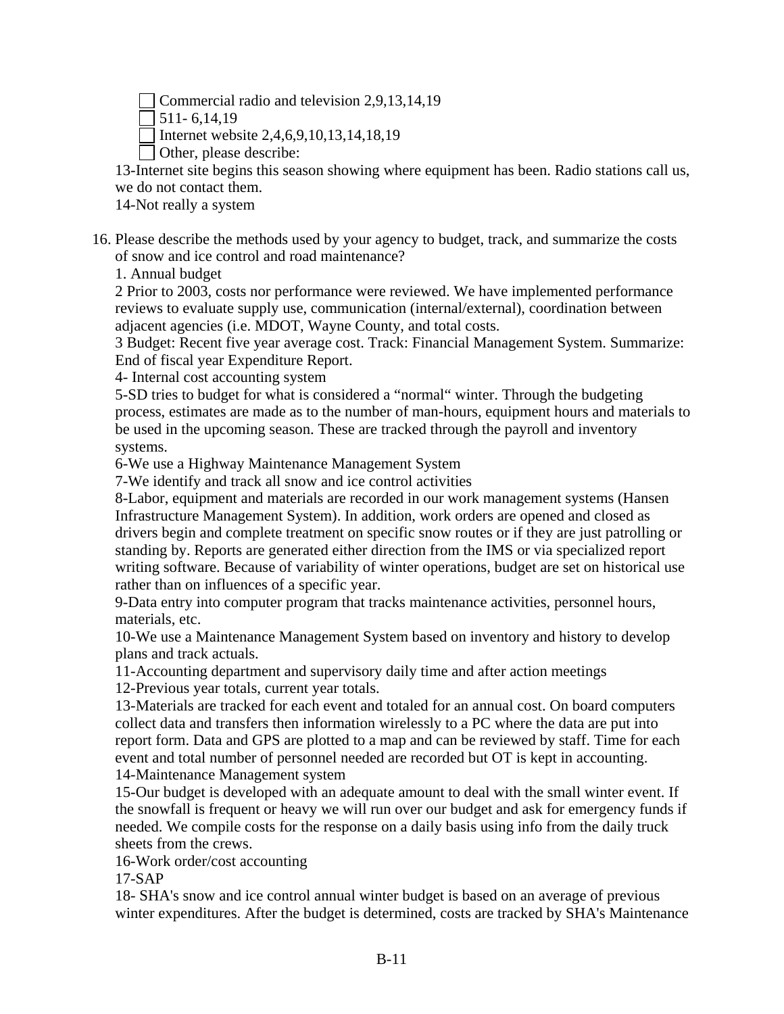Commercial radio and television 2,9,13,14,19

 $\sqrt{511 - 6.14.19}$ 

Internet website 2,4,6,9,10,13,14,18,19

Other, please describe:

13-Internet site begins this season showing where equipment has been. Radio stations call us, we do not contact them.

14-Not really a system

16. Please describe the methods used by your agency to budget, track, and summarize the costs of snow and ice control and road maintenance?

1. Annual budget

2 Prior to 2003, costs nor performance were reviewed. We have implemented performance reviews to evaluate supply use, communication (internal/external), coordination between adjacent agencies (i.e. MDOT, Wayne County, and total costs.

3 Budget: Recent five year average cost. Track: Financial Management System. Summarize: End of fiscal year Expenditure Report.

4- Internal cost accounting system

5-SD tries to budget for what is considered a "normal" winter. Through the budgeting process, estimates are made as to the number of man-hours, equipment hours and materials to be used in the upcoming season. These are tracked through the payroll and inventory systems.

6-We use a Highway Maintenance Management System

7-We identify and track all snow and ice control activities

8-Labor, equipment and materials are recorded in our work management systems (Hansen Infrastructure Management System). In addition, work orders are opened and closed as drivers begin and complete treatment on specific snow routes or if they are just patrolling or standing by. Reports are generated either direction from the IMS or via specialized report writing software. Because of variability of winter operations, budget are set on historical use rather than on influences of a specific year.

9-Data entry into computer program that tracks maintenance activities, personnel hours, materials, etc.

10-We use a Maintenance Management System based on inventory and history to develop plans and track actuals.

11-Accounting department and supervisory daily time and after action meetings

12-Previous year totals, current year totals.

13-Materials are tracked for each event and totaled for an annual cost. On board computers collect data and transfers then information wirelessly to a PC where the data are put into report form. Data and GPS are plotted to a map and can be reviewed by staff. Time for each event and total number of personnel needed are recorded but OT is kept in accounting. 14-Maintenance Management system

15-Our budget is developed with an adequate amount to deal with the small winter event. If the snowfall is frequent or heavy we will run over our budget and ask for emergency funds if needed. We compile costs for the response on a daily basis using info from the daily truck sheets from the crews.

16-Work order/cost accounting

17-SAP

18- SHA's snow and ice control annual winter budget is based on an average of previous winter expenditures. After the budget is determined, costs are tracked by SHA's Maintenance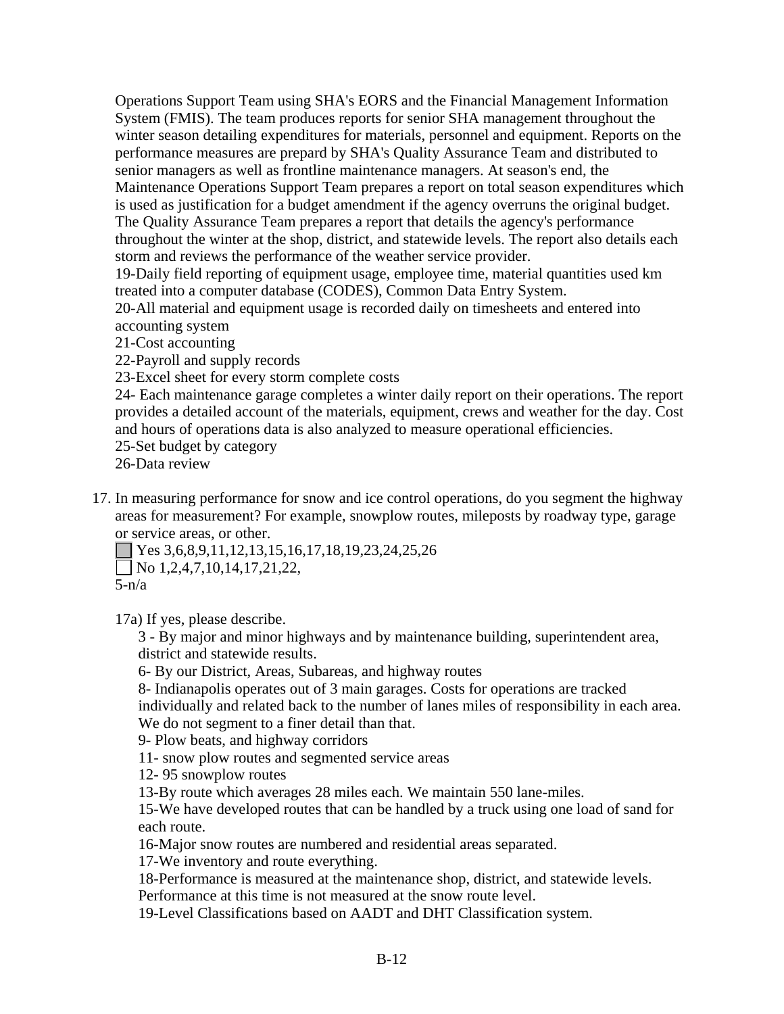Operations Support Team using SHA's EORS and the Financial Management Information System (FMIS). The team produces reports for senior SHA management throughout the winter season detailing expenditures for materials, personnel and equipment. Reports on the performance measures are prepard by SHA's Quality Assurance Team and distributed to senior managers as well as frontline maintenance managers. At season's end, the Maintenance Operations Support Team prepares a report on total season expenditures which is used as justification for a budget amendment if the agency overruns the original budget. The Quality Assurance Team prepares a report that details the agency's performance throughout the winter at the shop, district, and statewide levels. The report also details each storm and reviews the performance of the weather service provider.

19-Daily field reporting of equipment usage, employee time, material quantities used km treated into a computer database (CODES), Common Data Entry System.

20-All material and equipment usage is recorded daily on timesheets and entered into accounting system

- 21-Cost accounting
- 22-Payroll and supply records
- 23-Excel sheet for every storm complete costs

24- Each maintenance garage completes a winter daily report on their operations. The report provides a detailed account of the materials, equipment, crews and weather for the day. Cost and hours of operations data is also analyzed to measure operational efficiencies.

25-Set budget by category

26-Data review

17. In measuring performance for snow and ice control operations, do you segment the highway areas for measurement? For example, snowplow routes, mileposts by roadway type, garage or service areas, or other.

 $\Box$  Yes 3,6,8,9,11,12,13,15,16,17,18,19,23,24,25,26

 $\Box$  No 1,2,4,7,10,14,17,21,22,

 $5-n/a$ 

17a) If yes, please describe.

 3 - By major and minor highways and by maintenance building, superintendent area, district and statewide results.

6- By our District, Areas, Subareas, and highway routes

 8- Indianapolis operates out of 3 main garages. Costs for operations are tracked individually and related back to the number of lanes miles of responsibility in each area.

We do not segment to a finer detail than that.

9- Plow beats, and highway corridors

11- snow plow routes and segmented service areas

12- 95 snowplow routes

13-By route which averages 28 miles each. We maintain 550 lane-miles.

 15-We have developed routes that can be handled by a truck using one load of sand for each route.

16-Major snow routes are numbered and residential areas separated.

17-We inventory and route everything.

 18-Performance is measured at the maintenance shop, district, and statewide levels. Performance at this time is not measured at the snow route level.

19-Level Classifications based on AADT and DHT Classification system.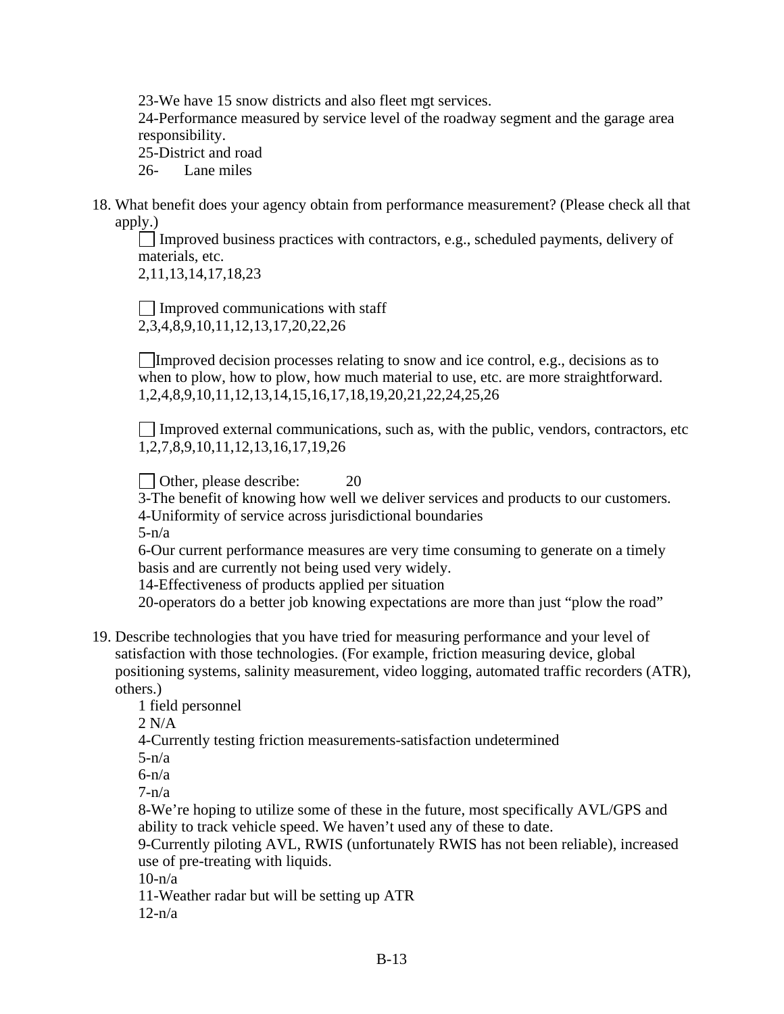23-We have 15 snow districts and also fleet mgt services.

 24-Performance measured by service level of the roadway segment and the garage area responsibility.

25-District and road

26- Lane miles

18. What benefit does your agency obtain from performance measurement? (Please check all that apply.)

 $\Box$  Improved business practices with contractors, e.g., scheduled payments, delivery of materials, etc.

2,11,13,14,17,18,23

Improved communications with staff 2,3,4,8,9,10,11,12,13,17,20,22,26

Improved decision processes relating to snow and ice control, e.g., decisions as to when to plow, how to plow, how much material to use, etc. are more straightforward. 1,2,4,8,9,10,11,12,13,14,15,16,17,18,19,20,21,22,24,25,26

 $\Box$  Improved external communications, such as, with the public, vendors, contractors, etc 1,2,7,8,9,10,11,12,13,16,17,19,26

 $\Box$  Other, please describe:  $20$ 

 3-The benefit of knowing how well we deliver services and products to our customers. 4-Uniformity of service across jurisdictional boundaries

 $5-n/a$ 

 6-Our current performance measures are very time consuming to generate on a timely basis and are currently not being used very widely.

14-Effectiveness of products applied per situation

20-operators do a better job knowing expectations are more than just "plow the road"

19. Describe technologies that you have tried for measuring performance and your level of satisfaction with those technologies. (For example, friction measuring device, global positioning systems, salinity measurement, video logging, automated traffic recorders (ATR), others.)

1 field personnel

2 N/A

4-Currently testing friction measurements-satisfaction undetermined

 $5-n/a$ 

 $6-n/a$ 

 $7-n/a$ 

 8-We're hoping to utilize some of these in the future, most specifically AVL/GPS and ability to track vehicle speed. We haven't used any of these to date.

 9-Currently piloting AVL, RWIS (unfortunately RWIS has not been reliable), increased use of pre-treating with liquids.

 $10-n/a$ 

11-Weather radar but will be setting up ATR

 $12-n/a$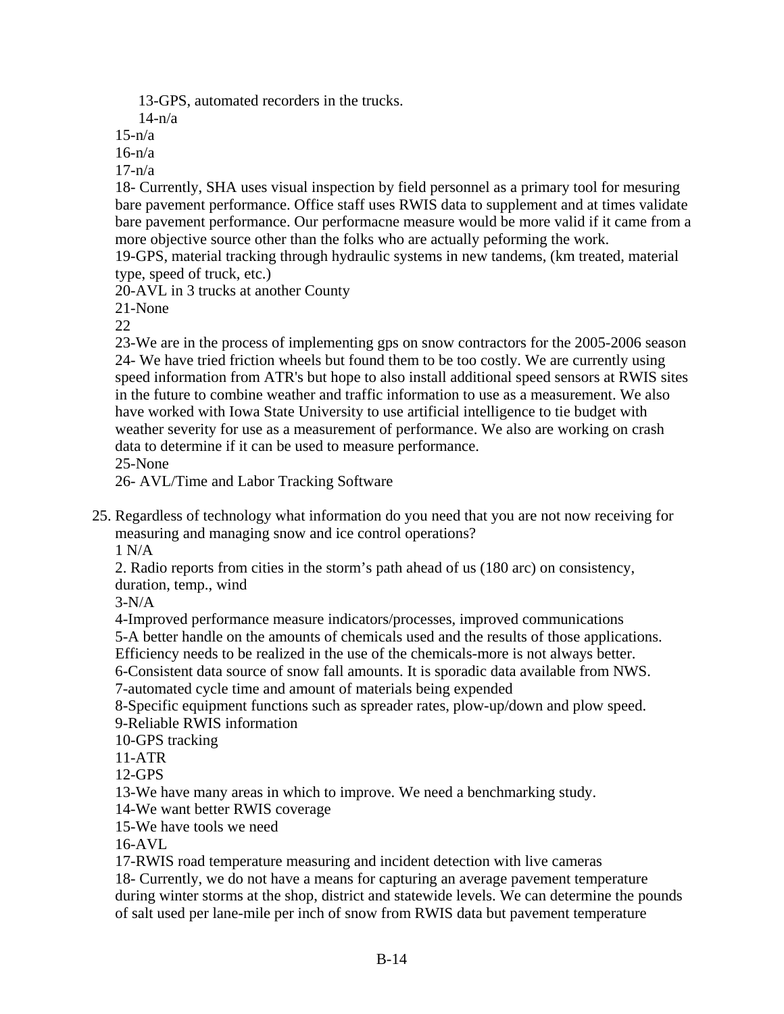13-GPS, automated recorders in the trucks.

 $14-n/a$ 

 $15-n/a$ 

 $16-n/a$ 

17-n/a

18- Currently, SHA uses visual inspection by field personnel as a primary tool for mesuring bare pavement performance. Office staff uses RWIS data to supplement and at times validate bare pavement performance. Our performacne measure would be more valid if it came from a more objective source other than the folks who are actually peforming the work.

19-GPS, material tracking through hydraulic systems in new tandems, (km treated, material type, speed of truck, etc.)

20-AVL in 3 trucks at another County

21-None

22

23-We are in the process of implementing gps on snow contractors for the 2005-2006 season 24- We have tried friction wheels but found them to be too costly. We are currently using speed information from ATR's but hope to also install additional speed sensors at RWIS sites in the future to combine weather and traffic information to use as a measurement. We also have worked with Iowa State University to use artificial intelligence to tie budget with weather severity for use as a measurement of performance. We also are working on crash data to determine if it can be used to measure performance. 25-None

26- AVL/Time and Labor Tracking Software

25. Regardless of technology what information do you need that you are not now receiving for measuring and managing snow and ice control operations?

1 N/A

2. Radio reports from cities in the storm's path ahead of us (180 arc) on consistency, duration, temp., wind

 $3-N/A$ 

4-Improved performance measure indicators/processes, improved communications

5-A better handle on the amounts of chemicals used and the results of those applications.

Efficiency needs to be realized in the use of the chemicals-more is not always better.

6-Consistent data source of snow fall amounts. It is sporadic data available from NWS.

7-automated cycle time and amount of materials being expended

8-Specific equipment functions such as spreader rates, plow-up/down and plow speed. 9-Reliable RWIS information

10-GPS tracking

11-ATR

12-GPS

13-We have many areas in which to improve. We need a benchmarking study.

14-We want better RWIS coverage

15-We have tools we need

16-AVL

17-RWIS road temperature measuring and incident detection with live cameras

18- Currently, we do not have a means for capturing an average pavement temperature during winter storms at the shop, district and statewide levels. We can determine the pounds of salt used per lane-mile per inch of snow from RWIS data but pavement temperature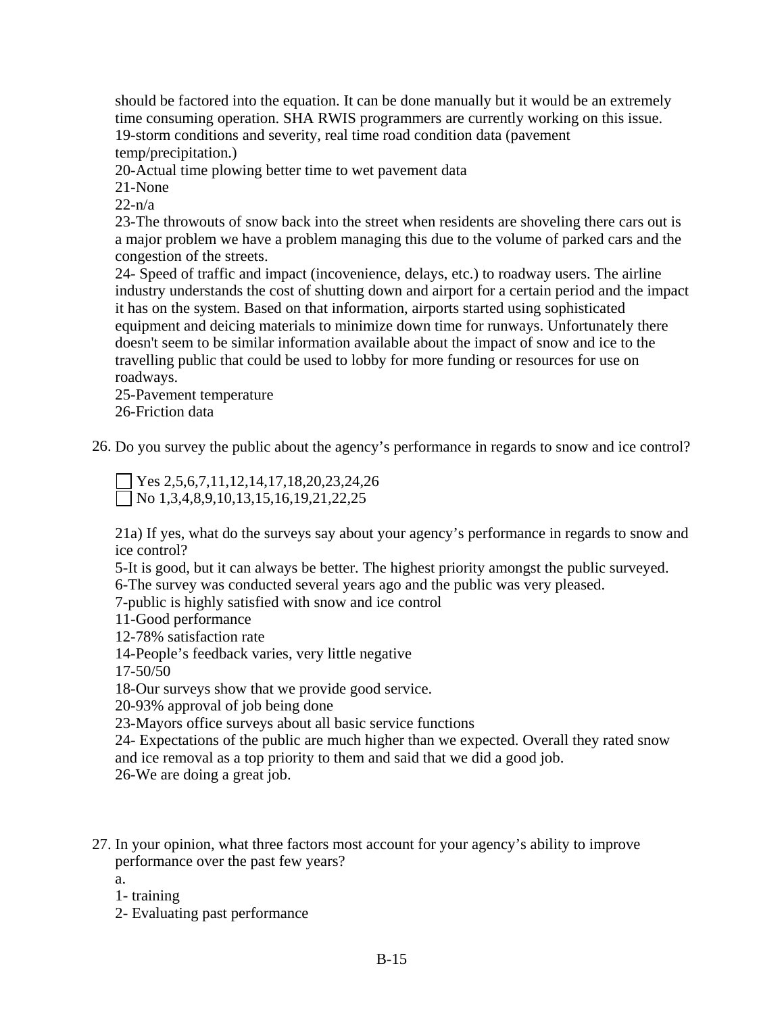should be factored into the equation. It can be done manually but it would be an extremely time consuming operation. SHA RWIS programmers are currently working on this issue. 19-storm conditions and severity, real time road condition data (pavement

temp/precipitation.)

20-Actual time plowing better time to wet pavement data

21-None

 $22-n/a$ 

23-The throwouts of snow back into the street when residents are shoveling there cars out is a major problem we have a problem managing this due to the volume of parked cars and the congestion of the streets.

24- Speed of traffic and impact (incovenience, delays, etc.) to roadway users. The airline industry understands the cost of shutting down and airport for a certain period and the impact it has on the system. Based on that information, airports started using sophisticated equipment and deicing materials to minimize down time for runways. Unfortunately there doesn't seem to be similar information available about the impact of snow and ice to the travelling public that could be used to lobby for more funding or resources for use on roadways.

25-Pavement temperature 26-Friction data

26. Do you survey the public about the agency's performance in regards to snow and ice control?

Yes 2,5,6,7,11,12,14,17,18,20,23,24,26  $\Box$  No 1,3,4,8,9,10,13,15,16,19,21,22,25

21a) If yes, what do the surveys say about your agency's performance in regards to snow and ice control?

5-It is good, but it can always be better. The highest priority amongst the public surveyed. 6-The survey was conducted several years ago and the public was very pleased.

7-public is highly satisfied with snow and ice control

11-Good performance

12-78% satisfaction rate

14-People's feedback varies, very little negative

17-50/50

18-Our surveys show that we provide good service.

20-93% approval of job being done

23-Mayors office surveys about all basic service functions

24- Expectations of the public are much higher than we expected. Overall they rated snow and ice removal as a top priority to them and said that we did a good job.

26-We are doing a great job.

- 27. In your opinion, what three factors most account for your agency's ability to improve performance over the past few years?
	- a.
	- 1- training
	- 2- Evaluating past performance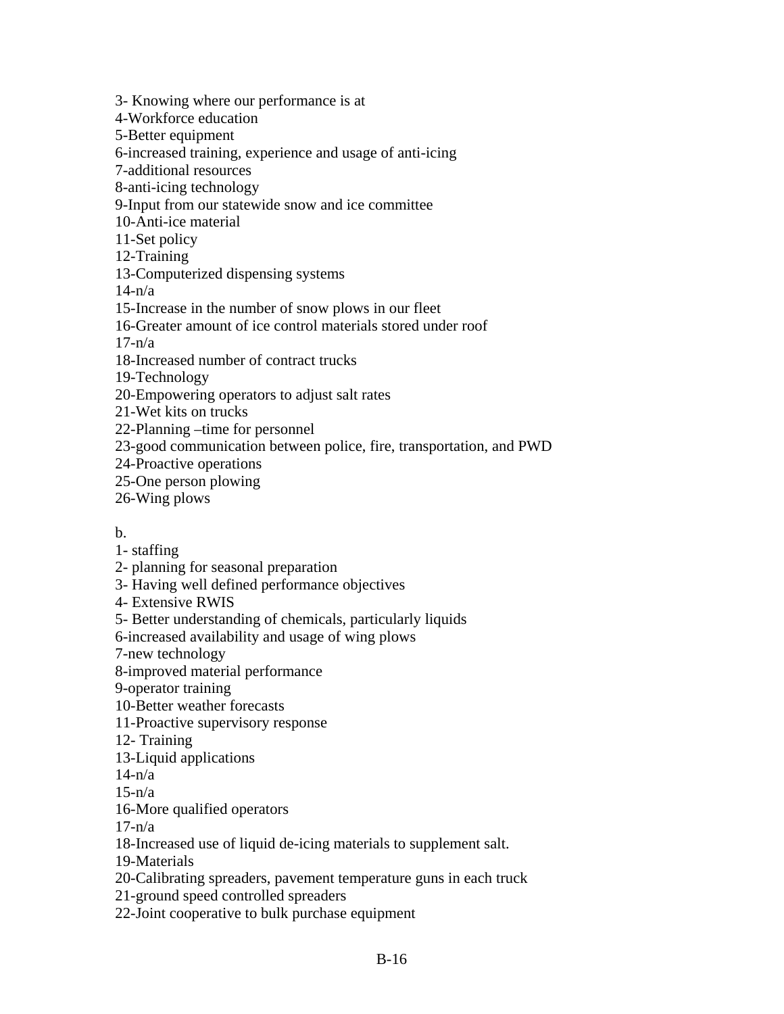3- Knowing where our performance is at

4-Workforce education

5-Better equipment

6-increased training, experience and usage of anti-icing

7-additional resources

8-anti-icing technology

9-Input from our statewide snow and ice committee

10-Anti-ice material

11-Set policy

12-Training

13-Computerized dispensing systems

 $14-n/a$ 

15-Increase in the number of snow plows in our fleet

16-Greater amount of ice control materials stored under roof

 $17-n/a$ 

18-Increased number of contract trucks

19-Technology

20-Empowering operators to adjust salt rates

21-Wet kits on trucks

22-Planning –time for personnel

23-good communication between police, fire, transportation, and PWD

24-Proactive operations

25-One person plowing

26-Wing plows

b.

1- staffing

2- planning for seasonal preparation

3- Having well defined performance objectives

4- Extensive RWIS

5- Better understanding of chemicals, particularly liquids

6-increased availability and usage of wing plows

7-new technology

8-improved material performance

9-operator training

10-Better weather forecasts

11-Proactive supervisory response

12- Training

13-Liquid applications

 $14-n/a$ 

 $15-n/a$ 

16-More qualified operators

 $17-n/a$ 

18-Increased use of liquid de-icing materials to supplement salt.

19-Materials

20-Calibrating spreaders, pavement temperature guns in each truck

21-ground speed controlled spreaders

22-Joint cooperative to bulk purchase equipment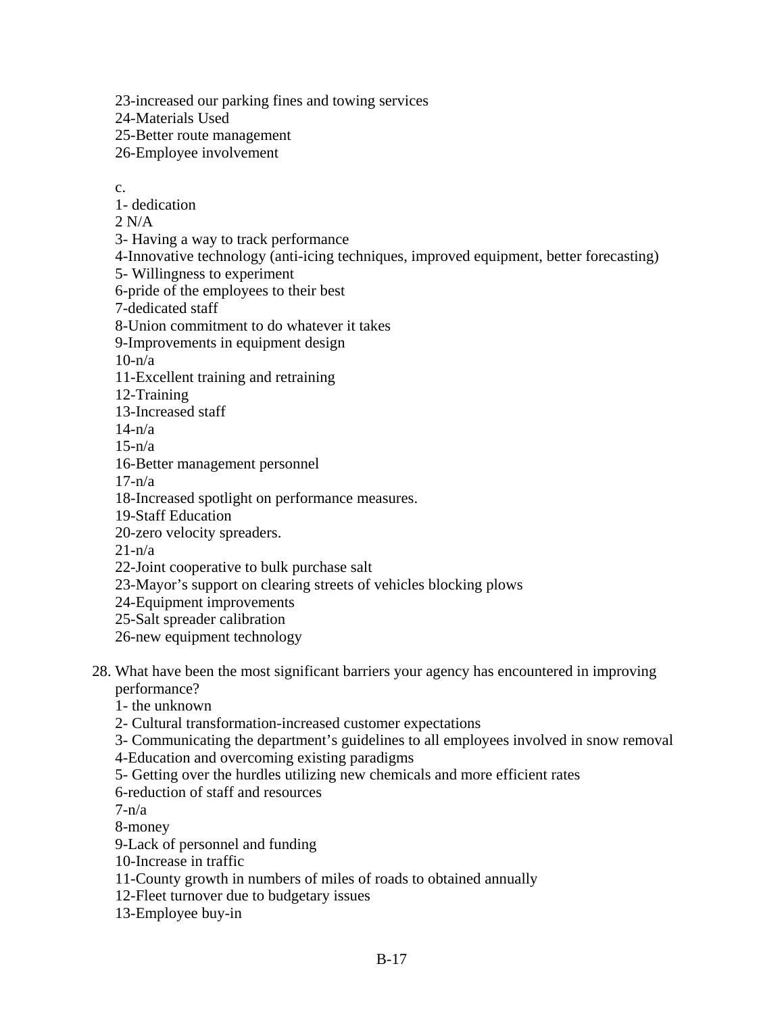23-increased our parking fines and towing services

24-Materials Used

25-Better route management

26-Employee involvement

c.

1- dedication

 $2 N/A$ 

3- Having a way to track performance

4-Innovative technology (anti-icing techniques, improved equipment, better forecasting)

5- Willingness to experiment

6-pride of the employees to their best

7-dedicated staff

8-Union commitment to do whatever it takes

9-Improvements in equipment design

10-n/a

11-Excellent training and retraining

12-Training

13-Increased staff

 $14-n/a$ 

 $15-n/a$ 

16-Better management personnel

 $17-n/a$ 

18-Increased spotlight on performance measures.

19-Staff Education

20-zero velocity spreaders.

 $21-n/a$ 

22-Joint cooperative to bulk purchase salt

23-Mayor's support on clearing streets of vehicles blocking plows

24-Equipment improvements

25-Salt spreader calibration

26-new equipment technology

28. What have been the most significant barriers your agency has encountered in improving performance?

1- the unknown

2- Cultural transformation-increased customer expectations

3- Communicating the department's guidelines to all employees involved in snow removal

4-Education and overcoming existing paradigms

5- Getting over the hurdles utilizing new chemicals and more efficient rates

6-reduction of staff and resources

 $7-n/a$ 

8-money

9-Lack of personnel and funding

10-Increase in traffic

11-County growth in numbers of miles of roads to obtained annually

12-Fleet turnover due to budgetary issues

13-Employee buy-in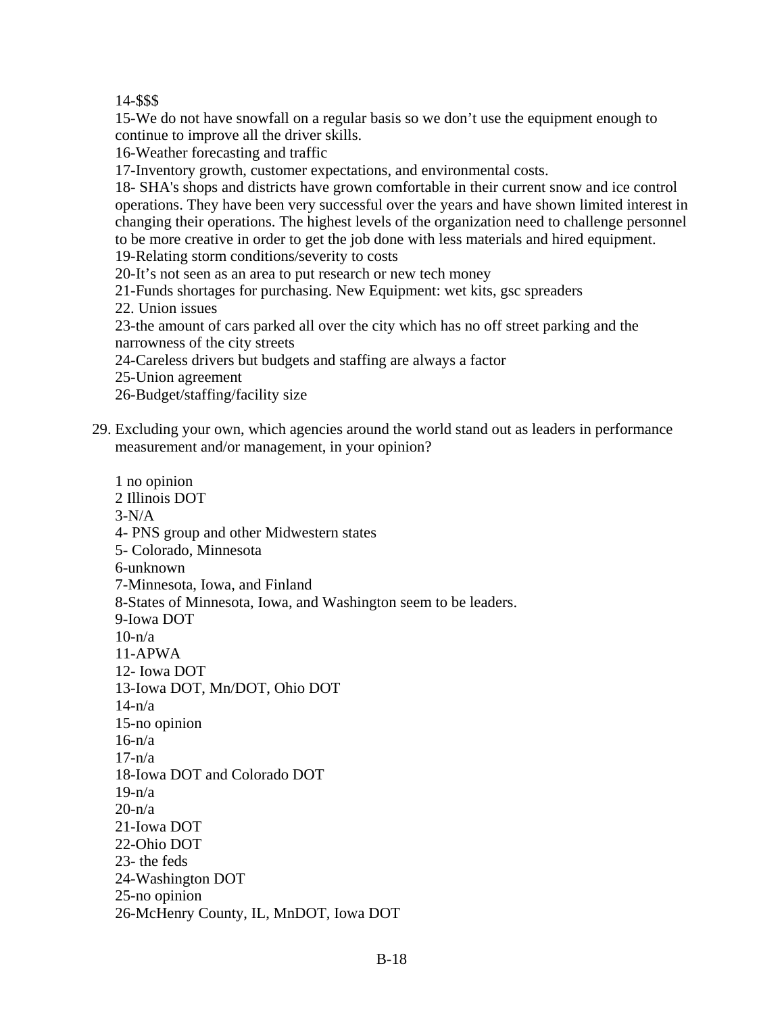14-\$\$\$

15-We do not have snowfall on a regular basis so we don't use the equipment enough to continue to improve all the driver skills.

16-Weather forecasting and traffic

17-Inventory growth, customer expectations, and environmental costs.

18- SHA's shops and districts have grown comfortable in their current snow and ice control operations. They have been very successful over the years and have shown limited interest in changing their operations. The highest levels of the organization need to challenge personnel to be more creative in order to get the job done with less materials and hired equipment.

19-Relating storm conditions/severity to costs

20-It's not seen as an area to put research or new tech money

21-Funds shortages for purchasing. New Equipment: wet kits, gsc spreaders

22. Union issues

23-the amount of cars parked all over the city which has no off street parking and the narrowness of the city streets

- 24-Careless drivers but budgets and staffing are always a factor
- 25-Union agreement
- 26-Budget/staffing/facility size
- 29. Excluding your own, which agencies around the world stand out as leaders in performance measurement and/or management, in your opinion?

1 no opinion 2 Illinois DOT  $3-N/A$ 4- PNS group and other Midwestern states 5- Colorado, Minnesota 6-unknown 7-Minnesota, Iowa, and Finland 8-States of Minnesota, Iowa, and Washington seem to be leaders. 9-Iowa DOT  $10-n/a$ 11-APWA 12- Iowa DOT 13-Iowa DOT, Mn/DOT, Ohio DOT  $14-n/a$ 15-no opinion  $16-n/a$ 17-n/a 18-Iowa DOT and Colorado DOT 19-n/a  $20 - n/a$ 21-Iowa DOT 22-Ohio DOT 23- the feds 24-Washington DOT 25-no opinion 26-McHenry County, IL, MnDOT, Iowa DOT